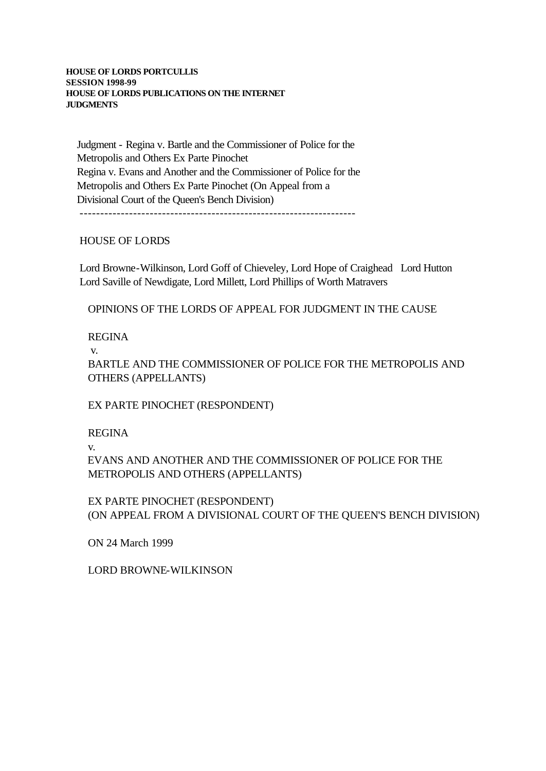#### **HOUSE OF LORDS PORTCULLIS SESSION 1998-99 HOUSE OF LORDS PUBLICATIONS ON THE INTERNET JUDGMENTS**

 Judgment - Regina v. Bartle and the Commissioner of Police for the Metropolis and Others Ex Parte Pinochet Regina v. Evans and Another and the Commissioner of Police for the Metropolis and Others Ex Parte Pinochet (On Appeal from a Divisional Court of the Queen's Bench Division) -------------------------------------------------------------------

# HOUSE OF LORDS

 Lord Browne-Wilkinson, Lord Goff of Chieveley, Lord Hope of Craighead Lord Hutton Lord Saville of Newdigate, Lord Millett, Lord Phillips of Worth Matravers

OPINIONS OF THE LORDS OF APPEAL FOR JUDGMENT IN THE CAUSE

# REGINA

v.

 BARTLE AND THE COMMISSIONER OF POLICE FOR THE METROPOLIS AND OTHERS (APPELLANTS)

EX PARTE PINOCHET (RESPONDENT)

# REGINA

v.

 EVANS AND ANOTHER AND THE COMMISSIONER OF POLICE FOR THE METROPOLIS AND OTHERS (APPELLANTS)

 EX PARTE PINOCHET (RESPONDENT) (ON APPEAL FROM A DIVISIONAL COURT OF THE QUEEN'S BENCH DIVISION)

ON 24 March 1999

LORD BROWNE-WILKINSON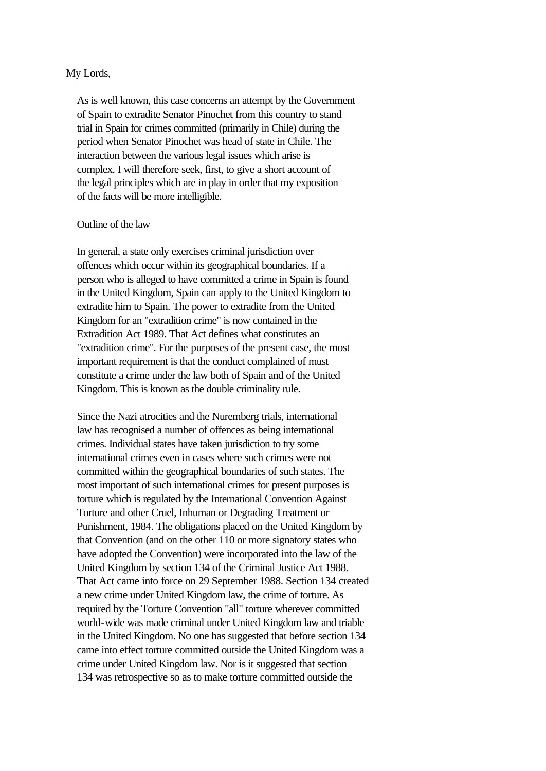#### My Lords,

 As is well known, this case concerns an attempt by the Government of Spain to extradite Senator Pinochet from this country to stand trial in Spain for crimes committed (primarily in Chile) during the period when Senator Pinochet was head of state in Chile. The interaction between the various legal issues which arise is complex. I will therefore seek, first, to give a short account of the legal principles which are in play in order that my exposition of the facts will be more intelligible.

## Outline of the law

 In general, a state only exercises criminal jurisdiction over offences which occur within its geographical boundaries. If a person who is alleged to have committed a crime in Spain is found in the United Kingdom, Spain can apply to the United Kingdom to extradite him to Spain. The power to extradite from the United Kingdom for an "extradition crime" is now contained in the Extradition Act 1989. That Act defines what constitutes an "extradition crime". For the purposes of the present case, the most important requirement is that the conduct complained of must constitute a crime under the law both of Spain and of the United Kingdom. This is known as the double criminality rule.

 Since the Nazi atrocities and the Nuremberg trials, international law has recognised a number of offences as being international crimes. Individual states have taken jurisdiction to try some international crimes even in cases where such crimes were not committed within the geographical boundaries of such states. The most important of such international crimes for present purposes is torture which is regulated by the International Convention Against Torture and other Cruel, Inhuman or Degrading Treatment or Punishment, 1984. The obligations placed on the United Kingdom by that Convention (and on the other 110 or more signatory states who have adopted the Convention) were incorporated into the law of the United Kingdom by section 134 of the Criminal Justice Act 1988. That Act came into force on 29 September 1988. Section 134 created a new crime under United Kingdom law, the crime of torture. As required by the Torture Convention "all" torture wherever committed world-wide was made criminal under United Kingdom law and triable in the United Kingdom. No one has suggested that before section 134 came into effect torture committed outside the United Kingdom was a crime under United Kingdom law. Nor is it suggested that section 134 was retrospective so as to make torture committed outside the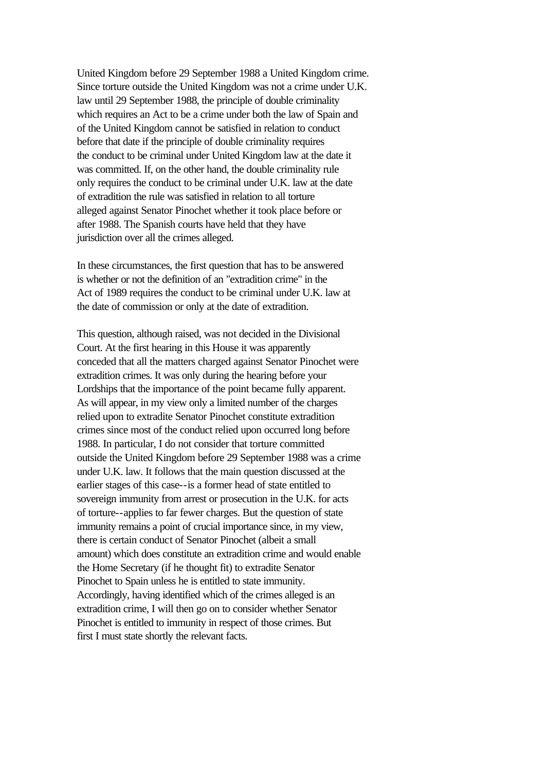United Kingdom before 29 September 1988 a United Kingdom crime. Since torture outside the United Kingdom was not a crime under U.K. law until 29 September 1988, the principle of double criminality which requires an Act to be a crime under both the law of Spain and of the United Kingdom cannot be satisfied in relation to conduct before that date if the principle of double criminality requires the conduct to be criminal under United Kingdom law at the date it was committed. If, on the other hand, the double criminality rule only requires the conduct to be criminal under U.K. law at the date of extradition the rule was satisfied in relation to all torture alleged against Senator Pinochet whether it took place before or after 1988. The Spanish courts have held that they have jurisdiction over all the crimes alleged.

 In these circumstances, the first question that has to be answered is whether or not the definition of an "extradition crime" in the Act of 1989 requires the conduct to be criminal under U.K. law at the date of commission or only at the date of extradition.

 This question, although raised, was not decided in the Divisional Court. At the first hearing in this House it was apparently conceded that all the matters charged against Senator Pinochet were extradition crimes. It was only during the hearing before your Lordships that the importance of the point became fully apparent. As will appear, in my view only a limited number of the charges relied upon to extradite Senator Pinochet constitute extradition crimes since most of the conduct relied upon occurred long before 1988. In particular, I do not consider that torture committed outside the United Kingdom before 29 September 1988 was a crime under U.K. law. It follows that the main question discussed at the earlier stages of this case--is a former head of state entitled to sovereign immunity from arrest or prosecution in the U.K. for acts of torture--applies to far fewer charges. But the question of state immunity remains a point of crucial importance since, in my view, there is certain conduct of Senator Pinochet (albeit a small amount) which does constitute an extradition crime and would enable the Home Secretary (if he thought fit) to extradite Senator Pinochet to Spain unless he is entitled to state immunity. Accordingly, having identified which of the crimes alleged is an extradition crime, I will then go on to consider whether Senator Pinochet is entitled to immunity in respect of those crimes. But first I must state shortly the relevant facts.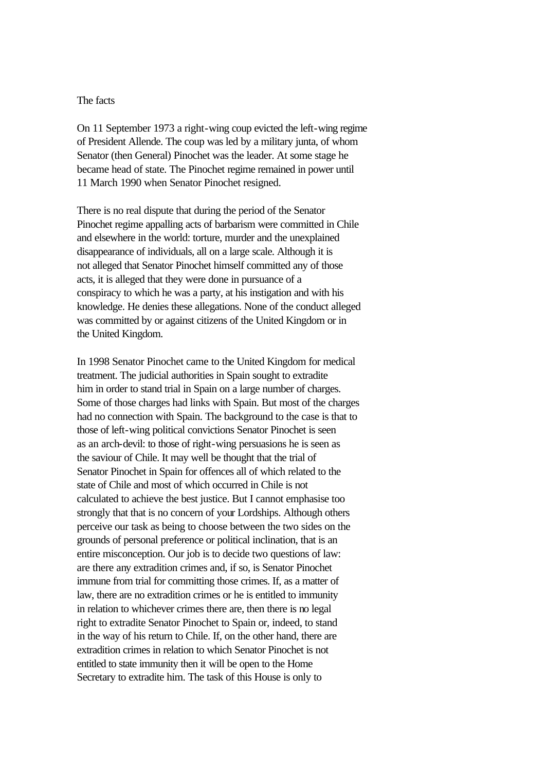#### The facts

 On 11 September 1973 a right-wing coup evicted the left-wing regime of President Allende. The coup was led by a military junta, of whom Senator (then General) Pinochet was the leader. At some stage he became head of state. The Pinochet regime remained in power until 11 March 1990 when Senator Pinochet resigned.

 There is no real dispute that during the period of the Senator Pinochet regime appalling acts of barbarism were committed in Chile and elsewhere in the world: torture, murder and the unexplained disappearance of individuals, all on a large scale. Although it is not alleged that Senator Pinochet himself committed any of those acts, it is alleged that they were done in pursuance of a conspiracy to which he was a party, at his instigation and with his knowledge. He denies these allegations. None of the conduct alleged was committed by or against citizens of the United Kingdom or in the United Kingdom.

 In 1998 Senator Pinochet came to the United Kingdom for medical treatment. The judicial authorities in Spain sought to extradite him in order to stand trial in Spain on a large number of charges. Some of those charges had links with Spain. But most of the charges had no connection with Spain. The background to the case is that to those of left-wing political convictions Senator Pinochet is seen as an arch-devil: to those of right-wing persuasions he is seen as the saviour of Chile. It may well be thought that the trial of Senator Pinochet in Spain for offences all of which related to the state of Chile and most of which occurred in Chile is not calculated to achieve the best justice. But I cannot emphasise too strongly that that is no concern of your Lordships. Although others perceive our task as being to choose between the two sides on the grounds of personal preference or political inclination, that is an entire misconception. Our job is to decide two questions of law: are there any extradition crimes and, if so, is Senator Pinochet immune from trial for committing those crimes. If, as a matter of law, there are no extradition crimes or he is entitled to immunity in relation to whichever crimes there are, then there is no legal right to extradite Senator Pinochet to Spain or, indeed, to stand in the way of his return to Chile. If, on the other hand, there are extradition crimes in relation to which Senator Pinochet is not entitled to state immunity then it will be open to the Home Secretary to extradite him. The task of this House is only to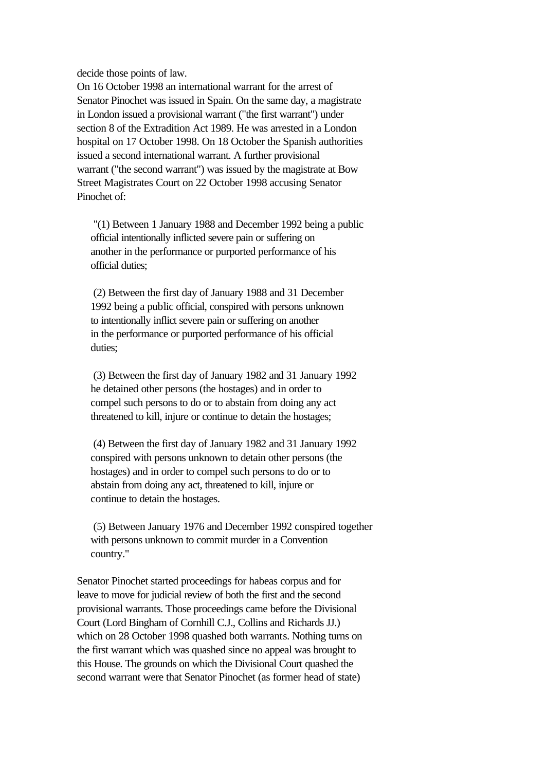decide those points of law.

 On 16 October 1998 an international warrant for the arrest of Senator Pinochet was issued in Spain. On the same day, a magistrate in London issued a provisional warrant ("the first warrant") under section 8 of the Extradition Act 1989. He was arrested in a London hospital on 17 October 1998. On 18 October the Spanish authorities issued a second international warrant. A further provisional warrant ("the second warrant") was issued by the magistrate at Bow Street Magistrates Court on 22 October 1998 accusing Senator Pinochet of:

 "(1) Between 1 January 1988 and December 1992 being a public official intentionally inflicted severe pain or suffering on another in the performance or purported performance of his official duties;

 (2) Between the first day of January 1988 and 31 December 1992 being a public official, conspired with persons unknown to intentionally inflict severe pain or suffering on another in the performance or purported performance of his official duties;

 (3) Between the first day of January 1982 and 31 January 1992 he detained other persons (the hostages) and in order to compel such persons to do or to abstain from doing any act threatened to kill, injure or continue to detain the hostages;

 (4) Between the first day of January 1982 and 31 January 1992 conspired with persons unknown to detain other persons (the hostages) and in order to compel such persons to do or to abstain from doing any act, threatened to kill, injure or continue to detain the hostages.

 (5) Between January 1976 and December 1992 conspired together with persons unknown to commit murder in a Convention country."

 Senator Pinochet started proceedings for habeas corpus and for leave to move for judicial review of both the first and the second provisional warrants. Those proceedings came before the Divisional Court (Lord Bingham of Cornhill C.J., Collins and Richards JJ.) which on 28 October 1998 quashed both warrants. Nothing turns on the first warrant which was quashed since no appeal was brought to this House. The grounds on which the Divisional Court quashed the second warrant were that Senator Pinochet (as former head of state)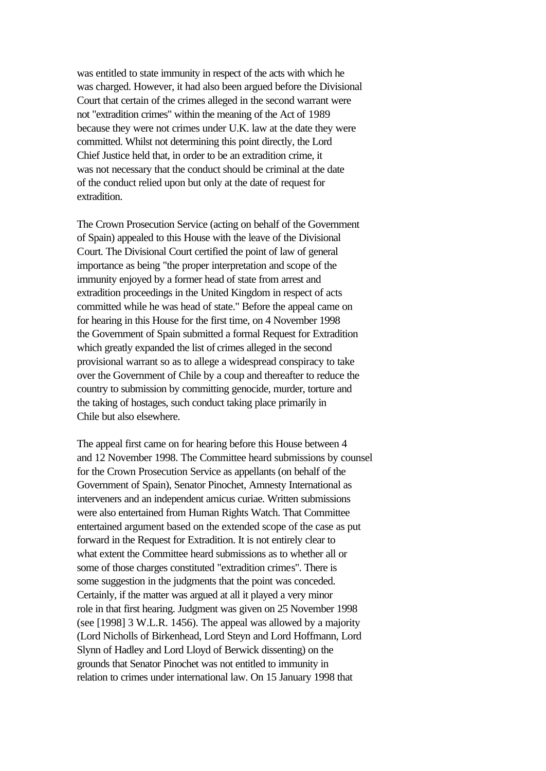was entitled to state immunity in respect of the acts with which he was charged. However, it had also been argued before the Divisional Court that certain of the crimes alleged in the second warrant were not "extradition crimes" within the meaning of the Act of 1989 because they were not crimes under U.K. law at the date they were committed. Whilst not determining this point directly, the Lord Chief Justice held that, in order to be an extradition crime, it was not necessary that the conduct should be criminal at the date of the conduct relied upon but only at the date of request for extradition.

 The Crown Prosecution Service (acting on behalf of the Government of Spain) appealed to this House with the leave of the Divisional Court. The Divisional Court certified the point of law of general importance as being "the proper interpretation and scope of the immunity enjoyed by a former head of state from arrest and extradition proceedings in the United Kingdom in respect of acts committed while he was head of state." Before the appeal came on for hearing in this House for the first time, on 4 November 1998 the Government of Spain submitted a formal Request for Extradition which greatly expanded the list of crimes alleged in the second provisional warrant so as to allege a widespread conspiracy to take over the Government of Chile by a coup and thereafter to reduce the country to submission by committing genocide, murder, torture and the taking of hostages, such conduct taking place primarily in Chile but also elsewhere.

 The appeal first came on for hearing before this House between 4 and 12 November 1998. The Committee heard submissions by counsel for the Crown Prosecution Service as appellants (on behalf of the Government of Spain), Senator Pinochet, Amnesty International as interveners and an independent amicus curiae. Written submissions were also entertained from Human Rights Watch. That Committee entertained argument based on the extended scope of the case as put forward in the Request for Extradition. It is not entirely clear to what extent the Committee heard submissions as to whether all or some of those charges constituted "extradition crimes". There is some suggestion in the judgments that the point was conceded. Certainly, if the matter was argued at all it played a very minor role in that first hearing. Judgment was given on 25 November 1998 (see [1998] 3 W.L.R. 1456). The appeal was allowed by a majority (Lord Nicholls of Birkenhead, Lord Steyn and Lord Hoffmann, Lord Slynn of Hadley and Lord Lloyd of Berwick dissenting) on the grounds that Senator Pinochet was not entitled to immunity in relation to crimes under international law. On 15 January 1998 that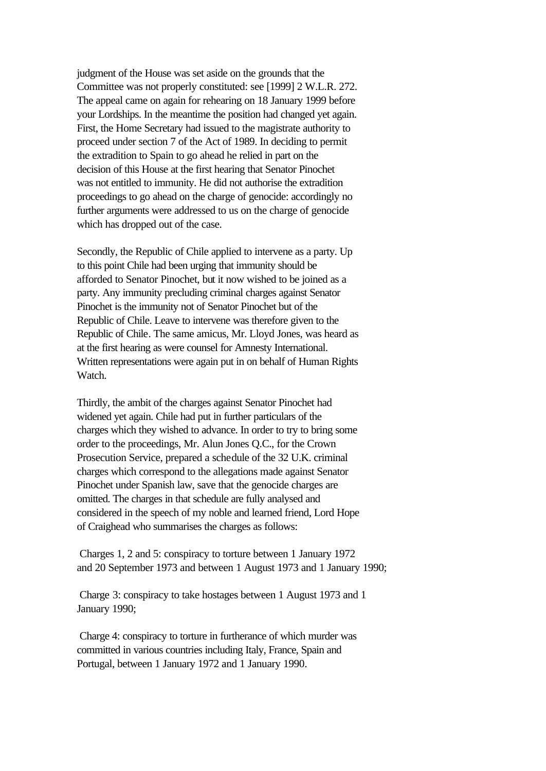judgment of the House was set aside on the grounds that the Committee was not properly constituted: see [1999] 2 W.L.R. 272. The appeal came on again for rehearing on 18 January 1999 before your Lordships. In the meantime the position had changed yet again. First, the Home Secretary had issued to the magistrate authority to proceed under section 7 of the Act of 1989. In deciding to permit the extradition to Spain to go ahead he relied in part on the decision of this House at the first hearing that Senator Pinochet was not entitled to immunity. He did not authorise the extradition proceedings to go ahead on the charge of genocide: accordingly no further arguments were addressed to us on the charge of genocide which has dropped out of the case.

 Secondly, the Republic of Chile applied to intervene as a party. Up to this point Chile had been urging that immunity should be afforded to Senator Pinochet, but it now wished to be joined as a party. Any immunity precluding criminal charges against Senator Pinochet is the immunity not of Senator Pinochet but of the Republic of Chile. Leave to intervene was therefore given to the Republic of Chile. The same amicus, Mr. Lloyd Jones, was heard as at the first hearing as were counsel for Amnesty International. Written representations were again put in on behalf of Human Rights Watch.

 Thirdly, the ambit of the charges against Senator Pinochet had widened yet again. Chile had put in further particulars of the charges which they wished to advance. In order to try to bring some order to the proceedings, Mr. Alun Jones Q.C., for the Crown Prosecution Service, prepared a schedule of the 32 U.K. criminal charges which correspond to the allegations made against Senator Pinochet under Spanish law, save that the genocide charges are omitted. The charges in that schedule are fully analysed and considered in the speech of my noble and learned friend, Lord Hope of Craighead who summarises the charges as follows:

 Charges 1, 2 and 5: conspiracy to torture between 1 January 1972 and 20 September 1973 and between 1 August 1973 and 1 January 1990;

 Charge 3: conspiracy to take hostages between 1 August 1973 and 1 January 1990;

 Charge 4: conspiracy to torture in furtherance of which murder was committed in various countries including Italy, France, Spain and Portugal, between 1 January 1972 and 1 January 1990.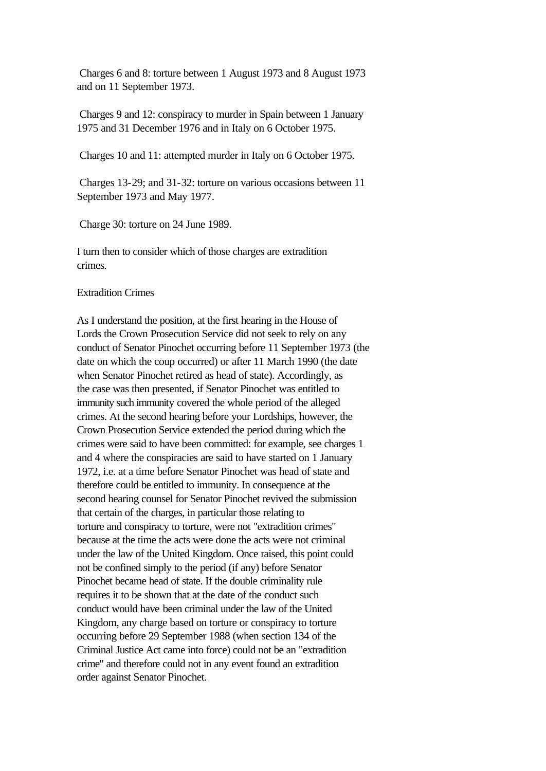Charges 6 and 8: torture between 1 August 1973 and 8 August 1973 and on 11 September 1973.

 Charges 9 and 12: conspiracy to murder in Spain between 1 January 1975 and 31 December 1976 and in Italy on 6 October 1975.

Charges 10 and 11: attempted murder in Italy on 6 October 1975.

 Charges 13-29; and 31-32: torture on various occasions between 11 September 1973 and May 1977.

Charge 30: torture on 24 June 1989.

 I turn then to consider which of those charges are extradition crimes.

Extradition Crimes

 As I understand the position, at the first hearing in the House of Lords the Crown Prosecution Service did not seek to rely on any conduct of Senator Pinochet occurring before 11 September 1973 (the date on which the coup occurred) or after 11 March 1990 (the date when Senator Pinochet retired as head of state). Accordingly, as the case was then presented, if Senator Pinochet was entitled to immunity such immunity covered the whole period of the alleged crimes. At the second hearing before your Lordships, however, the Crown Prosecution Service extended the period during which the crimes were said to have been committed: for example, see charges 1 and 4 where the conspiracies are said to have started on 1 January 1972, i.e. at a time before Senator Pinochet was head of state and therefore could be entitled to immunity. In consequence at the second hearing counsel for Senator Pinochet revived the submission that certain of the charges, in particular those relating to torture and conspiracy to torture, were not "extradition crimes" because at the time the acts were done the acts were not criminal under the law of the United Kingdom. Once raised, this point could not be confined simply to the period (if any) before Senator Pinochet became head of state. If the double criminality rule requires it to be shown that at the date of the conduct such conduct would have been criminal under the law of the United Kingdom, any charge based on torture or conspiracy to torture occurring before 29 September 1988 (when section 134 of the Criminal Justice Act came into force) could not be an "extradition crime" and therefore could not in any event found an extradition order against Senator Pinochet.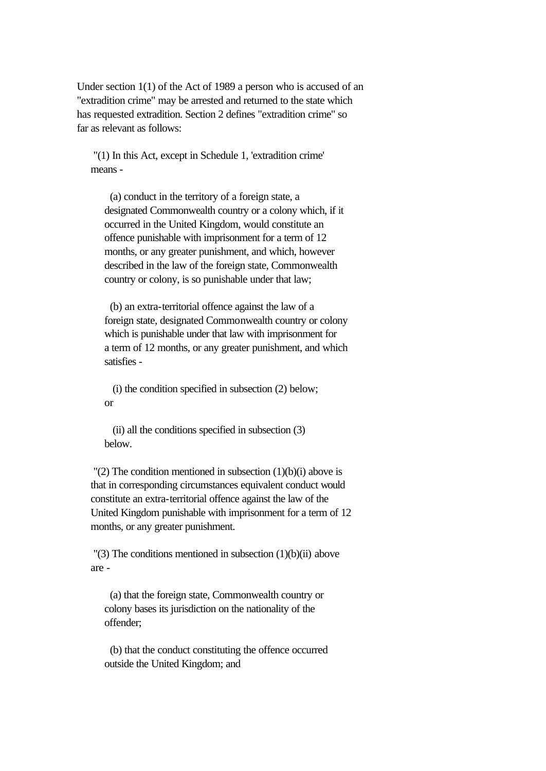Under section 1(1) of the Act of 1989 a person who is accused of an "extradition crime" may be arrested and returned to the state which has requested extradition. Section 2 defines "extradition crime" so far as relevant as follows:

 "(1) In this Act, except in Schedule 1, 'extradition crime' means -

 (a) conduct in the territory of a foreign state, a designated Commonwealth country or a colony which, if it occurred in the United Kingdom, would constitute an offence punishable with imprisonment for a term of 12 months, or any greater punishment, and which, however described in the law of the foreign state, Commonwealth country or colony, is so punishable under that law;

 (b) an extra-territorial offence against the law of a foreign state, designated Commonwealth country or colony which is punishable under that law with imprisonment for a term of 12 months, or any greater punishment, and which satisfies -

 (i) the condition specified in subsection (2) below; or

 (ii) all the conditions specified in subsection (3) below.

"(2) The condition mentioned in subsection  $(1)(b)(i)$  above is that in corresponding circumstances equivalent conduct would constitute an extra-territorial offence against the law of the United Kingdom punishable with imprisonment for a term of 12 months, or any greater punishment.

 "(3) The conditions mentioned in subsection (1)(b)(ii) above are -

 (a) that the foreign state, Commonwealth country or colony bases its jurisdiction on the nationality of the offender;

 (b) that the conduct constituting the offence occurred outside the United Kingdom; and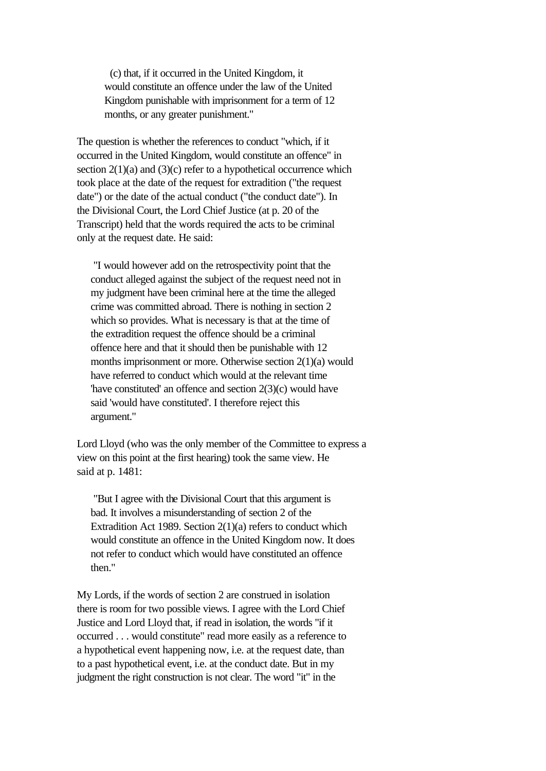(c) that, if it occurred in the United Kingdom, it would constitute an offence under the law of the United Kingdom punishable with imprisonment for a term of 12 months, or any greater punishment."

 The question is whether the references to conduct "which, if it occurred in the United Kingdom, would constitute an offence" in section  $2(1)(a)$  and  $(3)(c)$  refer to a hypothetical occurrence which took place at the date of the request for extradition ("the request date") or the date of the actual conduct ("the conduct date"). In the Divisional Court, the Lord Chief Justice (at p. 20 of the Transcript) held that the words required the acts to be criminal only at the request date. He said:

 "I would however add on the retrospectivity point that the conduct alleged against the subject of the request need not in my judgment have been criminal here at the time the alleged crime was committed abroad. There is nothing in section 2 which so provides. What is necessary is that at the time of the extradition request the offence should be a criminal offence here and that it should then be punishable with 12 months imprisonment or more. Otherwise section 2(1)(a) would have referred to conduct which would at the relevant time 'have constituted' an offence and section 2(3)(c) would have said 'would have constituted'. I therefore reject this argument."

 Lord Lloyd (who was the only member of the Committee to express a view on this point at the first hearing) took the same view. He said at p. 1481:

 "But I agree with the Divisional Court that this argument is bad. It involves a misunderstanding of section 2 of the Extradition Act 1989. Section 2(1)(a) refers to conduct which would constitute an offence in the United Kingdom now. It does not refer to conduct which would have constituted an offence then."

 My Lords, if the words of section 2 are construed in isolation there is room for two possible views. I agree with the Lord Chief Justice and Lord Lloyd that, if read in isolation, the words "if it occurred . . . would constitute" read more easily as a reference to a hypothetical event happening now, i.e. at the request date, than to a past hypothetical event, i.e. at the conduct date. But in my judgment the right construction is not clear. The word "it" in the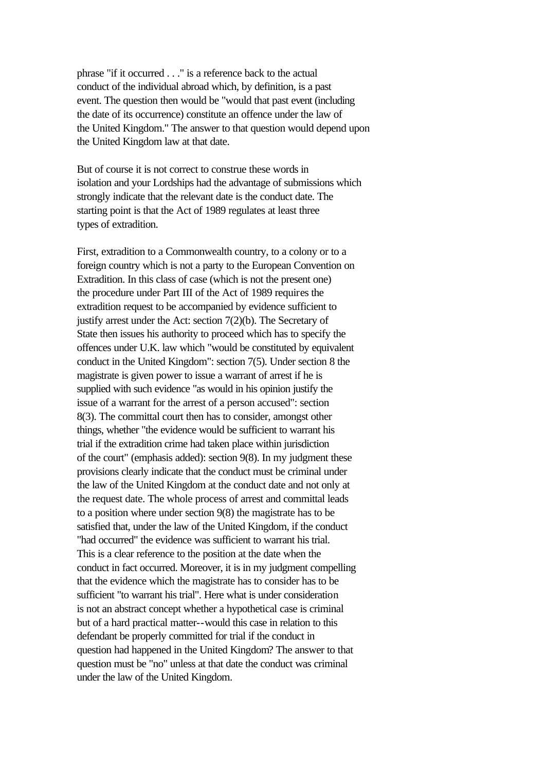phrase "if it occurred . . ." is a reference back to the actual conduct of the individual abroad which, by definition, is a past event. The question then would be "would that past event (including the date of its occurrence) constitute an offence under the law of the United Kingdom." The answer to that question would depend upon the United Kingdom law at that date.

 But of course it is not correct to construe these words in isolation and your Lordships had the advantage of submissions which strongly indicate that the relevant date is the conduct date. The starting point is that the Act of 1989 regulates at least three types of extradition.

 First, extradition to a Commonwealth country, to a colony or to a foreign country which is not a party to the European Convention on Extradition. In this class of case (which is not the present one) the procedure under Part III of the Act of 1989 requires the extradition request to be accompanied by evidence sufficient to justify arrest under the Act: section 7(2)(b). The Secretary of State then issues his authority to proceed which has to specify the offences under U.K. law which "would be constituted by equivalent conduct in the United Kingdom": section 7(5). Under section 8 the magistrate is given power to issue a warrant of arrest if he is supplied with such evidence "as would in his opinion justify the issue of a warrant for the arrest of a person accused": section 8(3). The committal court then has to consider, amongst other things, whether "the evidence would be sufficient to warrant his trial if the extradition crime had taken place within jurisdiction of the court" (emphasis added): section 9(8). In my judgment these provisions clearly indicate that the conduct must be criminal under the law of the United Kingdom at the conduct date and not only at the request date. The whole process of arrest and committal leads to a position where under section 9(8) the magistrate has to be satisfied that, under the law of the United Kingdom, if the conduct "had occurred" the evidence was sufficient to warrant his trial. This is a clear reference to the position at the date when the conduct in fact occurred. Moreover, it is in my judgment compelling that the evidence which the magistrate has to consider has to be sufficient "to warrant his trial". Here what is under consideration is not an abstract concept whether a hypothetical case is criminal but of a hard practical matter--would this case in relation to this defendant be properly committed for trial if the conduct in question had happened in the United Kingdom? The answer to that question must be "no" unless at that date the conduct was criminal under the law of the United Kingdom.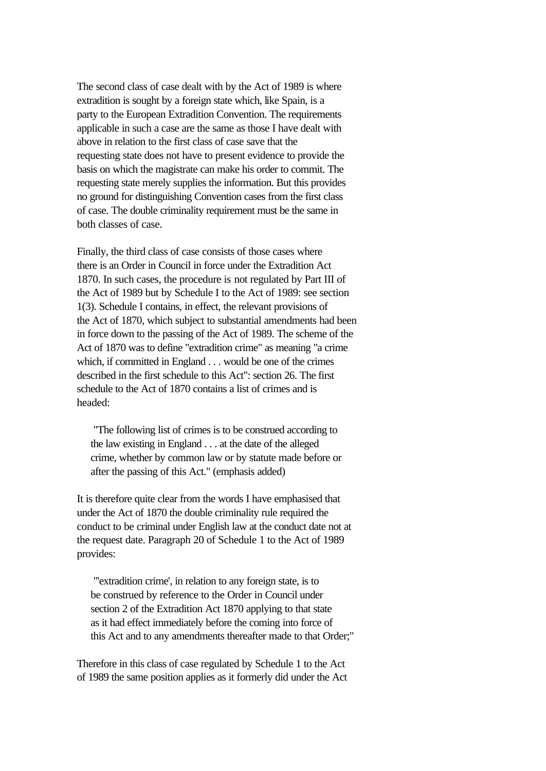The second class of case dealt with by the Act of 1989 is where extradition is sought by a foreign state which, like Spain, is a party to the European Extradition Convention. The requirements applicable in such a case are the same as those I have dealt with above in relation to the first class of case save that the requesting state does not have to present evidence to provide the basis on which the magistrate can make his order to commit. The requesting state merely supplies the information. But this provides no ground for distinguishing Convention cases from the first class of case. The double criminality requirement must be the same in both classes of case.

 Finally, the third class of case consists of those cases where there is an Order in Council in force under the Extradition Act 1870. In such cases, the procedure is not regulated by Part III of the Act of 1989 but by Schedule I to the Act of 1989: see section 1(3). Schedule I contains, in effect, the relevant provisions of the Act of 1870, which subject to substantial amendments had been in force down to the passing of the Act of 1989. The scheme of the Act of 1870 was to define "extradition crime" as meaning "a crime which, if committed in England . . . would be one of the crimes described in the first schedule to this Act": section 26. The first schedule to the Act of 1870 contains a list of crimes and is headed:

 "The following list of crimes is to be construed according to the law existing in England . . . at the date of the alleged crime, whether by common law or by statute made before or after the passing of this Act." (emphasis added)

 It is therefore quite clear from the words I have emphasised that under the Act of 1870 the double criminality rule required the conduct to be criminal under English law at the conduct date not at the request date. Paragraph 20 of Schedule 1 to the Act of 1989 provides:

 "'extradition crime', in relation to any foreign state, is to be construed by reference to the Order in Council under section 2 of the Extradition Act 1870 applying to that state as it had effect immediately before the coming into force of this Act and to any amendments thereafter made to that Order;"

 Therefore in this class of case regulated by Schedule 1 to the Act of 1989 the same position applies as it formerly did under the Act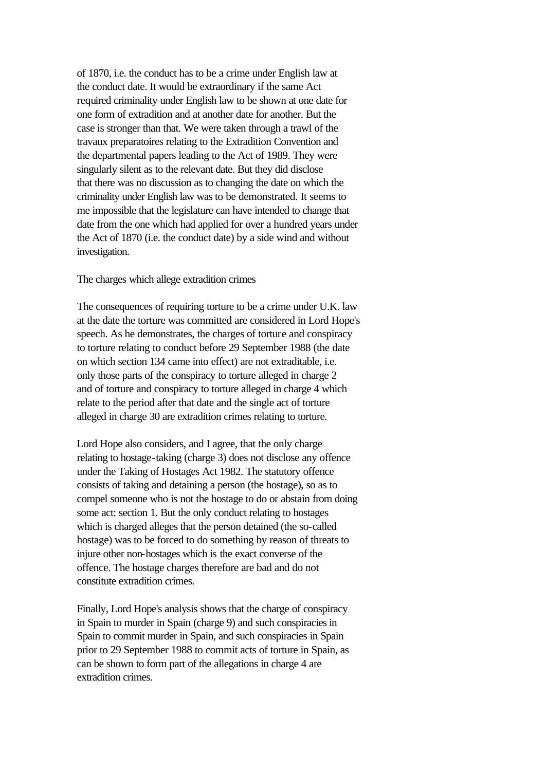of 1870, i.e. the conduct has to be a crime under English law at the conduct date. It would be extraordinary if the same Act required criminality under English law to be shown at one date for one form of extradition and at another date for another. But the case is stronger than that. We were taken through a trawl of the travaux preparatoires relating to the Extradition Convention and the departmental papers leading to the Act of 1989. They were singularly silent as to the relevant date. But they did disclose that there was no discussion as to changing the date on which the criminality under English law was to be demonstrated. It seems to me impossible that the legislature can have intended to change that date from the one which had applied for over a hundred years under the Act of 1870 (i.e. the conduct date) by a side wind and without investigation.

The charges which allege extradition crimes

 The consequences of requiring torture to be a crime under U.K. law at the date the torture was committed are considered in Lord Hope's speech. As he demonstrates, the charges of torture and conspiracy to torture relating to conduct before 29 September 1988 (the date on which section 134 came into effect) are not extraditable, i.e. only those parts of the conspiracy to torture alleged in charge 2 and of torture and conspiracy to torture alleged in charge 4 which relate to the period after that date and the single act of torture alleged in charge 30 are extradition crimes relating to torture.

 Lord Hope also considers, and I agree, that the only charge relating to hostage-taking (charge 3) does not disclose any offence under the Taking of Hostages Act 1982. The statutory offence consists of taking and detaining a person (the hostage), so as to compel someone who is not the hostage to do or abstain from doing some act: section 1. But the only conduct relating to hostages which is charged alleges that the person detained (the so-called hostage) was to be forced to do something by reason of threats to injure other non-hostages which is the exact converse of the offence. The hostage charges therefore are bad and do not constitute extradition crimes.

 Finally, Lord Hope's analysis shows that the charge of conspiracy in Spain to murder in Spain (charge 9) and such conspiracies in Spain to commit murder in Spain, and such conspiracies in Spain prior to 29 September 1988 to commit acts of torture in Spain, as can be shown to form part of the allegations in charge 4 are extradition crimes.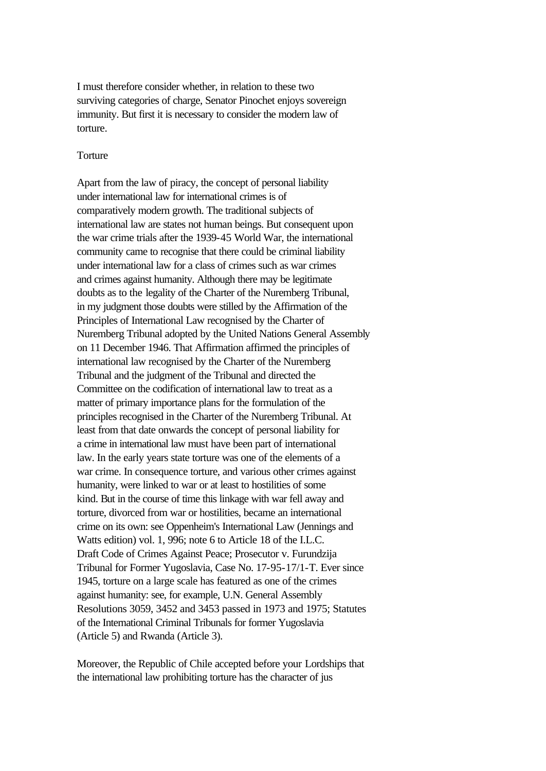I must therefore consider whether, in relation to these two surviving categories of charge, Senator Pinochet enjoys sovereign immunity. But first it is necessary to consider the modern law of torture.

# Torture

 Apart from the law of piracy, the concept of personal liability under international law for international crimes is of comparatively modern growth. The traditional subjects of international law are states not human beings. But consequent upon the war crime trials after the 1939-45 World War, the international community came to recognise that there could be criminal liability under international law for a class of crimes such as war crimes and crimes against humanity. Although there may be legitimate doubts as to the legality of the Charter of the Nuremberg Tribunal, in my judgment those doubts were stilled by the Affirmation of the Principles of International Law recognised by the Charter of Nuremberg Tribunal adopted by the United Nations General Assembly on 11 December 1946. That Affirmation affirmed the principles of international law recognised by the Charter of the Nuremberg Tribunal and the judgment of the Tribunal and directed the Committee on the codification of international law to treat as a matter of primary importance plans for the formulation of the principles recognised in the Charter of the Nuremberg Tribunal. At least from that date onwards the concept of personal liability for a crime in international law must have been part of international law. In the early years state torture was one of the elements of a war crime. In consequence torture, and various other crimes against humanity, were linked to war or at least to hostilities of some kind. But in the course of time this linkage with war fell away and torture, divorced from war or hostilities, became an international crime on its own: see Oppenheim's International Law (Jennings and Watts edition) vol. 1, 996; note 6 to Article 18 of the I.L.C. Draft Code of Crimes Against Peace; Prosecutor v. Furundzija Tribunal for Former Yugoslavia, Case No. 17-95-17/1-T. Ever since 1945, torture on a large scale has featured as one of the crimes against humanity: see, for example, U.N. General Assembly Resolutions 3059, 3452 and 3453 passed in 1973 and 1975; Statutes of the International Criminal Tribunals for former Yugoslavia (Article 5) and Rwanda (Article 3).

 Moreover, the Republic of Chile accepted before your Lordships that the international law prohibiting torture has the character of jus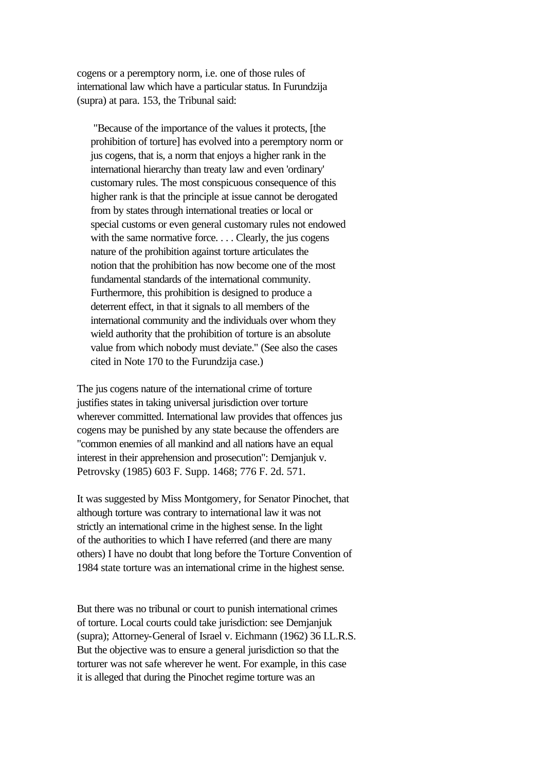cogens or a peremptory norm, i.e. one of those rules of international law which have a particular status. In Furundzija (supra) at para. 153, the Tribunal said:

 "Because of the importance of the values it protects, [the prohibition of torture] has evolved into a peremptory norm or jus cogens, that is, a norm that enjoys a higher rank in the international hierarchy than treaty law and even 'ordinary' customary rules. The most conspicuous consequence of this higher rank is that the principle at issue cannot be derogated from by states through international treaties or local or special customs or even general customary rules not endowed with the same normative force. . . . Clearly, the jus cogens nature of the prohibition against torture articulates the notion that the prohibition has now become one of the most fundamental standards of the international community. Furthermore, this prohibition is designed to produce a deterrent effect, in that it signals to all members of the international community and the individuals over whom they wield authority that the prohibition of torture is an absolute value from which nobody must deviate." (See also the cases cited in Note 170 to the Furundzija case.)

 The jus cogens nature of the international crime of torture justifies states in taking universal jurisdiction over torture wherever committed. International law provides that offences jus cogens may be punished by any state because the offenders are "common enemies of all mankind and all nations have an equal interest in their apprehension and prosecution": Demjanjuk v. Petrovsky (1985) 603 F. Supp. 1468; 776 F. 2d. 571.

 It was suggested by Miss Montgomery, for Senator Pinochet, that although torture was contrary to international law it was not strictly an international crime in the highest sense. In the light of the authorities to which I have referred (and there are many others) I have no doubt that long before the Torture Convention of 1984 state torture was an international crime in the highest sense.

 But there was no tribunal or court to punish international crimes of torture. Local courts could take jurisdiction: see Demjanjuk (supra); Attorney-General of Israel v. Eichmann (1962) 36 I.L.R.S. But the objective was to ensure a general jurisdiction so that the torturer was not safe wherever he went. For example, in this case it is alleged that during the Pinochet regime torture was an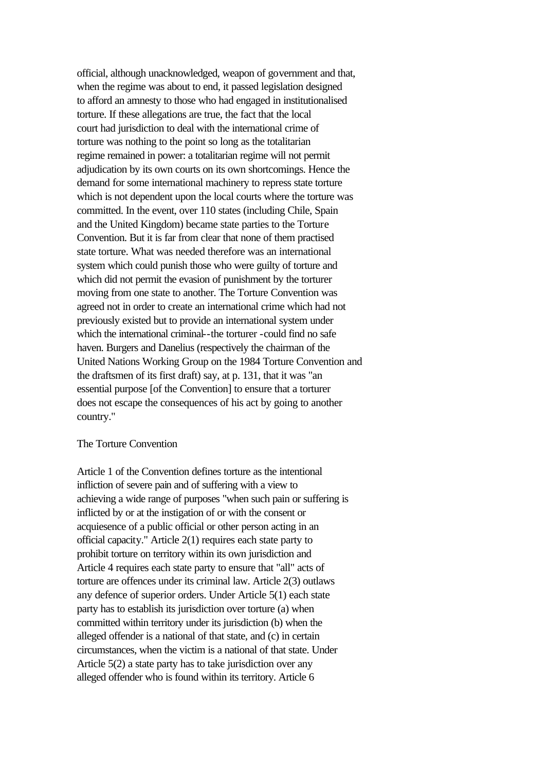official, although unacknowledged, weapon of government and that, when the regime was about to end, it passed legislation designed to afford an amnesty to those who had engaged in institutionalised torture. If these allegations are true, the fact that the local court had jurisdiction to deal with the international crime of torture was nothing to the point so long as the totalitarian regime remained in power: a totalitarian regime will not permit adjudication by its own courts on its own shortcomings. Hence the demand for some international machinery to repress state torture which is not dependent upon the local courts where the torture was committed. In the event, over 110 states (including Chile, Spain and the United Kingdom) became state parties to the Torture Convention. But it is far from clear that none of them practised state torture. What was needed therefore was an international system which could punish those who were guilty of torture and which did not permit the evasion of punishment by the torturer moving from one state to another. The Torture Convention was agreed not in order to create an international crime which had not previously existed but to provide an international system under which the international criminal--the torturer -could find no safe haven. Burgers and Danelius (respectively the chairman of the United Nations Working Group on the 1984 Torture Convention and the draftsmen of its first draft) say, at p. 131, that it was "an essential purpose [of the Convention] to ensure that a torturer does not escape the consequences of his act by going to another country."

## The Torture Convention

 Article 1 of the Convention defines torture as the intentional infliction of severe pain and of suffering with a view to achieving a wide range of purposes "when such pain or suffering is inflicted by or at the instigation of or with the consent or acquiesence of a public official or other person acting in an official capacity." Article 2(1) requires each state party to prohibit torture on territory within its own jurisdiction and Article 4 requires each state party to ensure that "all" acts of torture are offences under its criminal law. Article 2(3) outlaws any defence of superior orders. Under Article 5(1) each state party has to establish its jurisdiction over torture (a) when committed within territory under its jurisdiction (b) when the alleged offender is a national of that state, and (c) in certain circumstances, when the victim is a national of that state. Under Article 5(2) a state party has to take jurisdiction over any alleged offender who is found within its territory. Article 6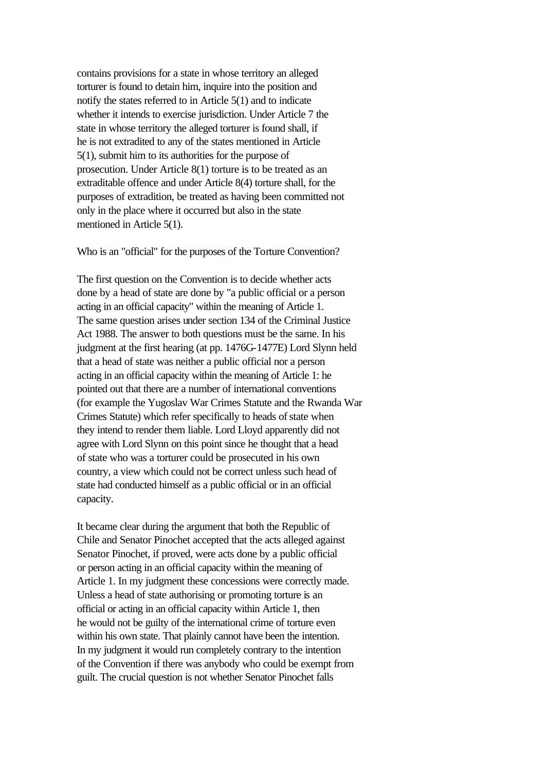contains provisions for a state in whose territory an alleged torturer is found to detain him, inquire into the position and notify the states referred to in Article 5(1) and to indicate whether it intends to exercise jurisdiction. Under Article 7 the state in whose territory the alleged torturer is found shall, if he is not extradited to any of the states mentioned in Article 5(1), submit him to its authorities for the purpose of prosecution. Under Article 8(1) torture is to be treated as an extraditable offence and under Article 8(4) torture shall, for the purposes of extradition, be treated as having been committed not only in the place where it occurred but also in the state mentioned in Article 5(1).

Who is an "official" for the purposes of the Torture Convention?

 The first question on the Convention is to decide whether acts done by a head of state are done by "a public official or a person acting in an official capacity" within the meaning of Article 1. The same question arises under section 134 of the Criminal Justice Act 1988. The answer to both questions must be the same. In his judgment at the first hearing (at pp. 1476G-1477E) Lord Slynn held that a head of state was neither a public official nor a person acting in an official capacity within the meaning of Article 1: he pointed out that there are a number of international conventions (for example the Yugoslav War Crimes Statute and the Rwanda War Crimes Statute) which refer specifically to heads of state when they intend to render them liable. Lord Lloyd apparently did not agree with Lord Slynn on this point since he thought that a head of state who was a torturer could be prosecuted in his own country, a view which could not be correct unless such head of state had conducted himself as a public official or in an official capacity.

 It became clear during the argument that both the Republic of Chile and Senator Pinochet accepted that the acts alleged against Senator Pinochet, if proved, were acts done by a public official or person acting in an official capacity within the meaning of Article 1. In my judgment these concessions were correctly made. Unless a head of state authorising or promoting torture is an official or acting in an official capacity within Article 1, then he would not be guilty of the international crime of torture even within his own state. That plainly cannot have been the intention. In my judgment it would run completely contrary to the intention of the Convention if there was anybody who could be exempt from guilt. The crucial question is not whether Senator Pinochet falls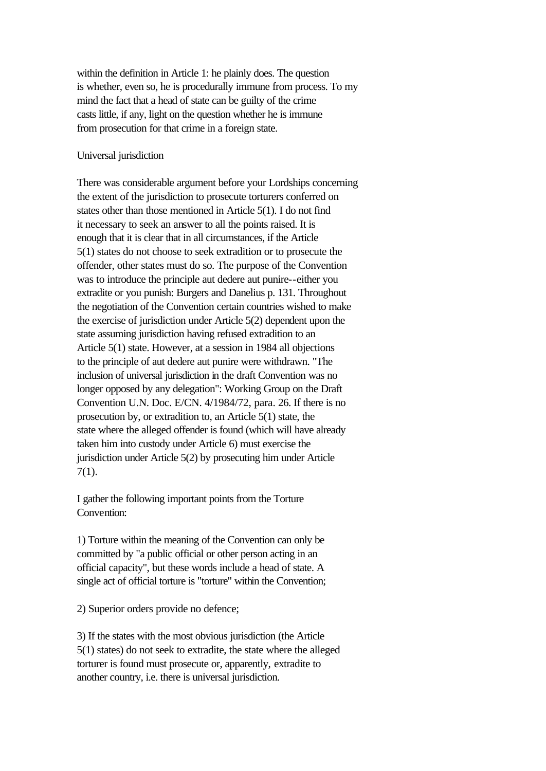within the definition in Article 1: he plainly does. The question is whether, even so, he is procedurally immune from process. To my mind the fact that a head of state can be guilty of the crime casts little, if any, light on the question whether he is immune from prosecution for that crime in a foreign state.

# Universal jurisdiction

 There was considerable argument before your Lordships concerning the extent of the jurisdiction to prosecute torturers conferred on states other than those mentioned in Article 5(1). I do not find it necessary to seek an answer to all the points raised. It is enough that it is clear that in all circumstances, if the Article 5(1) states do not choose to seek extradition or to prosecute the offender, other states must do so. The purpose of the Convention was to introduce the principle aut dedere aut punire--either you extradite or you punish: Burgers and Danelius p. 131. Throughout the negotiation of the Convention certain countries wished to make the exercise of jurisdiction under Article 5(2) dependent upon the state assuming jurisdiction having refused extradition to an Article 5(1) state. However, at a session in 1984 all objections to the principle of aut dedere aut punire were withdrawn. "The inclusion of universal jurisdiction in the draft Convention was no longer opposed by any delegation": Working Group on the Draft Convention U.N. Doc. E/CN. 4/1984/72, para. 26. If there is no prosecution by, or extradition to, an Article 5(1) state, the state where the alleged offender is found (which will have already taken him into custody under Article 6) must exercise the jurisdiction under Article 5(2) by prosecuting him under Article 7(1).

 I gather the following important points from the Torture Convention:

 1) Torture within the meaning of the Convention can only be committed by "a public official or other person acting in an official capacity", but these words include a head of state. A single act of official torture is "torture" within the Convention;

2) Superior orders provide no defence;

 3) If the states with the most obvious jurisdiction (the Article 5(1) states) do not seek to extradite, the state where the alleged torturer is found must prosecute or, apparently, extradite to another country, i.e. there is universal jurisdiction.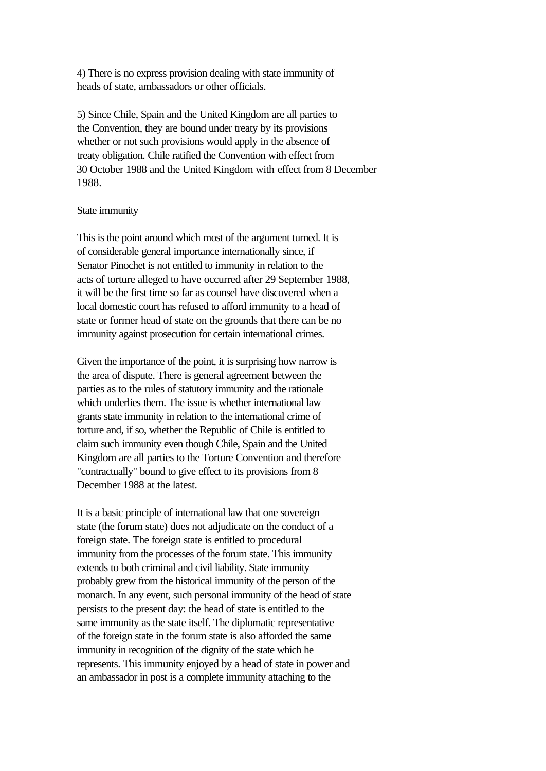4) There is no express provision dealing with state immunity of heads of state, ambassadors or other officials.

 5) Since Chile, Spain and the United Kingdom are all parties to the Convention, they are bound under treaty by its provisions whether or not such provisions would apply in the absence of treaty obligation. Chile ratified the Convention with effect from 30 October 1988 and the United Kingdom with effect from 8 December 1988.

## State immunity

 This is the point around which most of the argument turned. It is of considerable general importance internationally since, if Senator Pinochet is not entitled to immunity in relation to the acts of torture alleged to have occurred after 29 September 1988, it will be the first time so far as counsel have discovered when a local domestic court has refused to afford immunity to a head of state or former head of state on the grounds that there can be no immunity against prosecution for certain international crimes.

 Given the importance of the point, it is surprising how narrow is the area of dispute. There is general agreement between the parties as to the rules of statutory immunity and the rationale which underlies them. The issue is whether international law grants state immunity in relation to the international crime of torture and, if so, whether the Republic of Chile is entitled to claim such immunity even though Chile, Spain and the United Kingdom are all parties to the Torture Convention and therefore "contractually" bound to give effect to its provisions from 8 December 1988 at the latest.

 It is a basic principle of international law that one sovereign state (the forum state) does not adjudicate on the conduct of a foreign state. The foreign state is entitled to procedural immunity from the processes of the forum state. This immunity extends to both criminal and civil liability. State immunity probably grew from the historical immunity of the person of the monarch. In any event, such personal immunity of the head of state persists to the present day: the head of state is entitled to the same immunity as the state itself. The diplomatic representative of the foreign state in the forum state is also afforded the same immunity in recognition of the dignity of the state which he represents. This immunity enjoyed by a head of state in power and an ambassador in post is a complete immunity attaching to the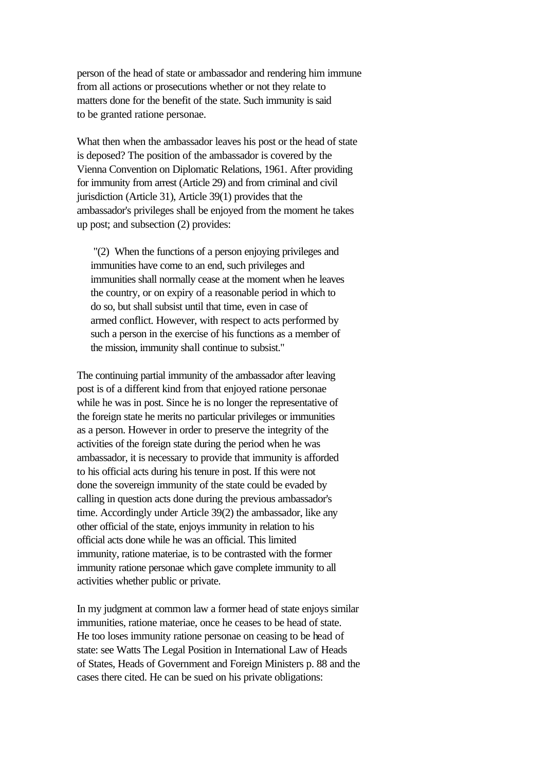person of the head of state or ambassador and rendering him immune from all actions or prosecutions whether or not they relate to matters done for the benefit of the state. Such immunity is said to be granted ratione personae.

 What then when the ambassador leaves his post or the head of state is deposed? The position of the ambassador is covered by the Vienna Convention on Diplomatic Relations, 1961. After providing for immunity from arrest (Article 29) and from criminal and civil jurisdiction (Article 31), Article 39(1) provides that the ambassador's privileges shall be enjoyed from the moment he takes up post; and subsection (2) provides:

 "(2) When the functions of a person enjoying privileges and immunities have come to an end, such privileges and immunities shall normally cease at the moment when he leaves the country, or on expiry of a reasonable period in which to do so, but shall subsist until that time, even in case of armed conflict. However, with respect to acts performed by such a person in the exercise of his functions as a member of the mission, immunity shall continue to subsist."

 The continuing partial immunity of the ambassador after leaving post is of a different kind from that enjoyed ratione personae while he was in post. Since he is no longer the representative of the foreign state he merits no particular privileges or immunities as a person. However in order to preserve the integrity of the activities of the foreign state during the period when he was ambassador, it is necessary to provide that immunity is afforded to his official acts during his tenure in post. If this were not done the sovereign immunity of the state could be evaded by calling in question acts done during the previous ambassador's time. Accordingly under Article 39(2) the ambassador, like any other official of the state, enjoys immunity in relation to his official acts done while he was an official. This limited immunity, ratione materiae, is to be contrasted with the former immunity ratione personae which gave complete immunity to all activities whether public or private.

 In my judgment at common law a former head of state enjoys similar immunities, ratione materiae, once he ceases to be head of state. He too loses immunity ratione personae on ceasing to be head of state: see Watts The Legal Position in International Law of Heads of States, Heads of Government and Foreign Ministers p. 88 and the cases there cited. He can be sued on his private obligations: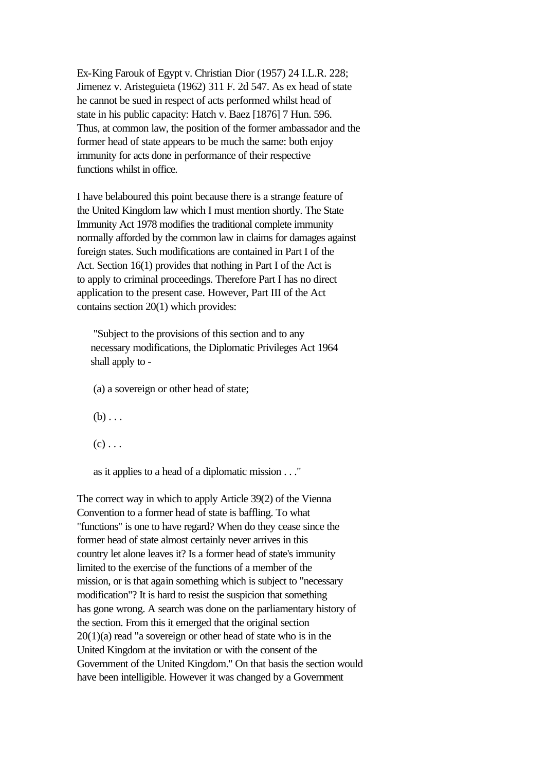Ex-King Farouk of Egypt v. Christian Dior (1957) 24 I.L.R. 228; Jimenez v. Aristeguieta (1962) 311 F. 2d 547. As ex head of state he cannot be sued in respect of acts performed whilst head of state in his public capacity: Hatch v. Baez [1876] 7 Hun. 596. Thus, at common law, the position of the former ambassador and the former head of state appears to be much the same: both enjoy immunity for acts done in performance of their respective functions whilst in office.

 I have belaboured this point because there is a strange feature of the United Kingdom law which I must mention shortly. The State Immunity Act 1978 modifies the traditional complete immunity normally afforded by the common law in claims for damages against foreign states. Such modifications are contained in Part I of the Act. Section 16(1) provides that nothing in Part I of the Act is to apply to criminal proceedings. Therefore Part I has no direct application to the present case. However, Part III of the Act contains section 20(1) which provides:

 "Subject to the provisions of this section and to any necessary modifications, the Diplomatic Privileges Act 1964 shall apply to -

- (a) a sovereign or other head of state;
- $(b)$ ...
- $(c)$ ...

as it applies to a head of a diplomatic mission . . ."

 The correct way in which to apply Article 39(2) of the Vienna Convention to a former head of state is baffling. To what "functions" is one to have regard? When do they cease since the former head of state almost certainly never arrives in this country let alone leaves it? Is a former head of state's immunity limited to the exercise of the functions of a member of the mission, or is that again something which is subject to "necessary modification"? It is hard to resist the suspicion that something has gone wrong. A search was done on the parliamentary history of the section. From this it emerged that the original section  $20(1)(a)$  read "a sovereign or other head of state who is in the United Kingdom at the invitation or with the consent of the Government of the United Kingdom." On that basis the section would have been intelligible. However it was changed by a Government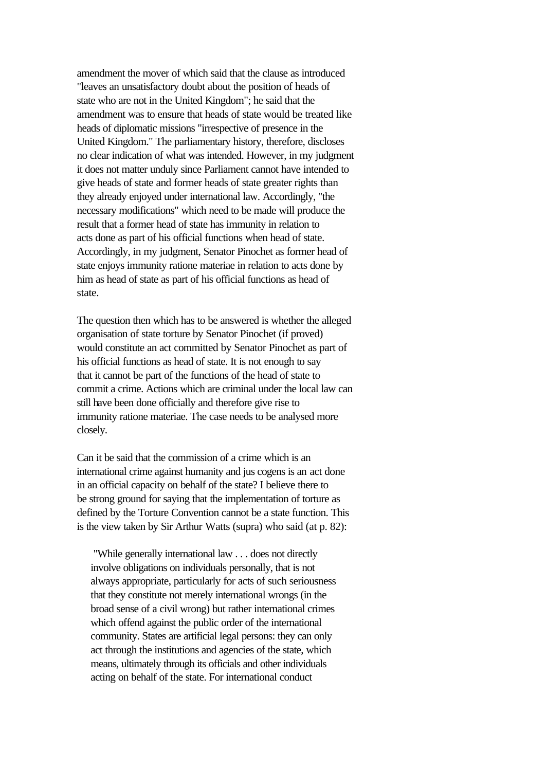amendment the mover of which said that the clause as introduced "leaves an unsatisfactory doubt about the position of heads of state who are not in the United Kingdom"; he said that the amendment was to ensure that heads of state would be treated like heads of diplomatic missions "irrespective of presence in the United Kingdom." The parliamentary history, therefore, discloses no clear indication of what was intended. However, in my judgment it does not matter unduly since Parliament cannot have intended to give heads of state and former heads of state greater rights than they already enjoyed under international law. Accordingly, "the necessary modifications" which need to be made will produce the result that a former head of state has immunity in relation to acts done as part of his official functions when head of state. Accordingly, in my judgment, Senator Pinochet as former head of state enjoys immunity ratione materiae in relation to acts done by him as head of state as part of his official functions as head of state.

 The question then which has to be answered is whether the alleged organisation of state torture by Senator Pinochet (if proved) would constitute an act committed by Senator Pinochet as part of his official functions as head of state. It is not enough to say that it cannot be part of the functions of the head of state to commit a crime. Actions which are criminal under the local law can still have been done officially and therefore give rise to immunity ratione materiae. The case needs to be analysed more closely.

 Can it be said that the commission of a crime which is an international crime against humanity and jus cogens is an act done in an official capacity on behalf of the state? I believe there to be strong ground for saying that the implementation of torture as defined by the Torture Convention cannot be a state function. This is the view taken by Sir Arthur Watts (supra) who said (at p. 82):

 "While generally international law . . . does not directly involve obligations on individuals personally, that is not always appropriate, particularly for acts of such seriousness that they constitute not merely international wrongs (in the broad sense of a civil wrong) but rather international crimes which offend against the public order of the international community. States are artificial legal persons: they can only act through the institutions and agencies of the state, which means, ultimately through its officials and other individuals acting on behalf of the state. For international conduct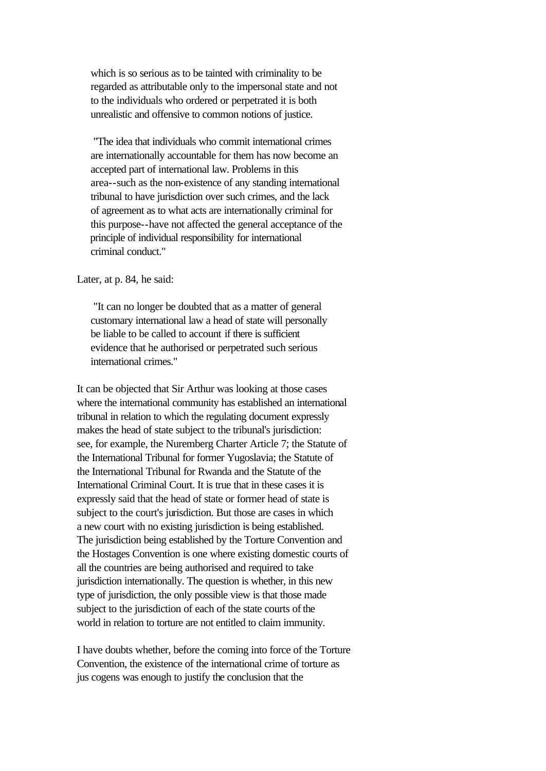which is so serious as to be tainted with criminality to be regarded as attributable only to the impersonal state and not to the individuals who ordered or perpetrated it is both unrealistic and offensive to common notions of justice.

 "The idea that individuals who commit international crimes are internationally accountable for them has now become an accepted part of international law. Problems in this area--such as the non-existence of any standing international tribunal to have jurisdiction over such crimes, and the lack of agreement as to what acts are internationally criminal for this purpose--have not affected the general acceptance of the principle of individual responsibility for international criminal conduct."

Later, at p. 84, he said:

 "It can no longer be doubted that as a matter of general customary international law a head of state will personally be liable to be called to account if there is sufficient evidence that he authorised or perpetrated such serious international crimes."

 It can be objected that Sir Arthur was looking at those cases where the international community has established an international tribunal in relation to which the regulating document expressly makes the head of state subject to the tribunal's jurisdiction: see, for example, the Nuremberg Charter Article 7; the Statute of the International Tribunal for former Yugoslavia; the Statute of the International Tribunal for Rwanda and the Statute of the International Criminal Court. It is true that in these cases it is expressly said that the head of state or former head of state is subject to the court's jurisdiction. But those are cases in which a new court with no existing jurisdiction is being established. The jurisdiction being established by the Torture Convention and the Hostages Convention is one where existing domestic courts of all the countries are being authorised and required to take jurisdiction internationally. The question is whether, in this new type of jurisdiction, the only possible view is that those made subject to the jurisdiction of each of the state courts of the world in relation to torture are not entitled to claim immunity.

 I have doubts whether, before the coming into force of the Torture Convention, the existence of the international crime of torture as jus cogens was enough to justify the conclusion that the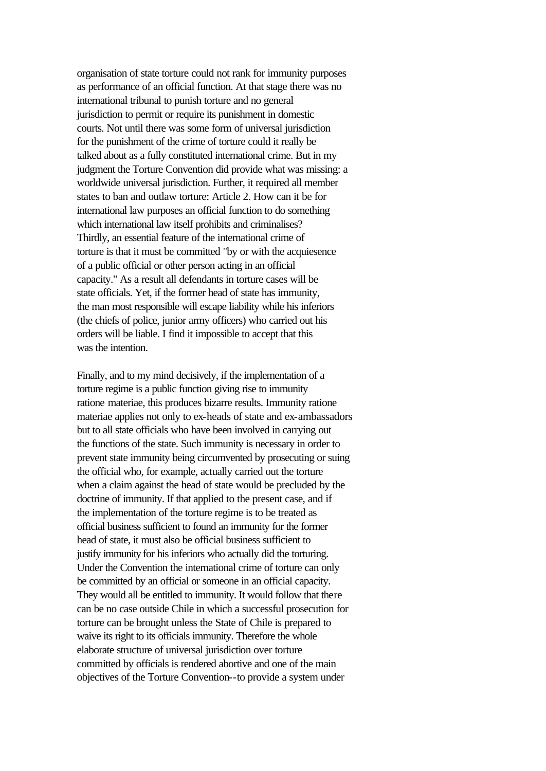organisation of state torture could not rank for immunity purposes as performance of an official function. At that stage there was no international tribunal to punish torture and no general jurisdiction to permit or require its punishment in domestic courts. Not until there was some form of universal jurisdiction for the punishment of the crime of torture could it really be talked about as a fully constituted international crime. But in my judgment the Torture Convention did provide what was missing: a worldwide universal jurisdiction. Further, it required all member states to ban and outlaw torture: Article 2. How can it be for international law purposes an official function to do something which international law itself prohibits and criminalises? Thirdly, an essential feature of the international crime of torture is that it must be committed "by or with the acquiesence of a public official or other person acting in an official capacity." As a result all defendants in torture cases will be state officials. Yet, if the former head of state has immunity, the man most responsible will escape liability while his inferiors (the chiefs of police, junior army officers) who carried out his orders will be liable. I find it impossible to accept that this was the intention.

 Finally, and to my mind decisively, if the implementation of a torture regime is a public function giving rise to immunity ratione materiae, this produces bizarre results. Immunity ratione materiae applies not only to ex-heads of state and ex-ambassadors but to all state officials who have been involved in carrying out the functions of the state. Such immunity is necessary in order to prevent state immunity being circumvented by prosecuting or suing the official who, for example, actually carried out the torture when a claim against the head of state would be precluded by the doctrine of immunity. If that applied to the present case, and if the implementation of the torture regime is to be treated as official business sufficient to found an immunity for the former head of state, it must also be official business sufficient to justify immunity for his inferiors who actually did the torturing. Under the Convention the international crime of torture can only be committed by an official or someone in an official capacity. They would all be entitled to immunity. It would follow that there can be no case outside Chile in which a successful prosecution for torture can be brought unless the State of Chile is prepared to waive its right to its officials immunity. Therefore the whole elaborate structure of universal jurisdiction over torture committed by officials is rendered abortive and one of the main objectives of the Torture Convention--to provide a system under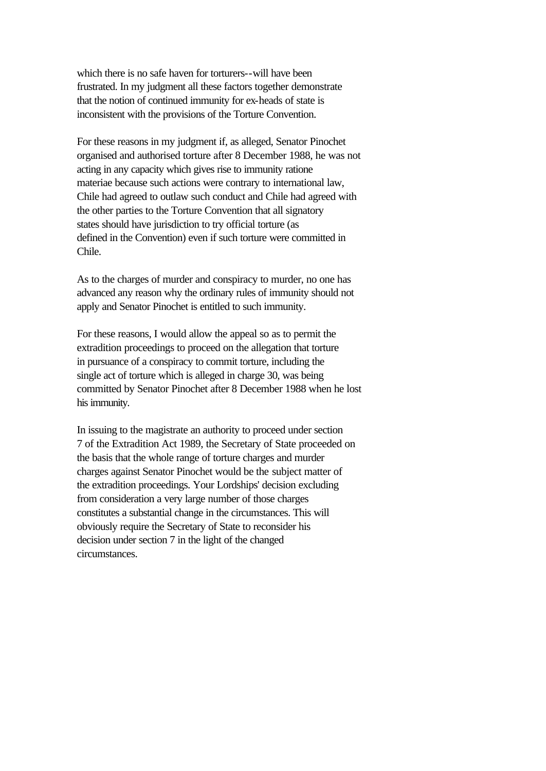which there is no safe haven for torturers--will have been frustrated. In my judgment all these factors together demonstrate that the notion of continued immunity for ex-heads of state is inconsistent with the provisions of the Torture Convention.

 For these reasons in my judgment if, as alleged, Senator Pinochet organised and authorised torture after 8 December 1988, he was not acting in any capacity which gives rise to immunity ratione materiae because such actions were contrary to international law, Chile had agreed to outlaw such conduct and Chile had agreed with the other parties to the Torture Convention that all signatory states should have jurisdiction to try official torture (as defined in the Convention) even if such torture were committed in Chile.

 As to the charges of murder and conspiracy to murder, no one has advanced any reason why the ordinary rules of immunity should not apply and Senator Pinochet is entitled to such immunity.

 For these reasons, I would allow the appeal so as to permit the extradition proceedings to proceed on the allegation that torture in pursuance of a conspiracy to commit torture, including the single act of torture which is alleged in charge 30, was being committed by Senator Pinochet after 8 December 1988 when he lost his immunity.

 In issuing to the magistrate an authority to proceed under section 7 of the Extradition Act 1989, the Secretary of State proceeded on the basis that the whole range of torture charges and murder charges against Senator Pinochet would be the subject matter of the extradition proceedings. Your Lordships' decision excluding from consideration a very large number of those charges constitutes a substantial change in the circumstances. This will obviously require the Secretary of State to reconsider his decision under section 7 in the light of the changed circumstances.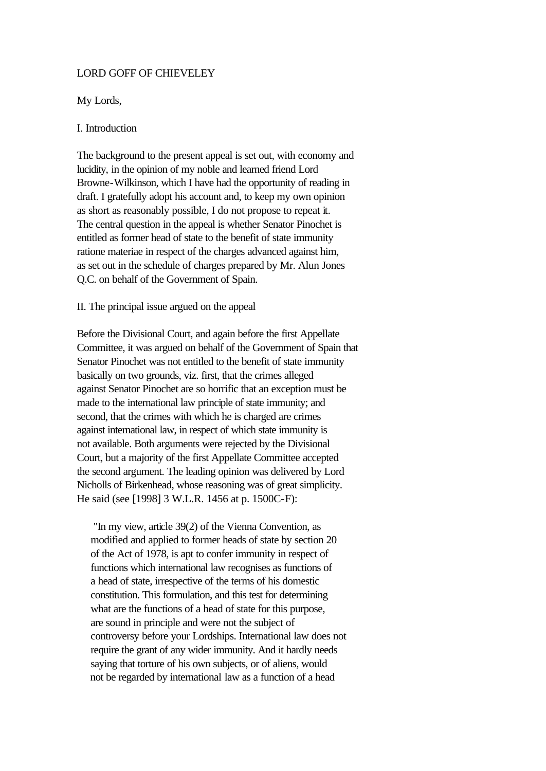# LORD GOFF OF CHIEVELEY

## My Lords,

### I. Introduction

 The background to the present appeal is set out, with economy and lucidity, in the opinion of my noble and learned friend Lord Browne-Wilkinson, which I have had the opportunity of reading in draft. I gratefully adopt his account and, to keep my own opinion as short as reasonably possible, I do not propose to repeat it. The central question in the appeal is whether Senator Pinochet is entitled as former head of state to the benefit of state immunity ratione materiae in respect of the charges advanced against him, as set out in the schedule of charges prepared by Mr. Alun Jones Q.C. on behalf of the Government of Spain.

# II. The principal issue argued on the appeal

 Before the Divisional Court, and again before the first Appellate Committee, it was argued on behalf of the Government of Spain that Senator Pinochet was not entitled to the benefit of state immunity basically on two grounds, viz. first, that the crimes alleged against Senator Pinochet are so horrific that an exception must be made to the international law principle of state immunity; and second, that the crimes with which he is charged are crimes against international law, in respect of which state immunity is not available. Both arguments were rejected by the Divisional Court, but a majority of the first Appellate Committee accepted the second argument. The leading opinion was delivered by Lord Nicholls of Birkenhead, whose reasoning was of great simplicity. He said (see [1998] 3 W.L.R. 1456 at p. 1500C-F):

 "In my view, article 39(2) of the Vienna Convention, as modified and applied to former heads of state by section 20 of the Act of 1978, is apt to confer immunity in respect of functions which international law recognises as functions of a head of state, irrespective of the terms of his domestic constitution. This formulation, and this test for determining what are the functions of a head of state for this purpose, are sound in principle and were not the subject of controversy before your Lordships. International law does not require the grant of any wider immunity. And it hardly needs saying that torture of his own subjects, or of aliens, would not be regarded by international law as a function of a head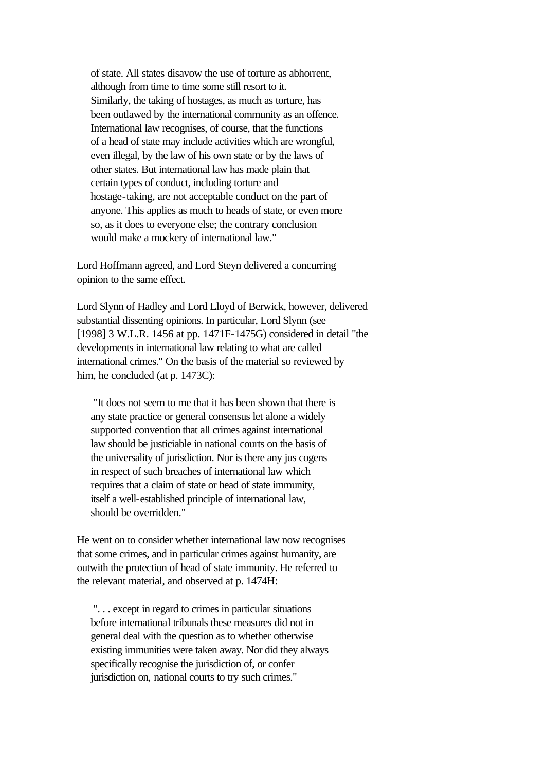of state. All states disavow the use of torture as abhorrent, although from time to time some still resort to it. Similarly, the taking of hostages, as much as torture, has been outlawed by the international community as an offence. International law recognises, of course, that the functions of a head of state may include activities which are wrongful, even illegal, by the law of his own state or by the laws of other states. But international law has made plain that certain types of conduct, including torture and hostage-taking, are not acceptable conduct on the part of anyone. This applies as much to heads of state, or even more so, as it does to everyone else; the contrary conclusion would make a mockery of international law."

 Lord Hoffmann agreed, and Lord Steyn delivered a concurring opinion to the same effect.

 Lord Slynn of Hadley and Lord Lloyd of Berwick, however, delivered substantial dissenting opinions. In particular, Lord Slynn (see [1998] 3 W.L.R. 1456 at pp. 1471F-1475G) considered in detail "the developments in international law relating to what are called international crimes." On the basis of the material so reviewed by him, he concluded (at p. 1473C):

 "It does not seem to me that it has been shown that there is any state practice or general consensus let alone a widely supported convention that all crimes against international law should be justiciable in national courts on the basis of the universality of jurisdiction. Nor is there any jus cogens in respect of such breaches of international law which requires that a claim of state or head of state immunity, itself a well-established principle of international law, should be overridden."

 He went on to consider whether international law now recognises that some crimes, and in particular crimes against humanity, are outwith the protection of head of state immunity. He referred to the relevant material, and observed at p. 1474H:

 ". . . except in regard to crimes in particular situations before international tribunals these measures did not in general deal with the question as to whether otherwise existing immunities were taken away. Nor did they always specifically recognise the jurisdiction of, or confer jurisdiction on, national courts to try such crimes."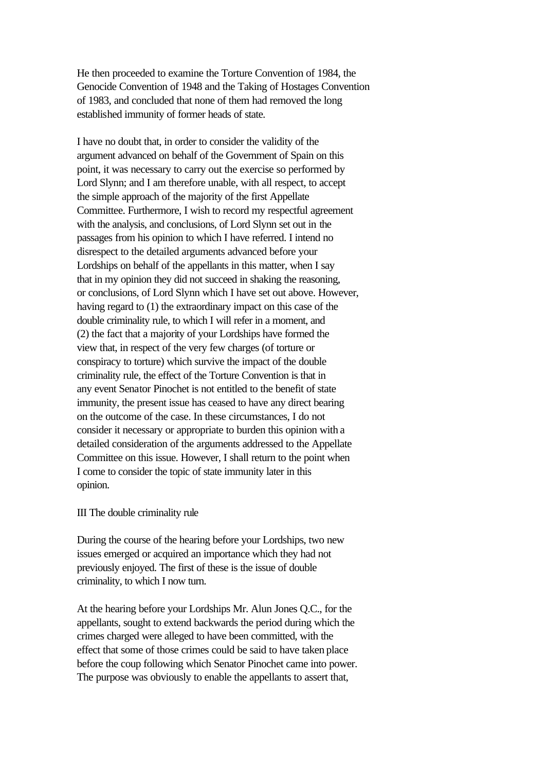He then proceeded to examine the Torture Convention of 1984, the Genocide Convention of 1948 and the Taking of Hostages Convention of 1983, and concluded that none of them had removed the long established immunity of former heads of state.

 I have no doubt that, in order to consider the validity of the argument advanced on behalf of the Government of Spain on this point, it was necessary to carry out the exercise so performed by Lord Slynn; and I am therefore unable, with all respect, to accept the simple approach of the majority of the first Appellate Committee. Furthermore, I wish to record my respectful agreement with the analysis, and conclusions, of Lord Slynn set out in the passages from his opinion to which I have referred. I intend no disrespect to the detailed arguments advanced before your Lordships on behalf of the appellants in this matter, when I say that in my opinion they did not succeed in shaking the reasoning, or conclusions, of Lord Slynn which I have set out above. However, having regard to (1) the extraordinary impact on this case of the double criminality rule, to which I will refer in a moment, and (2) the fact that a majority of your Lordships have formed the view that, in respect of the very few charges (of torture or conspiracy to torture) which survive the impact of the double criminality rule, the effect of the Torture Convention is that in any event Senator Pinochet is not entitled to the benefit of state immunity, the present issue has ceased to have any direct bearing on the outcome of the case. In these circumstances, I do not consider it necessary or appropriate to burden this opinion with a detailed consideration of the arguments addressed to the Appellate Committee on this issue. However, I shall return to the point when I come to consider the topic of state immunity later in this opinion.

III The double criminality rule

 During the course of the hearing before your Lordships, two new issues emerged or acquired an importance which they had not previously enjoyed. The first of these is the issue of double criminality, to which I now turn.

 At the hearing before your Lordships Mr. Alun Jones Q.C., for the appellants, sought to extend backwards the period during which the crimes charged were alleged to have been committed, with the effect that some of those crimes could be said to have taken place before the coup following which Senator Pinochet came into power. The purpose was obviously to enable the appellants to assert that,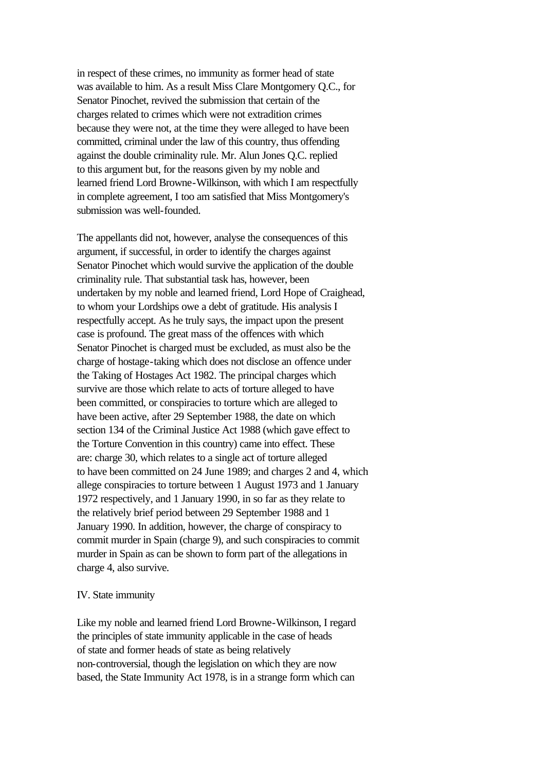in respect of these crimes, no immunity as former head of state was available to him. As a result Miss Clare Montgomery Q.C., for Senator Pinochet, revived the submission that certain of the charges related to crimes which were not extradition crimes because they were not, at the time they were alleged to have been committed, criminal under the law of this country, thus offending against the double criminality rule. Mr. Alun Jones Q.C. replied to this argument but, for the reasons given by my noble and learned friend Lord Browne-Wilkinson, with which I am respectfully in complete agreement, I too am satisfied that Miss Montgomery's submission was well-founded.

 The appellants did not, however, analyse the consequences of this argument, if successful, in order to identify the charges against Senator Pinochet which would survive the application of the double criminality rule. That substantial task has, however, been undertaken by my noble and learned friend, Lord Hope of Craighead, to whom your Lordships owe a debt of gratitude. His analysis I respectfully accept. As he truly says, the impact upon the present case is profound. The great mass of the offences with which Senator Pinochet is charged must be excluded, as must also be the charge of hostage-taking which does not disclose an offence under the Taking of Hostages Act 1982. The principal charges which survive are those which relate to acts of torture alleged to have been committed, or conspiracies to torture which are alleged to have been active, after 29 September 1988, the date on which section 134 of the Criminal Justice Act 1988 (which gave effect to the Torture Convention in this country) came into effect. These are: charge 30, which relates to a single act of torture alleged to have been committed on 24 June 1989; and charges 2 and 4, which allege conspiracies to torture between 1 August 1973 and 1 January 1972 respectively, and 1 January 1990, in so far as they relate to the relatively brief period between 29 September 1988 and 1 January 1990. In addition, however, the charge of conspiracy to commit murder in Spain (charge 9), and such conspiracies to commit murder in Spain as can be shown to form part of the allegations in charge 4, also survive.

## IV. State immunity

 Like my noble and learned friend Lord Browne-Wilkinson, I regard the principles of state immunity applicable in the case of heads of state and former heads of state as being relatively non-controversial, though the legislation on which they are now based, the State Immunity Act 1978, is in a strange form which can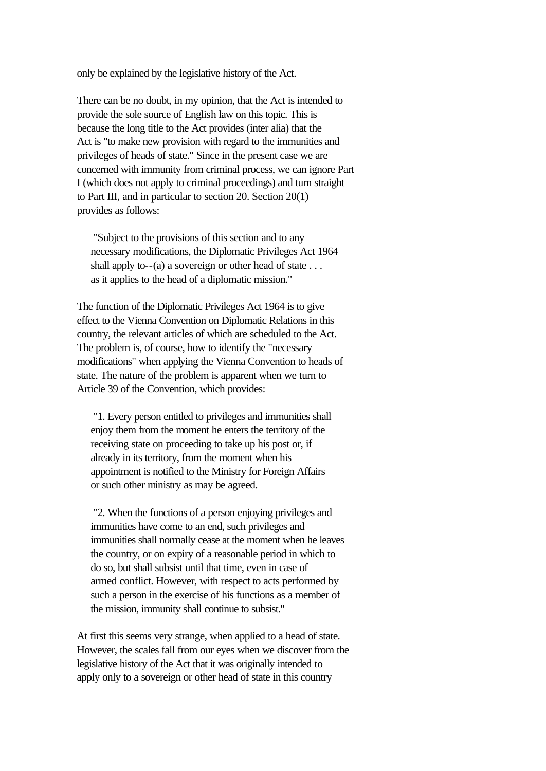only be explained by the legislative history of the Act.

 There can be no doubt, in my opinion, that the Act is intended to provide the sole source of English law on this topic. This is because the long title to the Act provides (inter alia) that the Act is "to make new provision with regard to the immunities and privileges of heads of state." Since in the present case we are concerned with immunity from criminal process, we can ignore Part I (which does not apply to criminal proceedings) and turn straight to Part III, and in particular to section 20. Section 20(1) provides as follows:

 "Subject to the provisions of this section and to any necessary modifications, the Diplomatic Privileges Act 1964 shall apply to--(a) a sovereign or other head of state . . . as it applies to the head of a diplomatic mission."

 The function of the Diplomatic Privileges Act 1964 is to give effect to the Vienna Convention on Diplomatic Relations in this country, the relevant articles of which are scheduled to the Act. The problem is, of course, how to identify the "necessary modifications" when applying the Vienna Convention to heads of state. The nature of the problem is apparent when we turn to Article 39 of the Convention, which provides:

 "1. Every person entitled to privileges and immunities shall enjoy them from the moment he enters the territory of the receiving state on proceeding to take up his post or, if already in its territory, from the moment when his appointment is notified to the Ministry for Foreign Affairs or such other ministry as may be agreed.

 "2. When the functions of a person enjoying privileges and immunities have come to an end, such privileges and immunities shall normally cease at the moment when he leaves the country, or on expiry of a reasonable period in which to do so, but shall subsist until that time, even in case of armed conflict. However, with respect to acts performed by such a person in the exercise of his functions as a member of the mission, immunity shall continue to subsist."

 At first this seems very strange, when applied to a head of state. However, the scales fall from our eyes when we discover from the legislative history of the Act that it was originally intended to apply only to a sovereign or other head of state in this country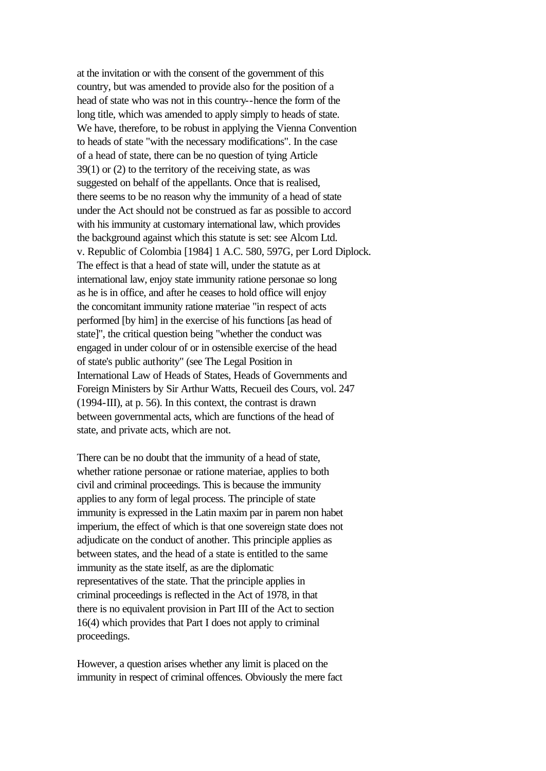at the invitation or with the consent of the government of this country, but was amended to provide also for the position of a head of state who was not in this country--hence the form of the long title, which was amended to apply simply to heads of state. We have, therefore, to be robust in applying the Vienna Convention to heads of state "with the necessary modifications". In the case of a head of state, there can be no question of tying Article 39(1) or (2) to the territory of the receiving state, as was suggested on behalf of the appellants. Once that is realised, there seems to be no reason why the immunity of a head of state under the Act should not be construed as far as possible to accord with his immunity at customary international law, which provides the background against which this statute is set: see Alcom Ltd. v. Republic of Colombia [1984] 1 A.C. 580, 597G, per Lord Diplock. The effect is that a head of state will, under the statute as at international law, enjoy state immunity ratione personae so long as he is in office, and after he ceases to hold office will enjoy the concomitant immunity ratione materiae "in respect of acts performed [by him] in the exercise of his functions [as head of state]", the critical question being "whether the conduct was engaged in under colour of or in ostensible exercise of the head of state's public authority" (see The Legal Position in International Law of Heads of States, Heads of Governments and Foreign Ministers by Sir Arthur Watts, Recueil des Cours, vol. 247 (1994-III), at p. 56). In this context, the contrast is drawn between governmental acts, which are functions of the head of state, and private acts, which are not.

 There can be no doubt that the immunity of a head of state, whether ratione personae or ratione materiae, applies to both civil and criminal proceedings. This is because the immunity applies to any form of legal process. The principle of state immunity is expressed in the Latin maxim par in parem non habet imperium, the effect of which is that one sovereign state does not adjudicate on the conduct of another. This principle applies as between states, and the head of a state is entitled to the same immunity as the state itself, as are the diplomatic representatives of the state. That the principle applies in criminal proceedings is reflected in the Act of 1978, in that there is no equivalent provision in Part III of the Act to section 16(4) which provides that Part I does not apply to criminal proceedings.

 However, a question arises whether any limit is placed on the immunity in respect of criminal offences. Obviously the mere fact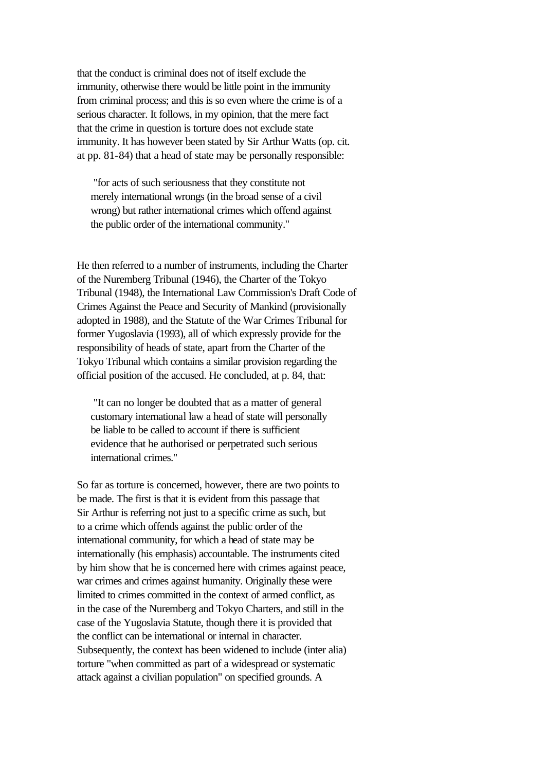that the conduct is criminal does not of itself exclude the immunity, otherwise there would be little point in the immunity from criminal process; and this is so even where the crime is of a serious character. It follows, in my opinion, that the mere fact that the crime in question is torture does not exclude state immunity. It has however been stated by Sir Arthur Watts (op. cit. at pp. 81-84) that a head of state may be personally responsible:

 "for acts of such seriousness that they constitute not merely international wrongs (in the broad sense of a civil wrong) but rather international crimes which offend against the public order of the international community."

 He then referred to a number of instruments, including the Charter of the Nuremberg Tribunal (1946), the Charter of the Tokyo Tribunal (1948), the International Law Commission's Draft Code of Crimes Against the Peace and Security of Mankind (provisionally adopted in 1988), and the Statute of the War Crimes Tribunal for former Yugoslavia (1993), all of which expressly provide for the responsibility of heads of state, apart from the Charter of the Tokyo Tribunal which contains a similar provision regarding the official position of the accused. He concluded, at p. 84, that:

 "It can no longer be doubted that as a matter of general customary international law a head of state will personally be liable to be called to account if there is sufficient evidence that he authorised or perpetrated such serious international crimes."

 So far as torture is concerned, however, there are two points to be made. The first is that it is evident from this passage that Sir Arthur is referring not just to a specific crime as such, but to a crime which offends against the public order of the international community, for which a head of state may be internationally (his emphasis) accountable. The instruments cited by him show that he is concerned here with crimes against peace, war crimes and crimes against humanity. Originally these were limited to crimes committed in the context of armed conflict, as in the case of the Nuremberg and Tokyo Charters, and still in the case of the Yugoslavia Statute, though there it is provided that the conflict can be international or internal in character. Subsequently, the context has been widened to include (inter alia) torture "when committed as part of a widespread or systematic attack against a civilian population" on specified grounds. A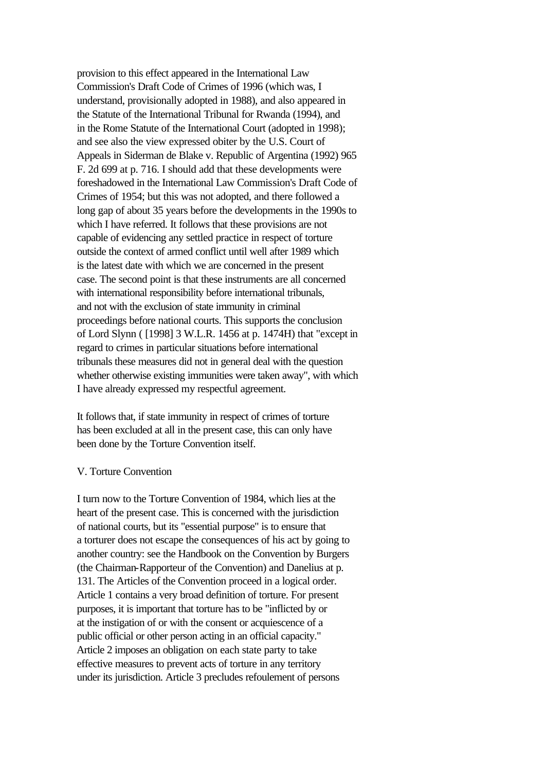provision to this effect appeared in the International Law Commission's Draft Code of Crimes of 1996 (which was, I understand, provisionally adopted in 1988), and also appeared in the Statute of the International Tribunal for Rwanda (1994), and in the Rome Statute of the International Court (adopted in 1998); and see also the view expressed obiter by the U.S. Court of Appeals in Siderman de Blake v. Republic of Argentina (1992) 965 F. 2d 699 at p. 716. I should add that these developments were foreshadowed in the International Law Commission's Draft Code of Crimes of 1954; but this was not adopted, and there followed a long gap of about 35 years before the developments in the 1990s to which I have referred. It follows that these provisions are not capable of evidencing any settled practice in respect of torture outside the context of armed conflict until well after 1989 which is the latest date with which we are concerned in the present case. The second point is that these instruments are all concerned with international responsibility before international tribunals, and not with the exclusion of state immunity in criminal proceedings before national courts. This supports the conclusion of Lord Slynn ( [1998] 3 W.L.R. 1456 at p. 1474H) that "except in regard to crimes in particular situations before international tribunals these measures did not in general deal with the question whether otherwise existing immunities were taken away", with which I have already expressed my respectful agreement.

 It follows that, if state immunity in respect of crimes of torture has been excluded at all in the present case, this can only have been done by the Torture Convention itself.

## V. Torture Convention

 I turn now to the Torture Convention of 1984, which lies at the heart of the present case. This is concerned with the jurisdiction of national courts, but its "essential purpose" is to ensure that a torturer does not escape the consequences of his act by going to another country: see the Handbook on the Convention by Burgers (the Chairman-Rapporteur of the Convention) and Danelius at p. 131. The Articles of the Convention proceed in a logical order. Article 1 contains a very broad definition of torture. For present purposes, it is important that torture has to be "inflicted by or at the instigation of or with the consent or acquiescence of a public official or other person acting in an official capacity." Article 2 imposes an obligation on each state party to take effective measures to prevent acts of torture in any territory under its jurisdiction. Article 3 precludes refoulement of persons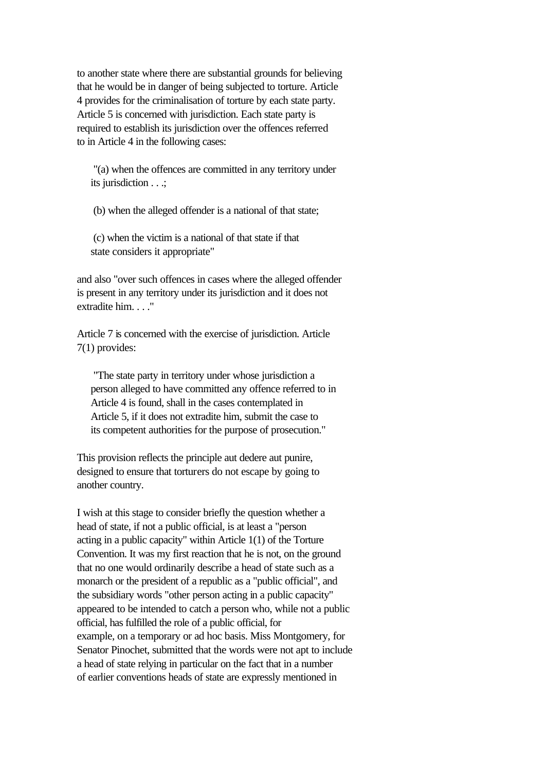to another state where there are substantial grounds for believing that he would be in danger of being subjected to torture. Article 4 provides for the criminalisation of torture by each state party. Article 5 is concerned with jurisdiction. Each state party is required to establish its jurisdiction over the offences referred to in Article 4 in the following cases:

 "(a) when the offences are committed in any territory under its jurisdiction . . .;

(b) when the alleged offender is a national of that state;

 (c) when the victim is a national of that state if that state considers it appropriate"

 and also "over such offences in cases where the alleged offender is present in any territory under its jurisdiction and it does not extradite him. . . ."

 Article 7 is concerned with the exercise of jurisdiction. Article 7(1) provides:

 "The state party in territory under whose jurisdiction a person alleged to have committed any offence referred to in Article 4 is found, shall in the cases contemplated in Article 5, if it does not extradite him, submit the case to its competent authorities for the purpose of prosecution."

 This provision reflects the principle aut dedere aut punire, designed to ensure that torturers do not escape by going to another country.

 I wish at this stage to consider briefly the question whether a head of state, if not a public official, is at least a "person acting in a public capacity" within Article 1(1) of the Torture Convention. It was my first reaction that he is not, on the ground that no one would ordinarily describe a head of state such as a monarch or the president of a republic as a "public official", and the subsidiary words "other person acting in a public capacity" appeared to be intended to catch a person who, while not a public official, has fulfilled the role of a public official, for example, on a temporary or ad hoc basis. Miss Montgomery, for Senator Pinochet, submitted that the words were not apt to include a head of state relying in particular on the fact that in a number of earlier conventions heads of state are expressly mentioned in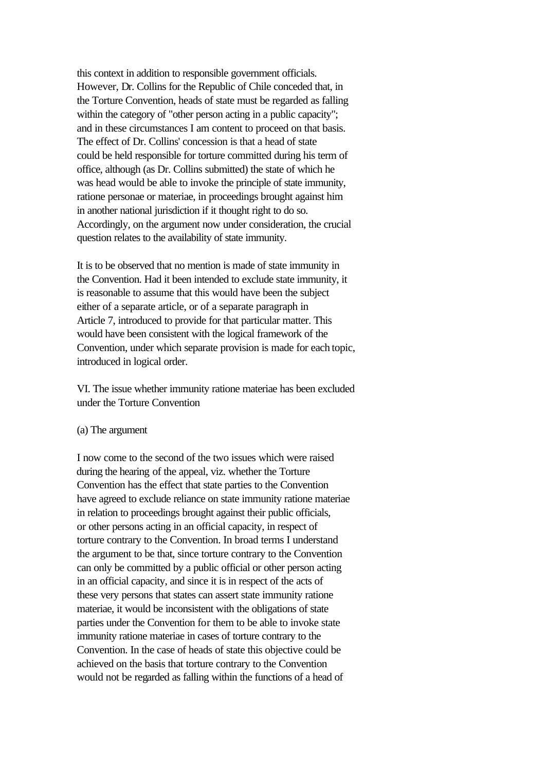this context in addition to responsible government officials. However, Dr. Collins for the Republic of Chile conceded that, in the Torture Convention, heads of state must be regarded as falling within the category of "other person acting in a public capacity"; and in these circumstances I am content to proceed on that basis. The effect of Dr. Collins' concession is that a head of state could be held responsible for torture committed during his term of office, although (as Dr. Collins submitted) the state of which he was head would be able to invoke the principle of state immunity, ratione personae or materiae, in proceedings brought against him in another national jurisdiction if it thought right to do so. Accordingly, on the argument now under consideration, the crucial question relates to the availability of state immunity.

 It is to be observed that no mention is made of state immunity in the Convention. Had it been intended to exclude state immunity, it is reasonable to assume that this would have been the subject either of a separate article, or of a separate paragraph in Article 7, introduced to provide for that particular matter. This would have been consistent with the logical framework of the Convention, under which separate provision is made for each topic, introduced in logical order.

 VI. The issue whether immunity ratione materiae has been excluded under the Torture Convention

#### (a) The argument

 I now come to the second of the two issues which were raised during the hearing of the appeal, viz. whether the Torture Convention has the effect that state parties to the Convention have agreed to exclude reliance on state immunity ratione materiae in relation to proceedings brought against their public officials, or other persons acting in an official capacity, in respect of torture contrary to the Convention. In broad terms I understand the argument to be that, since torture contrary to the Convention can only be committed by a public official or other person acting in an official capacity, and since it is in respect of the acts of these very persons that states can assert state immunity ratione materiae, it would be inconsistent with the obligations of state parties under the Convention for them to be able to invoke state immunity ratione materiae in cases of torture contrary to the Convention. In the case of heads of state this objective could be achieved on the basis that torture contrary to the Convention would not be regarded as falling within the functions of a head of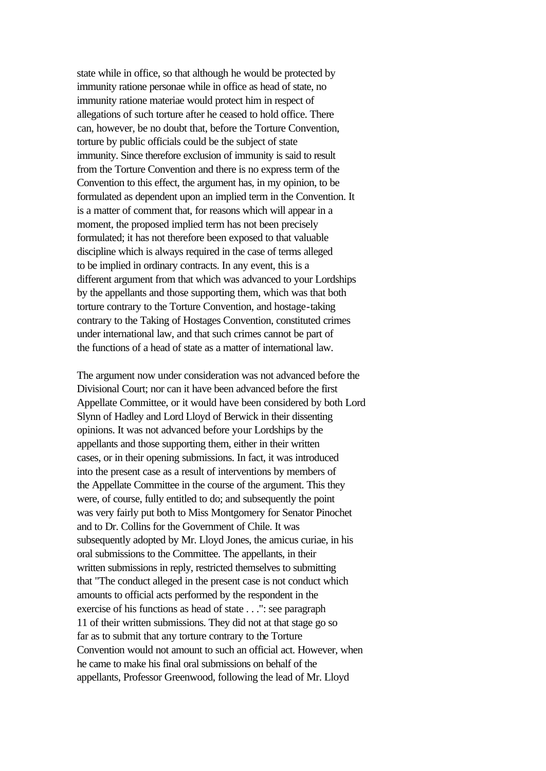state while in office, so that although he would be protected by immunity ratione personae while in office as head of state, no immunity ratione materiae would protect him in respect of allegations of such torture after he ceased to hold office. There can, however, be no doubt that, before the Torture Convention, torture by public officials could be the subject of state immunity. Since therefore exclusion of immunity is said to result from the Torture Convention and there is no express term of the Convention to this effect, the argument has, in my opinion, to be formulated as dependent upon an implied term in the Convention. It is a matter of comment that, for reasons which will appear in a moment, the proposed implied term has not been precisely formulated; it has not therefore been exposed to that valuable discipline which is always required in the case of terms alleged to be implied in ordinary contracts. In any event, this is a different argument from that which was advanced to your Lordships by the appellants and those supporting them, which was that both torture contrary to the Torture Convention, and hostage-taking contrary to the Taking of Hostages Convention, constituted crimes under international law, and that such crimes cannot be part of the functions of a head of state as a matter of international law.

 The argument now under consideration was not advanced before the Divisional Court; nor can it have been advanced before the first Appellate Committee, or it would have been considered by both Lord Slynn of Hadley and Lord Lloyd of Berwick in their dissenting opinions. It was not advanced before your Lordships by the appellants and those supporting them, either in their written cases, or in their opening submissions. In fact, it was introduced into the present case as a result of interventions by members of the Appellate Committee in the course of the argument. This they were, of course, fully entitled to do; and subsequently the point was very fairly put both to Miss Montgomery for Senator Pinochet and to Dr. Collins for the Government of Chile. It was subsequently adopted by Mr. Lloyd Jones, the amicus curiae, in his oral submissions to the Committee. The appellants, in their written submissions in reply, restricted themselves to submitting that "The conduct alleged in the present case is not conduct which amounts to official acts performed by the respondent in the exercise of his functions as head of state . . .": see paragraph 11 of their written submissions. They did not at that stage go so far as to submit that any torture contrary to the Torture Convention would not amount to such an official act. However, when he came to make his final oral submissions on behalf of the appellants, Professor Greenwood, following the lead of Mr. Lloyd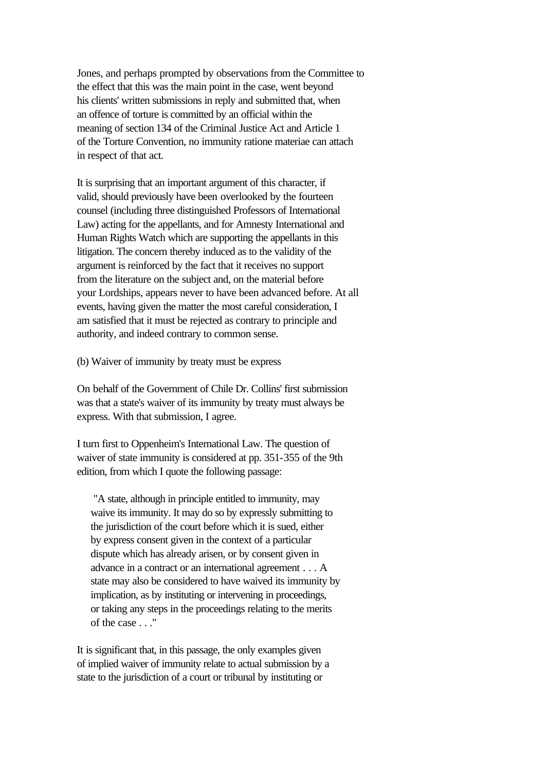Jones, and perhaps prompted by observations from the Committee to the effect that this was the main point in the case, went beyond his clients' written submissions in reply and submitted that, when an offence of torture is committed by an official within the meaning of section 134 of the Criminal Justice Act and Article 1 of the Torture Convention, no immunity ratione materiae can attach in respect of that act.

 It is surprising that an important argument of this character, if valid, should previously have been overlooked by the fourteen counsel (including three distinguished Professors of International Law) acting for the appellants, and for Amnesty International and Human Rights Watch which are supporting the appellants in this litigation. The concern thereby induced as to the validity of the argument is reinforced by the fact that it receives no support from the literature on the subject and, on the material before your Lordships, appears never to have been advanced before. At all events, having given the matter the most careful consideration, I am satisfied that it must be rejected as contrary to principle and authority, and indeed contrary to common sense.

(b) Waiver of immunity by treaty must be express

 On behalf of the Government of Chile Dr. Collins' first submission was that a state's waiver of its immunity by treaty must always be express. With that submission, I agree.

 I turn first to Oppenheim's International Law. The question of waiver of state immunity is considered at pp. 351-355 of the 9th edition, from which I quote the following passage:

 "A state, although in principle entitled to immunity, may waive its immunity. It may do so by expressly submitting to the jurisdiction of the court before which it is sued, either by express consent given in the context of a particular dispute which has already arisen, or by consent given in advance in a contract or an international agreement . . . A state may also be considered to have waived its immunity by implication, as by instituting or intervening in proceedings, or taking any steps in the proceedings relating to the merits of the case . . ."

 It is significant that, in this passage, the only examples given of implied waiver of immunity relate to actual submission by a state to the jurisdiction of a court or tribunal by instituting or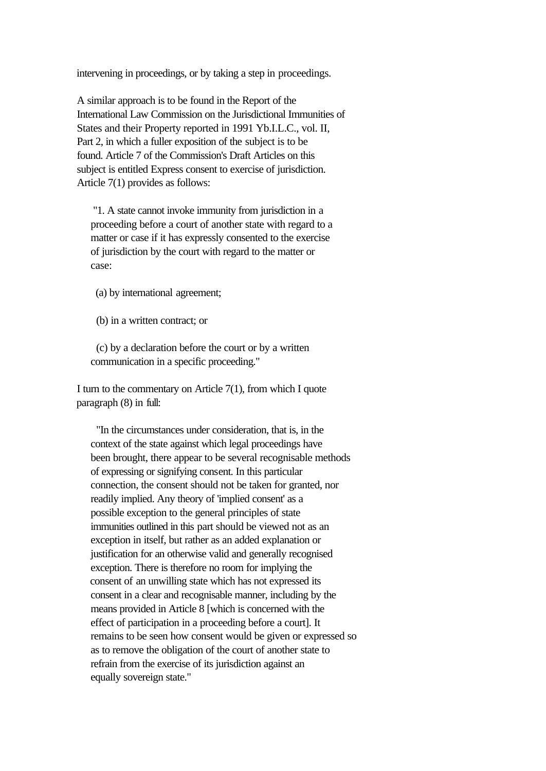intervening in proceedings, or by taking a step in proceedings.

 A similar approach is to be found in the Report of the International Law Commission on the Jurisdictional Immunities of States and their Property reported in 1991 Yb.I.L.C., vol. II, Part 2, in which a fuller exposition of the subject is to be found. Article 7 of the Commission's Draft Articles on this subject is entitled Express consent to exercise of jurisdiction. Article 7(1) provides as follows:

 "1. A state cannot invoke immunity from jurisdiction in a proceeding before a court of another state with regard to a matter or case if it has expressly consented to the exercise of jurisdiction by the court with regard to the matter or case:

(a) by international agreement;

(b) in a written contract; or

 (c) by a declaration before the court or by a written communication in a specific proceeding."

 I turn to the commentary on Article 7(1), from which I quote paragraph (8) in full:

 "In the circumstances under consideration, that is, in the context of the state against which legal proceedings have been brought, there appear to be several recognisable methods of expressing or signifying consent. In this particular connection, the consent should not be taken for granted, nor readily implied. Any theory of 'implied consent' as a possible exception to the general principles of state immunities outlined in this part should be viewed not as an exception in itself, but rather as an added explanation or justification for an otherwise valid and generally recognised exception. There is therefore no room for implying the consent of an unwilling state which has not expressed its consent in a clear and recognisable manner, including by the means provided in Article 8 [which is concerned with the effect of participation in a proceeding before a court]. It remains to be seen how consent would be given or expressed so as to remove the obligation of the court of another state to refrain from the exercise of its jurisdiction against an equally sovereign state."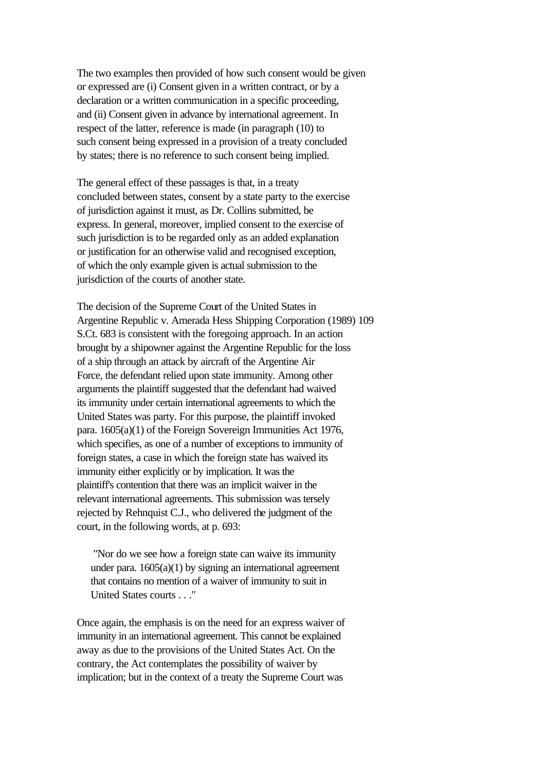The two examples then provided of how such consent would be given or expressed are (i) Consent given in a written contract, or by a declaration or a written communication in a specific proceeding, and (ii) Consent given in advance by international agreement. In respect of the latter, reference is made (in paragraph (10) to such consent being expressed in a provision of a treaty concluded by states; there is no reference to such consent being implied.

 The general effect of these passages is that, in a treaty concluded between states, consent by a state party to the exercise of jurisdiction against it must, as Dr. Collins submitted, be express. In general, moreover, implied consent to the exercise of such jurisdiction is to be regarded only as an added explanation or justification for an otherwise valid and recognised exception, of which the only example given is actual submission to the jurisdiction of the courts of another state.

 The decision of the Supreme Court of the United States in Argentine Republic v. Amerada Hess Shipping Corporation (1989) 109 S.Ct. 683 is consistent with the foregoing approach. In an action brought by a shipowner against the Argentine Republic for the loss of a ship through an attack by aircraft of the Argentine Air Force, the defendant relied upon state immunity. Among other arguments the plaintiff suggested that the defendant had waived its immunity under certain international agreements to which the United States was party. For this purpose, the plaintiff invoked para. 1605(a)(1) of the Foreign Sovereign Immunities Act 1976, which specifies, as one of a number of exceptions to immunity of foreign states, a case in which the foreign state has waived its immunity either explicitly or by implication. It was the plaintiff's contention that there was an implicit waiver in the relevant international agreements. This submission was tersely rejected by Rehnquist C.J., who delivered the judgment of the court, in the following words, at p. 693:

 "Nor do we see how a foreign state can waive its immunity under para.  $1605(a)(1)$  by signing an international agreement that contains no mention of a waiver of immunity to suit in United States courts . . ."

 Once again, the emphasis is on the need for an express waiver of immunity in an international agreement. This cannot be explained away as due to the provisions of the United States Act. On the contrary, the Act contemplates the possibility of waiver by implication; but in the context of a treaty the Supreme Court was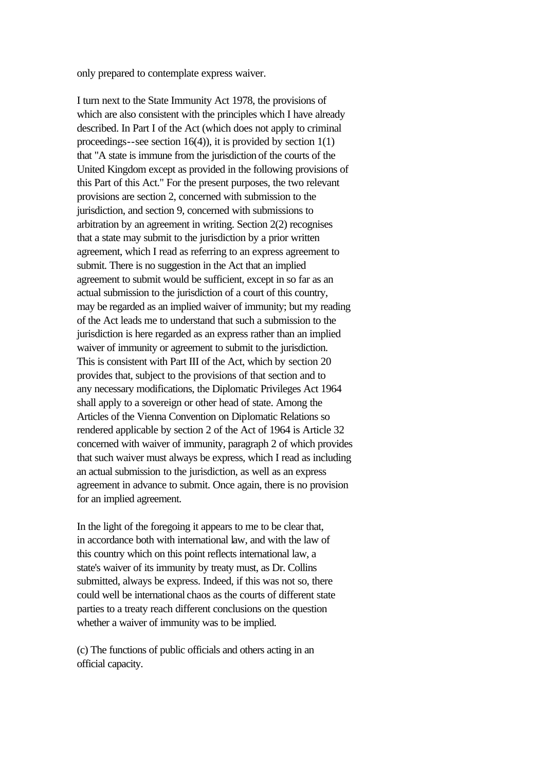only prepared to contemplate express waiver.

 I turn next to the State Immunity Act 1978, the provisions of which are also consistent with the principles which I have already described. In Part I of the Act (which does not apply to criminal proceedings--see section 16(4)), it is provided by section 1(1) that "A state is immune from the jurisdiction of the courts of the United Kingdom except as provided in the following provisions of this Part of this Act." For the present purposes, the two relevant provisions are section 2, concerned with submission to the jurisdiction, and section 9, concerned with submissions to arbitration by an agreement in writing. Section 2(2) recognises that a state may submit to the jurisdiction by a prior written agreement, which I read as referring to an express agreement to submit. There is no suggestion in the Act that an implied agreement to submit would be sufficient, except in so far as an actual submission to the jurisdiction of a court of this country, may be regarded as an implied waiver of immunity; but my reading of the Act leads me to understand that such a submission to the jurisdiction is here regarded as an express rather than an implied waiver of immunity or agreement to submit to the jurisdiction. This is consistent with Part III of the Act, which by section 20 provides that, subject to the provisions of that section and to any necessary modifications, the Diplomatic Privileges Act 1964 shall apply to a sovereign or other head of state. Among the Articles of the Vienna Convention on Diplomatic Relations so rendered applicable by section 2 of the Act of 1964 is Article 32 concerned with waiver of immunity, paragraph 2 of which provides that such waiver must always be express, which I read as including an actual submission to the jurisdiction, as well as an express agreement in advance to submit. Once again, there is no provision for an implied agreement.

 In the light of the foregoing it appears to me to be clear that, in accordance both with international law, and with the law of this country which on this point reflects international law, a state's waiver of its immunity by treaty must, as Dr. Collins submitted, always be express. Indeed, if this was not so, there could well be international chaos as the courts of different state parties to a treaty reach different conclusions on the question whether a waiver of immunity was to be implied.

 (c) The functions of public officials and others acting in an official capacity.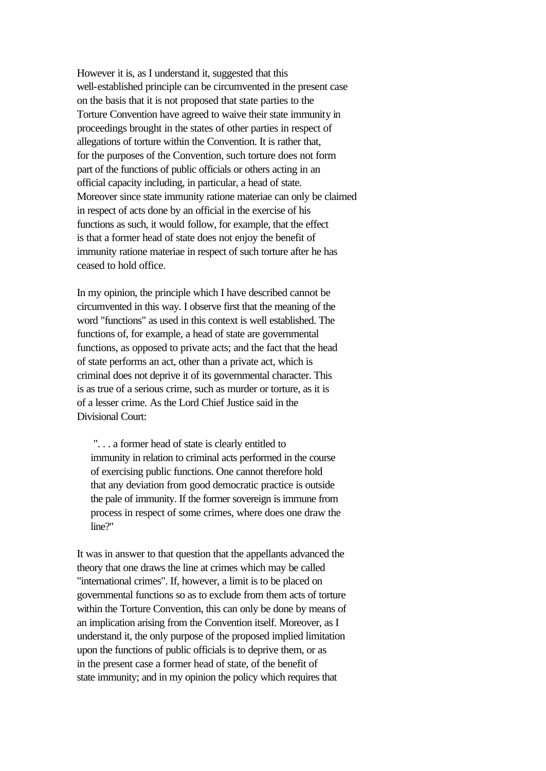However it is, as I understand it, suggested that this well-established principle can be circumvented in the present case on the basis that it is not proposed that state parties to the Torture Convention have agreed to waive their state immunity in proceedings brought in the states of other parties in respect of allegations of torture within the Convention. It is rather that, for the purposes of the Convention, such torture does not form part of the functions of public officials or others acting in an official capacity including, in particular, a head of state. Moreover since state immunity ratione materiae can only be claimed in respect of acts done by an official in the exercise of his functions as such, it would follow, for example, that the effect is that a former head of state does not enjoy the benefit of immunity ratione materiae in respect of such torture after he has ceased to hold office.

 In my opinion, the principle which I have described cannot be circumvented in this way. I observe first that the meaning of the word "functions" as used in this context is well established. The functions of, for example, a head of state are governmental functions, as opposed to private acts; and the fact that the head of state performs an act, other than a private act, which is criminal does not deprive it of its governmental character. This is as true of a serious crime, such as murder or torture, as it is of a lesser crime. As the Lord Chief Justice said in the Divisional Court:

 ". . . a former head of state is clearly entitled to immunity in relation to criminal acts performed in the course of exercising public functions. One cannot therefore hold that any deviation from good democratic practice is outside the pale of immunity. If the former sovereign is immune from process in respect of some crimes, where does one draw the line?"

 It was in answer to that question that the appellants advanced the theory that one draws the line at crimes which may be called "international crimes". If, however, a limit is to be placed on governmental functions so as to exclude from them acts of torture within the Torture Convention, this can only be done by means of an implication arising from the Convention itself. Moreover, as I understand it, the only purpose of the proposed implied limitation upon the functions of public officials is to deprive them, or as in the present case a former head of state, of the benefit of state immunity; and in my opinion the policy which requires that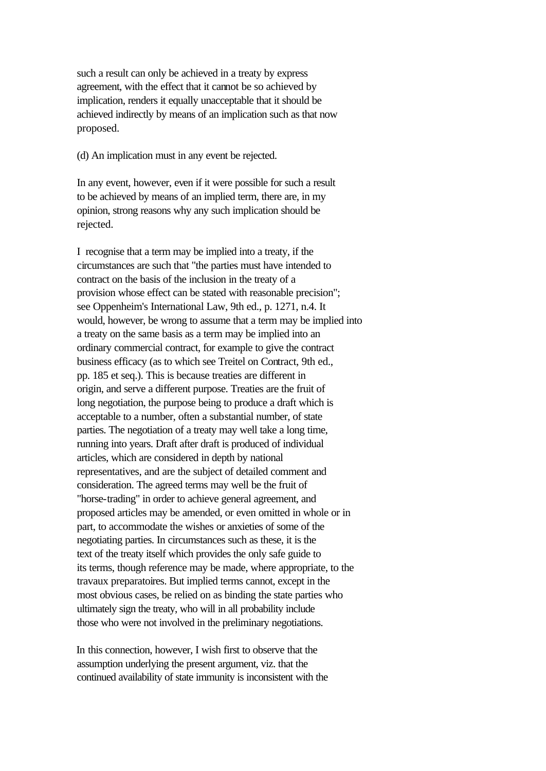such a result can only be achieved in a treaty by express agreement, with the effect that it cannot be so achieved by implication, renders it equally unacceptable that it should be achieved indirectly by means of an implication such as that now proposed.

(d) An implication must in any event be rejected.

 In any event, however, even if it were possible for such a result to be achieved by means of an implied term, there are, in my opinion, strong reasons why any such implication should be rejected.

 I recognise that a term may be implied into a treaty, if the circumstances are such that "the parties must have intended to contract on the basis of the inclusion in the treaty of a provision whose effect can be stated with reasonable precision"; see Oppenheim's International Law, 9th ed., p. 1271, n.4. It would, however, be wrong to assume that a term may be implied into a treaty on the same basis as a term may be implied into an ordinary commercial contract, for example to give the contract business efficacy (as to which see Treitel on Contract, 9th ed., pp. 185 et seq.). This is because treaties are different in origin, and serve a different purpose. Treaties are the fruit of long negotiation, the purpose being to produce a draft which is acceptable to a number, often a substantial number, of state parties. The negotiation of a treaty may well take a long time, running into years. Draft after draft is produced of individual articles, which are considered in depth by national representatives, and are the subject of detailed comment and consideration. The agreed terms may well be the fruit of "horse-trading" in order to achieve general agreement, and proposed articles may be amended, or even omitted in whole or in part, to accommodate the wishes or anxieties of some of the negotiating parties. In circumstances such as these, it is the text of the treaty itself which provides the only safe guide to its terms, though reference may be made, where appropriate, to the travaux preparatoires. But implied terms cannot, except in the most obvious cases, be relied on as binding the state parties who ultimately sign the treaty, who will in all probability include those who were not involved in the preliminary negotiations.

 In this connection, however, I wish first to observe that the assumption underlying the present argument, viz. that the continued availability of state immunity is inconsistent with the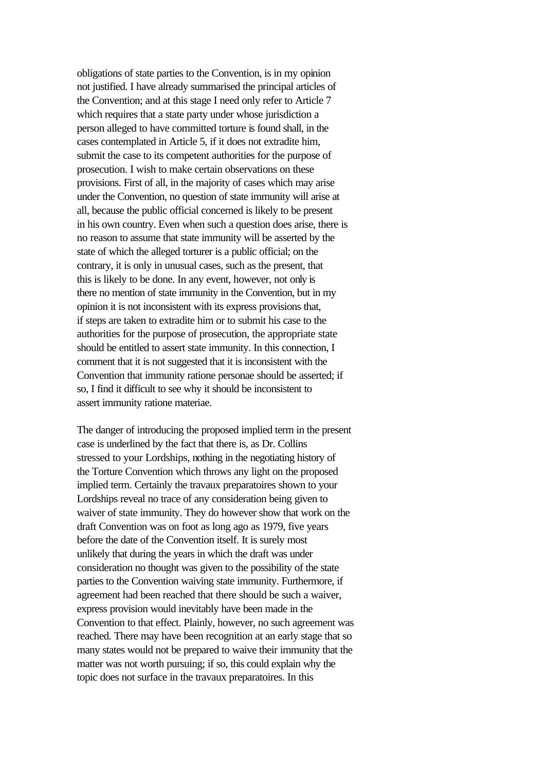obligations of state parties to the Convention, is in my opinion not justified. I have already summarised the principal articles of the Convention; and at this stage I need only refer to Article 7 which requires that a state party under whose jurisdiction a person alleged to have committed torture is found shall, in the cases contemplated in Article 5, if it does not extradite him, submit the case to its competent authorities for the purpose of prosecution. I wish to make certain observations on these provisions. First of all, in the majority of cases which may arise under the Convention, no question of state immunity will arise at all, because the public official concerned is likely to be present in his own country. Even when such a question does arise, there is no reason to assume that state immunity will be asserted by the state of which the alleged torturer is a public official; on the contrary, it is only in unusual cases, such as the present, that this is likely to be done. In any event, however, not only is there no mention of state immunity in the Convention, but in my opinion it is not inconsistent with its express provisions that, if steps are taken to extradite him or to submit his case to the authorities for the purpose of prosecution, the appropriate state should be entitled to assert state immunity. In this connection, I comment that it is not suggested that it is inconsistent with the Convention that immunity ratione personae should be asserted; if so, I find it difficult to see why it should be inconsistent to assert immunity ratione materiae.

 The danger of introducing the proposed implied term in the present case is underlined by the fact that there is, as Dr. Collins stressed to your Lordships, nothing in the negotiating history of the Torture Convention which throws any light on the proposed implied term. Certainly the travaux preparatoires shown to your Lordships reveal no trace of any consideration being given to waiver of state immunity. They do however show that work on the draft Convention was on foot as long ago as 1979, five years before the date of the Convention itself. It is surely most unlikely that during the years in which the draft was under consideration no thought was given to the possibility of the state parties to the Convention waiving state immunity. Furthermore, if agreement had been reached that there should be such a waiver, express provision would inevitably have been made in the Convention to that effect. Plainly, however, no such agreement was reached. There may have been recognition at an early stage that so many states would not be prepared to waive their immunity that the matter was not worth pursuing; if so, this could explain why the topic does not surface in the travaux preparatoires. In this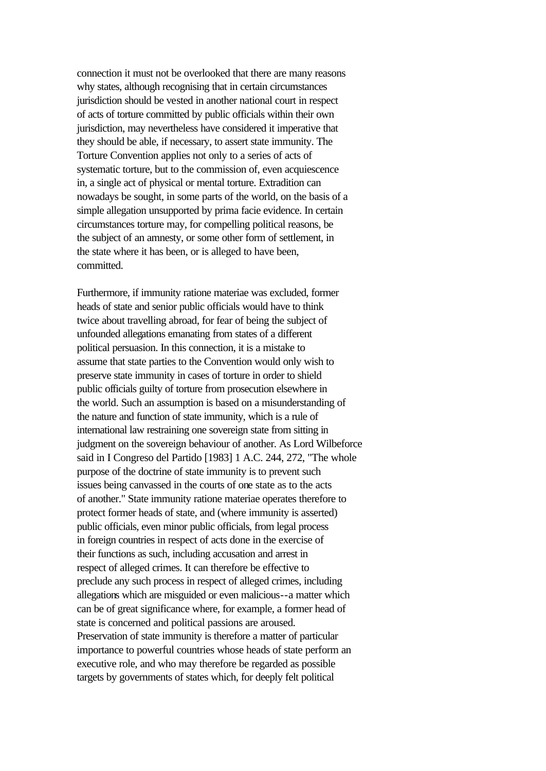connection it must not be overlooked that there are many reasons why states, although recognising that in certain circumstances jurisdiction should be vested in another national court in respect of acts of torture committed by public officials within their own jurisdiction, may nevertheless have considered it imperative that they should be able, if necessary, to assert state immunity. The Torture Convention applies not only to a series of acts of systematic torture, but to the commission of, even acquiescence in, a single act of physical or mental torture. Extradition can nowadays be sought, in some parts of the world, on the basis of a simple allegation unsupported by prima facie evidence. In certain circumstances torture may, for compelling political reasons, be the subject of an amnesty, or some other form of settlement, in the state where it has been, or is alleged to have been, committed.

 Furthermore, if immunity ratione materiae was excluded, former heads of state and senior public officials would have to think twice about travelling abroad, for fear of being the subject of unfounded allegations emanating from states of a different political persuasion. In this connection, it is a mistake to assume that state parties to the Convention would only wish to preserve state immunity in cases of torture in order to shield public officials guilty of torture from prosecution elsewhere in the world. Such an assumption is based on a misunderstanding of the nature and function of state immunity, which is a rule of international law restraining one sovereign state from sitting in judgment on the sovereign behaviour of another. As Lord Wilbeforce said in I Congreso del Partido [1983] 1 A.C. 244, 272, "The whole purpose of the doctrine of state immunity is to prevent such issues being canvassed in the courts of one state as to the acts of another." State immunity ratione materiae operates therefore to protect former heads of state, and (where immunity is asserted) public officials, even minor public officials, from legal process in foreign countries in respect of acts done in the exercise of their functions as such, including accusation and arrest in respect of alleged crimes. It can therefore be effective to preclude any such process in respect of alleged crimes, including allegations which are misguided or even malicious--a matter which can be of great significance where, for example, a former head of state is concerned and political passions are aroused. Preservation of state immunity is therefore a matter of particular importance to powerful countries whose heads of state perform an executive role, and who may therefore be regarded as possible targets by governments of states which, for deeply felt political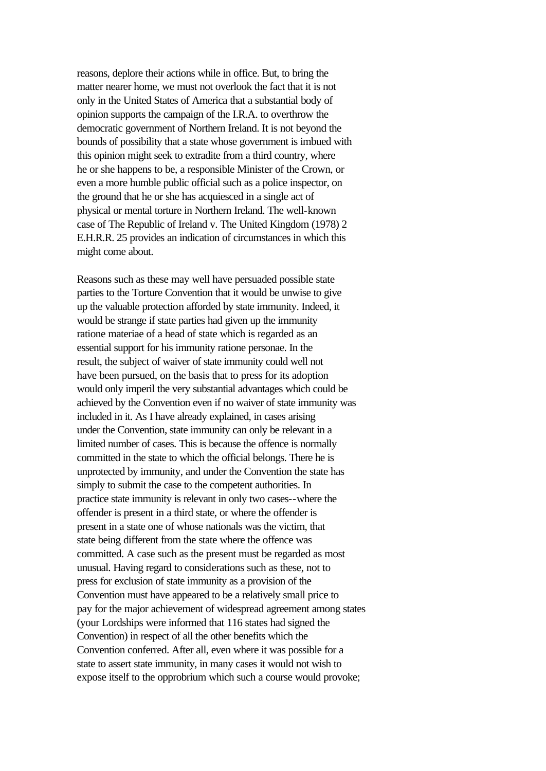reasons, deplore their actions while in office. But, to bring the matter nearer home, we must not overlook the fact that it is not only in the United States of America that a substantial body of opinion supports the campaign of the I.R.A. to overthrow the democratic government of Northern Ireland. It is not beyond the bounds of possibility that a state whose government is imbued with this opinion might seek to extradite from a third country, where he or she happens to be, a responsible Minister of the Crown, or even a more humble public official such as a police inspector, on the ground that he or she has acquiesced in a single act of physical or mental torture in Northern Ireland. The well-known case of The Republic of Ireland v. The United Kingdom (1978) 2 E.H.R.R. 25 provides an indication of circumstances in which this might come about.

 Reasons such as these may well have persuaded possible state parties to the Torture Convention that it would be unwise to give up the valuable protection afforded by state immunity. Indeed, it would be strange if state parties had given up the immunity ratione materiae of a head of state which is regarded as an essential support for his immunity ratione personae. In the result, the subject of waiver of state immunity could well not have been pursued, on the basis that to press for its adoption would only imperil the very substantial advantages which could be achieved by the Convention even if no waiver of state immunity was included in it. As I have already explained, in cases arising under the Convention, state immunity can only be relevant in a limited number of cases. This is because the offence is normally committed in the state to which the official belongs. There he is unprotected by immunity, and under the Convention the state has simply to submit the case to the competent authorities. In practice state immunity is relevant in only two cases--where the offender is present in a third state, or where the offender is present in a state one of whose nationals was the victim, that state being different from the state where the offence was committed. A case such as the present must be regarded as most unusual. Having regard to considerations such as these, not to press for exclusion of state immunity as a provision of the Convention must have appeared to be a relatively small price to pay for the major achievement of widespread agreement among states (your Lordships were informed that 116 states had signed the Convention) in respect of all the other benefits which the Convention conferred. After all, even where it was possible for a state to assert state immunity, in many cases it would not wish to expose itself to the opprobrium which such a course would provoke;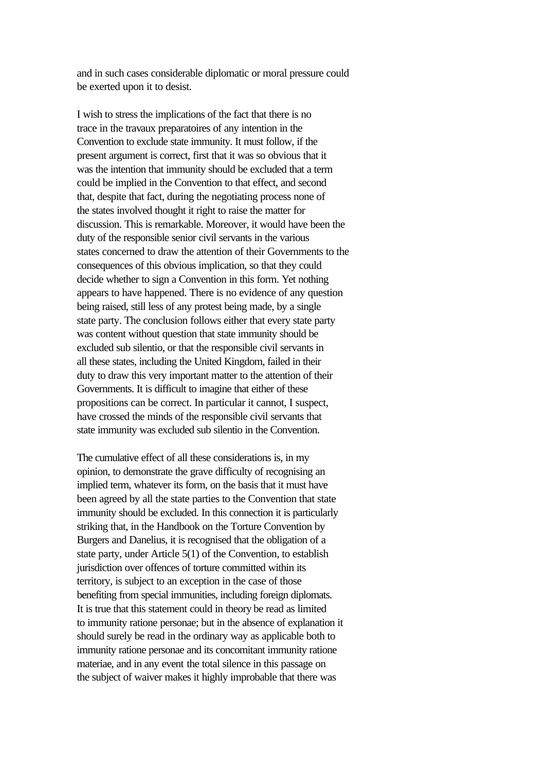and in such cases considerable diplomatic or moral pressure could be exerted upon it to desist.

 I wish to stress the implications of the fact that there is no trace in the travaux preparatoires of any intention in the Convention to exclude state immunity. It must follow, if the present argument is correct, first that it was so obvious that it was the intention that immunity should be excluded that a term could be implied in the Convention to that effect, and second that, despite that fact, during the negotiating process none of the states involved thought it right to raise the matter for discussion. This is remarkable. Moreover, it would have been the duty of the responsible senior civil servants in the various states concerned to draw the attention of their Governments to the consequences of this obvious implication, so that they could decide whether to sign a Convention in this form. Yet nothing appears to have happened. There is no evidence of any question being raised, still less of any protest being made, by a single state party. The conclusion follows either that every state party was content without question that state immunity should be excluded sub silentio, or that the responsible civil servants in all these states, including the United Kingdom, failed in their duty to draw this very important matter to the attention of their Governments. It is difficult to imagine that either of these propositions can be correct. In particular it cannot, I suspect, have crossed the minds of the responsible civil servants that state immunity was excluded sub silentio in the Convention.

 The cumulative effect of all these considerations is, in my opinion, to demonstrate the grave difficulty of recognising an implied term, whatever its form, on the basis that it must have been agreed by all the state parties to the Convention that state immunity should be excluded. In this connection it is particularly striking that, in the Handbook on the Torture Convention by Burgers and Danelius, it is recognised that the obligation of a state party, under Article 5(1) of the Convention, to establish jurisdiction over offences of torture committed within its territory, is subject to an exception in the case of those benefiting from special immunities, including foreign diplomats. It is true that this statement could in theory be read as limited to immunity ratione personae; but in the absence of explanation it should surely be read in the ordinary way as applicable both to immunity ratione personae and its concomitant immunity ratione materiae, and in any event the total silence in this passage on the subject of waiver makes it highly improbable that there was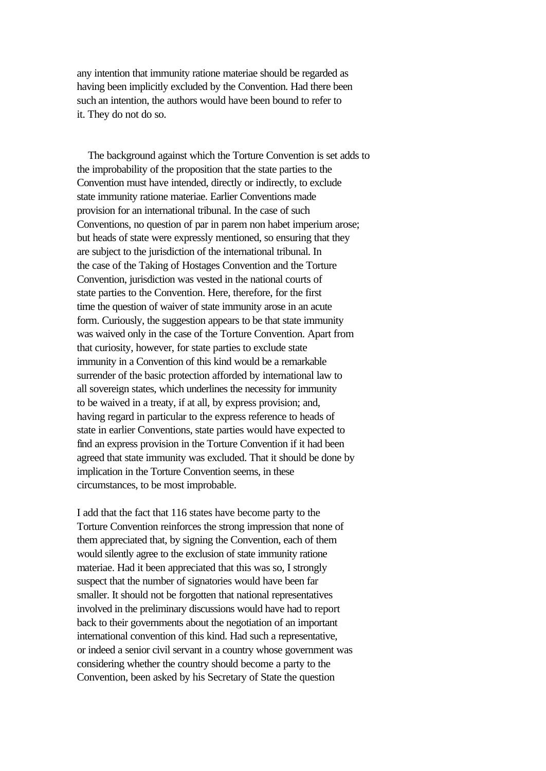any intention that immunity ratione materiae should be regarded as having been implicitly excluded by the Convention. Had there been such an intention, the authors would have been bound to refer to it. They do not do so.

 The background against which the Torture Convention is set adds to the improbability of the proposition that the state parties to the Convention must have intended, directly or indirectly, to exclude state immunity ratione materiae. Earlier Conventions made provision for an international tribunal. In the case of such Conventions, no question of par in parem non habet imperium arose; but heads of state were expressly mentioned, so ensuring that they are subject to the jurisdiction of the international tribunal. In the case of the Taking of Hostages Convention and the Torture Convention, jurisdiction was vested in the national courts of state parties to the Convention. Here, therefore, for the first time the question of waiver of state immunity arose in an acute form. Curiously, the suggestion appears to be that state immunity was waived only in the case of the Torture Convention. Apart from that curiosity, however, for state parties to exclude state immunity in a Convention of this kind would be a remarkable surrender of the basic protection afforded by international law to all sovereign states, which underlines the necessity for immunity to be waived in a treaty, if at all, by express provision; and, having regard in particular to the express reference to heads of state in earlier Conventions, state parties would have expected to find an express provision in the Torture Convention if it had been agreed that state immunity was excluded. That it should be done by implication in the Torture Convention seems, in these circumstances, to be most improbable.

 I add that the fact that 116 states have become party to the Torture Convention reinforces the strong impression that none of them appreciated that, by signing the Convention, each of them would silently agree to the exclusion of state immunity ratione materiae. Had it been appreciated that this was so, I strongly suspect that the number of signatories would have been far smaller. It should not be forgotten that national representatives involved in the preliminary discussions would have had to report back to their governments about the negotiation of an important international convention of this kind. Had such a representative, or indeed a senior civil servant in a country whose government was considering whether the country should become a party to the Convention, been asked by his Secretary of State the question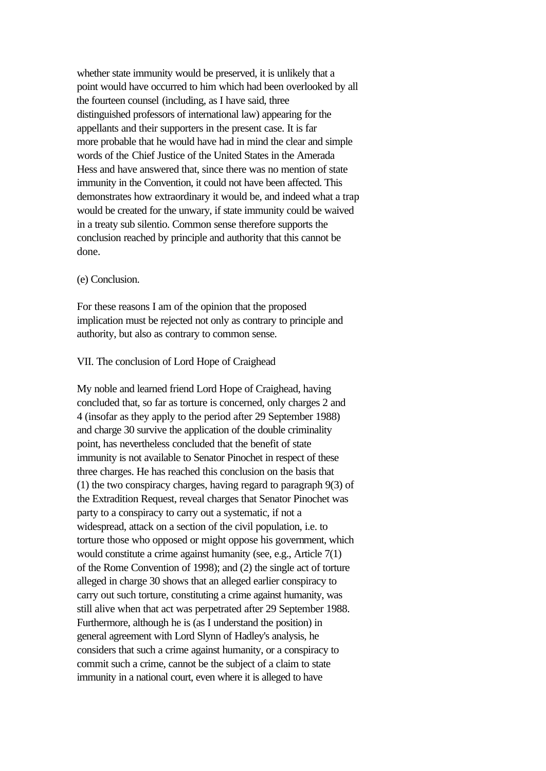whether state immunity would be preserved, it is unlikely that a point would have occurred to him which had been overlooked by all the fourteen counsel (including, as I have said, three distinguished professors of international law) appearing for the appellants and their supporters in the present case. It is far more probable that he would have had in mind the clear and simple words of the Chief Justice of the United States in the Amerada Hess and have answered that, since there was no mention of state immunity in the Convention, it could not have been affected. This demonstrates how extraordinary it would be, and indeed what a trap would be created for the unwary, if state immunity could be waived in a treaty sub silentio. Common sense therefore supports the conclusion reached by principle and authority that this cannot be done.

## (e) Conclusion.

 For these reasons I am of the opinion that the proposed implication must be rejected not only as contrary to principle and authority, but also as contrary to common sense.

## VII. The conclusion of Lord Hope of Craighead

 My noble and learned friend Lord Hope of Craighead, having concluded that, so far as torture is concerned, only charges 2 and 4 (insofar as they apply to the period after 29 September 1988) and charge 30 survive the application of the double criminality point, has nevertheless concluded that the benefit of state immunity is not available to Senator Pinochet in respect of these three charges. He has reached this conclusion on the basis that (1) the two conspiracy charges, having regard to paragraph 9(3) of the Extradition Request, reveal charges that Senator Pinochet was party to a conspiracy to carry out a systematic, if not a widespread, attack on a section of the civil population, i.e. to torture those who opposed or might oppose his government, which would constitute a crime against humanity (see, e.g., Article 7(1) of the Rome Convention of 1998); and (2) the single act of torture alleged in charge 30 shows that an alleged earlier conspiracy to carry out such torture, constituting a crime against humanity, was still alive when that act was perpetrated after 29 September 1988. Furthermore, although he is (as I understand the position) in general agreement with Lord Slynn of Hadley's analysis, he considers that such a crime against humanity, or a conspiracy to commit such a crime, cannot be the subject of a claim to state immunity in a national court, even where it is alleged to have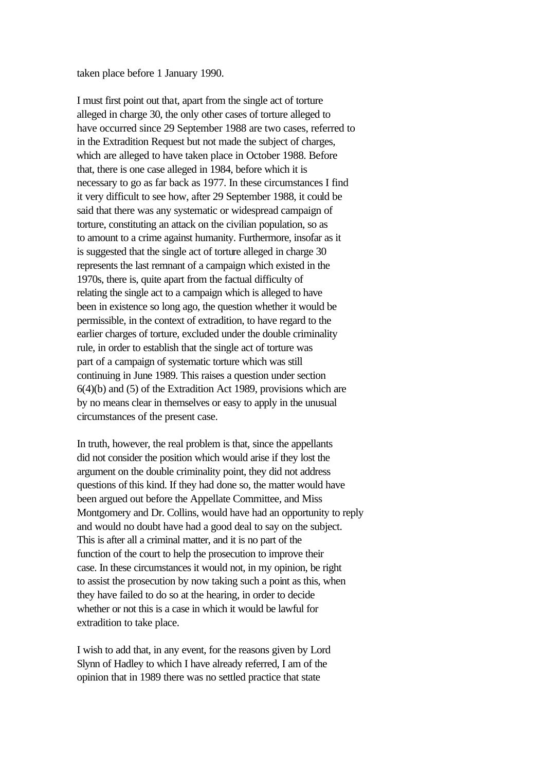taken place before 1 January 1990.

 I must first point out that, apart from the single act of torture alleged in charge 30, the only other cases of torture alleged to have occurred since 29 September 1988 are two cases, referred to in the Extradition Request but not made the subject of charges, which are alleged to have taken place in October 1988. Before that, there is one case alleged in 1984, before which it is necessary to go as far back as 1977. In these circumstances I find it very difficult to see how, after 29 September 1988, it could be said that there was any systematic or widespread campaign of torture, constituting an attack on the civilian population, so as to amount to a crime against humanity. Furthermore, insofar as it is suggested that the single act of torture alleged in charge 30 represents the last remnant of a campaign which existed in the 1970s, there is, quite apart from the factual difficulty of relating the single act to a campaign which is alleged to have been in existence so long ago, the question whether it would be permissible, in the context of extradition, to have regard to the earlier charges of torture, excluded under the double criminality rule, in order to establish that the single act of torture was part of a campaign of systematic torture which was still continuing in June 1989. This raises a question under section 6(4)(b) and (5) of the Extradition Act 1989, provisions which are by no means clear in themselves or easy to apply in the unusual circumstances of the present case.

 In truth, however, the real problem is that, since the appellants did not consider the position which would arise if they lost the argument on the double criminality point, they did not address questions of this kind. If they had done so, the matter would have been argued out before the Appellate Committee, and Miss Montgomery and Dr. Collins, would have had an opportunity to reply and would no doubt have had a good deal to say on the subject. This is after all a criminal matter, and it is no part of the function of the court to help the prosecution to improve their case. In these circumstances it would not, in my opinion, be right to assist the prosecution by now taking such a point as this, when they have failed to do so at the hearing, in order to decide whether or not this is a case in which it would be lawful for extradition to take place.

 I wish to add that, in any event, for the reasons given by Lord Slynn of Hadley to which I have already referred, I am of the opinion that in 1989 there was no settled practice that state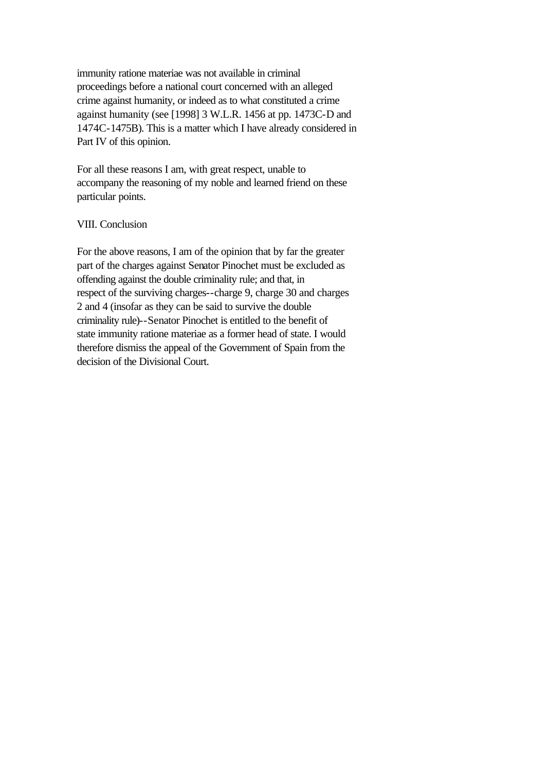immunity ratione materiae was not available in criminal proceedings before a national court concerned with an alleged crime against humanity, or indeed as to what constituted a crime against humanity (see [1998] 3 W.L.R. 1456 at pp. 1473C-D and 1474C-1475B). This is a matter which I have already considered in Part IV of this opinion.

 For all these reasons I am, with great respect, unable to accompany the reasoning of my noble and learned friend on these particular points.

## VIII. Conclusion

 For the above reasons, I am of the opinion that by far the greater part of the charges against Senator Pinochet must be excluded as offending against the double criminality rule; and that, in respect of the surviving charges--charge 9, charge 30 and charges 2 and 4 (insofar as they can be said to survive the double criminality rule)--Senator Pinochet is entitled to the benefit of state immunity ratione materiae as a former head of state. I would therefore dismiss the appeal of the Government of Spain from the decision of the Divisional Court.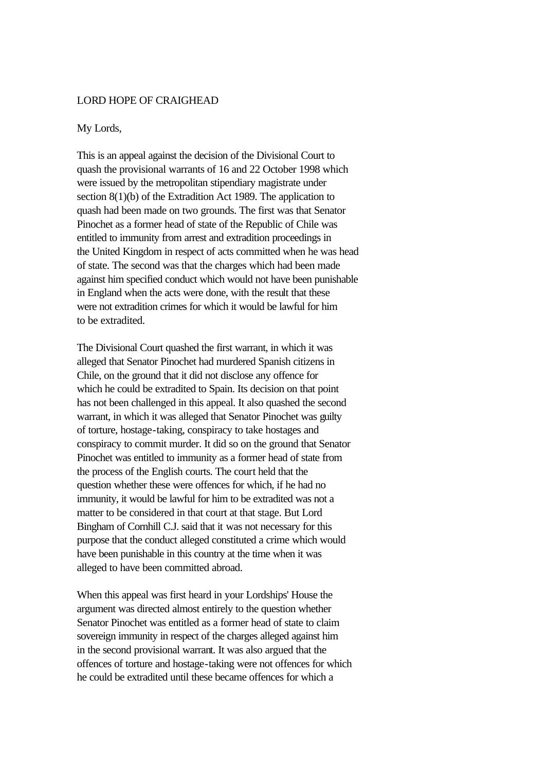### LORD HOPE OF CRAIGHEAD

#### My Lords,

 This is an appeal against the decision of the Divisional Court to quash the provisional warrants of 16 and 22 October 1998 which were issued by the metropolitan stipendiary magistrate under section 8(1)(b) of the Extradition Act 1989. The application to quash had been made on two grounds. The first was that Senator Pinochet as a former head of state of the Republic of Chile was entitled to immunity from arrest and extradition proceedings in the United Kingdom in respect of acts committed when he was head of state. The second was that the charges which had been made against him specified conduct which would not have been punishable in England when the acts were done, with the result that these were not extradition crimes for which it would be lawful for him to be extradited.

 The Divisional Court quashed the first warrant, in which it was alleged that Senator Pinochet had murdered Spanish citizens in Chile, on the ground that it did not disclose any offence for which he could be extradited to Spain. Its decision on that point has not been challenged in this appeal. It also quashed the second warrant, in which it was alleged that Senator Pinochet was guilty of torture, hostage-taking, conspiracy to take hostages and conspiracy to commit murder. It did so on the ground that Senator Pinochet was entitled to immunity as a former head of state from the process of the English courts. The court held that the question whether these were offences for which, if he had no immunity, it would be lawful for him to be extradited was not a matter to be considered in that court at that stage. But Lord Bingham of Cornhill C.J. said that it was not necessary for this purpose that the conduct alleged constituted a crime which would have been punishable in this country at the time when it was alleged to have been committed abroad.

 When this appeal was first heard in your Lordships' House the argument was directed almost entirely to the question whether Senator Pinochet was entitled as a former head of state to claim sovereign immunity in respect of the charges alleged against him in the second provisional warrant. It was also argued that the offences of torture and hostage-taking were not offences for which he could be extradited until these became offences for which a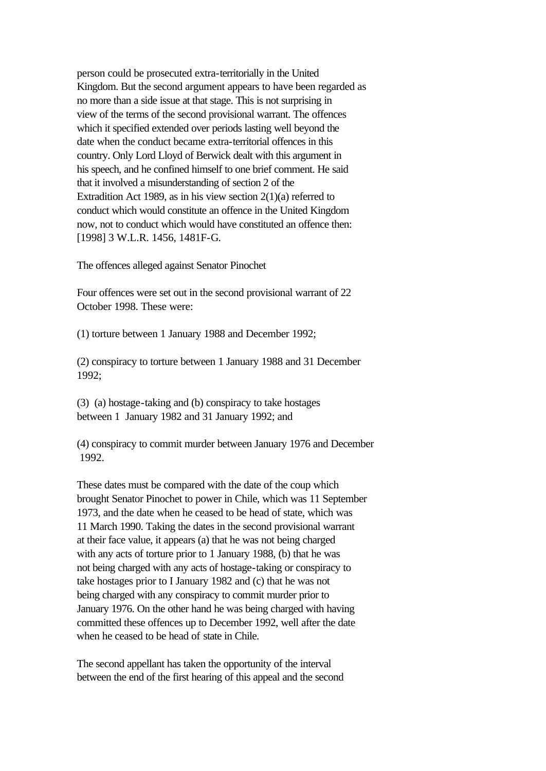person could be prosecuted extra-territorially in the United Kingdom. But the second argument appears to have been regarded as no more than a side issue at that stage. This is not surprising in view of the terms of the second provisional warrant. The offences which it specified extended over periods lasting well beyond the date when the conduct became extra-territorial offences in this country. Only Lord Lloyd of Berwick dealt with this argument in his speech, and he confined himself to one brief comment. He said that it involved a misunderstanding of section 2 of the Extradition Act 1989, as in his view section 2(1)(a) referred to conduct which would constitute an offence in the United Kingdom now, not to conduct which would have constituted an offence then: [1998] 3 W.L.R. 1456, 1481F-G.

The offences alleged against Senator Pinochet

 Four offences were set out in the second provisional warrant of 22 October 1998. These were:

(1) torture between 1 January 1988 and December 1992;

 (2) conspiracy to torture between 1 January 1988 and 31 December 1992;

 (3) (a) hostage-taking and (b) conspiracy to take hostages between 1 January 1982 and 31 January 1992; and

 (4) conspiracy to commit murder between January 1976 and December 1992.

 These dates must be compared with the date of the coup which brought Senator Pinochet to power in Chile, which was 11 September 1973, and the date when he ceased to be head of state, which was 11 March 1990. Taking the dates in the second provisional warrant at their face value, it appears (a) that he was not being charged with any acts of torture prior to 1 January 1988, (b) that he was not being charged with any acts of hostage-taking or conspiracy to take hostages prior to I January 1982 and (c) that he was not being charged with any conspiracy to commit murder prior to January 1976. On the other hand he was being charged with having committed these offences up to December 1992, well after the date when he ceased to be head of state in Chile.

 The second appellant has taken the opportunity of the interval between the end of the first hearing of this appeal and the second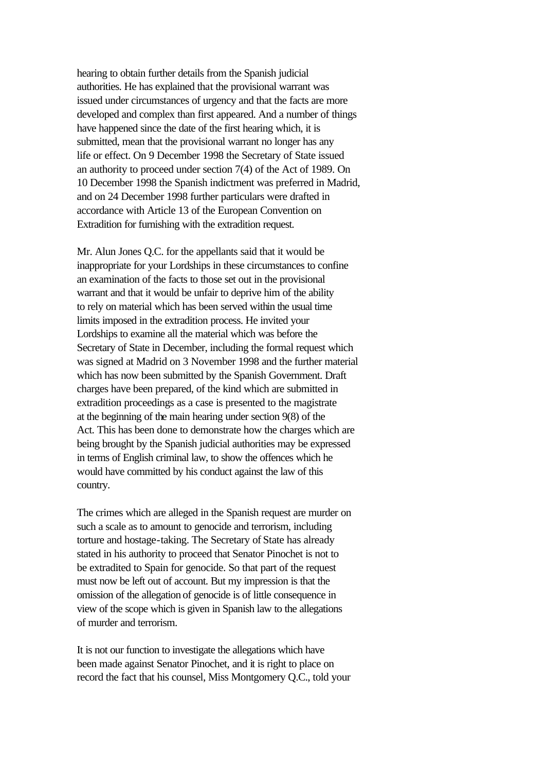hearing to obtain further details from the Spanish judicial authorities. He has explained that the provisional warrant was issued under circumstances of urgency and that the facts are more developed and complex than first appeared. And a number of things have happened since the date of the first hearing which, it is submitted, mean that the provisional warrant no longer has any life or effect. On 9 December 1998 the Secretary of State issued an authority to proceed under section 7(4) of the Act of 1989. On 10 December 1998 the Spanish indictment was preferred in Madrid, and on 24 December 1998 further particulars were drafted in accordance with Article 13 of the European Convention on Extradition for furnishing with the extradition request.

 Mr. Alun Jones Q.C. for the appellants said that it would be inappropriate for your Lordships in these circumstances to confine an examination of the facts to those set out in the provisional warrant and that it would be unfair to deprive him of the ability to rely on material which has been served within the usual time limits imposed in the extradition process. He invited your Lordships to examine all the material which was before the Secretary of State in December, including the formal request which was signed at Madrid on 3 November 1998 and the further material which has now been submitted by the Spanish Government. Draft charges have been prepared, of the kind which are submitted in extradition proceedings as a case is presented to the magistrate at the beginning of the main hearing under section 9(8) of the Act. This has been done to demonstrate how the charges which are being brought by the Spanish judicial authorities may be expressed in terms of English criminal law, to show the offences which he would have committed by his conduct against the law of this country.

 The crimes which are alleged in the Spanish request are murder on such a scale as to amount to genocide and terrorism, including torture and hostage-taking. The Secretary of State has already stated in his authority to proceed that Senator Pinochet is not to be extradited to Spain for genocide. So that part of the request must now be left out of account. But my impression is that the omission of the allegation of genocide is of little consequence in view of the scope which is given in Spanish law to the allegations of murder and terrorism.

 It is not our function to investigate the allegations which have been made against Senator Pinochet, and it is right to place on record the fact that his counsel, Miss Montgomery Q.C., told your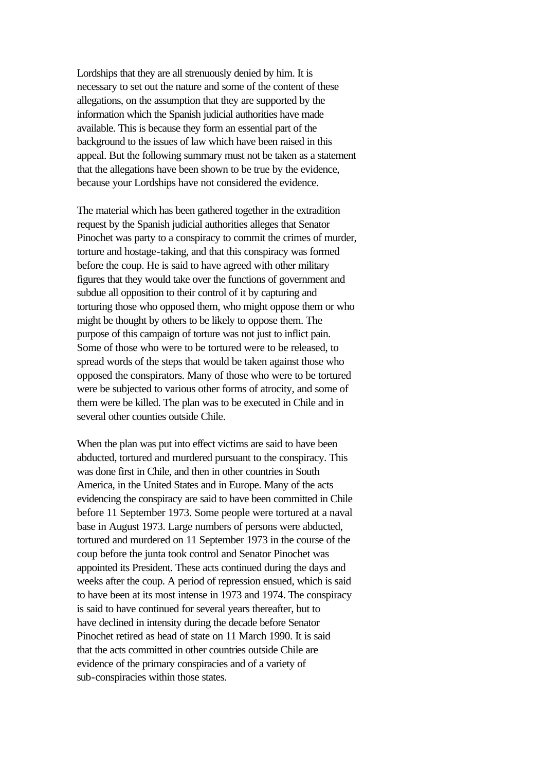Lordships that they are all strenuously denied by him. It is necessary to set out the nature and some of the content of these allegations, on the assumption that they are supported by the information which the Spanish judicial authorities have made available. This is because they form an essential part of the background to the issues of law which have been raised in this appeal. But the following summary must not be taken as a statement that the allegations have been shown to be true by the evidence, because your Lordships have not considered the evidence.

 The material which has been gathered together in the extradition request by the Spanish judicial authorities alleges that Senator Pinochet was party to a conspiracy to commit the crimes of murder, torture and hostage-taking, and that this conspiracy was formed before the coup. He is said to have agreed with other military figures that they would take over the functions of government and subdue all opposition to their control of it by capturing and torturing those who opposed them, who might oppose them or who might be thought by others to be likely to oppose them. The purpose of this campaign of torture was not just to inflict pain. Some of those who were to be tortured were to be released, to spread words of the steps that would be taken against those who opposed the conspirators. Many of those who were to be tortured were be subjected to various other forms of atrocity, and some of them were be killed. The plan was to be executed in Chile and in several other counties outside Chile.

 When the plan was put into effect victims are said to have been abducted, tortured and murdered pursuant to the conspiracy. This was done first in Chile, and then in other countries in South America, in the United States and in Europe. Many of the acts evidencing the conspiracy are said to have been committed in Chile before 11 September 1973. Some people were tortured at a naval base in August 1973. Large numbers of persons were abducted, tortured and murdered on 11 September 1973 in the course of the coup before the junta took control and Senator Pinochet was appointed its President. These acts continued during the days and weeks after the coup. A period of repression ensued, which is said to have been at its most intense in 1973 and 1974. The conspiracy is said to have continued for several years thereafter, but to have declined in intensity during the decade before Senator Pinochet retired as head of state on 11 March 1990. It is said that the acts committed in other countries outside Chile are evidence of the primary conspiracies and of a variety of sub-conspiracies within those states.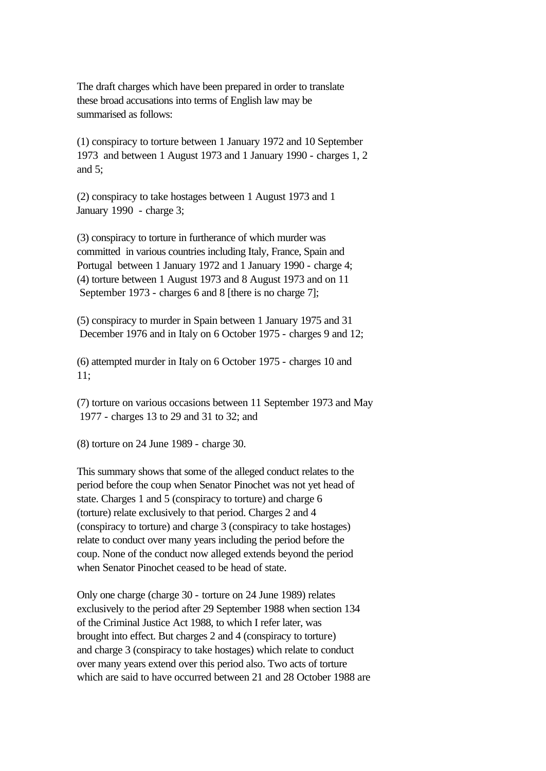The draft charges which have been prepared in order to translate these broad accusations into terms of English law may be summarised as follows:

 (1) conspiracy to torture between 1 January 1972 and 10 September 1973 and between 1 August 1973 and 1 January 1990 - charges 1, 2 and 5;

 (2) conspiracy to take hostages between 1 August 1973 and 1 January 1990 - charge 3;

 (3) conspiracy to torture in furtherance of which murder was committed in various countries including Italy, France, Spain and Portugal between 1 January 1972 and 1 January 1990 - charge 4; (4) torture between 1 August 1973 and 8 August 1973 and on 11 September 1973 - charges 6 and 8 [there is no charge 7];

 (5) conspiracy to murder in Spain between 1 January 1975 and 31 December 1976 and in Italy on 6 October 1975 - charges 9 and 12;

 (6) attempted murder in Italy on 6 October 1975 - charges 10 and 11;

 (7) torture on various occasions between 11 September 1973 and May 1977 - charges 13 to 29 and 31 to 32; and

(8) torture on 24 June 1989 - charge 30.

 This summary shows that some of the alleged conduct relates to the period before the coup when Senator Pinochet was not yet head of state. Charges 1 and 5 (conspiracy to torture) and charge 6 (torture) relate exclusively to that period. Charges 2 and 4 (conspiracy to torture) and charge 3 (conspiracy to take hostages) relate to conduct over many years including the period before the coup. None of the conduct now alleged extends beyond the period when Senator Pinochet ceased to be head of state.

 Only one charge (charge 30 - torture on 24 June 1989) relates exclusively to the period after 29 September 1988 when section 134 of the Criminal Justice Act 1988, to which I refer later, was brought into effect. But charges 2 and 4 (conspiracy to torture) and charge 3 (conspiracy to take hostages) which relate to conduct over many years extend over this period also. Two acts of torture which are said to have occurred between 21 and 28 October 1988 are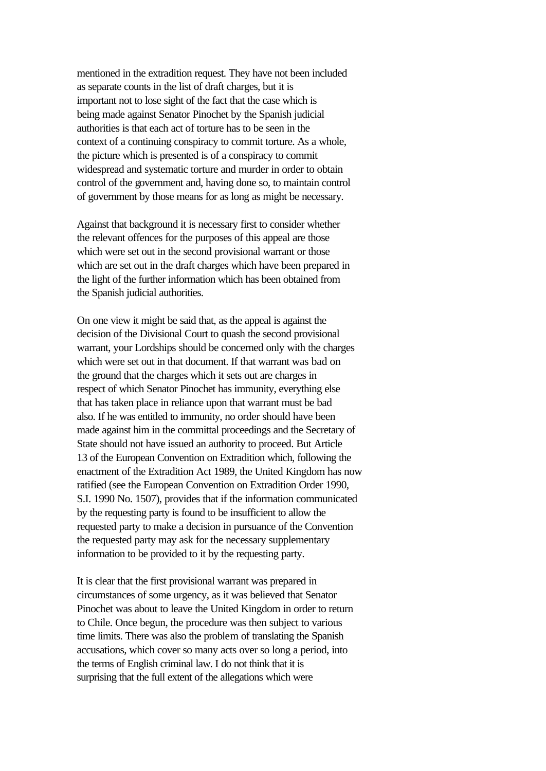mentioned in the extradition request. They have not been included as separate counts in the list of draft charges, but it is important not to lose sight of the fact that the case which is being made against Senator Pinochet by the Spanish judicial authorities is that each act of torture has to be seen in the context of a continuing conspiracy to commit torture. As a whole, the picture which is presented is of a conspiracy to commit widespread and systematic torture and murder in order to obtain control of the government and, having done so, to maintain control of government by those means for as long as might be necessary.

 Against that background it is necessary first to consider whether the relevant offences for the purposes of this appeal are those which were set out in the second provisional warrant or those which are set out in the draft charges which have been prepared in the light of the further information which has been obtained from the Spanish judicial authorities.

 On one view it might be said that, as the appeal is against the decision of the Divisional Court to quash the second provisional warrant, your Lordships should be concerned only with the charges which were set out in that document. If that warrant was bad on the ground that the charges which it sets out are charges in respect of which Senator Pinochet has immunity, everything else that has taken place in reliance upon that warrant must be bad also. If he was entitled to immunity, no order should have been made against him in the committal proceedings and the Secretary of State should not have issued an authority to proceed. But Article 13 of the European Convention on Extradition which, following the enactment of the Extradition Act 1989, the United Kingdom has now ratified (see the European Convention on Extradition Order 1990, S.I. 1990 No. 1507), provides that if the information communicated by the requesting party is found to be insufficient to allow the requested party to make a decision in pursuance of the Convention the requested party may ask for the necessary supplementary information to be provided to it by the requesting party.

 It is clear that the first provisional warrant was prepared in circumstances of some urgency, as it was believed that Senator Pinochet was about to leave the United Kingdom in order to return to Chile. Once begun, the procedure was then subject to various time limits. There was also the problem of translating the Spanish accusations, which cover so many acts over so long a period, into the terms of English criminal law. I do not think that it is surprising that the full extent of the allegations which were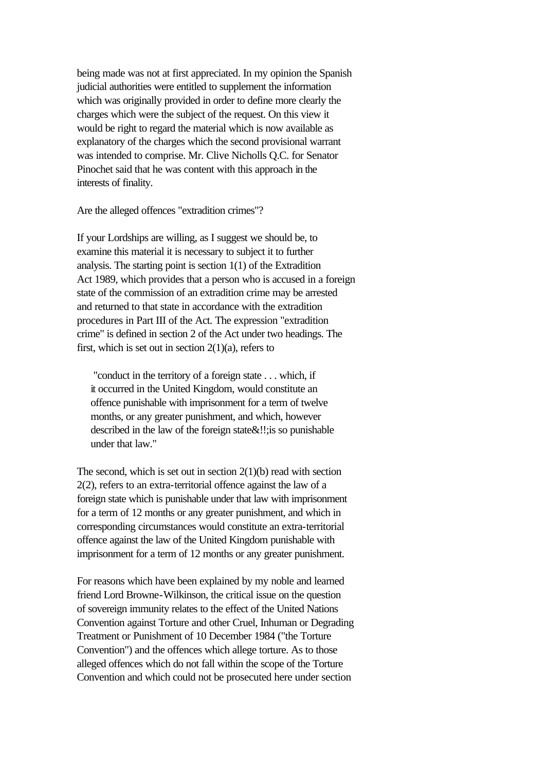being made was not at first appreciated. In my opinion the Spanish judicial authorities were entitled to supplement the information which was originally provided in order to define more clearly the charges which were the subject of the request. On this view it would be right to regard the material which is now available as explanatory of the charges which the second provisional warrant was intended to comprise. Mr. Clive Nicholls Q.C. for Senator Pinochet said that he was content with this approach in the interests of finality.

Are the alleged offences "extradition crimes"?

 If your Lordships are willing, as I suggest we should be, to examine this material it is necessary to subject it to further analysis. The starting point is section 1(1) of the Extradition Act 1989, which provides that a person who is accused in a foreign state of the commission of an extradition crime may be arrested and returned to that state in accordance with the extradition procedures in Part III of the Act. The expression "extradition crime" is defined in section 2 of the Act under two headings. The first, which is set out in section  $2(1)(a)$ , refers to

 "conduct in the territory of a foreign state . . . which, if it occurred in the United Kingdom, would constitute an offence punishable with imprisonment for a term of twelve months, or any greater punishment, and which, however described in the law of the foreign state&!!;is so punishable under that law."

 The second, which is set out in section 2(1)(b) read with section 2(2), refers to an extra-territorial offence against the law of a foreign state which is punishable under that law with imprisonment for a term of 12 months or any greater punishment, and which in corresponding circumstances would constitute an extra-territorial offence against the law of the United Kingdom punishable with imprisonment for a term of 12 months or any greater punishment.

 For reasons which have been explained by my noble and learned friend Lord Browne-Wilkinson, the critical issue on the question of sovereign immunity relates to the effect of the United Nations Convention against Torture and other Cruel, Inhuman or Degrading Treatment or Punishment of 10 December 1984 ("the Torture Convention") and the offences which allege torture. As to those alleged offences which do not fall within the scope of the Torture Convention and which could not be prosecuted here under section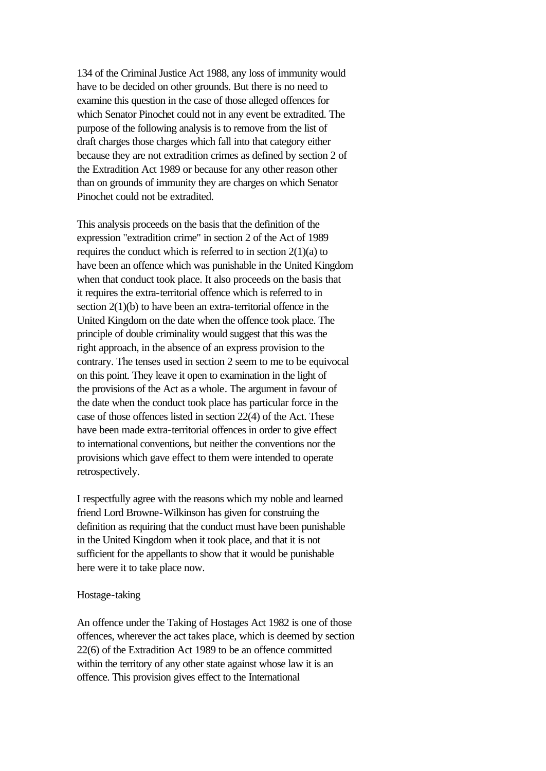134 of the Criminal Justice Act 1988, any loss of immunity would have to be decided on other grounds. But there is no need to examine this question in the case of those alleged offences for which Senator Pinochet could not in any event be extradited. The purpose of the following analysis is to remove from the list of draft charges those charges which fall into that category either because they are not extradition crimes as defined by section 2 of the Extradition Act 1989 or because for any other reason other than on grounds of immunity they are charges on which Senator Pinochet could not be extradited.

 This analysis proceeds on the basis that the definition of the expression "extradition crime" in section 2 of the Act of 1989 requires the conduct which is referred to in section 2(1)(a) to have been an offence which was punishable in the United Kingdom when that conduct took place. It also proceeds on the basis that it requires the extra-territorial offence which is referred to in section 2(1)(b) to have been an extra-territorial offence in the United Kingdom on the date when the offence took place. The principle of double criminality would suggest that this was the right approach, in the absence of an express provision to the contrary. The tenses used in section 2 seem to me to be equivocal on this point. They leave it open to examination in the light of the provisions of the Act as a whole. The argument in favour of the date when the conduct took place has particular force in the case of those offences listed in section 22(4) of the Act. These have been made extra-territorial offences in order to give effect to international conventions, but neither the conventions nor the provisions which gave effect to them were intended to operate retrospectively.

 I respectfully agree with the reasons which my noble and learned friend Lord Browne-Wilkinson has given for construing the definition as requiring that the conduct must have been punishable in the United Kingdom when it took place, and that it is not sufficient for the appellants to show that it would be punishable here were it to take place now.

### Hostage-taking

 An offence under the Taking of Hostages Act 1982 is one of those offences, wherever the act takes place, which is deemed by section 22(6) of the Extradition Act 1989 to be an offence committed within the territory of any other state against whose law it is an offence. This provision gives effect to the International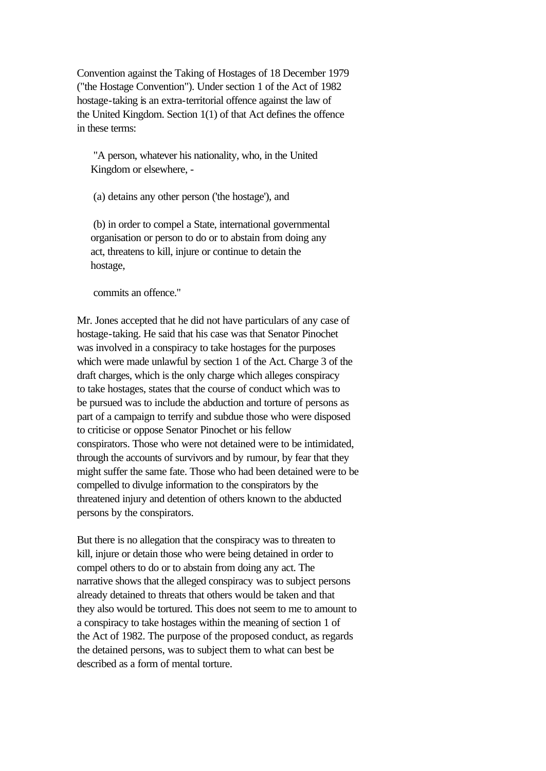Convention against the Taking of Hostages of 18 December 1979 ("the Hostage Convention"). Under section 1 of the Act of 1982 hostage-taking is an extra-territorial offence against the law of the United Kingdom. Section 1(1) of that Act defines the offence in these terms:

 "A person, whatever his nationality, who, in the United Kingdom or elsewhere, -

(a) detains any other person ('the hostage'), and

 (b) in order to compel a State, international governmental organisation or person to do or to abstain from doing any act, threatens to kill, injure or continue to detain the hostage,

commits an offence."

 Mr. Jones accepted that he did not have particulars of any case of hostage-taking. He said that his case was that Senator Pinochet was involved in a conspiracy to take hostages for the purposes which were made unlawful by section 1 of the Act. Charge 3 of the draft charges, which is the only charge which alleges conspiracy to take hostages, states that the course of conduct which was to be pursued was to include the abduction and torture of persons as part of a campaign to terrify and subdue those who were disposed to criticise or oppose Senator Pinochet or his fellow conspirators. Those who were not detained were to be intimidated, through the accounts of survivors and by rumour, by fear that they might suffer the same fate. Those who had been detained were to be compelled to divulge information to the conspirators by the threatened injury and detention of others known to the abducted persons by the conspirators.

 But there is no allegation that the conspiracy was to threaten to kill, injure or detain those who were being detained in order to compel others to do or to abstain from doing any act. The narrative shows that the alleged conspiracy was to subject persons already detained to threats that others would be taken and that they also would be tortured. This does not seem to me to amount to a conspiracy to take hostages within the meaning of section 1 of the Act of 1982. The purpose of the proposed conduct, as regards the detained persons, was to subject them to what can best be described as a form of mental torture.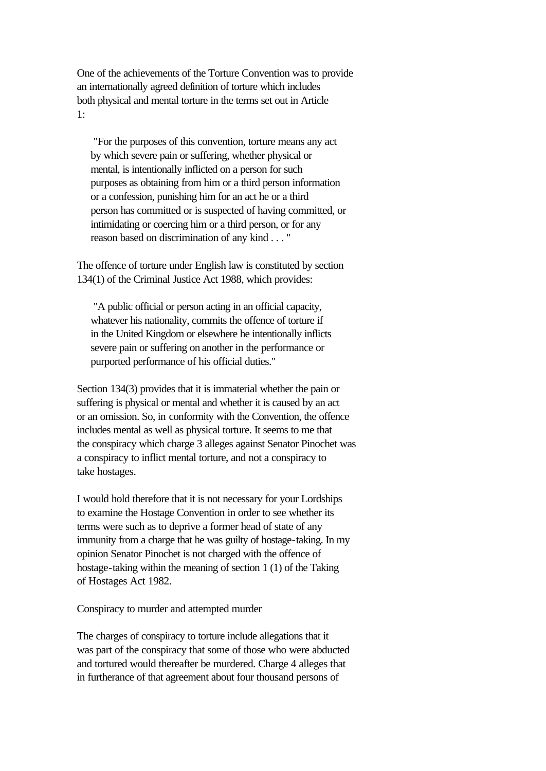One of the achievements of the Torture Convention was to provide an internationally agreed definition of torture which includes both physical and mental torture in the terms set out in Article 1:

 "For the purposes of this convention, torture means any act by which severe pain or suffering, whether physical or mental, is intentionally inflicted on a person for such purposes as obtaining from him or a third person information or a confession, punishing him for an act he or a third person has committed or is suspected of having committed, or intimidating or coercing him or a third person, or for any reason based on discrimination of any kind . . . "

 The offence of torture under English law is constituted by section 134(1) of the Criminal Justice Act 1988, which provides:

 "A public official or person acting in an official capacity, whatever his nationality, commits the offence of torture if in the United Kingdom or elsewhere he intentionally inflicts severe pain or suffering on another in the performance or purported performance of his official duties."

 Section 134(3) provides that it is immaterial whether the pain or suffering is physical or mental and whether it is caused by an act or an omission. So, in conformity with the Convention, the offence includes mental as well as physical torture. It seems to me that the conspiracy which charge 3 alleges against Senator Pinochet was a conspiracy to inflict mental torture, and not a conspiracy to take hostages.

 I would hold therefore that it is not necessary for your Lordships to examine the Hostage Convention in order to see whether its terms were such as to deprive a former head of state of any immunity from a charge that he was guilty of hostage-taking. In my opinion Senator Pinochet is not charged with the offence of hostage-taking within the meaning of section 1 (1) of the Taking of Hostages Act 1982.

Conspiracy to murder and attempted murder

 The charges of conspiracy to torture include allegations that it was part of the conspiracy that some of those who were abducted and tortured would thereafter be murdered. Charge 4 alleges that in furtherance of that agreement about four thousand persons of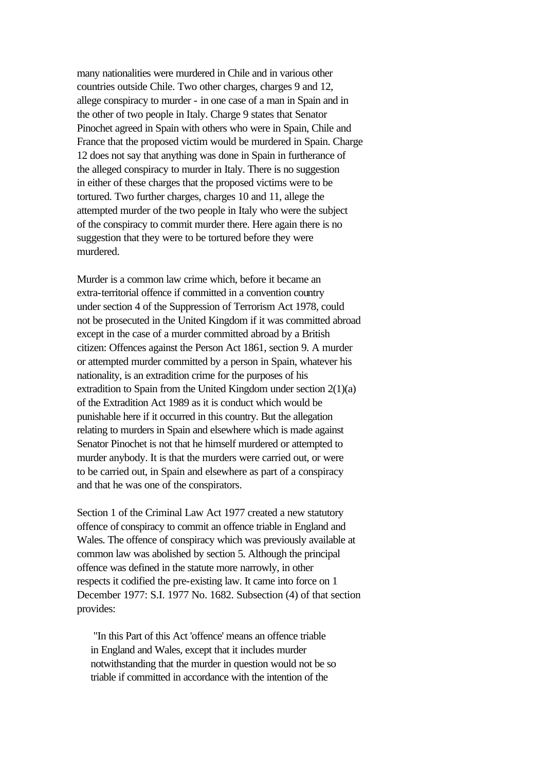many nationalities were murdered in Chile and in various other countries outside Chile. Two other charges, charges 9 and 12, allege conspiracy to murder - in one case of a man in Spain and in the other of two people in Italy. Charge 9 states that Senator Pinochet agreed in Spain with others who were in Spain, Chile and France that the proposed victim would be murdered in Spain. Charge 12 does not say that anything was done in Spain in furtherance of the alleged conspiracy to murder in Italy. There is no suggestion in either of these charges that the proposed victims were to be tortured. Two further charges, charges 10 and 11, allege the attempted murder of the two people in Italy who were the subject of the conspiracy to commit murder there. Here again there is no suggestion that they were to be tortured before they were murdered.

 Murder is a common law crime which, before it became an extra-territorial offence if committed in a convention country under section 4 of the Suppression of Terrorism Act 1978, could not be prosecuted in the United Kingdom if it was committed abroad except in the case of a murder committed abroad by a British citizen: Offences against the Person Act 1861, section 9. A murder or attempted murder committed by a person in Spain, whatever his nationality, is an extradition crime for the purposes of his extradition to Spain from the United Kingdom under section 2(1)(a) of the Extradition Act 1989 as it is conduct which would be punishable here if it occurred in this country. But the allegation relating to murders in Spain and elsewhere which is made against Senator Pinochet is not that he himself murdered or attempted to murder anybody. It is that the murders were carried out, or were to be carried out, in Spain and elsewhere as part of a conspiracy and that he was one of the conspirators.

 Section 1 of the Criminal Law Act 1977 created a new statutory offence of conspiracy to commit an offence triable in England and Wales. The offence of conspiracy which was previously available at common law was abolished by section 5. Although the principal offence was defined in the statute more narrowly, in other respects it codified the pre-existing law. It came into force on 1 December 1977: S.I. 1977 No. 1682. Subsection (4) of that section provides:

 "In this Part of this Act 'offence' means an offence triable in England and Wales, except that it includes murder notwithstanding that the murder in question would not be so triable if committed in accordance with the intention of the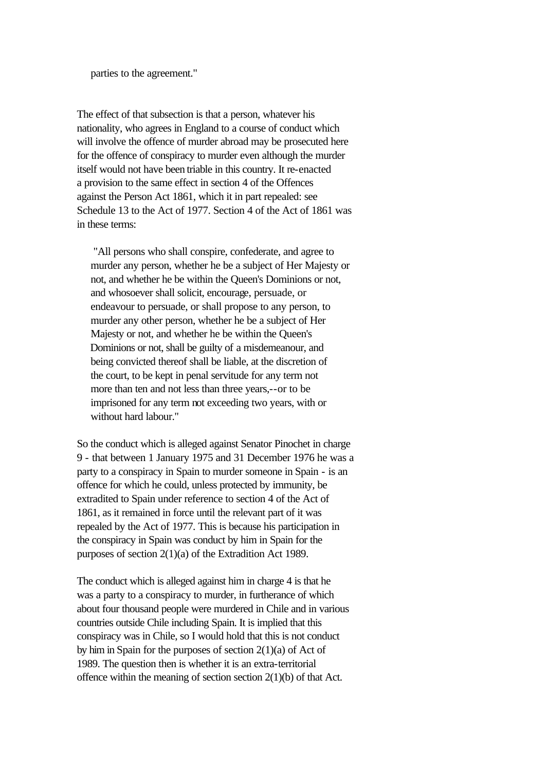parties to the agreement."

 The effect of that subsection is that a person, whatever his nationality, who agrees in England to a course of conduct which will involve the offence of murder abroad may be prosecuted here for the offence of conspiracy to murder even although the murder itself would not have been triable in this country. It re-enacted a provision to the same effect in section 4 of the Offences against the Person Act 1861, which it in part repealed: see Schedule 13 to the Act of 1977. Section 4 of the Act of 1861 was in these terms:

 "All persons who shall conspire, confederate, and agree to murder any person, whether he be a subject of Her Majesty or not, and whether he be within the Queen's Dominions or not, and whosoever shall solicit, encourage, persuade, or endeavour to persuade, or shall propose to any person, to murder any other person, whether he be a subject of Her Majesty or not, and whether he be within the Queen's Dominions or not, shall be guilty of a misdemeanour, and being convicted thereof shall be liable, at the discretion of the court, to be kept in penal servitude for any term not more than ten and not less than three years,--or to be imprisoned for any term not exceeding two years, with or without hard labour."

 So the conduct which is alleged against Senator Pinochet in charge 9 - that between 1 January 1975 and 31 December 1976 he was a party to a conspiracy in Spain to murder someone in Spain - is an offence for which he could, unless protected by immunity, be extradited to Spain under reference to section 4 of the Act of 1861, as it remained in force until the relevant part of it was repealed by the Act of 1977. This is because his participation in the conspiracy in Spain was conduct by him in Spain for the purposes of section 2(1)(a) of the Extradition Act 1989.

 The conduct which is alleged against him in charge 4 is that he was a party to a conspiracy to murder, in furtherance of which about four thousand people were murdered in Chile and in various countries outside Chile including Spain. It is implied that this conspiracy was in Chile, so I would hold that this is not conduct by him in Spain for the purposes of section 2(1)(a) of Act of 1989. The question then is whether it is an extra-territorial offence within the meaning of section section 2(1)(b) of that Act.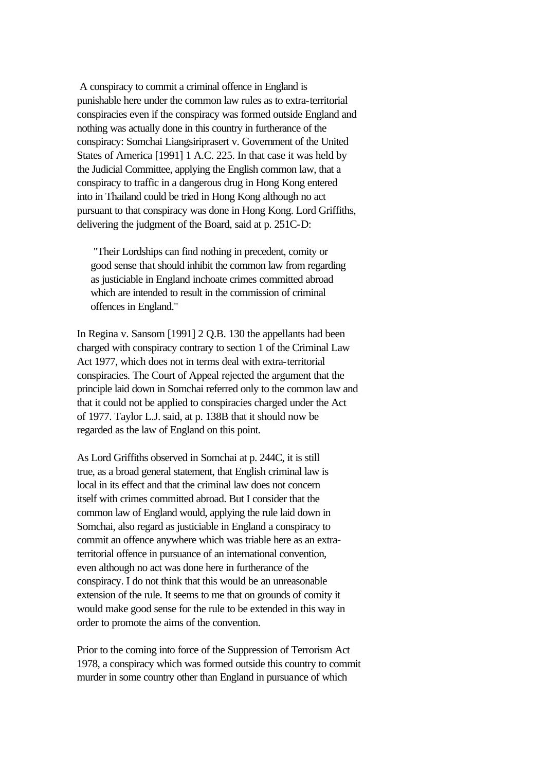A conspiracy to commit a criminal offence in England is punishable here under the common law rules as to extra-territorial conspiracies even if the conspiracy was formed outside England and nothing was actually done in this country in furtherance of the conspiracy: Somchai Liangsiriprasert v. Government of the United States of America [1991] 1 A.C. 225. In that case it was held by the Judicial Committee, applying the English common law, that a conspiracy to traffic in a dangerous drug in Hong Kong entered into in Thailand could be tried in Hong Kong although no act pursuant to that conspiracy was done in Hong Kong. Lord Griffiths, delivering the judgment of the Board, said at p. 251C-D:

 "Their Lordships can find nothing in precedent, comity or good sense that should inhibit the common law from regarding as justiciable in England inchoate crimes committed abroad which are intended to result in the commission of criminal offences in England."

 In Regina v. Sansom [1991] 2 Q.B. 130 the appellants had been charged with conspiracy contrary to section 1 of the Criminal Law Act 1977, which does not in terms deal with extra-territorial conspiracies. The Court of Appeal rejected the argument that the principle laid down in Somchai referred only to the common law and that it could not be applied to conspiracies charged under the Act of 1977. Taylor L.J. said, at p. 138B that it should now be regarded as the law of England on this point.

 As Lord Griffiths observed in Somchai at p. 244C, it is still true, as a broad general statement, that English criminal law is local in its effect and that the criminal law does not concern itself with crimes committed abroad. But I consider that the common law of England would, applying the rule laid down in Somchai, also regard as justiciable in England a conspiracy to commit an offence anywhere which was triable here as an extra territorial offence in pursuance of an international convention, even although no act was done here in furtherance of the conspiracy. I do not think that this would be an unreasonable extension of the rule. It seems to me that on grounds of comity it would make good sense for the rule to be extended in this way in order to promote the aims of the convention.

 Prior to the coming into force of the Suppression of Terrorism Act 1978, a conspiracy which was formed outside this country to commit murder in some country other than England in pursuance of which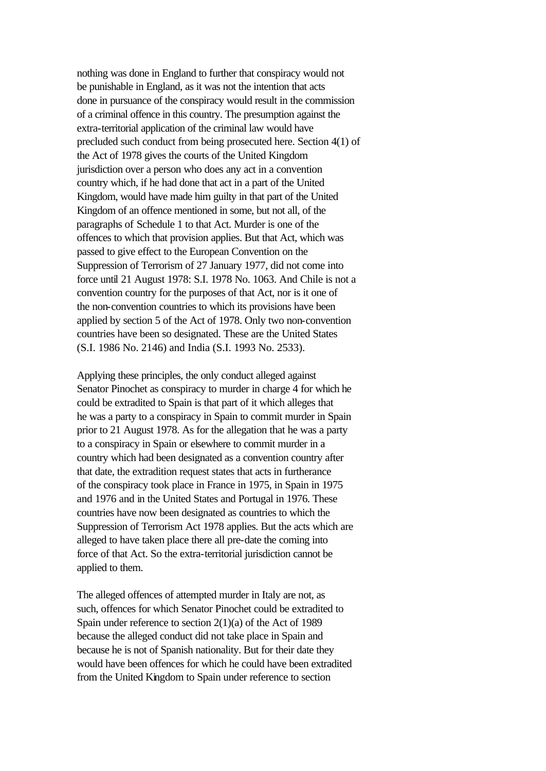nothing was done in England to further that conspiracy would not be punishable in England, as it was not the intention that acts done in pursuance of the conspiracy would result in the commission of a criminal offence in this country. The presumption against the extra-territorial application of the criminal law would have precluded such conduct from being prosecuted here. Section 4(1) of the Act of 1978 gives the courts of the United Kingdom jurisdiction over a person who does any act in a convention country which, if he had done that act in a part of the United Kingdom, would have made him guilty in that part of the United Kingdom of an offence mentioned in some, but not all, of the paragraphs of Schedule 1 to that Act. Murder is one of the offences to which that provision applies. But that Act, which was passed to give effect to the European Convention on the Suppression of Terrorism of 27 January 1977, did not come into force until 21 August 1978: S.I. 1978 No. 1063. And Chile is not a convention country for the purposes of that Act, nor is it one of the non-convention countries to which its provisions have been applied by section 5 of the Act of 1978. Only two non-convention countries have been so designated. These are the United States (S.I. 1986 No. 2146) and India (S.I. 1993 No. 2533).

 Applying these principles, the only conduct alleged against Senator Pinochet as conspiracy to murder in charge 4 for which he could be extradited to Spain is that part of it which alleges that he was a party to a conspiracy in Spain to commit murder in Spain prior to 21 August 1978. As for the allegation that he was a party to a conspiracy in Spain or elsewhere to commit murder in a country which had been designated as a convention country after that date, the extradition request states that acts in furtherance of the conspiracy took place in France in 1975, in Spain in 1975 and 1976 and in the United States and Portugal in 1976. These countries have now been designated as countries to which the Suppression of Terrorism Act 1978 applies. But the acts which are alleged to have taken place there all pre-date the coming into force of that Act. So the extra-territorial jurisdiction cannot be applied to them.

 The alleged offences of attempted murder in Italy are not, as such, offences for which Senator Pinochet could be extradited to Spain under reference to section 2(1)(a) of the Act of 1989 because the alleged conduct did not take place in Spain and because he is not of Spanish nationality. But for their date they would have been offences for which he could have been extradited from the United Kingdom to Spain under reference to section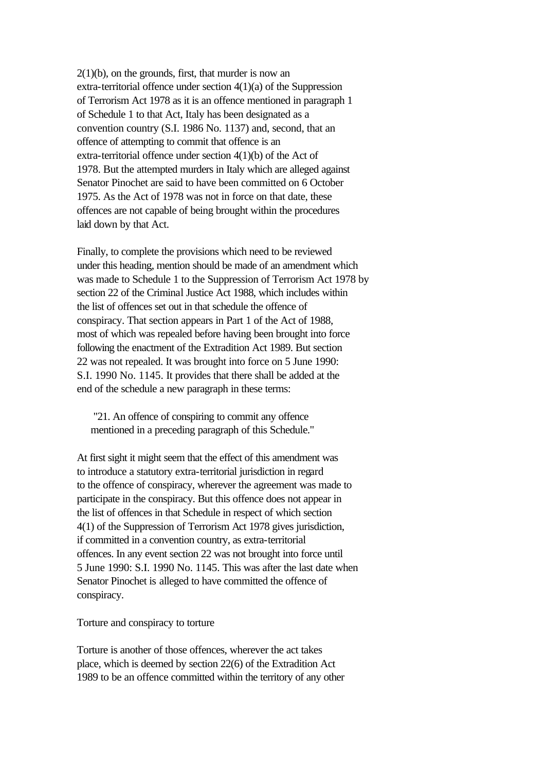2(1)(b), on the grounds, first, that murder is now an extra-territorial offence under section 4(1)(a) of the Suppression of Terrorism Act 1978 as it is an offence mentioned in paragraph 1 of Schedule 1 to that Act, Italy has been designated as a convention country (S.I. 1986 No. 1137) and, second, that an offence of attempting to commit that offence is an extra-territorial offence under section 4(1)(b) of the Act of 1978. But the attempted murders in Italy which are alleged against Senator Pinochet are said to have been committed on 6 October 1975. As the Act of 1978 was not in force on that date, these offences are not capable of being brought within the procedures laid down by that Act.

 Finally, to complete the provisions which need to be reviewed under this heading, mention should be made of an amendment which was made to Schedule 1 to the Suppression of Terrorism Act 1978 by section 22 of the Criminal Justice Act 1988, which includes within the list of offences set out in that schedule the offence of conspiracy. That section appears in Part 1 of the Act of 1988, most of which was repealed before having been brought into force following the enactment of the Extradition Act 1989. But section 22 was not repealed. It was brought into force on 5 June 1990: S.I. 1990 No. 1145. It provides that there shall be added at the end of the schedule a new paragraph in these terms:

 "21. An offence of conspiring to commit any offence mentioned in a preceding paragraph of this Schedule."

 At first sight it might seem that the effect of this amendment was to introduce a statutory extra-territorial jurisdiction in regard to the offence of conspiracy, wherever the agreement was made to participate in the conspiracy. But this offence does not appear in the list of offences in that Schedule in respect of which section 4(1) of the Suppression of Terrorism Act 1978 gives jurisdiction, if committed in a convention country, as extra-territorial offences. In any event section 22 was not brought into force until 5 June 1990: S.I. 1990 No. 1145. This was after the last date when Senator Pinochet is alleged to have committed the offence of conspiracy.

Torture and conspiracy to torture

 Torture is another of those offences, wherever the act takes place, which is deemed by section 22(6) of the Extradition Act 1989 to be an offence committed within the territory of any other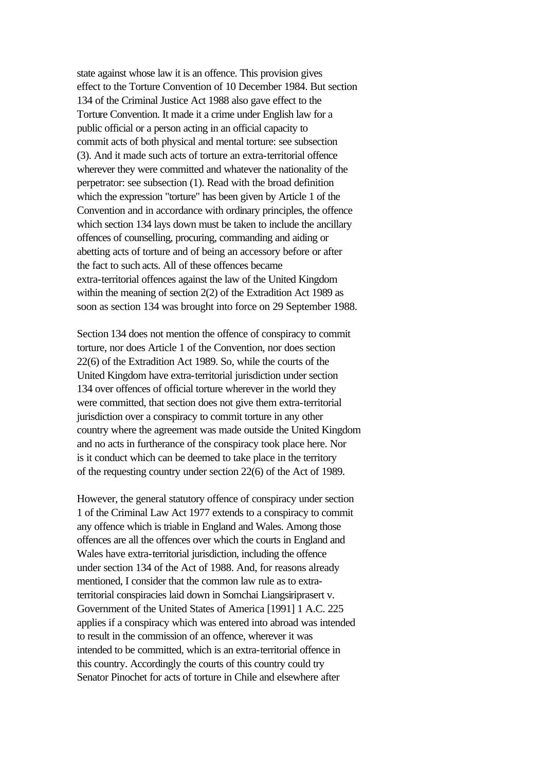state against whose law it is an offence. This provision gives effect to the Torture Convention of 10 December 1984. But section 134 of the Criminal Justice Act 1988 also gave effect to the Torture Convention. It made it a crime under English law for a public official or a person acting in an official capacity to commit acts of both physical and mental torture: see subsection (3). And it made such acts of torture an extra-territorial offence wherever they were committed and whatever the nationality of the perpetrator: see subsection (1). Read with the broad definition which the expression "torture" has been given by Article 1 of the Convention and in accordance with ordinary principles, the offence which section 134 lays down must be taken to include the ancillary offences of counselling, procuring, commanding and aiding or abetting acts of torture and of being an accessory before or after the fact to such acts. All of these offences became extra-territorial offences against the law of the United Kingdom within the meaning of section 2(2) of the Extradition Act 1989 as soon as section 134 was brought into force on 29 September 1988.

 Section 134 does not mention the offence of conspiracy to commit torture, nor does Article 1 of the Convention, nor does section 22(6) of the Extradition Act 1989. So, while the courts of the United Kingdom have extra-territorial jurisdiction under section 134 over offences of official torture wherever in the world they were committed, that section does not give them extra-territorial jurisdiction over a conspiracy to commit torture in any other country where the agreement was made outside the United Kingdom and no acts in furtherance of the conspiracy took place here. Nor is it conduct which can be deemed to take place in the territory of the requesting country under section 22(6) of the Act of 1989.

 However, the general statutory offence of conspiracy under section 1 of the Criminal Law Act 1977 extends to a conspiracy to commit any offence which is triable in England and Wales. Among those offences are all the offences over which the courts in England and Wales have extra-territorial jurisdiction, including the offence under section 134 of the Act of 1988. And, for reasons already mentioned, I consider that the common law rule as to extra territorial conspiracies laid down in Somchai Liangsiriprasert v. Government of the United States of America [1991] 1 A.C. 225 applies if a conspiracy which was entered into abroad was intended to result in the commission of an offence, wherever it was intended to be committed, which is an extra-territorial offence in this country. Accordingly the courts of this country could try Senator Pinochet for acts of torture in Chile and elsewhere after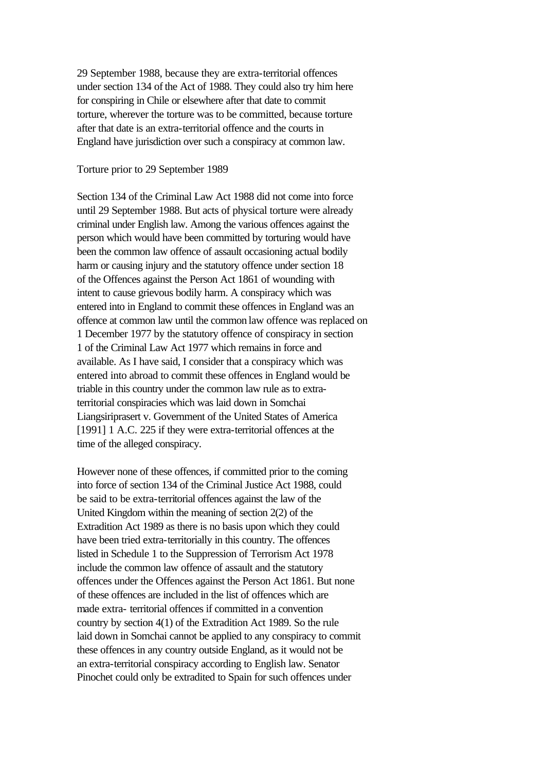29 September 1988, because they are extra-territorial offences under section 134 of the Act of 1988. They could also try him here for conspiring in Chile or elsewhere after that date to commit torture, wherever the torture was to be committed, because torture after that date is an extra-territorial offence and the courts in England have jurisdiction over such a conspiracy at common law.

### Torture prior to 29 September 1989

 Section 134 of the Criminal Law Act 1988 did not come into force until 29 September 1988. But acts of physical torture were already criminal under English law. Among the various offences against the person which would have been committed by torturing would have been the common law offence of assault occasioning actual bodily harm or causing injury and the statutory offence under section 18 of the Offences against the Person Act 1861 of wounding with intent to cause grievous bodily harm. A conspiracy which was entered into in England to commit these offences in England was an offence at common law until the common law offence was replaced on 1 December 1977 by the statutory offence of conspiracy in section 1 of the Criminal Law Act 1977 which remains in force and available. As I have said, I consider that a conspiracy which was entered into abroad to commit these offences in England would be triable in this country under the common law rule as to extra territorial conspiracies which was laid down in Somchai Liangsiriprasert v. Government of the United States of America [1991] 1 A.C. 225 if they were extra-territorial offences at the time of the alleged conspiracy.

 However none of these offences, if committed prior to the coming into force of section 134 of the Criminal Justice Act 1988, could be said to be extra-territorial offences against the law of the United Kingdom within the meaning of section 2(2) of the Extradition Act 1989 as there is no basis upon which they could have been tried extra-territorially in this country. The offences listed in Schedule 1 to the Suppression of Terrorism Act 1978 include the common law offence of assault and the statutory offences under the Offences against the Person Act 1861. But none of these offences are included in the list of offences which are made extra- territorial offences if committed in a convention country by section 4(1) of the Extradition Act 1989. So the rule laid down in Somchai cannot be applied to any conspiracy to commit these offences in any country outside England, as it would not be an extra-territorial conspiracy according to English law. Senator Pinochet could only be extradited to Spain for such offences under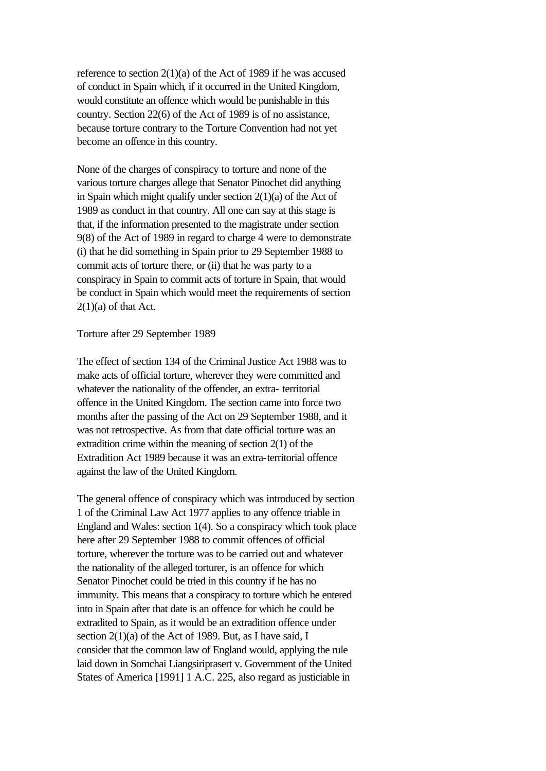reference to section 2(1)(a) of the Act of 1989 if he was accused of conduct in Spain which, if it occurred in the United Kingdom, would constitute an offence which would be punishable in this country. Section 22(6) of the Act of 1989 is of no assistance, because torture contrary to the Torture Convention had not yet become an offence in this country.

 None of the charges of conspiracy to torture and none of the various torture charges allege that Senator Pinochet did anything in Spain which might qualify under section  $2(1)(a)$  of the Act of 1989 as conduct in that country. All one can say at this stage is that, if the information presented to the magistrate under section 9(8) of the Act of 1989 in regard to charge 4 were to demonstrate (i) that he did something in Spain prior to 29 September 1988 to commit acts of torture there, or (ii) that he was party to a conspiracy in Spain to commit acts of torture in Spain, that would be conduct in Spain which would meet the requirements of section  $2(1)(a)$  of that Act.

# Torture after 29 September 1989

 The effect of section 134 of the Criminal Justice Act 1988 was to make acts of official torture, wherever they were committed and whatever the nationality of the offender, an extra- territorial offence in the United Kingdom. The section came into force two months after the passing of the Act on 29 September 1988, and it was not retrospective. As from that date official torture was an extradition crime within the meaning of section 2(1) of the Extradition Act 1989 because it was an extra-territorial offence against the law of the United Kingdom.

 The general offence of conspiracy which was introduced by section 1 of the Criminal Law Act 1977 applies to any offence triable in England and Wales: section 1(4). So a conspiracy which took place here after 29 September 1988 to commit offences of official torture, wherever the torture was to be carried out and whatever the nationality of the alleged torturer, is an offence for which Senator Pinochet could be tried in this country if he has no immunity. This means that a conspiracy to torture which he entered into in Spain after that date is an offence for which he could be extradited to Spain, as it would be an extradition offence under section 2(1)(a) of the Act of 1989. But, as I have said, I consider that the common law of England would, applying the rule laid down in Somchai Liangsiriprasert v. Government of the United States of America [1991] 1 A.C. 225, also regard as justiciable in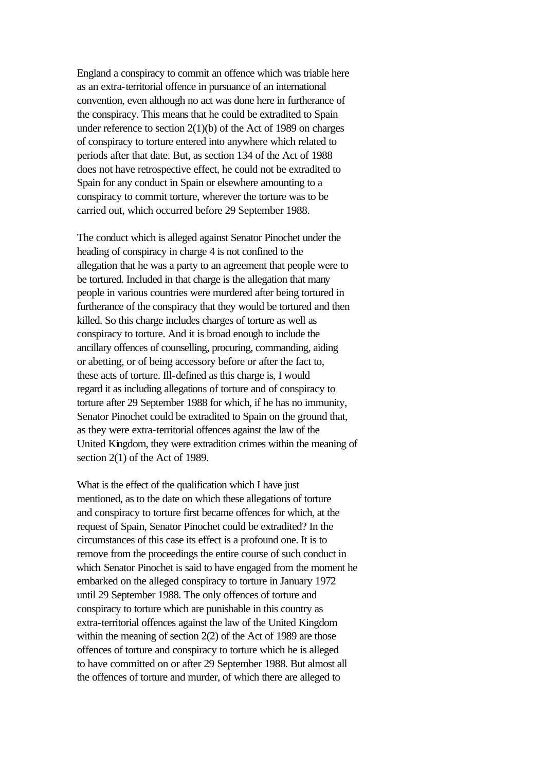England a conspiracy to commit an offence which was triable here as an extra-territorial offence in pursuance of an international convention, even although no act was done here in furtherance of the conspiracy. This means that he could be extradited to Spain under reference to section 2(1)(b) of the Act of 1989 on charges of conspiracy to torture entered into anywhere which related to periods after that date. But, as section 134 of the Act of 1988 does not have retrospective effect, he could not be extradited to Spain for any conduct in Spain or elsewhere amounting to a conspiracy to commit torture, wherever the torture was to be carried out, which occurred before 29 September 1988.

 The conduct which is alleged against Senator Pinochet under the heading of conspiracy in charge 4 is not confined to the allegation that he was a party to an agreement that people were to be tortured. Included in that charge is the allegation that many people in various countries were murdered after being tortured in furtherance of the conspiracy that they would be tortured and then killed. So this charge includes charges of torture as well as conspiracy to torture. And it is broad enough to include the ancillary offences of counselling, procuring, commanding, aiding or abetting, or of being accessory before or after the fact to, these acts of torture. Ill-defined as this charge is, I would regard it as including allegations of torture and of conspiracy to torture after 29 September 1988 for which, if he has no immunity, Senator Pinochet could be extradited to Spain on the ground that, as they were extra-territorial offences against the law of the United Kingdom, they were extradition crimes within the meaning of section 2(1) of the Act of 1989.

 What is the effect of the qualification which I have just mentioned, as to the date on which these allegations of torture and conspiracy to torture first became offences for which, at the request of Spain, Senator Pinochet could be extradited? In the circumstances of this case its effect is a profound one. It is to remove from the proceedings the entire course of such conduct in which Senator Pinochet is said to have engaged from the moment he embarked on the alleged conspiracy to torture in January 1972 until 29 September 1988. The only offences of torture and conspiracy to torture which are punishable in this country as extra-territorial offences against the law of the United Kingdom within the meaning of section 2(2) of the Act of 1989 are those offences of torture and conspiracy to torture which he is alleged to have committed on or after 29 September 1988. But almost all the offences of torture and murder, of which there are alleged to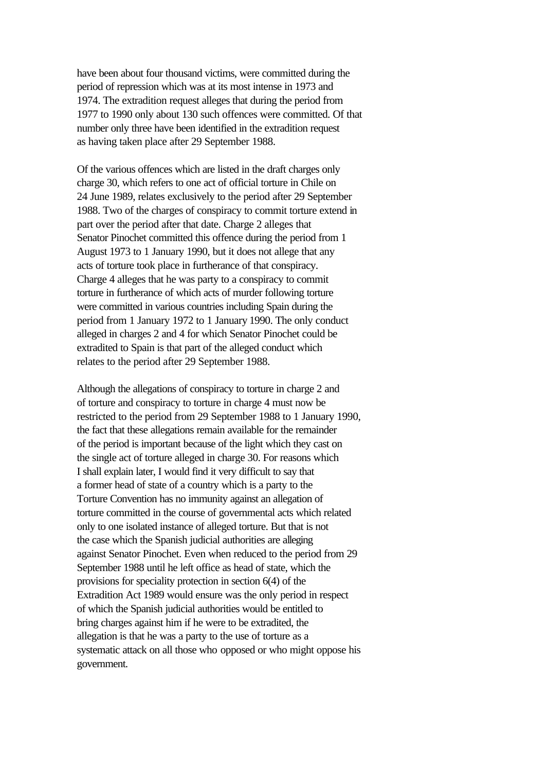have been about four thousand victims, were committed during the period of repression which was at its most intense in 1973 and 1974. The extradition request alleges that during the period from 1977 to 1990 only about 130 such offences were committed. Of that number only three have been identified in the extradition request as having taken place after 29 September 1988.

 Of the various offences which are listed in the draft charges only charge 30, which refers to one act of official torture in Chile on 24 June 1989, relates exclusively to the period after 29 September 1988. Two of the charges of conspiracy to commit torture extend in part over the period after that date. Charge 2 alleges that Senator Pinochet committed this offence during the period from 1 August 1973 to 1 January 1990, but it does not allege that any acts of torture took place in furtherance of that conspiracy. Charge 4 alleges that he was party to a conspiracy to commit torture in furtherance of which acts of murder following torture were committed in various countries including Spain during the period from 1 January 1972 to 1 January 1990. The only conduct alleged in charges 2 and 4 for which Senator Pinochet could be extradited to Spain is that part of the alleged conduct which relates to the period after 29 September 1988.

 Although the allegations of conspiracy to torture in charge 2 and of torture and conspiracy to torture in charge 4 must now be restricted to the period from 29 September 1988 to 1 January 1990, the fact that these allegations remain available for the remainder of the period is important because of the light which they cast on the single act of torture alleged in charge 30. For reasons which I shall explain later, I would find it very difficult to say that a former head of state of a country which is a party to the Torture Convention has no immunity against an allegation of torture committed in the course of governmental acts which related only to one isolated instance of alleged torture. But that is not the case which the Spanish judicial authorities are alleging against Senator Pinochet. Even when reduced to the period from 29 September 1988 until he left office as head of state, which the provisions for speciality protection in section 6(4) of the Extradition Act 1989 would ensure was the only period in respect of which the Spanish judicial authorities would be entitled to bring charges against him if he were to be extradited, the allegation is that he was a party to the use of torture as a systematic attack on all those who opposed or who might oppose his government.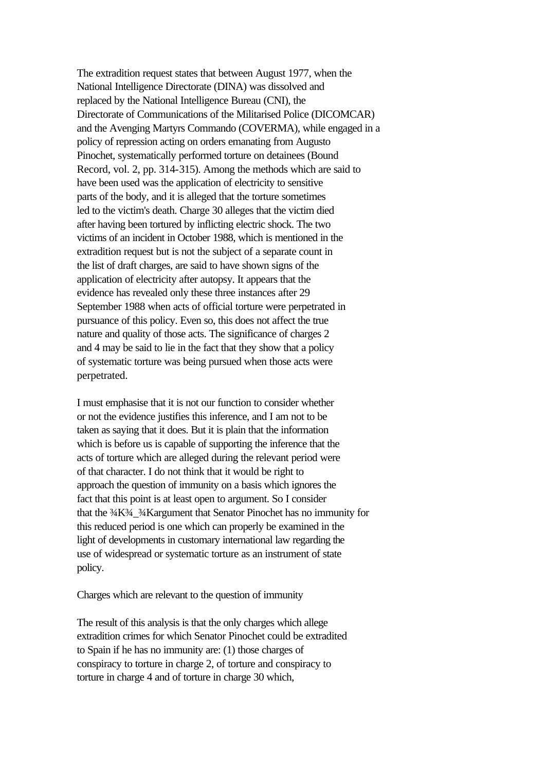The extradition request states that between August 1977, when the National Intelligence Directorate (DINA) was dissolved and replaced by the National Intelligence Bureau (CNI), the Directorate of Communications of the Militarised Police (DICOMCAR) and the Avenging Martyrs Commando (COVERMA), while engaged in a policy of repression acting on orders emanating from Augusto Pinochet, systematically performed torture on detainees (Bound Record, vol. 2, pp. 314-315). Among the methods which are said to have been used was the application of electricity to sensitive parts of the body, and it is alleged that the torture sometimes led to the victim's death. Charge 30 alleges that the victim died after having been tortured by inflicting electric shock. The two victims of an incident in October 1988, which is mentioned in the extradition request but is not the subject of a separate count in the list of draft charges, are said to have shown signs of the application of electricity after autopsy. It appears that the evidence has revealed only these three instances after 29 September 1988 when acts of official torture were perpetrated in pursuance of this policy. Even so, this does not affect the true nature and quality of those acts. The significance of charges 2 and 4 may be said to lie in the fact that they show that a policy of systematic torture was being pursued when those acts were perpetrated.

 I must emphasise that it is not our function to consider whether or not the evidence justifies this inference, and I am not to be taken as saying that it does. But it is plain that the information which is before us is capable of supporting the inference that the acts of torture which are alleged during the relevant period were of that character. I do not think that it would be right to approach the question of immunity on a basis which ignores the fact that this point is at least open to argument. So I consider that the ¾K¾\_¾Kargument that Senator Pinochet has no immunity for this reduced period is one which can properly be examined in the light of developments in customary international law regarding the use of widespread or systematic torture as an instrument of state policy.

Charges which are relevant to the question of immunity

 The result of this analysis is that the only charges which allege extradition crimes for which Senator Pinochet could be extradited to Spain if he has no immunity are: (1) those charges of conspiracy to torture in charge 2, of torture and conspiracy to torture in charge 4 and of torture in charge 30 which,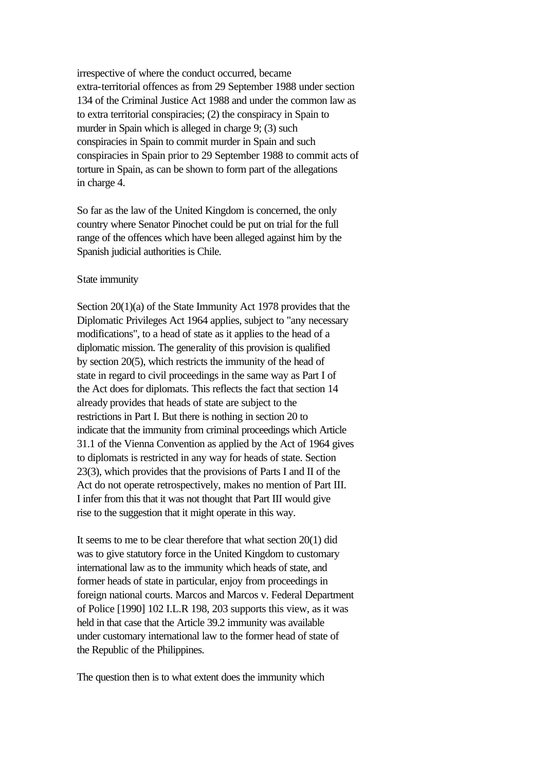irrespective of where the conduct occurred, became extra-territorial offences as from 29 September 1988 under section 134 of the Criminal Justice Act 1988 and under the common law as to extra territorial conspiracies; (2) the conspiracy in Spain to murder in Spain which is alleged in charge 9; (3) such conspiracies in Spain to commit murder in Spain and such conspiracies in Spain prior to 29 September 1988 to commit acts of torture in Spain, as can be shown to form part of the allegations in charge 4.

 So far as the law of the United Kingdom is concerned, the only country where Senator Pinochet could be put on trial for the full range of the offences which have been alleged against him by the Spanish judicial authorities is Chile.

### State immunity

 Section 20(1)(a) of the State Immunity Act 1978 provides that the Diplomatic Privileges Act 1964 applies, subject to "any necessary modifications", to a head of state as it applies to the head of a diplomatic mission. The generality of this provision is qualified by section 20(5), which restricts the immunity of the head of state in regard to civil proceedings in the same way as Part I of the Act does for diplomats. This reflects the fact that section 14 already provides that heads of state are subject to the restrictions in Part I. But there is nothing in section 20 to indicate that the immunity from criminal proceedings which Article 31.1 of the Vienna Convention as applied by the Act of 1964 gives to diplomats is restricted in any way for heads of state. Section 23(3), which provides that the provisions of Parts I and II of the Act do not operate retrospectively, makes no mention of Part III. I infer from this that it was not thought that Part III would give rise to the suggestion that it might operate in this way.

 It seems to me to be clear therefore that what section 20(1) did was to give statutory force in the United Kingdom to customary international law as to the immunity which heads of state, and former heads of state in particular, enjoy from proceedings in foreign national courts. Marcos and Marcos v. Federal Department of Police [1990] 102 I.L.R 198, 203 supports this view, as it was held in that case that the Article 39.2 immunity was available under customary international law to the former head of state of the Republic of the Philippines.

The question then is to what extent does the immunity which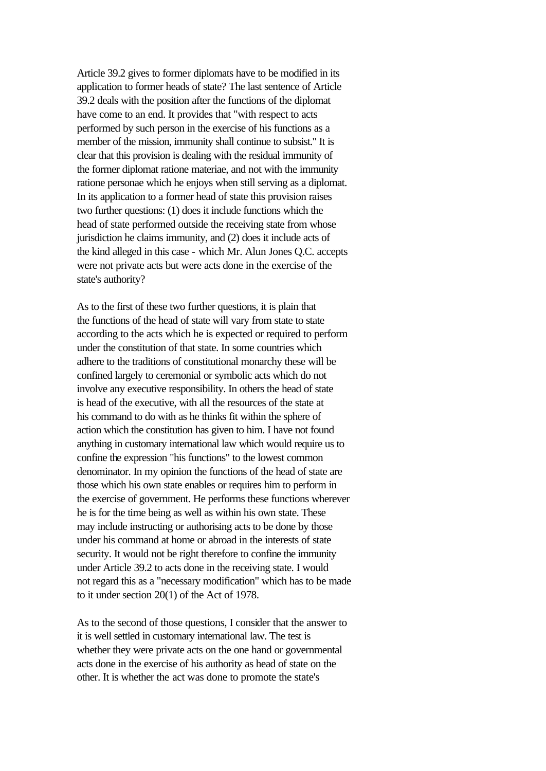Article 39.2 gives to former diplomats have to be modified in its application to former heads of state? The last sentence of Article 39.2 deals with the position after the functions of the diplomat have come to an end. It provides that "with respect to acts performed by such person in the exercise of his functions as a member of the mission, immunity shall continue to subsist." It is clear that this provision is dealing with the residual immunity of the former diplomat ratione materiae, and not with the immunity ratione personae which he enjoys when still serving as a diplomat. In its application to a former head of state this provision raises two further questions: (1) does it include functions which the head of state performed outside the receiving state from whose jurisdiction he claims immunity, and (2) does it include acts of the kind alleged in this case - which Mr. Alun Jones Q.C. accepts were not private acts but were acts done in the exercise of the state's authority?

 As to the first of these two further questions, it is plain that the functions of the head of state will vary from state to state according to the acts which he is expected or required to perform under the constitution of that state. In some countries which adhere to the traditions of constitutional monarchy these will be confined largely to ceremonial or symbolic acts which do not involve any executive responsibility. In others the head of state is head of the executive, with all the resources of the state at his command to do with as he thinks fit within the sphere of action which the constitution has given to him. I have not found anything in customary international law which would require us to confine the expression "his functions" to the lowest common denominator. In my opinion the functions of the head of state are those which his own state enables or requires him to perform in the exercise of government. He performs these functions wherever he is for the time being as well as within his own state. These may include instructing or authorising acts to be done by those under his command at home or abroad in the interests of state security. It would not be right therefore to confine the immunity under Article 39.2 to acts done in the receiving state. I would not regard this as a "necessary modification" which has to be made to it under section 20(1) of the Act of 1978.

 As to the second of those questions, I consider that the answer to it is well settled in customary international law. The test is whether they were private acts on the one hand or governmental acts done in the exercise of his authority as head of state on the other. It is whether the act was done to promote the state's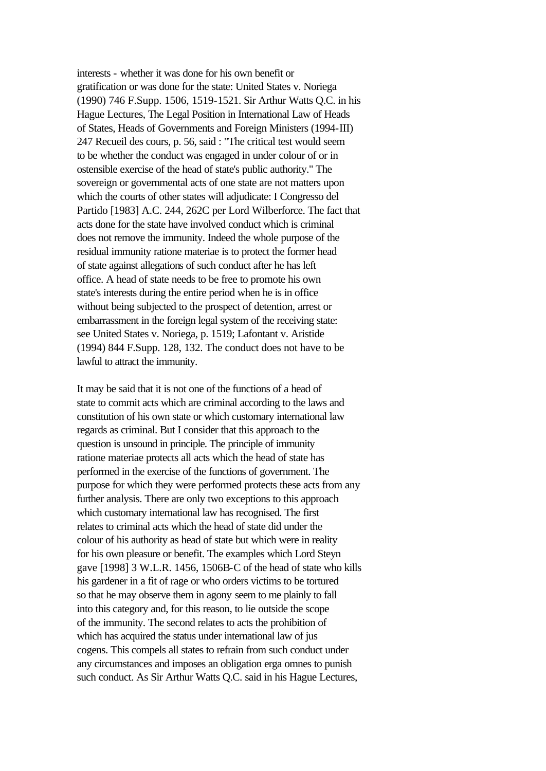interests - whether it was done for his own benefit or gratification or was done for the state: United States v. Noriega (1990) 746 F.Supp. 1506, 1519-1521. Sir Arthur Watts Q.C. in his Hague Lectures, The Legal Position in International Law of Heads of States, Heads of Governments and Foreign Ministers (1994-III) 247 Recueil des cours, p. 56, said : "The critical test would seem to be whether the conduct was engaged in under colour of or in ostensible exercise of the head of state's public authority." The sovereign or governmental acts of one state are not matters upon which the courts of other states will adjudicate: I Congresso del Partido [1983] A.C. 244, 262C per Lord Wilberforce. The fact that acts done for the state have involved conduct which is criminal does not remove the immunity. Indeed the whole purpose of the residual immunity ratione materiae is to protect the former head of state against allegations of such conduct after he has left office. A head of state needs to be free to promote his own state's interests during the entire period when he is in office without being subjected to the prospect of detention, arrest or embarrassment in the foreign legal system of the receiving state: see United States v. Noriega, p. 1519; Lafontant v. Aristide (1994) 844 F.Supp. 128, 132. The conduct does not have to be lawful to attract the immunity.

 It may be said that it is not one of the functions of a head of state to commit acts which are criminal according to the laws and constitution of his own state or which customary international law regards as criminal. But I consider that this approach to the question is unsound in principle. The principle of immunity ratione materiae protects all acts which the head of state has performed in the exercise of the functions of government. The purpose for which they were performed protects these acts from any further analysis. There are only two exceptions to this approach which customary international law has recognised. The first relates to criminal acts which the head of state did under the colour of his authority as head of state but which were in reality for his own pleasure or benefit. The examples which Lord Steyn gave [1998] 3 W.L.R. 1456, 1506B-C of the head of state who kills his gardener in a fit of rage or who orders victims to be tortured so that he may observe them in agony seem to me plainly to fall into this category and, for this reason, to lie outside the scope of the immunity. The second relates to acts the prohibition of which has acquired the status under international law of jus cogens. This compels all states to refrain from such conduct under any circumstances and imposes an obligation erga omnes to punish such conduct. As Sir Arthur Watts Q.C. said in his Hague Lectures,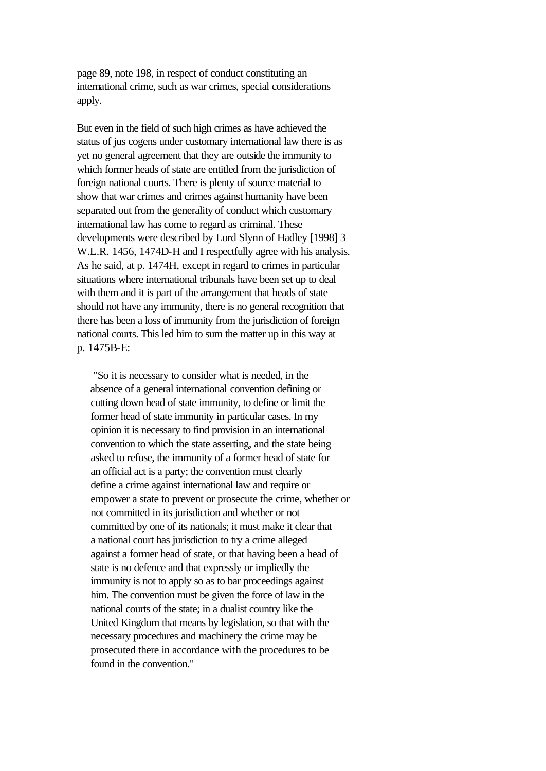page 89, note 198, in respect of conduct constituting an international crime, such as war crimes, special considerations apply.

 But even in the field of such high crimes as have achieved the status of jus cogens under customary international law there is as yet no general agreement that they are outside the immunity to which former heads of state are entitled from the jurisdiction of foreign national courts. There is plenty of source material to show that war crimes and crimes against humanity have been separated out from the generality of conduct which customary international law has come to regard as criminal. These developments were described by Lord Slynn of Hadley [1998] 3 W.L.R. 1456, 1474D-H and I respectfully agree with his analysis. As he said, at p. 1474H, except in regard to crimes in particular situations where international tribunals have been set up to deal with them and it is part of the arrangement that heads of state should not have any immunity, there is no general recognition that there has been a loss of immunity from the jurisdiction of foreign national courts. This led him to sum the matter up in this way at p. 1475B-E:

 "So it is necessary to consider what is needed, in the absence of a general international convention defining or cutting down head of state immunity, to define or limit the former head of state immunity in particular cases. In my opinion it is necessary to find provision in an international convention to which the state asserting, and the state being asked to refuse, the immunity of a former head of state for an official act is a party; the convention must clearly define a crime against international law and require or empower a state to prevent or prosecute the crime, whether or not committed in its jurisdiction and whether or not committed by one of its nationals; it must make it clear that a national court has jurisdiction to try a crime alleged against a former head of state, or that having been a head of state is no defence and that expressly or impliedly the immunity is not to apply so as to bar proceedings against him. The convention must be given the force of law in the national courts of the state; in a dualist country like the United Kingdom that means by legislation, so that with the necessary procedures and machinery the crime may be prosecuted there in accordance with the procedures to be found in the convention."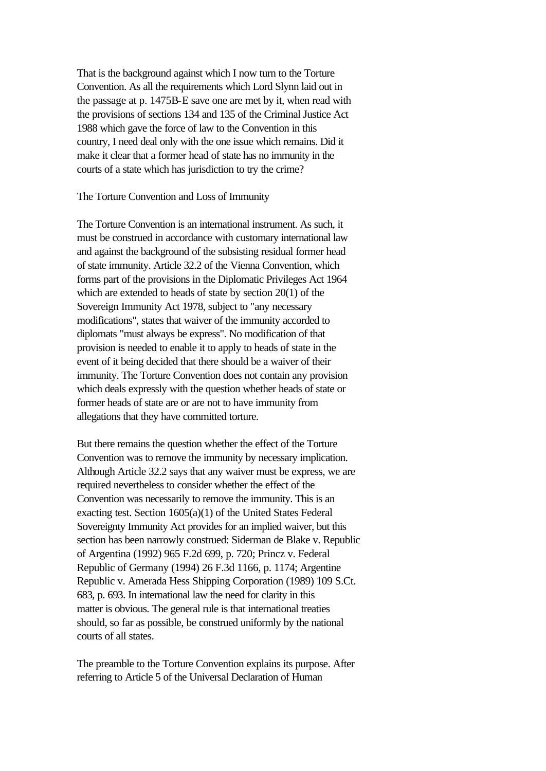That is the background against which I now turn to the Torture Convention. As all the requirements which Lord Slynn laid out in the passage at p. 1475B-E save one are met by it, when read with the provisions of sections 134 and 135 of the Criminal Justice Act 1988 which gave the force of law to the Convention in this country, I need deal only with the one issue which remains. Did it make it clear that a former head of state has no immunity in the courts of a state which has jurisdiction to try the crime?

The Torture Convention and Loss of Immunity

 The Torture Convention is an international instrument. As such, it must be construed in accordance with customary international law and against the background of the subsisting residual former head of state immunity. Article 32.2 of the Vienna Convention, which forms part of the provisions in the Diplomatic Privileges Act 1964 which are extended to heads of state by section 20(1) of the Sovereign Immunity Act 1978, subject to "any necessary modifications", states that waiver of the immunity accorded to diplomats "must always be express". No modification of that provision is needed to enable it to apply to heads of state in the event of it being decided that there should be a waiver of their immunity. The Torture Convention does not contain any provision which deals expressly with the question whether heads of state or former heads of state are or are not to have immunity from allegations that they have committed torture.

 But there remains the question whether the effect of the Torture Convention was to remove the immunity by necessary implication. Although Article 32.2 says that any waiver must be express, we are required nevertheless to consider whether the effect of the Convention was necessarily to remove the immunity. This is an exacting test. Section 1605(a)(1) of the United States Federal Sovereignty Immunity Act provides for an implied waiver, but this section has been narrowly construed: Siderman de Blake v. Republic of Argentina (1992) 965 F.2d 699, p. 720; Princz v. Federal Republic of Germany (1994) 26 F.3d 1166, p. 1174; Argentine Republic v. Amerada Hess Shipping Corporation (1989) 109 S.Ct. 683, p. 693. In international law the need for clarity in this matter is obvious. The general rule is that international treaties should, so far as possible, be construed uniformly by the national courts of all states.

 The preamble to the Torture Convention explains its purpose. After referring to Article 5 of the Universal Declaration of Human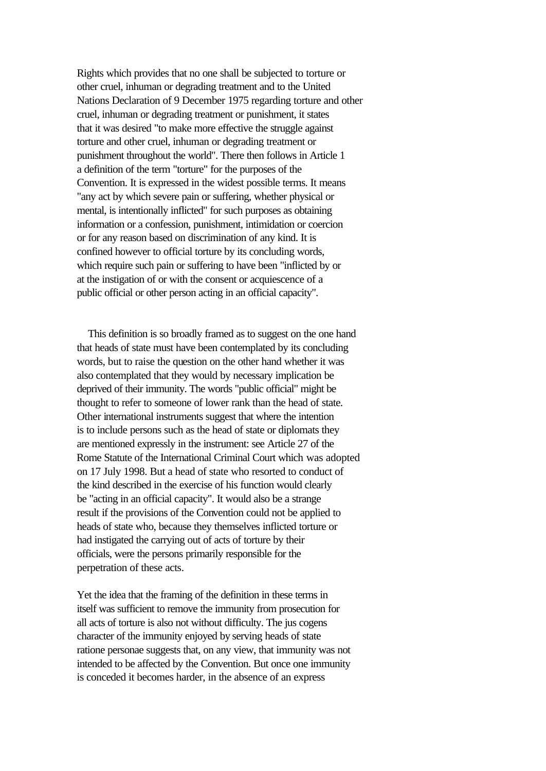Rights which provides that no one shall be subjected to torture or other cruel, inhuman or degrading treatment and to the United Nations Declaration of 9 December 1975 regarding torture and other cruel, inhuman or degrading treatment or punishment, it states that it was desired "to make more effective the struggle against torture and other cruel, inhuman or degrading treatment or punishment throughout the world". There then follows in Article 1 a definition of the term "torture" for the purposes of the Convention. It is expressed in the widest possible terms. It means "any act by which severe pain or suffering, whether physical or mental, is intentionally inflicted" for such purposes as obtaining information or a confession, punishment, intimidation or coercion or for any reason based on discrimination of any kind. It is confined however to official torture by its concluding words, which require such pain or suffering to have been "inflicted by or at the instigation of or with the consent or acquiescence of a public official or other person acting in an official capacity".

 This definition is so broadly framed as to suggest on the one hand that heads of state must have been contemplated by its concluding words, but to raise the question on the other hand whether it was also contemplated that they would by necessary implication be deprived of their immunity. The words "public official" might be thought to refer to someone of lower rank than the head of state. Other international instruments suggest that where the intention is to include persons such as the head of state or diplomats they are mentioned expressly in the instrument: see Article 27 of the Rome Statute of the International Criminal Court which was adopted on 17 July 1998. But a head of state who resorted to conduct of the kind described in the exercise of his function would clearly be "acting in an official capacity". It would also be a strange result if the provisions of the Convention could not be applied to heads of state who, because they themselves inflicted torture or had instigated the carrying out of acts of torture by their officials, were the persons primarily responsible for the perpetration of these acts.

 Yet the idea that the framing of the definition in these terms in itself was sufficient to remove the immunity from prosecution for all acts of torture is also not without difficulty. The jus cogens character of the immunity enjoyed by serving heads of state ratione personae suggests that, on any view, that immunity was not intended to be affected by the Convention. But once one immunity is conceded it becomes harder, in the absence of an express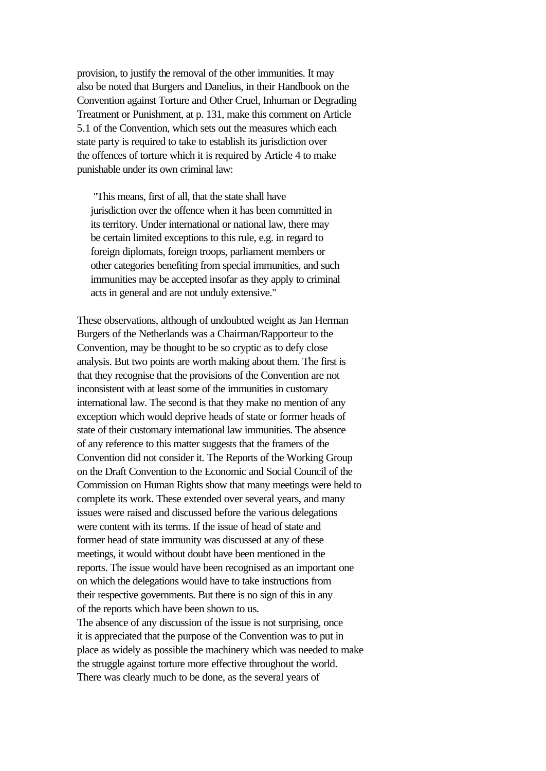provision, to justify the removal of the other immunities. It may also be noted that Burgers and Danelius, in their Handbook on the Convention against Torture and Other Cruel, Inhuman or Degrading Treatment or Punishment, at p. 131, make this comment on Article 5.1 of the Convention, which sets out the measures which each state party is required to take to establish its jurisdiction over the offences of torture which it is required by Article 4 to make punishable under its own criminal law:

 "This means, first of all, that the state shall have jurisdiction over the offence when it has been committed in its territory. Under international or national law, there may be certain limited exceptions to this rule, e.g. in regard to foreign diplomats, foreign troops, parliament members or other categories benefiting from special immunities, and such immunities may be accepted insofar as they apply to criminal acts in general and are not unduly extensive."

 These observations, although of undoubted weight as Jan Herman Burgers of the Netherlands was a Chairman/Rapporteur to the Convention, may be thought to be so cryptic as to defy close analysis. But two points are worth making about them. The first is that they recognise that the provisions of the Convention are not inconsistent with at least some of the immunities in customary international law. The second is that they make no mention of any exception which would deprive heads of state or former heads of state of their customary international law immunities. The absence of any reference to this matter suggests that the framers of the Convention did not consider it. The Reports of the Working Group on the Draft Convention to the Economic and Social Council of the Commission on Human Rights show that many meetings were held to complete its work. These extended over several years, and many issues were raised and discussed before the various delegations were content with its terms. If the issue of head of state and former head of state immunity was discussed at any of these meetings, it would without doubt have been mentioned in the reports. The issue would have been recognised as an important one on which the delegations would have to take instructions from their respective governments. But there is no sign of this in any of the reports which have been shown to us. The absence of any discussion of the issue is not surprising, once

 it is appreciated that the purpose of the Convention was to put in place as widely as possible the machinery which was needed to make the struggle against torture more effective throughout the world. There was clearly much to be done, as the several years of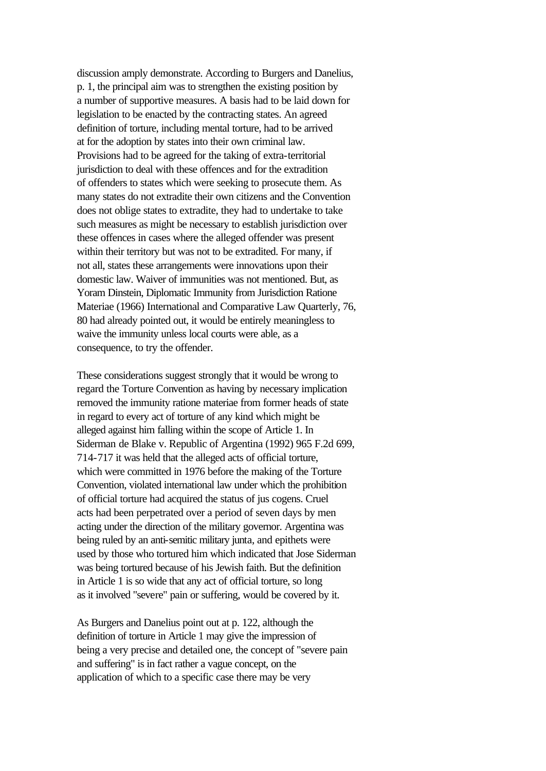discussion amply demonstrate. According to Burgers and Danelius, p. 1, the principal aim was to strengthen the existing position by a number of supportive measures. A basis had to be laid down for legislation to be enacted by the contracting states. An agreed definition of torture, including mental torture, had to be arrived at for the adoption by states into their own criminal law. Provisions had to be agreed for the taking of extra-territorial jurisdiction to deal with these offences and for the extradition of offenders to states which were seeking to prosecute them. As many states do not extradite their own citizens and the Convention does not oblige states to extradite, they had to undertake to take such measures as might be necessary to establish jurisdiction over these offences in cases where the alleged offender was present within their territory but was not to be extradited. For many, if not all, states these arrangements were innovations upon their domestic law. Waiver of immunities was not mentioned. But, as Yoram Dinstein, Diplomatic Immunity from Jurisdiction Ratione Materiae (1966) International and Comparative Law Quarterly, 76, 80 had already pointed out, it would be entirely meaningless to waive the immunity unless local courts were able, as a consequence, to try the offender.

 These considerations suggest strongly that it would be wrong to regard the Torture Convention as having by necessary implication removed the immunity ratione materiae from former heads of state in regard to every act of torture of any kind which might be alleged against him falling within the scope of Article 1. In Siderman de Blake v. Republic of Argentina (1992) 965 F.2d 699, 714-717 it was held that the alleged acts of official torture, which were committed in 1976 before the making of the Torture Convention, violated international law under which the prohibition of official torture had acquired the status of jus cogens. Cruel acts had been perpetrated over a period of seven days by men acting under the direction of the military governor. Argentina was being ruled by an anti-semitic military junta, and epithets were used by those who tortured him which indicated that Jose Siderman was being tortured because of his Jewish faith. But the definition in Article 1 is so wide that any act of official torture, so long as it involved "severe" pain or suffering, would be covered by it.

 As Burgers and Danelius point out at p. 122, although the definition of torture in Article 1 may give the impression of being a very precise and detailed one, the concept of "severe pain and suffering" is in fact rather a vague concept, on the application of which to a specific case there may be very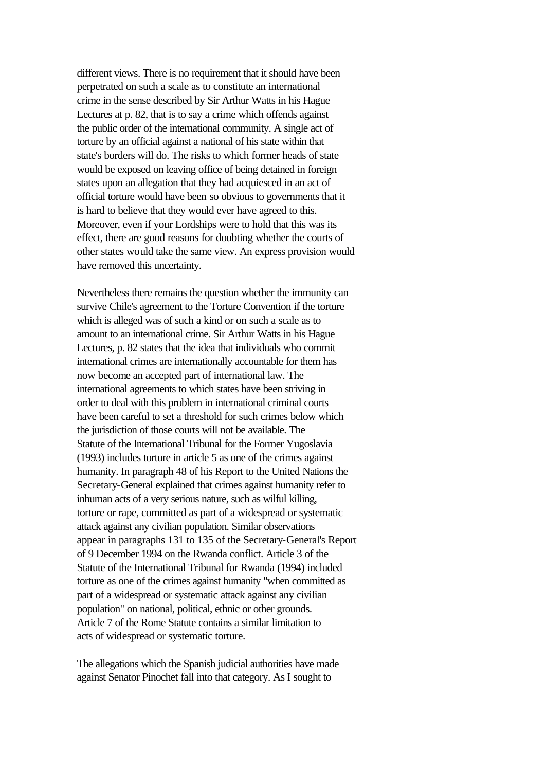different views. There is no requirement that it should have been perpetrated on such a scale as to constitute an international crime in the sense described by Sir Arthur Watts in his Hague Lectures at p. 82, that is to say a crime which offends against the public order of the international community. A single act of torture by an official against a national of his state within that state's borders will do. The risks to which former heads of state would be exposed on leaving office of being detained in foreign states upon an allegation that they had acquiesced in an act of official torture would have been so obvious to governments that it is hard to believe that they would ever have agreed to this. Moreover, even if your Lordships were to hold that this was its effect, there are good reasons for doubting whether the courts of other states would take the same view. An express provision would have removed this uncertainty.

 Nevertheless there remains the question whether the immunity can survive Chile's agreement to the Torture Convention if the torture which is alleged was of such a kind or on such a scale as to amount to an international crime. Sir Arthur Watts in his Hague Lectures, p. 82 states that the idea that individuals who commit international crimes are internationally accountable for them has now become an accepted part of international law. The international agreements to which states have been striving in order to deal with this problem in international criminal courts have been careful to set a threshold for such crimes below which the jurisdiction of those courts will not be available. The Statute of the International Tribunal for the Former Yugoslavia (1993) includes torture in article 5 as one of the crimes against humanity. In paragraph 48 of his Report to the United Nations the Secretary-General explained that crimes against humanity refer to inhuman acts of a very serious nature, such as wilful killing, torture or rape, committed as part of a widespread or systematic attack against any civilian population. Similar observations appear in paragraphs 131 to 135 of the Secretary-General's Report of 9 December 1994 on the Rwanda conflict. Article 3 of the Statute of the International Tribunal for Rwanda (1994) included torture as one of the crimes against humanity "when committed as part of a widespread or systematic attack against any civilian population" on national, political, ethnic or other grounds. Article 7 of the Rome Statute contains a similar limitation to acts of widespread or systematic torture.

 The allegations which the Spanish judicial authorities have made against Senator Pinochet fall into that category. As I sought to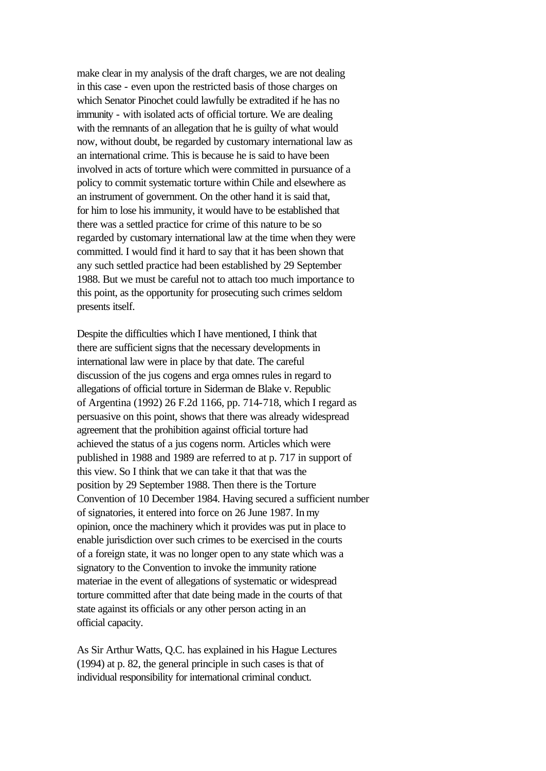make clear in my analysis of the draft charges, we are not dealing in this case - even upon the restricted basis of those charges on which Senator Pinochet could lawfully be extradited if he has no immunity - with isolated acts of official torture. We are dealing with the remnants of an allegation that he is guilty of what would now, without doubt, be regarded by customary international law as an international crime. This is because he is said to have been involved in acts of torture which were committed in pursuance of a policy to commit systematic torture within Chile and elsewhere as an instrument of government. On the other hand it is said that, for him to lose his immunity, it would have to be established that there was a settled practice for crime of this nature to be so regarded by customary international law at the time when they were committed. I would find it hard to say that it has been shown that any such settled practice had been established by 29 September 1988. But we must be careful not to attach too much importance to this point, as the opportunity for prosecuting such crimes seldom presents itself.

 Despite the difficulties which I have mentioned, I think that there are sufficient signs that the necessary developments in international law were in place by that date. The careful discussion of the jus cogens and erga omnes rules in regard to allegations of official torture in Siderman de Blake v. Republic of Argentina (1992) 26 F.2d 1166, pp. 714-718, which I regard as persuasive on this point, shows that there was already widespread agreement that the prohibition against official torture had achieved the status of a jus cogens norm. Articles which were published in 1988 and 1989 are referred to at p. 717 in support of this view. So I think that we can take it that that was the position by 29 September 1988. Then there is the Torture Convention of 10 December 1984. Having secured a sufficient number of signatories, it entered into force on 26 June 1987. In my opinion, once the machinery which it provides was put in place to enable jurisdiction over such crimes to be exercised in the courts of a foreign state, it was no longer open to any state which was a signatory to the Convention to invoke the immunity ratione materiae in the event of allegations of systematic or widespread torture committed after that date being made in the courts of that state against its officials or any other person acting in an official capacity.

 As Sir Arthur Watts, Q.C. has explained in his Hague Lectures (1994) at p. 82, the general principle in such cases is that of individual responsibility for international criminal conduct.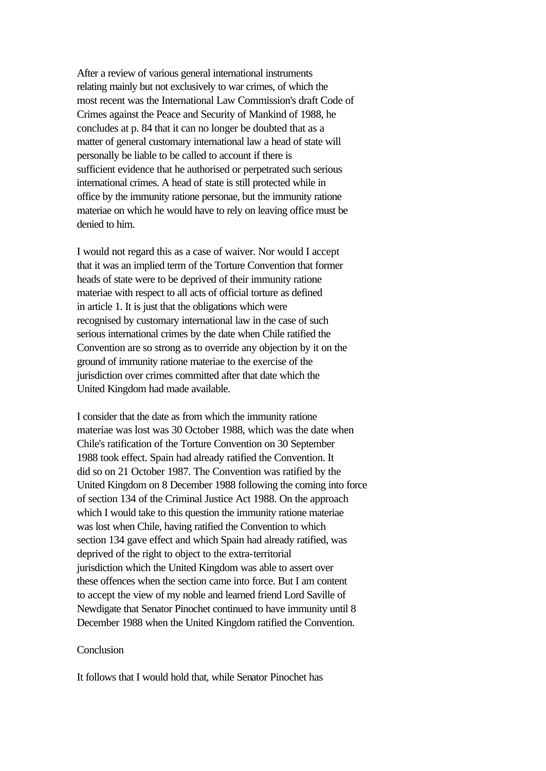After a review of various general international instruments relating mainly but not exclusively to war crimes, of which the most recent was the International Law Commission's draft Code of Crimes against the Peace and Security of Mankind of 1988, he concludes at p. 84 that it can no longer be doubted that as a matter of general customary international law a head of state will personally be liable to be called to account if there is sufficient evidence that he authorised or perpetrated such serious international crimes. A head of state is still protected while in office by the immunity ratione personae, but the immunity ratione materiae on which he would have to rely on leaving office must be denied to him.

 I would not regard this as a case of waiver. Nor would I accept that it was an implied term of the Torture Convention that former heads of state were to be deprived of their immunity ratione materiae with respect to all acts of official torture as defined in article 1. It is just that the obligations which were recognised by customary international law in the case of such serious international crimes by the date when Chile ratified the Convention are so strong as to override any objection by it on the ground of immunity ratione materiae to the exercise of the jurisdiction over crimes committed after that date which the United Kingdom had made available.

 I consider that the date as from which the immunity ratione materiae was lost was 30 October 1988, which was the date when Chile's ratification of the Torture Convention on 30 September 1988 took effect. Spain had already ratified the Convention. It did so on 21 October 1987. The Convention was ratified by the United Kingdom on 8 December 1988 following the coming into force of section 134 of the Criminal Justice Act 1988. On the approach which I would take to this question the immunity ratione materiae was lost when Chile, having ratified the Convention to which section 134 gave effect and which Spain had already ratified, was deprived of the right to object to the extra-territorial jurisdiction which the United Kingdom was able to assert over these offences when the section came into force. But I am content to accept the view of my noble and learned friend Lord Saville of Newdigate that Senator Pinochet continued to have immunity until 8 December 1988 when the United Kingdom ratified the Convention.

### Conclusion

It follows that I would hold that, while Senator Pinochet has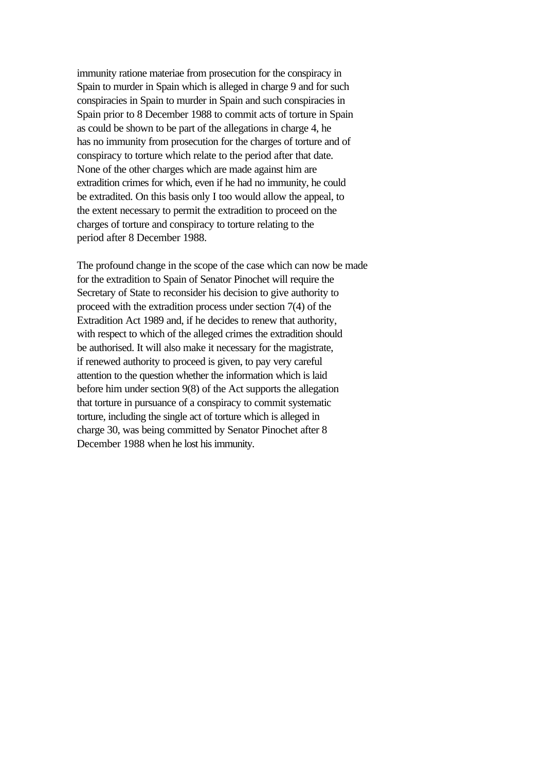immunity ratione materiae from prosecution for the conspiracy in Spain to murder in Spain which is alleged in charge 9 and for such conspiracies in Spain to murder in Spain and such conspiracies in Spain prior to 8 December 1988 to commit acts of torture in Spain as could be shown to be part of the allegations in charge 4, he has no immunity from prosecution for the charges of torture and of conspiracy to torture which relate to the period after that date. None of the other charges which are made against him are extradition crimes for which, even if he had no immunity, he could be extradited. On this basis only I too would allow the appeal, to the extent necessary to permit the extradition to proceed on the charges of torture and conspiracy to torture relating to the period after 8 December 1988.

 The profound change in the scope of the case which can now be made for the extradition to Spain of Senator Pinochet will require the Secretary of State to reconsider his decision to give authority to proceed with the extradition process under section 7(4) of the Extradition Act 1989 and, if he decides to renew that authority, with respect to which of the alleged crimes the extradition should be authorised. It will also make it necessary for the magistrate, if renewed authority to proceed is given, to pay very careful attention to the question whether the information which is laid before him under section 9(8) of the Act supports the allegation that torture in pursuance of a conspiracy to commit systematic torture, including the single act of torture which is alleged in charge 30, was being committed by Senator Pinochet after 8 December 1988 when he lost his immunity.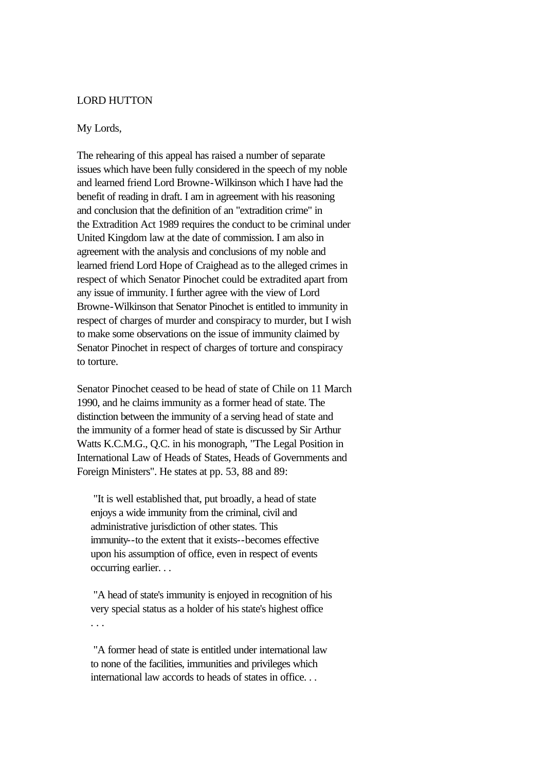#### LORD HUTTON

#### My Lords,

 The rehearing of this appeal has raised a number of separate issues which have been fully considered in the speech of my noble and learned friend Lord Browne-Wilkinson which I have had the benefit of reading in draft. I am in agreement with his reasoning and conclusion that the definition of an "extradition crime" in the Extradition Act 1989 requires the conduct to be criminal under United Kingdom law at the date of commission. I am also in agreement with the analysis and conclusions of my noble and learned friend Lord Hope of Craighead as to the alleged crimes in respect of which Senator Pinochet could be extradited apart from any issue of immunity. I further agree with the view of Lord Browne-Wilkinson that Senator Pinochet is entitled to immunity in respect of charges of murder and conspiracy to murder, but I wish to make some observations on the issue of immunity claimed by Senator Pinochet in respect of charges of torture and conspiracy to torture.

 Senator Pinochet ceased to be head of state of Chile on 11 March 1990, and he claims immunity as a former head of state. The distinction between the immunity of a serving head of state and the immunity of a former head of state is discussed by Sir Arthur Watts K.C.M.G., Q.C. in his monograph, "The Legal Position in International Law of Heads of States, Heads of Governments and Foreign Ministers". He states at pp. 53, 88 and 89:

 "It is well established that, put broadly, a head of state enjoys a wide immunity from the criminal, civil and administrative jurisdiction of other states. This immunity--to the extent that it exists--becomes effective upon his assumption of office, even in respect of events occurring earlier. . .

 "A head of state's immunity is enjoyed in recognition of his very special status as a holder of his state's highest office . . .

 "A former head of state is entitled under international law to none of the facilities, immunities and privileges which international law accords to heads of states in office. . .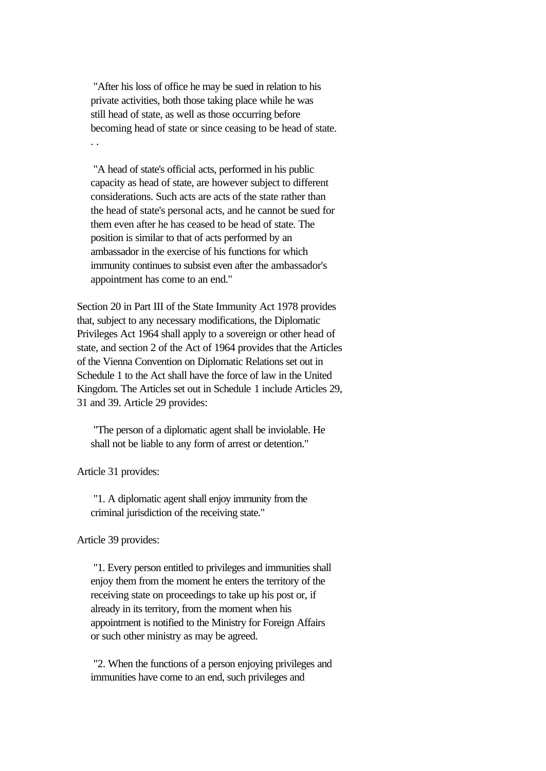"After his loss of office he may be sued in relation to his private activities, both those taking place while he was still head of state, as well as those occurring before becoming head of state or since ceasing to be head of state. . .

 "A head of state's official acts, performed in his public capacity as head of state, are however subject to different considerations. Such acts are acts of the state rather than the head of state's personal acts, and he cannot be sued for them even after he has ceased to be head of state. The position is similar to that of acts performed by an ambassador in the exercise of his functions for which immunity continues to subsist even after the ambassador's appointment has come to an end."

 Section 20 in Part III of the State Immunity Act 1978 provides that, subject to any necessary modifications, the Diplomatic Privileges Act 1964 shall apply to a sovereign or other head of state, and section 2 of the Act of 1964 provides that the Articles of the Vienna Convention on Diplomatic Relations set out in Schedule 1 to the Act shall have the force of law in the United Kingdom. The Articles set out in Schedule 1 include Articles 29, 31 and 39. Article 29 provides:

 "The person of a diplomatic agent shall be inviolable. He shall not be liable to any form of arrest or detention."

Article 31 provides:

 "1. A diplomatic agent shall enjoy immunity from the criminal jurisdiction of the receiving state."

Article 39 provides:

 "1. Every person entitled to privileges and immunities shall enjoy them from the moment he enters the territory of the receiving state on proceedings to take up his post or, if already in its territory, from the moment when his appointment is notified to the Ministry for Foreign Affairs or such other ministry as may be agreed.

 "2. When the functions of a person enjoying privileges and immunities have come to an end, such privileges and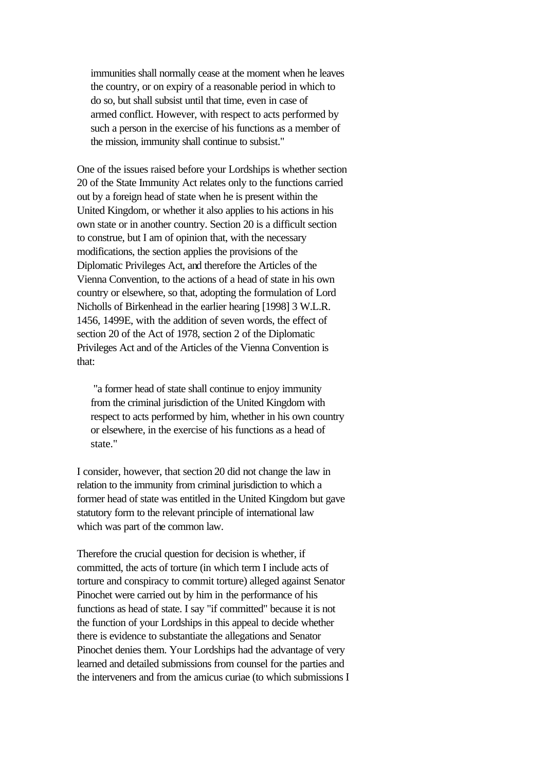immunities shall normally cease at the moment when he leaves the country, or on expiry of a reasonable period in which to do so, but shall subsist until that time, even in case of armed conflict. However, with respect to acts performed by such a person in the exercise of his functions as a member of the mission, immunity shall continue to subsist."

 One of the issues raised before your Lordships is whether section 20 of the State Immunity Act relates only to the functions carried out by a foreign head of state when he is present within the United Kingdom, or whether it also applies to his actions in his own state or in another country. Section 20 is a difficult section to construe, but I am of opinion that, with the necessary modifications, the section applies the provisions of the Diplomatic Privileges Act, and therefore the Articles of the Vienna Convention, to the actions of a head of state in his own country or elsewhere, so that, adopting the formulation of Lord Nicholls of Birkenhead in the earlier hearing [1998] 3 W.L.R. 1456, 1499E, with the addition of seven words, the effect of section 20 of the Act of 1978, section 2 of the Diplomatic Privileges Act and of the Articles of the Vienna Convention is that:

 "a former head of state shall continue to enjoy immunity from the criminal jurisdiction of the United Kingdom with respect to acts performed by him, whether in his own country or elsewhere, in the exercise of his functions as a head of state."

 I consider, however, that section 20 did not change the law in relation to the immunity from criminal jurisdiction to which a former head of state was entitled in the United Kingdom but gave statutory form to the relevant principle of international law which was part of the common law.

 Therefore the crucial question for decision is whether, if committed, the acts of torture (in which term I include acts of torture and conspiracy to commit torture) alleged against Senator Pinochet were carried out by him in the performance of his functions as head of state. I say "if committed" because it is not the function of your Lordships in this appeal to decide whether there is evidence to substantiate the allegations and Senator Pinochet denies them. Your Lordships had the advantage of very learned and detailed submissions from counsel for the parties and the interveners and from the amicus curiae (to which submissions I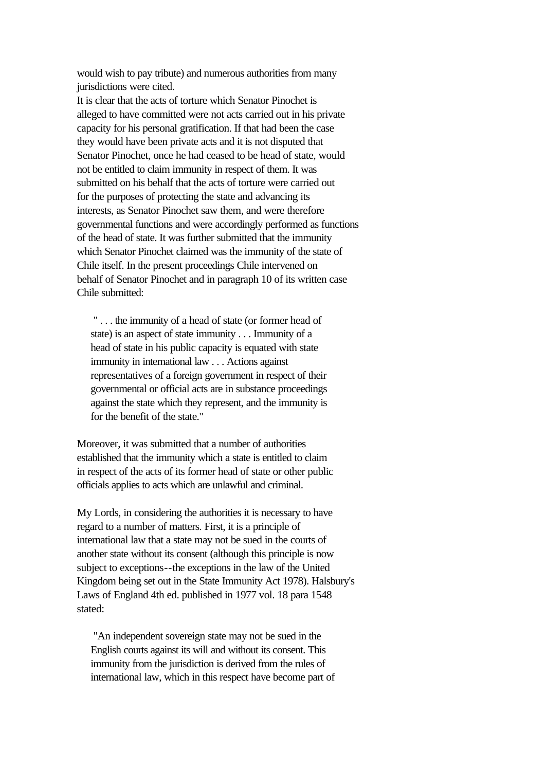would wish to pay tribute) and numerous authorities from many jurisdictions were cited.

 It is clear that the acts of torture which Senator Pinochet is alleged to have committed were not acts carried out in his private capacity for his personal gratification. If that had been the case they would have been private acts and it is not disputed that Senator Pinochet, once he had ceased to be head of state, would not be entitled to claim immunity in respect of them. It was submitted on his behalf that the acts of torture were carried out for the purposes of protecting the state and advancing its interests, as Senator Pinochet saw them, and were therefore governmental functions and were accordingly performed as functions of the head of state. It was further submitted that the immunity which Senator Pinochet claimed was the immunity of the state of Chile itself. In the present proceedings Chile intervened on behalf of Senator Pinochet and in paragraph 10 of its written case Chile submitted:

 " . . . the immunity of a head of state (or former head of state) is an aspect of state immunity . . . Immunity of a head of state in his public capacity is equated with state immunity in international law . . . Actions against representatives of a foreign government in respect of their governmental or official acts are in substance proceedings against the state which they represent, and the immunity is for the benefit of the state."

 Moreover, it was submitted that a number of authorities established that the immunity which a state is entitled to claim in respect of the acts of its former head of state or other public officials applies to acts which are unlawful and criminal.

 My Lords, in considering the authorities it is necessary to have regard to a number of matters. First, it is a principle of international law that a state may not be sued in the courts of another state without its consent (although this principle is now subject to exceptions--the exceptions in the law of the United Kingdom being set out in the State Immunity Act 1978). Halsbury's Laws of England 4th ed. published in 1977 vol. 18 para 1548 stated:

 "An independent sovereign state may not be sued in the English courts against its will and without its consent. This immunity from the jurisdiction is derived from the rules of international law, which in this respect have become part of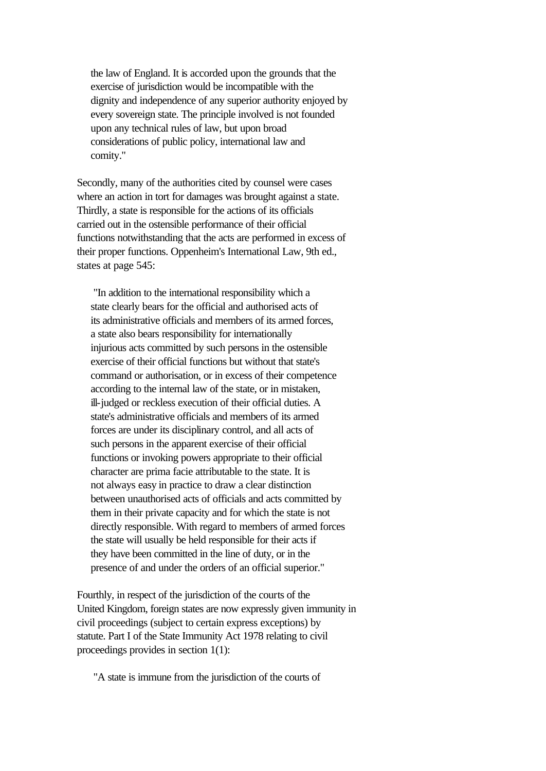the law of England. It is accorded upon the grounds that the exercise of jurisdiction would be incompatible with the dignity and independence of any superior authority enjoyed by every sovereign state. The principle involved is not founded upon any technical rules of law, but upon broad considerations of public policy, international law and comity."

 Secondly, many of the authorities cited by counsel were cases where an action in tort for damages was brought against a state. Thirdly, a state is responsible for the actions of its officials carried out in the ostensible performance of their official functions notwithstanding that the acts are performed in excess of their proper functions. Oppenheim's International Law, 9th ed., states at page 545:

 "In addition to the international responsibility which a state clearly bears for the official and authorised acts of its administrative officials and members of its armed forces, a state also bears responsibility for internationally injurious acts committed by such persons in the ostensible exercise of their official functions but without that state's command or authorisation, or in excess of their competence according to the internal law of the state, or in mistaken, ill-judged or reckless execution of their official duties. A state's administrative officials and members of its armed forces are under its disciplinary control, and all acts of such persons in the apparent exercise of their official functions or invoking powers appropriate to their official character are prima facie attributable to the state. It is not always easy in practice to draw a clear distinction between unauthorised acts of officials and acts committed by them in their private capacity and for which the state is not directly responsible. With regard to members of armed forces the state will usually be held responsible for their acts if they have been committed in the line of duty, or in the presence of and under the orders of an official superior."

 Fourthly, in respect of the jurisdiction of the courts of the United Kingdom, foreign states are now expressly given immunity in civil proceedings (subject to certain express exceptions) by statute. Part I of the State Immunity Act 1978 relating to civil proceedings provides in section 1(1):

"A state is immune from the jurisdiction of the courts of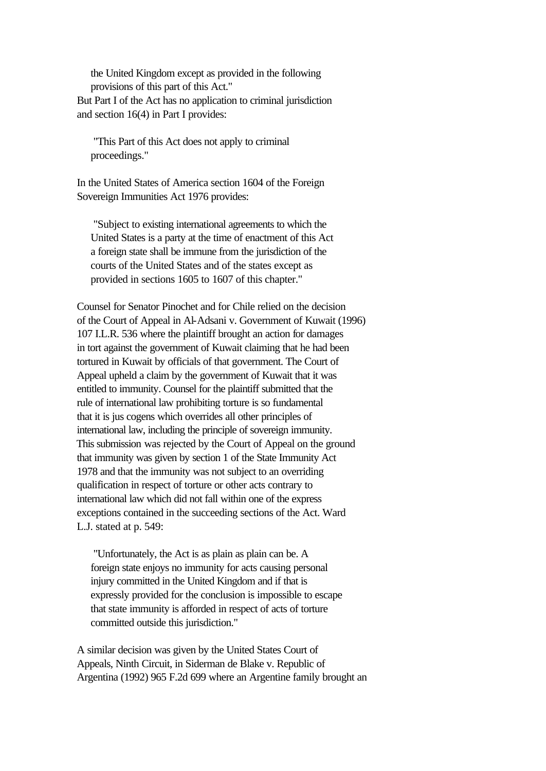the United Kingdom except as provided in the following provisions of this part of this Act." But Part I of the Act has no application to criminal jurisdiction and section 16(4) in Part I provides:

 "This Part of this Act does not apply to criminal proceedings."

 In the United States of America section 1604 of the Foreign Sovereign Immunities Act 1976 provides:

 "Subject to existing international agreements to which the United States is a party at the time of enactment of this Act a foreign state shall be immune from the jurisdiction of the courts of the United States and of the states except as provided in sections 1605 to 1607 of this chapter."

 Counsel for Senator Pinochet and for Chile relied on the decision of the Court of Appeal in Al-Adsani v. Government of Kuwait (1996) 107 I.L.R. 536 where the plaintiff brought an action for damages in tort against the government of Kuwait claiming that he had been tortured in Kuwait by officials of that government. The Court of Appeal upheld a claim by the government of Kuwait that it was entitled to immunity. Counsel for the plaintiff submitted that the rule of international law prohibiting torture is so fundamental that it is jus cogens which overrides all other principles of international law, including the principle of sovereign immunity. This submission was rejected by the Court of Appeal on the ground that immunity was given by section 1 of the State Immunity Act 1978 and that the immunity was not subject to an overriding qualification in respect of torture or other acts contrary to international law which did not fall within one of the express exceptions contained in the succeeding sections of the Act. Ward L.J. stated at p. 549:

 "Unfortunately, the Act is as plain as plain can be. A foreign state enjoys no immunity for acts causing personal injury committed in the United Kingdom and if that is expressly provided for the conclusion is impossible to escape that state immunity is afforded in respect of acts of torture committed outside this jurisdiction."

 A similar decision was given by the United States Court of Appeals, Ninth Circuit, in Siderman de Blake v. Republic of Argentina (1992) 965 F.2d 699 where an Argentine family brought an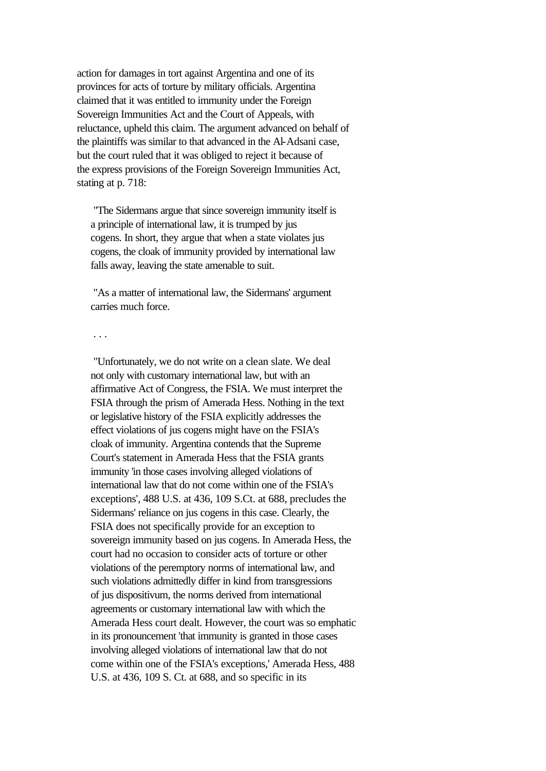action for damages in tort against Argentina and one of its provinces for acts of torture by military officials. Argentina claimed that it was entitled to immunity under the Foreign Sovereign Immunities Act and the Court of Appeals, with reluctance, upheld this claim. The argument advanced on behalf of the plaintiffs was similar to that advanced in the Al-Adsani case, but the court ruled that it was obliged to reject it because of the express provisions of the Foreign Sovereign Immunities Act, stating at p. 718:

 "The Sidermans argue that since sovereign immunity itself is a principle of international law, it is trumped by jus cogens. In short, they argue that when a state violates jus cogens, the cloak of immunity provided by international law falls away, leaving the state amenable to suit.

 "As a matter of international law, the Sidermans' argument carries much force.

. . .

 "Unfortunately, we do not write on a clean slate. We deal not only with customary international law, but with an affirmative Act of Congress, the FSIA. We must interpret the FSIA through the prism of Amerada Hess. Nothing in the text or legislative history of the FSIA explicitly addresses the effect violations of jus cogens might have on the FSIA's cloak of immunity. Argentina contends that the Supreme Court's statement in Amerada Hess that the FSIA grants immunity 'in those cases involving alleged violations of international law that do not come within one of the FSIA's exceptions', 488 U.S. at 436, 109 S.Ct. at 688, precludes the Sidermans' reliance on jus cogens in this case. Clearly, the FSIA does not specifically provide for an exception to sovereign immunity based on jus cogens. In Amerada Hess, the court had no occasion to consider acts of torture or other violations of the peremptory norms of international law, and such violations admittedly differ in kind from transgressions of jus dispositivum, the norms derived from international agreements or customary international law with which the Amerada Hess court dealt. However, the court was so emphatic in its pronouncement 'that immunity is granted in those cases involving alleged violations of international law that do not come within one of the FSIA's exceptions,' Amerada Hess, 488 U.S. at 436, 109 S. Ct. at 688, and so specific in its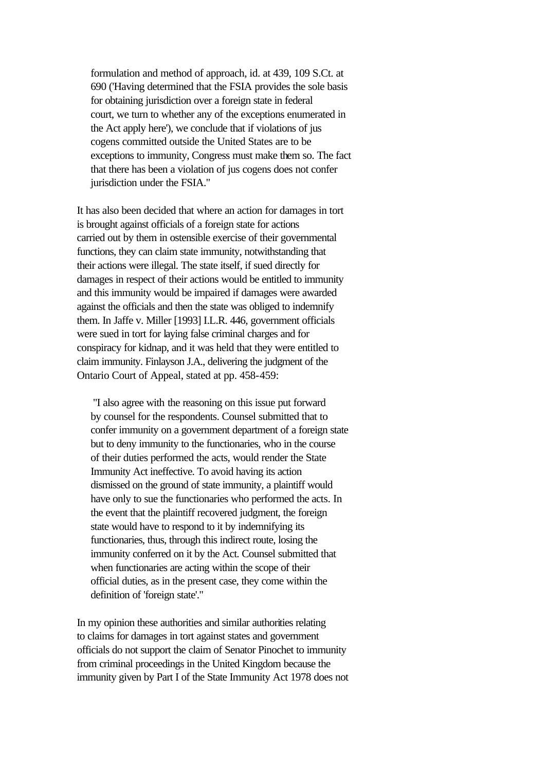formulation and method of approach, id. at 439, 109 S.Ct. at 690 ('Having determined that the FSIA provides the sole basis for obtaining jurisdiction over a foreign state in federal court, we turn to whether any of the exceptions enumerated in the Act apply here'), we conclude that if violations of jus cogens committed outside the United States are to be exceptions to immunity, Congress must make them so. The fact that there has been a violation of jus cogens does not confer jurisdiction under the FSIA."

 It has also been decided that where an action for damages in tort is brought against officials of a foreign state for actions carried out by them in ostensible exercise of their governmental functions, they can claim state immunity, notwithstanding that their actions were illegal. The state itself, if sued directly for damages in respect of their actions would be entitled to immunity and this immunity would be impaired if damages were awarded against the officials and then the state was obliged to indemnify them. In Jaffe v. Miller [1993] I.L.R. 446, government officials were sued in tort for laying false criminal charges and for conspiracy for kidnap, and it was held that they were entitled to claim immunity. Finlayson J.A., delivering the judgment of the Ontario Court of Appeal, stated at pp. 458-459:

 "I also agree with the reasoning on this issue put forward by counsel for the respondents. Counsel submitted that to confer immunity on a government department of a foreign state but to deny immunity to the functionaries, who in the course of their duties performed the acts, would render the State Immunity Act ineffective. To avoid having its action dismissed on the ground of state immunity, a plaintiff would have only to sue the functionaries who performed the acts. In the event that the plaintiff recovered judgment, the foreign state would have to respond to it by indemnifying its functionaries, thus, through this indirect route, losing the immunity conferred on it by the Act. Counsel submitted that when functionaries are acting within the scope of their official duties, as in the present case, they come within the definition of 'foreign state'."

 In my opinion these authorities and similar authorities relating to claims for damages in tort against states and government officials do not support the claim of Senator Pinochet to immunity from criminal proceedings in the United Kingdom because the immunity given by Part I of the State Immunity Act 1978 does not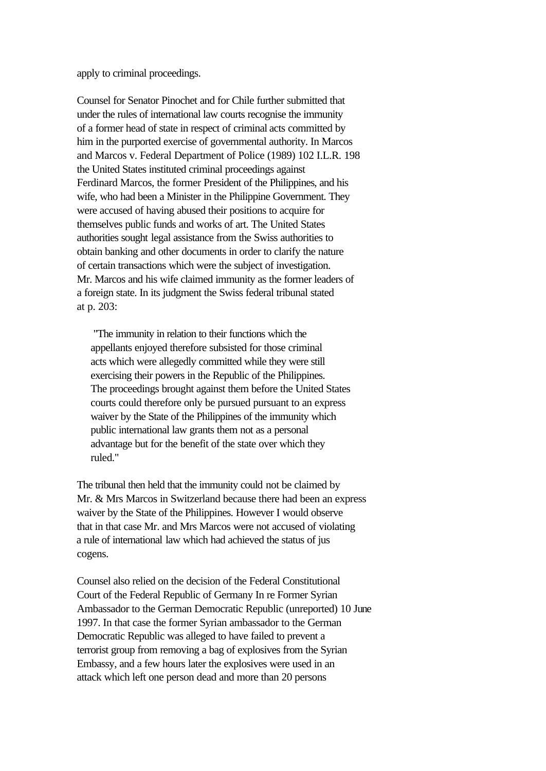apply to criminal proceedings.

 Counsel for Senator Pinochet and for Chile further submitted that under the rules of international law courts recognise the immunity of a former head of state in respect of criminal acts committed by him in the purported exercise of governmental authority. In Marcos and Marcos v. Federal Department of Police (1989) 102 I.L.R. 198 the United States instituted criminal proceedings against Ferdinard Marcos, the former President of the Philippines, and his wife, who had been a Minister in the Philippine Government. They were accused of having abused their positions to acquire for themselves public funds and works of art. The United States authorities sought legal assistance from the Swiss authorities to obtain banking and other documents in order to clarify the nature of certain transactions which were the subject of investigation. Mr. Marcos and his wife claimed immunity as the former leaders of a foreign state. In its judgment the Swiss federal tribunal stated at p. 203:

 "The immunity in relation to their functions which the appellants enjoyed therefore subsisted for those criminal acts which were allegedly committed while they were still exercising their powers in the Republic of the Philippines. The proceedings brought against them before the United States courts could therefore only be pursued pursuant to an express waiver by the State of the Philippines of the immunity which public international law grants them not as a personal advantage but for the benefit of the state over which they ruled."

 The tribunal then held that the immunity could not be claimed by Mr. & Mrs Marcos in Switzerland because there had been an express waiver by the State of the Philippines. However I would observe that in that case Mr. and Mrs Marcos were not accused of violating a rule of international law which had achieved the status of jus cogens.

 Counsel also relied on the decision of the Federal Constitutional Court of the Federal Republic of Germany In re Former Syrian Ambassador to the German Democratic Republic (unreported) 10 June 1997. In that case the former Syrian ambassador to the German Democratic Republic was alleged to have failed to prevent a terrorist group from removing a bag of explosives from the Syrian Embassy, and a few hours later the explosives were used in an attack which left one person dead and more than 20 persons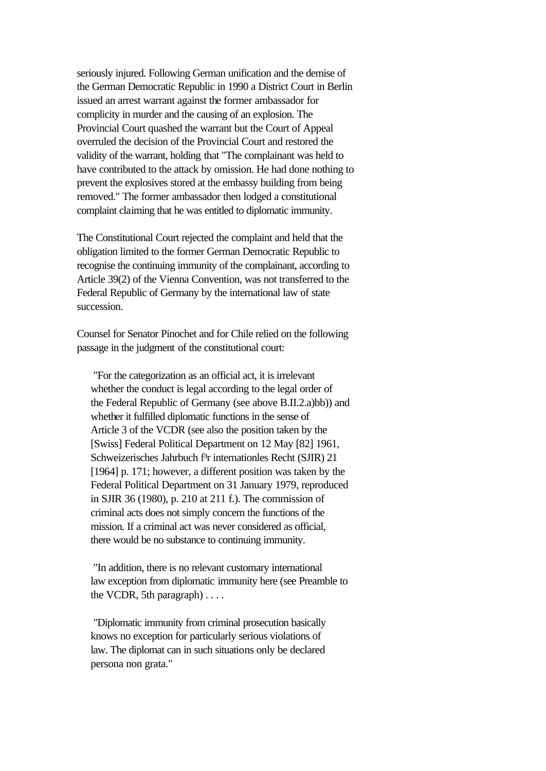seriously injured. Following German unification and the demise of the German Democratic Republic in 1990 a District Court in Berlin issued an arrest warrant against the former ambassador for complicity in murder and the causing of an explosion. The Provincial Court quashed the warrant but the Court of Appeal overruled the decision of the Provincial Court and restored the validity of the warrant, holding that "The complainant was held to have contributed to the attack by omission. He had done nothing to prevent the explosives stored at the embassy building from being removed." The former ambassador then lodged a constitutional complaint claiming that he was entitled to diplomatic immunity.

 The Constitutional Court rejected the complaint and held that the obligation limited to the former German Democratic Republic to recognise the continuing immunity of the complainant, according to Article 39(2) of the Vienna Convention, was not transferred to the Federal Republic of Germany by the international law of state succession.

 Counsel for Senator Pinochet and for Chile relied on the following passage in the judgment of the constitutional court:

 "For the categorization as an official act, it is irrelevant whether the conduct is legal according to the legal order of the Federal Republic of Germany (see above B.II.2.a)bb)) and whether it fulfilled diplomatic functions in the sense of Article 3 of the VCDR (see also the position taken by the [Swiss] Federal Political Department on 12 May [82] 1961, Schweizerisches Jahrbuch f<sup>3</sup>r internationles Recht (SJIR) 21 [1964] p. 171; however, a different position was taken by the Federal Political Department on 31 January 1979, reproduced in SJIR 36 (1980), p. 210 at 211 f.). The commission of criminal acts does not simply concern the functions of the mission. If a criminal act was never considered as official, there would be no substance to continuing immunity.

 "In addition, there is no relevant customary international law exception from diplomatic immunity here (see Preamble to the VCDR, 5th paragraph) . . . .

 "Diplomatic immunity from criminal prosecution basically knows no exception for particularly serious violations of law. The diplomat can in such situations only be declared persona non grata."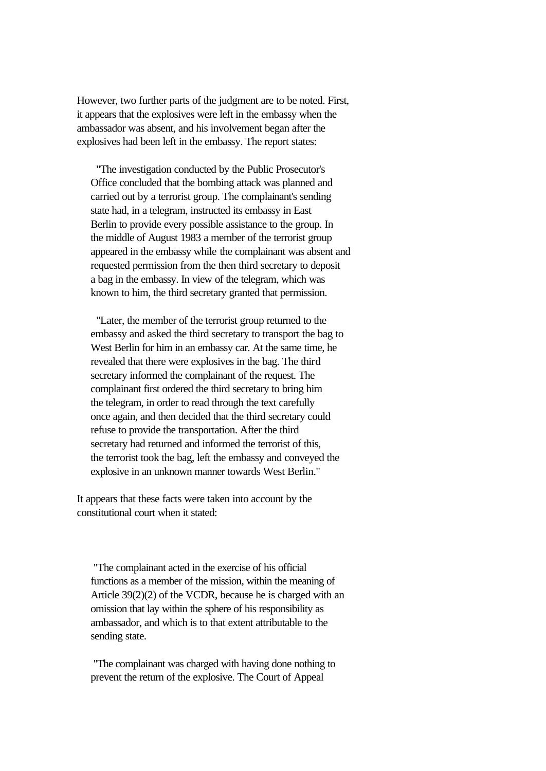However, two further parts of the judgment are to be noted. First, it appears that the explosives were left in the embassy when the ambassador was absent, and his involvement began after the explosives had been left in the embassy. The report states:

 "The investigation conducted by the Public Prosecutor's Office concluded that the bombing attack was planned and carried out by a terrorist group. The complainant's sending state had, in a telegram, instructed its embassy in East Berlin to provide every possible assistance to the group. In the middle of August 1983 a member of the terrorist group appeared in the embassy while the complainant was absent and requested permission from the then third secretary to deposit a bag in the embassy. In view of the telegram, which was known to him, the third secretary granted that permission.

 "Later, the member of the terrorist group returned to the embassy and asked the third secretary to transport the bag to West Berlin for him in an embassy car. At the same time, he revealed that there were explosives in the bag. The third secretary informed the complainant of the request. The complainant first ordered the third secretary to bring him the telegram, in order to read through the text carefully once again, and then decided that the third secretary could refuse to provide the transportation. After the third secretary had returned and informed the terrorist of this, the terrorist took the bag, left the embassy and conveyed the explosive in an unknown manner towards West Berlin."

 It appears that these facts were taken into account by the constitutional court when it stated:

 "The complainant acted in the exercise of his official functions as a member of the mission, within the meaning of Article 39(2)(2) of the VCDR, because he is charged with an omission that lay within the sphere of his responsibility as ambassador, and which is to that extent attributable to the sending state.

 "The complainant was charged with having done nothing to prevent the return of the explosive. The Court of Appeal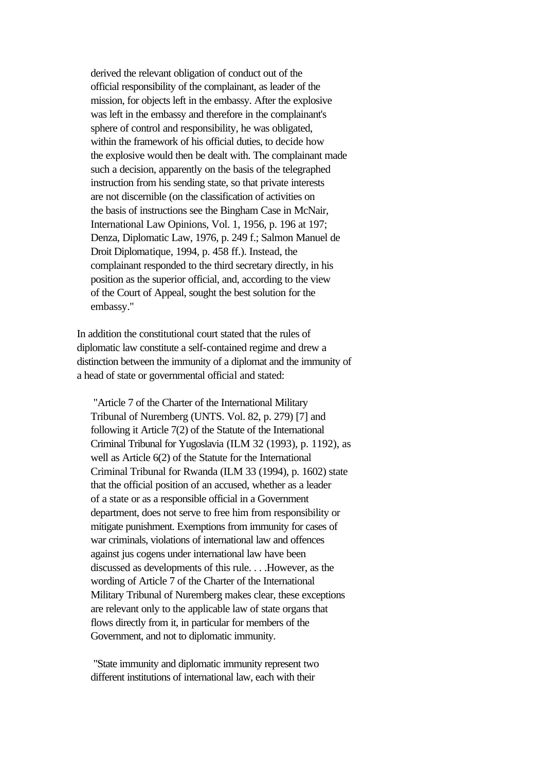derived the relevant obligation of conduct out of the official responsibility of the complainant, as leader of the mission, for objects left in the embassy. After the explosive was left in the embassy and therefore in the complainant's sphere of control and responsibility, he was obligated, within the framework of his official duties, to decide how the explosive would then be dealt with. The complainant made such a decision, apparently on the basis of the telegraphed instruction from his sending state, so that private interests are not discernible (on the classification of activities on the basis of instructions see the Bingham Case in McNair, International Law Opinions, Vol. 1, 1956, p. 196 at 197; Denza, Diplomatic Law, 1976, p. 249 f.; Salmon Manuel de Droit Diplomatique, 1994, p. 458 ff.). Instead, the complainant responded to the third secretary directly, in his position as the superior official, and, according to the view of the Court of Appeal, sought the best solution for the embassy."

 In addition the constitutional court stated that the rules of diplomatic law constitute a self-contained regime and drew a distinction between the immunity of a diplomat and the immunity of a head of state or governmental official and stated:

 "Article 7 of the Charter of the International Military Tribunal of Nuremberg (UNTS. Vol. 82, p. 279) [7] and following it Article 7(2) of the Statute of the International Criminal Tribunal for Yugoslavia (ILM 32 (1993), p. 1192), as well as Article 6(2) of the Statute for the International Criminal Tribunal for Rwanda (ILM 33 (1994), p. 1602) state that the official position of an accused, whether as a leader of a state or as a responsible official in a Government department, does not serve to free him from responsibility or mitigate punishment. Exemptions from immunity for cases of war criminals, violations of international law and offences against jus cogens under international law have been discussed as developments of this rule. . . .However, as the wording of Article 7 of the Charter of the International Military Tribunal of Nuremberg makes clear, these exceptions are relevant only to the applicable law of state organs that flows directly from it, in particular for members of the Government, and not to diplomatic immunity.

 "State immunity and diplomatic immunity represent two different institutions of international law, each with their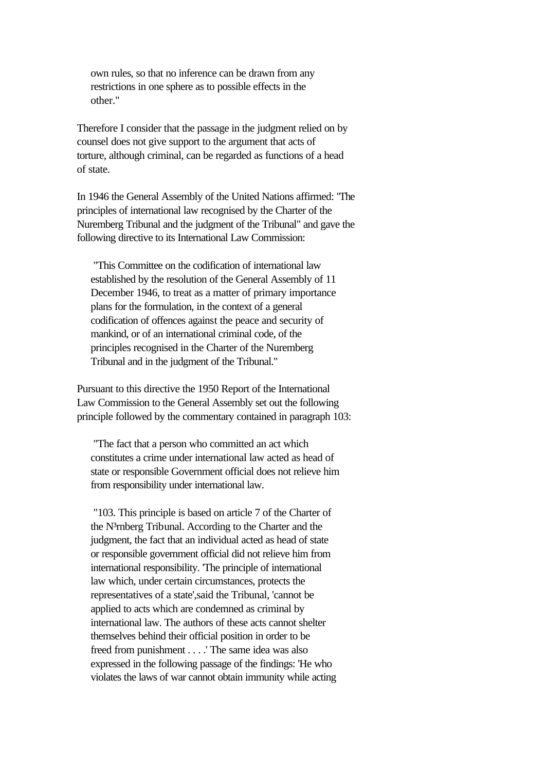own rules, so that no inference can be drawn from any restrictions in one sphere as to possible effects in the other."

 Therefore I consider that the passage in the judgment relied on by counsel does not give support to the argument that acts of torture, although criminal, can be regarded as functions of a head of state.

 In 1946 the General Assembly of the United Nations affirmed: "The principles of international law recognised by the Charter of the Nuremberg Tribunal and the judgment of the Tribunal" and gave the following directive to its International Law Commission:

 "This Committee on the codification of international law established by the resolution of the General Assembly of 11 December 1946, to treat as a matter of primary importance plans for the formulation, in the context of a general codification of offences against the peace and security of mankind, or of an international criminal code, of the principles recognised in the Charter of the Nuremberg Tribunal and in the judgment of the Tribunal."

 Pursuant to this directive the 1950 Report of the International Law Commission to the General Assembly set out the following principle followed by the commentary contained in paragraph 103:

 "The fact that a person who committed an act which constitutes a crime under international law acted as head of state or responsible Government official does not relieve him from responsibility under international law.

 "103. This principle is based on article 7 of the Charter of the N<sup>3</sup>rnberg Tribunal. According to the Charter and the judgment, the fact that an individual acted as head of state or responsible government official did not relieve him from international responsibility. 'The principle of international law which, under certain circumstances, protects the representatives of a state',said the Tribunal, 'cannot be applied to acts which are condemned as criminal by international law. The authors of these acts cannot shelter themselves behind their official position in order to be freed from punishment . . . .' The same idea was also expressed in the following passage of the findings: 'He who violates the laws of war cannot obtain immunity while acting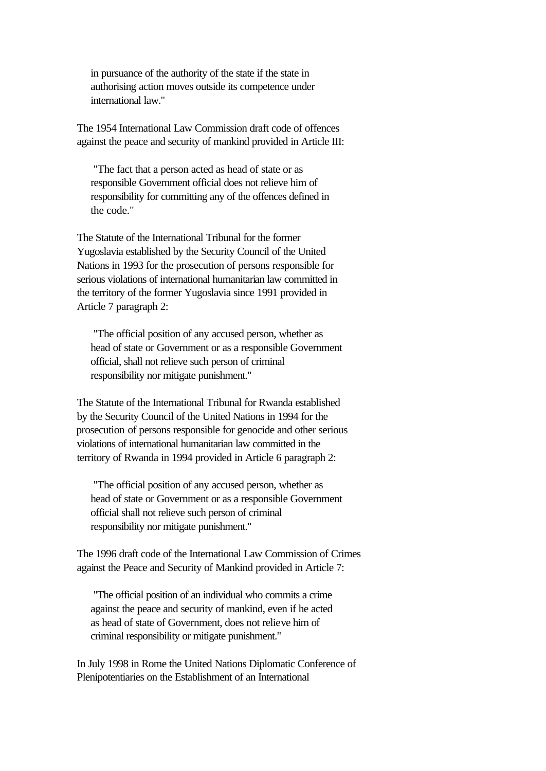in pursuance of the authority of the state if the state in authorising action moves outside its competence under international law."

 The 1954 International Law Commission draft code of offences against the peace and security of mankind provided in Article III:

 "The fact that a person acted as head of state or as responsible Government official does not relieve him of responsibility for committing any of the offences defined in the code."

 The Statute of the International Tribunal for the former Yugoslavia established by the Security Council of the United Nations in 1993 for the prosecution of persons responsible for serious violations of international humanitarian law committed in the territory of the former Yugoslavia since 1991 provided in Article 7 paragraph 2:

 "The official position of any accused person, whether as head of state or Government or as a responsible Government official, shall not relieve such person of criminal responsibility nor mitigate punishment."

 The Statute of the International Tribunal for Rwanda established by the Security Council of the United Nations in 1994 for the prosecution of persons responsible for genocide and other serious violations of international humanitarian law committed in the territory of Rwanda in 1994 provided in Article 6 paragraph 2:

 "The official position of any accused person, whether as head of state or Government or as a responsible Government official shall not relieve such person of criminal responsibility nor mitigate punishment."

 The 1996 draft code of the International Law Commission of Crimes against the Peace and Security of Mankind provided in Article 7:

 "The official position of an individual who commits a crime against the peace and security of mankind, even if he acted as head of state of Government, does not relieve him of criminal responsibility or mitigate punishment."

 In July 1998 in Rome the United Nations Diplomatic Conference of Plenipotentiaries on the Establishment of an International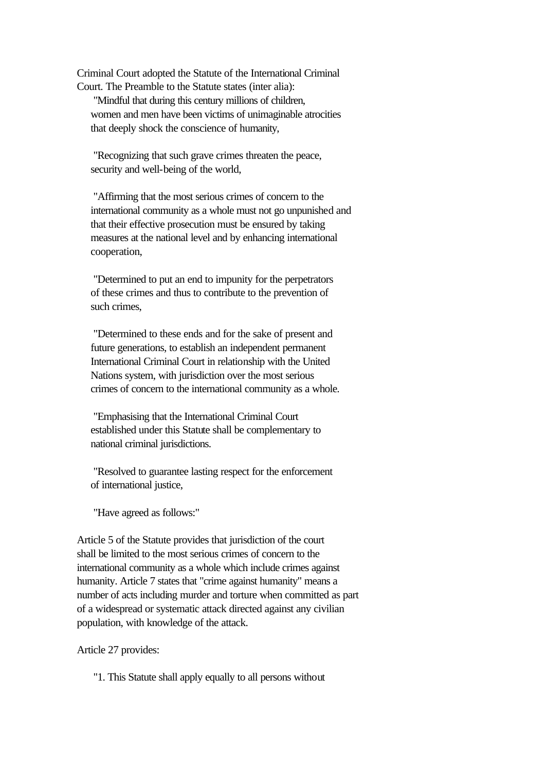Criminal Court adopted the Statute of the International Criminal Court. The Preamble to the Statute states (inter alia):

 "Mindful that during this century millions of children, women and men have been victims of unimaginable atrocities that deeply shock the conscience of humanity,

 "Recognizing that such grave crimes threaten the peace, security and well-being of the world,

 "Affirming that the most serious crimes of concern to the international community as a whole must not go unpunished and that their effective prosecution must be ensured by taking measures at the national level and by enhancing international cooperation,

 "Determined to put an end to impunity for the perpetrators of these crimes and thus to contribute to the prevention of such crimes,

 "Determined to these ends and for the sake of present and future generations, to establish an independent permanent International Criminal Court in relationship with the United Nations system, with jurisdiction over the most serious crimes of concern to the international community as a whole.

 "Emphasising that the International Criminal Court established under this Statute shall be complementary to national criminal jurisdictions.

 "Resolved to guarantee lasting respect for the enforcement of international justice,

"Have agreed as follows:"

 Article 5 of the Statute provides that jurisdiction of the court shall be limited to the most serious crimes of concern to the international community as a whole which include crimes against humanity. Article 7 states that "crime against humanity" means a number of acts including murder and torture when committed as part of a widespread or systematic attack directed against any civilian population, with knowledge of the attack.

Article 27 provides:

"1. This Statute shall apply equally to all persons without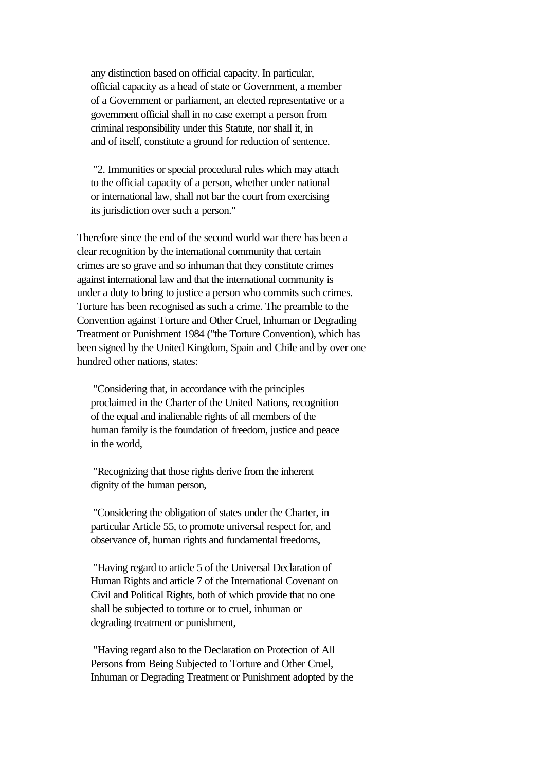any distinction based on official capacity. In particular, official capacity as a head of state or Government, a member of a Government or parliament, an elected representative or a government official shall in no case exempt a person from criminal responsibility under this Statute, nor shall it, in and of itself, constitute a ground for reduction of sentence.

 "2. Immunities or special procedural rules which may attach to the official capacity of a person, whether under national or international law, shall not bar the court from exercising its jurisdiction over such a person."

 Therefore since the end of the second world war there has been a clear recognition by the international community that certain crimes are so grave and so inhuman that they constitute crimes against international law and that the international community is under a duty to bring to justice a person who commits such crimes. Torture has been recognised as such a crime. The preamble to the Convention against Torture and Other Cruel, Inhuman or Degrading Treatment or Punishment 1984 ("the Torture Convention), which has been signed by the United Kingdom, Spain and Chile and by over one hundred other nations, states:

 "Considering that, in accordance with the principles proclaimed in the Charter of the United Nations, recognition of the equal and inalienable rights of all members of the human family is the foundation of freedom, justice and peace in the world,

 "Recognizing that those rights derive from the inherent dignity of the human person,

 "Considering the obligation of states under the Charter, in particular Article 55, to promote universal respect for, and observance of, human rights and fundamental freedoms,

 "Having regard to article 5 of the Universal Declaration of Human Rights and article 7 of the International Covenant on Civil and Political Rights, both of which provide that no one shall be subjected to torture or to cruel, inhuman or degrading treatment or punishment,

 "Having regard also to the Declaration on Protection of All Persons from Being Subjected to Torture and Other Cruel, Inhuman or Degrading Treatment or Punishment adopted by the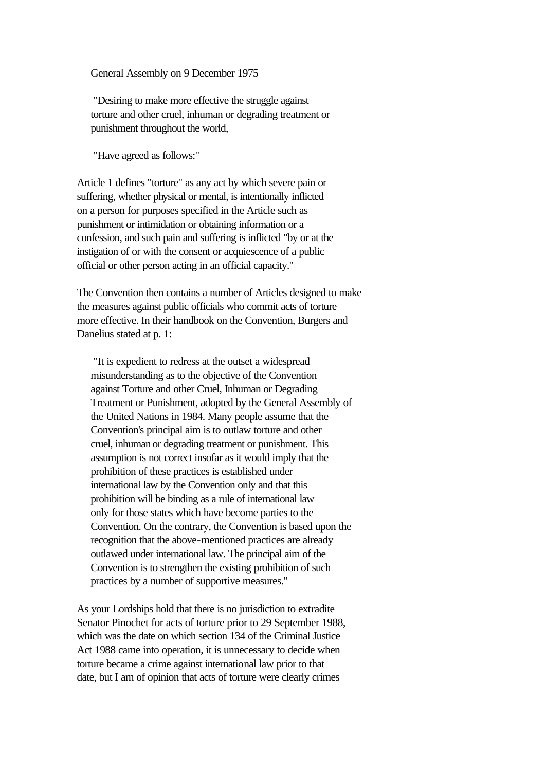General Assembly on 9 December 1975

 "Desiring to make more effective the struggle against torture and other cruel, inhuman or degrading treatment or punishment throughout the world,

"Have agreed as follows:"

 Article 1 defines "torture" as any act by which severe pain or suffering, whether physical or mental, is intentionally inflicted on a person for purposes specified in the Article such as punishment or intimidation or obtaining information or a confession, and such pain and suffering is inflicted "by or at the instigation of or with the consent or acquiescence of a public official or other person acting in an official capacity."

 The Convention then contains a number of Articles designed to make the measures against public officials who commit acts of torture more effective. In their handbook on the Convention, Burgers and Danelius stated at p. 1:

 "It is expedient to redress at the outset a widespread misunderstanding as to the objective of the Convention against Torture and other Cruel, Inhuman or Degrading Treatment or Punishment, adopted by the General Assembly of the United Nations in 1984. Many people assume that the Convention's principal aim is to outlaw torture and other cruel, inhuman or degrading treatment or punishment. This assumption is not correct insofar as it would imply that the prohibition of these practices is established under international law by the Convention only and that this prohibition will be binding as a rule of international law only for those states which have become parties to the Convention. On the contrary, the Convention is based upon the recognition that the above-mentioned practices are already outlawed under international law. The principal aim of the Convention is to strengthen the existing prohibition of such practices by a number of supportive measures."

 As your Lordships hold that there is no jurisdiction to extradite Senator Pinochet for acts of torture prior to 29 September 1988, which was the date on which section 134 of the Criminal Justice Act 1988 came into operation, it is unnecessary to decide when torture became a crime against international law prior to that date, but I am of opinion that acts of torture were clearly crimes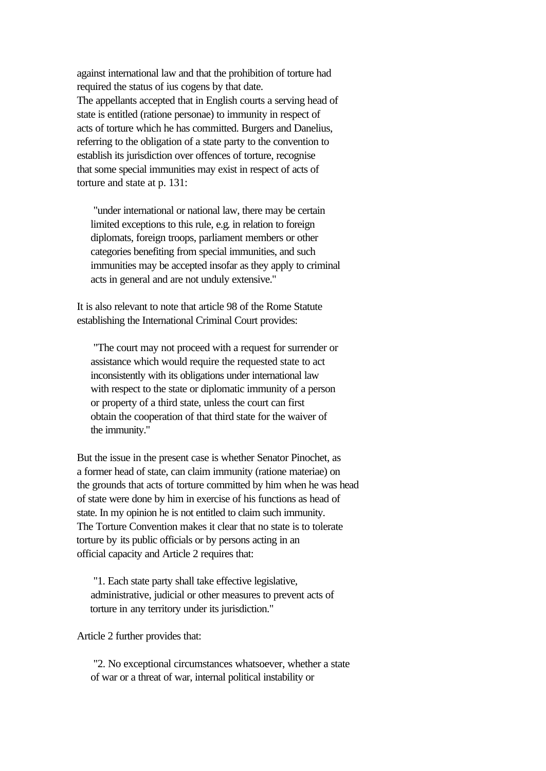against international law and that the prohibition of torture had required the status of ius cogens by that date. The appellants accepted that in English courts a serving head of state is entitled (ratione personae) to immunity in respect of acts of torture which he has committed. Burgers and Danelius, referring to the obligation of a state party to the convention to establish its jurisdiction over offences of torture, recognise that some special immunities may exist in respect of acts of torture and state at p. 131:

 "under international or national law, there may be certain limited exceptions to this rule, e.g. in relation to foreign diplomats, foreign troops, parliament members or other categories benefiting from special immunities, and such immunities may be accepted insofar as they apply to criminal acts in general and are not unduly extensive."

 It is also relevant to note that article 98 of the Rome Statute establishing the International Criminal Court provides:

 "The court may not proceed with a request for surrender or assistance which would require the requested state to act inconsistently with its obligations under international law with respect to the state or diplomatic immunity of a person or property of a third state, unless the court can first obtain the cooperation of that third state for the waiver of the immunity."

 But the issue in the present case is whether Senator Pinochet, as a former head of state, can claim immunity (ratione materiae) on the grounds that acts of torture committed by him when he was head of state were done by him in exercise of his functions as head of state. In my opinion he is not entitled to claim such immunity. The Torture Convention makes it clear that no state is to tolerate torture by its public officials or by persons acting in an official capacity and Article 2 requires that:

 "1. Each state party shall take effective legislative, administrative, judicial or other measures to prevent acts of torture in any territory under its jurisdiction."

Article 2 further provides that:

 "2. No exceptional circumstances whatsoever, whether a state of war or a threat of war, internal political instability or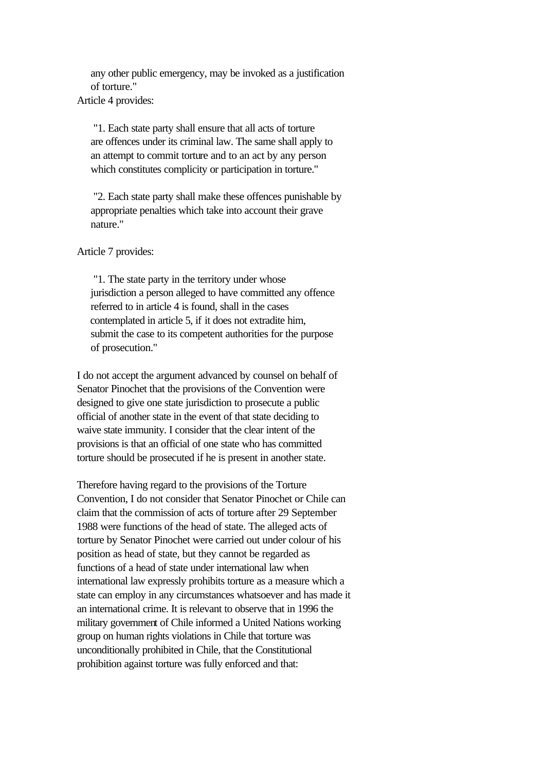any other public emergency, may be invoked as a justification of torture." Article 4 provides:

 "1. Each state party shall ensure that all acts of torture are offences under its criminal law. The same shall apply to an attempt to commit torture and to an act by any person which constitutes complicity or participation in torture."

 "2. Each state party shall make these offences punishable by appropriate penalties which take into account their grave nature."

Article 7 provides:

 "1. The state party in the territory under whose jurisdiction a person alleged to have committed any offence referred to in article 4 is found, shall in the cases contemplated in article 5, if it does not extradite him, submit the case to its competent authorities for the purpose of prosecution."

 I do not accept the argument advanced by counsel on behalf of Senator Pinochet that the provisions of the Convention were designed to give one state jurisdiction to prosecute a public official of another state in the event of that state deciding to waive state immunity. I consider that the clear intent of the provisions is that an official of one state who has committed torture should be prosecuted if he is present in another state.

 Therefore having regard to the provisions of the Torture Convention, I do not consider that Senator Pinochet or Chile can claim that the commission of acts of torture after 29 September 1988 were functions of the head of state. The alleged acts of torture by Senator Pinochet were carried out under colour of his position as head of state, but they cannot be regarded as functions of a head of state under international law when international law expressly prohibits torture as a measure which a state can employ in any circumstances whatsoever and has made it an international crime. It is relevant to observe that in 1996 the military government of Chile informed a United Nations working group on human rights violations in Chile that torture was unconditionally prohibited in Chile, that the Constitutional prohibition against torture was fully enforced and that: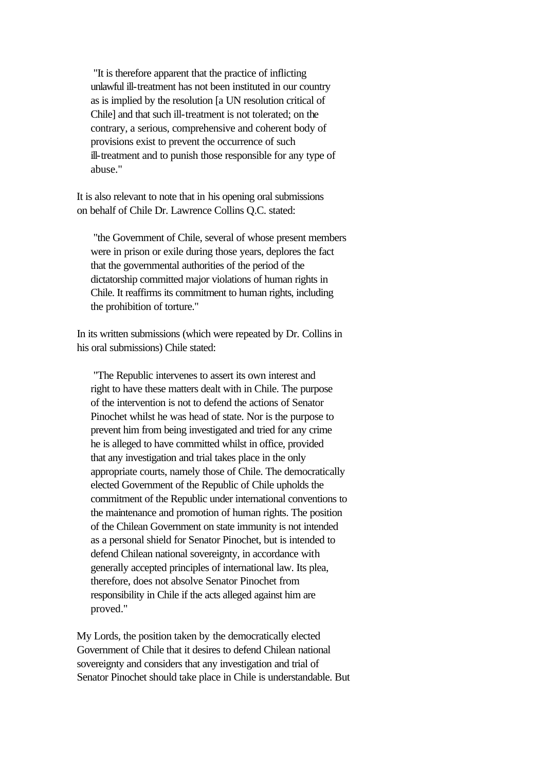"It is therefore apparent that the practice of inflicting unlawful ill-treatment has not been instituted in our country as is implied by the resolution [a UN resolution critical of Chile] and that such ill-treatment is not tolerated; on the contrary, a serious, comprehensive and coherent body of provisions exist to prevent the occurrence of such ill-treatment and to punish those responsible for any type of abuse."

 It is also relevant to note that in his opening oral submissions on behalf of Chile Dr. Lawrence Collins Q.C. stated:

 "the Government of Chile, several of whose present members were in prison or exile during those years, deplores the fact that the governmental authorities of the period of the dictatorship committed major violations of human rights in Chile. It reaffirms its commitment to human rights, including the prohibition of torture."

 In its written submissions (which were repeated by Dr. Collins in his oral submissions) Chile stated:

 "The Republic intervenes to assert its own interest and right to have these matters dealt with in Chile. The purpose of the intervention is not to defend the actions of Senator Pinochet whilst he was head of state. Nor is the purpose to prevent him from being investigated and tried for any crime he is alleged to have committed whilst in office, provided that any investigation and trial takes place in the only appropriate courts, namely those of Chile. The democratically elected Government of the Republic of Chile upholds the commitment of the Republic under international conventions to the maintenance and promotion of human rights. The position of the Chilean Government on state immunity is not intended as a personal shield for Senator Pinochet, but is intended to defend Chilean national sovereignty, in accordance with generally accepted principles of international law. Its plea, therefore, does not absolve Senator Pinochet from responsibility in Chile if the acts alleged against him are proved."

 My Lords, the position taken by the democratically elected Government of Chile that it desires to defend Chilean national sovereignty and considers that any investigation and trial of Senator Pinochet should take place in Chile is understandable. But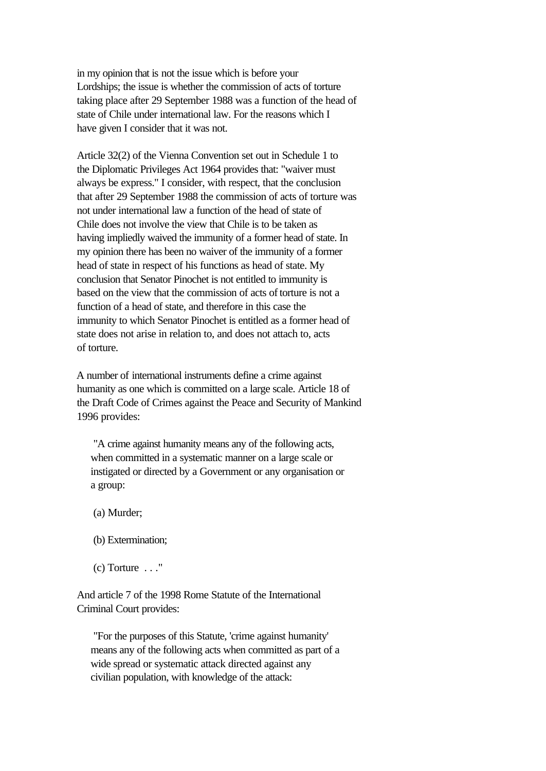in my opinion that is not the issue which is before your Lordships; the issue is whether the commission of acts of torture taking place after 29 September 1988 was a function of the head of state of Chile under international law. For the reasons which I have given I consider that it was not.

 Article 32(2) of the Vienna Convention set out in Schedule 1 to the Diplomatic Privileges Act 1964 provides that: "waiver must always be express." I consider, with respect, that the conclusion that after 29 September 1988 the commission of acts of torture was not under international law a function of the head of state of Chile does not involve the view that Chile is to be taken as having impliedly waived the immunity of a former head of state. In my opinion there has been no waiver of the immunity of a former head of state in respect of his functions as head of state. My conclusion that Senator Pinochet is not entitled to immunity is based on the view that the commission of acts of torture is not a function of a head of state, and therefore in this case the immunity to which Senator Pinochet is entitled as a former head of state does not arise in relation to, and does not attach to, acts of torture.

 A number of international instruments define a crime against humanity as one which is committed on a large scale. Article 18 of the Draft Code of Crimes against the Peace and Security of Mankind 1996 provides:

 "A crime against humanity means any of the following acts, when committed in a systematic manner on a large scale or instigated or directed by a Government or any organisation or a group:

- (a) Murder;
- (b) Extermination;
- $(c)$  Torture  $\ldots$ "

 And article 7 of the 1998 Rome Statute of the International Criminal Court provides:

 "For the purposes of this Statute, 'crime against humanity' means any of the following acts when committed as part of a wide spread or systematic attack directed against any civilian population, with knowledge of the attack: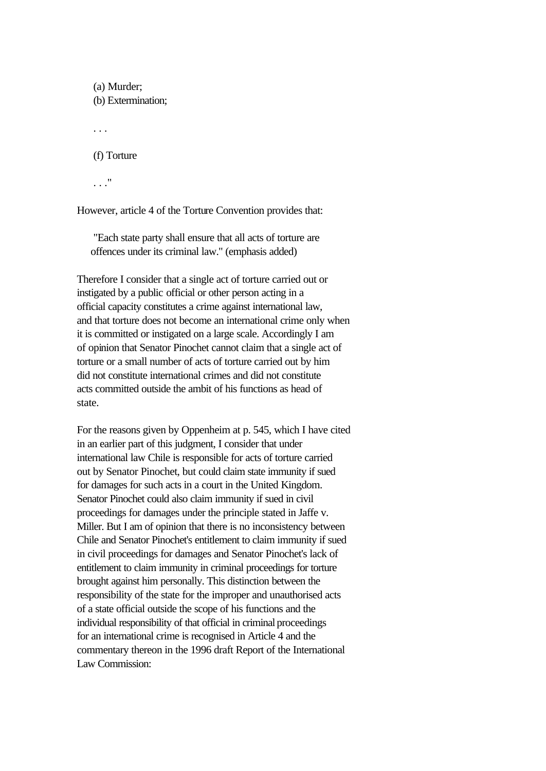(a) Murder; (b) Extermination; . . . (f) Torture . . ."

However, article 4 of the Torture Convention provides that:

 "Each state party shall ensure that all acts of torture are offences under its criminal law." (emphasis added)

 Therefore I consider that a single act of torture carried out or instigated by a public official or other person acting in a official capacity constitutes a crime against international law, and that torture does not become an international crime only when it is committed or instigated on a large scale. Accordingly I am of opinion that Senator Pinochet cannot claim that a single act of torture or a small number of acts of torture carried out by him did not constitute international crimes and did not constitute acts committed outside the ambit of his functions as head of state.

 For the reasons given by Oppenheim at p. 545, which I have cited in an earlier part of this judgment, I consider that under international law Chile is responsible for acts of torture carried out by Senator Pinochet, but could claim state immunity if sued for damages for such acts in a court in the United Kingdom. Senator Pinochet could also claim immunity if sued in civil proceedings for damages under the principle stated in Jaffe v. Miller. But I am of opinion that there is no inconsistency between Chile and Senator Pinochet's entitlement to claim immunity if sued in civil proceedings for damages and Senator Pinochet's lack of entitlement to claim immunity in criminal proceedings for torture brought against him personally. This distinction between the responsibility of the state for the improper and unauthorised acts of a state official outside the scope of his functions and the individual responsibility of that official in criminal proceedings for an international crime is recognised in Article 4 and the commentary thereon in the 1996 draft Report of the International Law Commission: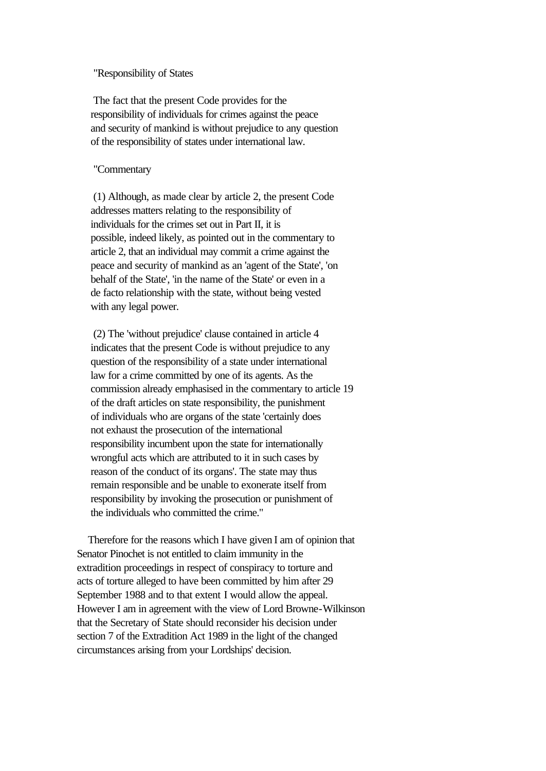#### "Responsibility of States

 The fact that the present Code provides for the responsibility of individuals for crimes against the peace and security of mankind is without prejudice to any question of the responsibility of states under international law.

# "Commentary

 (1) Although, as made clear by article 2, the present Code addresses matters relating to the responsibility of individuals for the crimes set out in Part II, it is possible, indeed likely, as pointed out in the commentary to article 2, that an individual may commit a crime against the peace and security of mankind as an 'agent of the State', 'on behalf of the State', 'in the name of the State' or even in a de facto relationship with the state, without being vested with any legal power.

 (2) The 'without prejudice' clause contained in article 4 indicates that the present Code is without prejudice to any question of the responsibility of a state under international law for a crime committed by one of its agents. As the commission already emphasised in the commentary to article 19 of the draft articles on state responsibility, the punishment of individuals who are organs of the state 'certainly does not exhaust the prosecution of the international responsibility incumbent upon the state for internationally wrongful acts which are attributed to it in such cases by reason of the conduct of its organs'. The state may thus remain responsible and be unable to exonerate itself from responsibility by invoking the prosecution or punishment of the individuals who committed the crime."

 Therefore for the reasons which I have given I am of opinion that Senator Pinochet is not entitled to claim immunity in the extradition proceedings in respect of conspiracy to torture and acts of torture alleged to have been committed by him after 29 September 1988 and to that extent I would allow the appeal. However I am in agreement with the view of Lord Browne-Wilkinson that the Secretary of State should reconsider his decision under section 7 of the Extradition Act 1989 in the light of the changed circumstances arising from your Lordships' decision.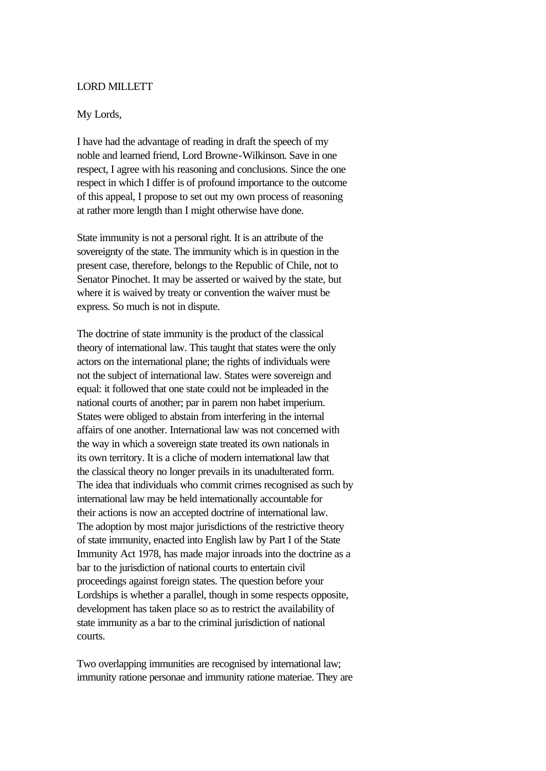## LORD MILLETT

## My Lords,

 I have had the advantage of reading in draft the speech of my noble and learned friend, Lord Browne-Wilkinson. Save in one respect, I agree with his reasoning and conclusions. Since the one respect in which I differ is of profound importance to the outcome of this appeal, I propose to set out my own process of reasoning at rather more length than I might otherwise have done.

 State immunity is not a personal right. It is an attribute of the sovereignty of the state. The immunity which is in question in the present case, therefore, belongs to the Republic of Chile, not to Senator Pinochet. It may be asserted or waived by the state, but where it is waived by treaty or convention the waiver must be express. So much is not in dispute.

 The doctrine of state immunity is the product of the classical theory of international law. This taught that states were the only actors on the international plane; the rights of individuals were not the subject of international law. States were sovereign and equal: it followed that one state could not be impleaded in the national courts of another; par in parem non habet imperium. States were obliged to abstain from interfering in the internal affairs of one another. International law was not concerned with the way in which a sovereign state treated its own nationals in its own territory. It is a cliche of modern international law that the classical theory no longer prevails in its unadulterated form. The idea that individuals who commit crimes recognised as such by international law may be held internationally accountable for their actions is now an accepted doctrine of international law. The adoption by most major jurisdictions of the restrictive theory of state immunity, enacted into English law by Part I of the State Immunity Act 1978, has made major inroads into the doctrine as a bar to the jurisdiction of national courts to entertain civil proceedings against foreign states. The question before your Lordships is whether a parallel, though in some respects opposite, development has taken place so as to restrict the availability of state immunity as a bar to the criminal jurisdiction of national courts.

 Two overlapping immunities are recognised by international law; immunity ratione personae and immunity ratione materiae. They are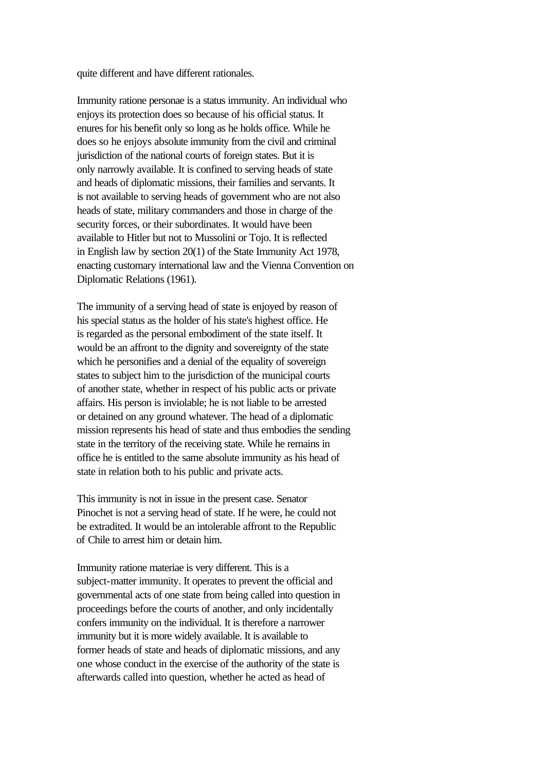quite different and have different rationales.

 Immunity ratione personae is a status immunity. An individual who enjoys its protection does so because of his official status. It enures for his benefit only so long as he holds office. While he does so he enjoys absolute immunity from the civil and criminal jurisdiction of the national courts of foreign states. But it is only narrowly available. It is confined to serving heads of state and heads of diplomatic missions, their families and servants. It is not available to serving heads of government who are not also heads of state, military commanders and those in charge of the security forces, or their subordinates. It would have been available to Hitler but not to Mussolini or Tojo. It is reflected in English law by section 20(1) of the State Immunity Act 1978, enacting customary international law and the Vienna Convention on Diplomatic Relations (1961).

 The immunity of a serving head of state is enjoyed by reason of his special status as the holder of his state's highest office. He is regarded as the personal embodiment of the state itself. It would be an affront to the dignity and sovereignty of the state which he personifies and a denial of the equality of sovereign states to subject him to the jurisdiction of the municipal courts of another state, whether in respect of his public acts or private affairs. His person is inviolable; he is not liable to be arrested or detained on any ground whatever. The head of a diplomatic mission represents his head of state and thus embodies the sending state in the territory of the receiving state. While he remains in office he is entitled to the same absolute immunity as his head of state in relation both to his public and private acts.

 This immunity is not in issue in the present case. Senator Pinochet is not a serving head of state. If he were, he could not be extradited. It would be an intolerable affront to the Republic of Chile to arrest him or detain him.

 Immunity ratione materiae is very different. This is a subject-matter immunity. It operates to prevent the official and governmental acts of one state from being called into question in proceedings before the courts of another, and only incidentally confers immunity on the individual. It is therefore a narrower immunity but it is more widely available. It is available to former heads of state and heads of diplomatic missions, and any one whose conduct in the exercise of the authority of the state is afterwards called into question, whether he acted as head of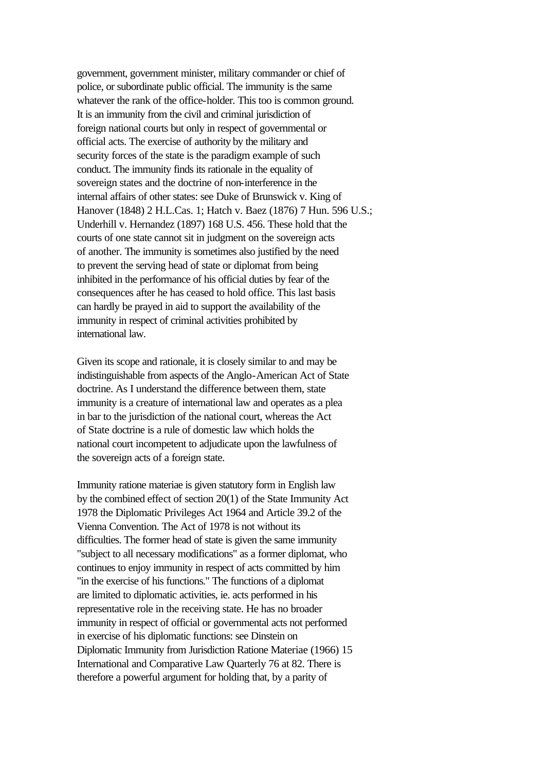government, government minister, military commander or chief of police, or subordinate public official. The immunity is the same whatever the rank of the office-holder. This too is common ground. It is an immunity from the civil and criminal jurisdiction of foreign national courts but only in respect of governmental or official acts. The exercise of authority by the military and security forces of the state is the paradigm example of such conduct. The immunity finds its rationale in the equality of sovereign states and the doctrine of non-interference in the internal affairs of other states: see Duke of Brunswick v. King of Hanover (1848) 2 H.L.Cas. 1; Hatch v. Baez (1876) 7 Hun. 596 U.S.; Underhill v. Hernandez (1897) 168 U.S. 456. These hold that the courts of one state cannot sit in judgment on the sovereign acts of another. The immunity is sometimes also justified by the need to prevent the serving head of state or diplomat from being inhibited in the performance of his official duties by fear of the consequences after he has ceased to hold office. This last basis can hardly be prayed in aid to support the availability of the immunity in respect of criminal activities prohibited by international law.

 Given its scope and rationale, it is closely similar to and may be indistinguishable from aspects of the Anglo-American Act of State doctrine. As I understand the difference between them, state immunity is a creature of international law and operates as a plea in bar to the jurisdiction of the national court, whereas the Act of State doctrine is a rule of domestic law which holds the national court incompetent to adjudicate upon the lawfulness of the sovereign acts of a foreign state.

 Immunity ratione materiae is given statutory form in English law by the combined effect of section 20(1) of the State Immunity Act 1978 the Diplomatic Privileges Act 1964 and Article 39.2 of the Vienna Convention. The Act of 1978 is not without its difficulties. The former head of state is given the same immunity "subject to all necessary modifications" as a former diplomat, who continues to enjoy immunity in respect of acts committed by him "in the exercise of his functions." The functions of a diplomat are limited to diplomatic activities, ie. acts performed in his representative role in the receiving state. He has no broader immunity in respect of official or governmental acts not performed in exercise of his diplomatic functions: see Dinstein on Diplomatic Immunity from Jurisdiction Ratione Materiae (1966) 15 International and Comparative Law Quarterly 76 at 82. There is therefore a powerful argument for holding that, by a parity of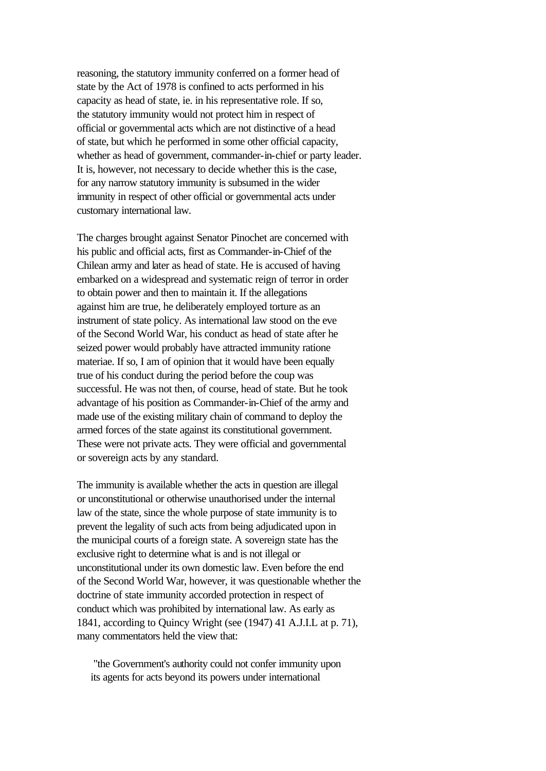reasoning, the statutory immunity conferred on a former head of state by the Act of 1978 is confined to acts performed in his capacity as head of state, ie. in his representative role. If so, the statutory immunity would not protect him in respect of official or governmental acts which are not distinctive of a head of state, but which he performed in some other official capacity, whether as head of government, commander-in-chief or party leader. It is, however, not necessary to decide whether this is the case, for any narrow statutory immunity is subsumed in the wider immunity in respect of other official or governmental acts under customary international law.

 The charges brought against Senator Pinochet are concerned with his public and official acts, first as Commander-in-Chief of the Chilean army and later as head of state. He is accused of having embarked on a widespread and systematic reign of terror in order to obtain power and then to maintain it. If the allegations against him are true, he deliberately employed torture as an instrument of state policy. As international law stood on the eve of the Second World War, his conduct as head of state after he seized power would probably have attracted immunity ratione materiae. If so, I am of opinion that it would have been equally true of his conduct during the period before the coup was successful. He was not then, of course, head of state. But he took advantage of his position as Commander-in-Chief of the army and made use of the existing military chain of command to deploy the armed forces of the state against its constitutional government. These were not private acts. They were official and governmental or sovereign acts by any standard.

 The immunity is available whether the acts in question are illegal or unconstitutional or otherwise unauthorised under the internal law of the state, since the whole purpose of state immunity is to prevent the legality of such acts from being adjudicated upon in the municipal courts of a foreign state. A sovereign state has the exclusive right to determine what is and is not illegal or unconstitutional under its own domestic law. Even before the end of the Second World War, however, it was questionable whether the doctrine of state immunity accorded protection in respect of conduct which was prohibited by international law. As early as 1841, according to Quincy Wright (see (1947) 41 A.J.I.L at p. 71), many commentators held the view that:

 "the Government's authority could not confer immunity upon its agents for acts beyond its powers under international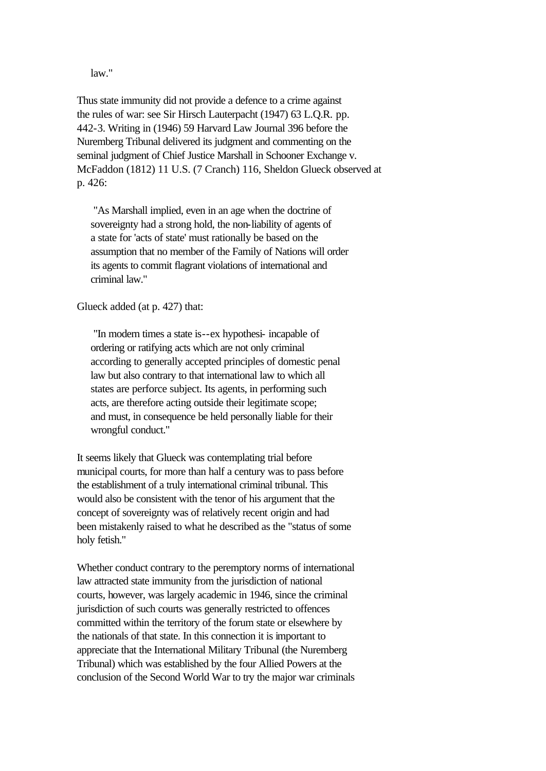law."

 Thus state immunity did not provide a defence to a crime against the rules of war: see Sir Hirsch Lauterpacht (1947) 63 L.Q.R. pp. 442-3. Writing in (1946) 59 Harvard Law Journal 396 before the Nuremberg Tribunal delivered its judgment and commenting on the seminal judgment of Chief Justice Marshall in Schooner Exchange v. McFaddon (1812) 11 U.S. (7 Cranch) 116, Sheldon Glueck observed at p. 426:

 "As Marshall implied, even in an age when the doctrine of sovereignty had a strong hold, the non-liability of agents of a state for 'acts of state' must rationally be based on the assumption that no member of the Family of Nations will order its agents to commit flagrant violations of international and criminal law."

# Glueck added (at p. 427) that:

 "In modern times a state is--ex hypothesi- incapable of ordering or ratifying acts which are not only criminal according to generally accepted principles of domestic penal law but also contrary to that international law to which all states are perforce subject. Its agents, in performing such acts, are therefore acting outside their legitimate scope; and must, in consequence be held personally liable for their wrongful conduct."

 It seems likely that Glueck was contemplating trial before municipal courts, for more than half a century was to pass before the establishment of a truly international criminal tribunal. This would also be consistent with the tenor of his argument that the concept of sovereignty was of relatively recent origin and had been mistakenly raised to what he described as the "status of some holy fetish."

 Whether conduct contrary to the peremptory norms of international law attracted state immunity from the jurisdiction of national courts, however, was largely academic in 1946, since the criminal jurisdiction of such courts was generally restricted to offences committed within the territory of the forum state or elsewhere by the nationals of that state. In this connection it is important to appreciate that the International Military Tribunal (the Nuremberg Tribunal) which was established by the four Allied Powers at the conclusion of the Second World War to try the major war criminals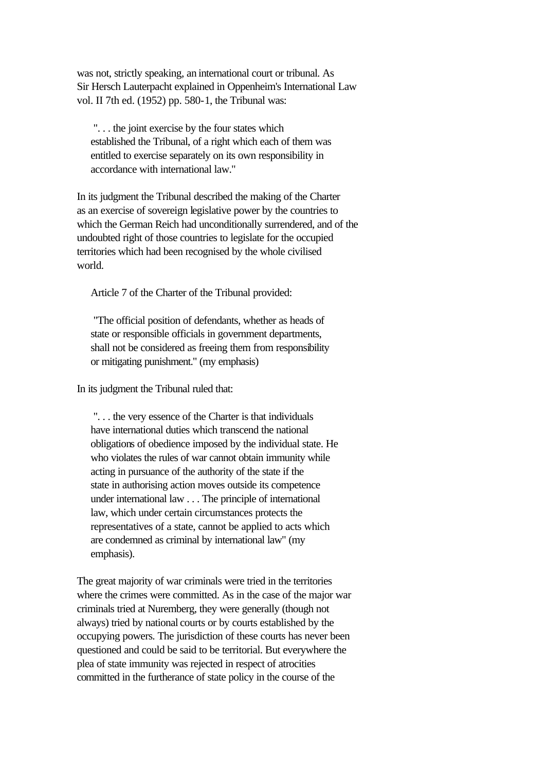was not, strictly speaking, an international court or tribunal. As Sir Hersch Lauterpacht explained in Oppenheim's International Law vol. II 7th ed. (1952) pp. 580-1, the Tribunal was:

 ". . . the joint exercise by the four states which established the Tribunal, of a right which each of them was entitled to exercise separately on its own responsibility in accordance with international law."

 In its judgment the Tribunal described the making of the Charter as an exercise of sovereign legislative power by the countries to which the German Reich had unconditionally surrendered, and of the undoubted right of those countries to legislate for the occupied territories which had been recognised by the whole civilised world.

Article 7 of the Charter of the Tribunal provided:

 "The official position of defendants, whether as heads of state or responsible officials in government departments, shall not be considered as freeing them from responsibility or mitigating punishment." (my emphasis)

In its judgment the Tribunal ruled that:

 ". . . the very essence of the Charter is that individuals have international duties which transcend the national obligations of obedience imposed by the individual state. He who violates the rules of war cannot obtain immunity while acting in pursuance of the authority of the state if the state in authorising action moves outside its competence under international law . . . The principle of international law, which under certain circumstances protects the representatives of a state, cannot be applied to acts which are condemned as criminal by international law" (my emphasis).

 The great majority of war criminals were tried in the territories where the crimes were committed. As in the case of the major war criminals tried at Nuremberg, they were generally (though not always) tried by national courts or by courts established by the occupying powers. The jurisdiction of these courts has never been questioned and could be said to be territorial. But everywhere the plea of state immunity was rejected in respect of atrocities committed in the furtherance of state policy in the course of the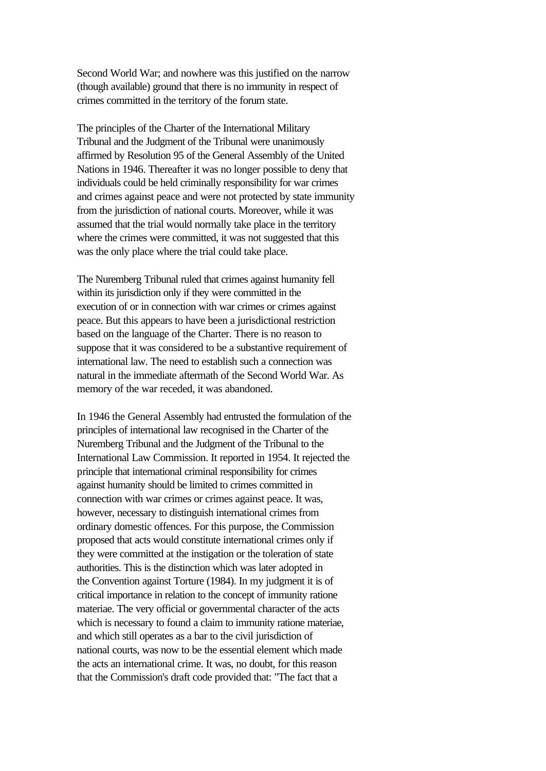Second World War; and nowhere was this justified on the narrow (though available) ground that there is no immunity in respect of crimes committed in the territory of the forum state.

 The principles of the Charter of the International Military Tribunal and the Judgment of the Tribunal were unanimously affirmed by Resolution 95 of the General Assembly of the United Nations in 1946. Thereafter it was no longer possible to deny that individuals could be held criminally responsibility for war crimes and crimes against peace and were not protected by state immunity from the jurisdiction of national courts. Moreover, while it was assumed that the trial would normally take place in the territory where the crimes were committed, it was not suggested that this was the only place where the trial could take place.

 The Nuremberg Tribunal ruled that crimes against humanity fell within its jurisdiction only if they were committed in the execution of or in connection with war crimes or crimes against peace. But this appears to have been a jurisdictional restriction based on the language of the Charter. There is no reason to suppose that it was considered to be a substantive requirement of international law. The need to establish such a connection was natural in the immediate aftermath of the Second World War. As memory of the war receded, it was abandoned.

 In 1946 the General Assembly had entrusted the formulation of the principles of international law recognised in the Charter of the Nuremberg Tribunal and the Judgment of the Tribunal to the International Law Commission. It reported in 1954. It rejected the principle that international criminal responsibility for crimes against humanity should be limited to crimes committed in connection with war crimes or crimes against peace. It was, however, necessary to distinguish international crimes from ordinary domestic offences. For this purpose, the Commission proposed that acts would constitute international crimes only if they were committed at the instigation or the toleration of state authorities. This is the distinction which was later adopted in the Convention against Torture (1984). In my judgment it is of critical importance in relation to the concept of immunity ratione materiae. The very official or governmental character of the acts which is necessary to found a claim to immunity ratione materiae, and which still operates as a bar to the civil jurisdiction of national courts, was now to be the essential element which made the acts an international crime. It was, no doubt, for this reason that the Commission's draft code provided that: "The fact that a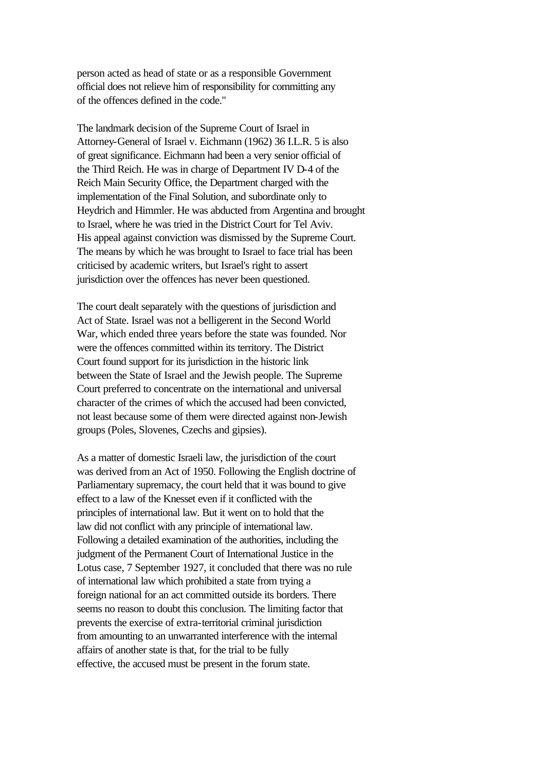person acted as head of state or as a responsible Government official does not relieve him of responsibility for committing any of the offences defined in the code."

 The landmark decision of the Supreme Court of Israel in Attorney-General of Israel v. Eichmann (1962) 36 I.L.R. 5 is also of great significance. Eichmann had been a very senior official of the Third Reich. He was in charge of Department IV D-4 of the Reich Main Security Office, the Department charged with the implementation of the Final Solution, and subordinate only to Heydrich and Himmler. He was abducted from Argentina and brought to Israel, where he was tried in the District Court for Tel Aviv. His appeal against conviction was dismissed by the Supreme Court. The means by which he was brought to Israel to face trial has been criticised by academic writers, but Israel's right to assert jurisdiction over the offences has never been questioned.

 The court dealt separately with the questions of jurisdiction and Act of State. Israel was not a belligerent in the Second World War, which ended three years before the state was founded. Nor were the offences committed within its territory. The District Court found support for its jurisdiction in the historic link between the State of Israel and the Jewish people. The Supreme Court preferred to concentrate on the international and universal character of the crimes of which the accused had been convicted, not least because some of them were directed against non-Jewish groups (Poles, Slovenes, Czechs and gipsies).

 As a matter of domestic Israeli law, the jurisdiction of the court was derived from an Act of 1950. Following the English doctrine of Parliamentary supremacy, the court held that it was bound to give effect to a law of the Knesset even if it conflicted with the principles of international law. But it went on to hold that the law did not conflict with any principle of international law. Following a detailed examination of the authorities, including the judgment of the Permanent Court of International Justice in the Lotus case, 7 September 1927, it concluded that there was no rule of international law which prohibited a state from trying a foreign national for an act committed outside its borders. There seems no reason to doubt this conclusion. The limiting factor that prevents the exercise of extra-territorial criminal jurisdiction from amounting to an unwarranted interference with the internal affairs of another state is that, for the trial to be fully effective, the accused must be present in the forum state.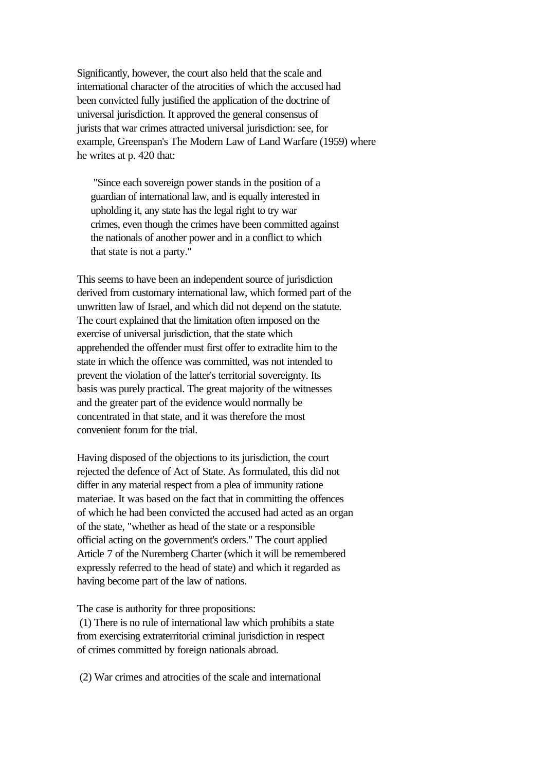Significantly, however, the court also held that the scale and international character of the atrocities of which the accused had been convicted fully justified the application of the doctrine of universal jurisdiction. It approved the general consensus of jurists that war crimes attracted universal jurisdiction: see, for example, Greenspan's The Modern Law of Land Warfare (1959) where he writes at p. 420 that:

 "Since each sovereign power stands in the position of a guardian of international law, and is equally interested in upholding it, any state has the legal right to try war crimes, even though the crimes have been committed against the nationals of another power and in a conflict to which that state is not a party."

 This seems to have been an independent source of jurisdiction derived from customary international law, which formed part of the unwritten law of Israel, and which did not depend on the statute. The court explained that the limitation often imposed on the exercise of universal jurisdiction, that the state which apprehended the offender must first offer to extradite him to the state in which the offence was committed, was not intended to prevent the violation of the latter's territorial sovereignty. Its basis was purely practical. The great majority of the witnesses and the greater part of the evidence would normally be concentrated in that state, and it was therefore the most convenient forum for the trial.

 Having disposed of the objections to its jurisdiction, the court rejected the defence of Act of State. As formulated, this did not differ in any material respect from a plea of immunity ratione materiae. It was based on the fact that in committing the offences of which he had been convicted the accused had acted as an organ of the state, "whether as head of the state or a responsible official acting on the government's orders." The court applied Article 7 of the Nuremberg Charter (which it will be remembered expressly referred to the head of state) and which it regarded as having become part of the law of nations.

The case is authority for three propositions:

 (1) There is no rule of international law which prohibits a state from exercising extraterritorial criminal jurisdiction in respect of crimes committed by foreign nationals abroad.

(2) War crimes and atrocities of the scale and international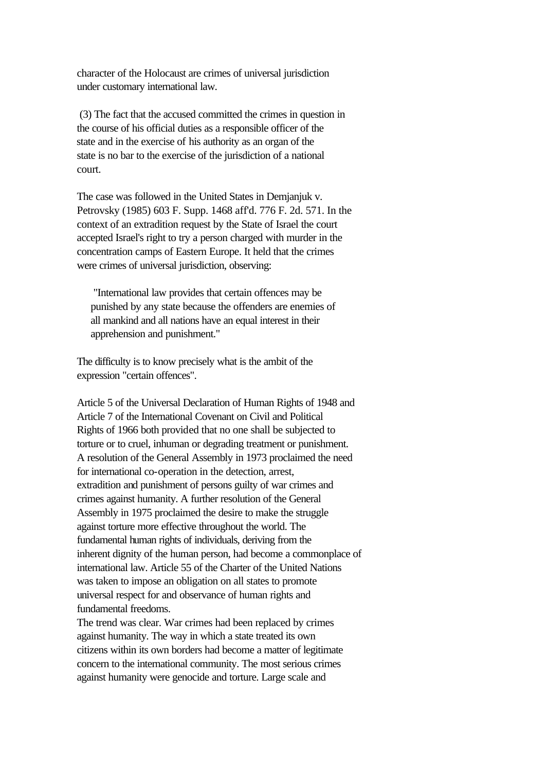character of the Holocaust are crimes of universal jurisdiction under customary international law.

 (3) The fact that the accused committed the crimes in question in the course of his official duties as a responsible officer of the state and in the exercise of his authority as an organ of the state is no bar to the exercise of the jurisdiction of a national court.

 The case was followed in the United States in Demjanjuk v. Petrovsky (1985) 603 F. Supp. 1468 aff'd. 776 F. 2d. 571. In the context of an extradition request by the State of Israel the court accepted Israel's right to try a person charged with murder in the concentration camps of Eastern Europe. It held that the crimes were crimes of universal jurisdiction, observing:

 "International law provides that certain offences may be punished by any state because the offenders are enemies of all mankind and all nations have an equal interest in their apprehension and punishment."

 The difficulty is to know precisely what is the ambit of the expression "certain offences".

 Article 5 of the Universal Declaration of Human Rights of 1948 and Article 7 of the International Covenant on Civil and Political Rights of 1966 both provided that no one shall be subjected to torture or to cruel, inhuman or degrading treatment or punishment. A resolution of the General Assembly in 1973 proclaimed the need for international co-operation in the detection, arrest, extradition and punishment of persons guilty of war crimes and crimes against humanity. A further resolution of the General Assembly in 1975 proclaimed the desire to make the struggle against torture more effective throughout the world. The fundamental human rights of individuals, deriving from the inherent dignity of the human person, had become a commonplace of international law. Article 55 of the Charter of the United Nations was taken to impose an obligation on all states to promote universal respect for and observance of human rights and fundamental freedoms.

 The trend was clear. War crimes had been replaced by crimes against humanity. The way in which a state treated its own citizens within its own borders had become a matter of legitimate concern to the international community. The most serious crimes against humanity were genocide and torture. Large scale and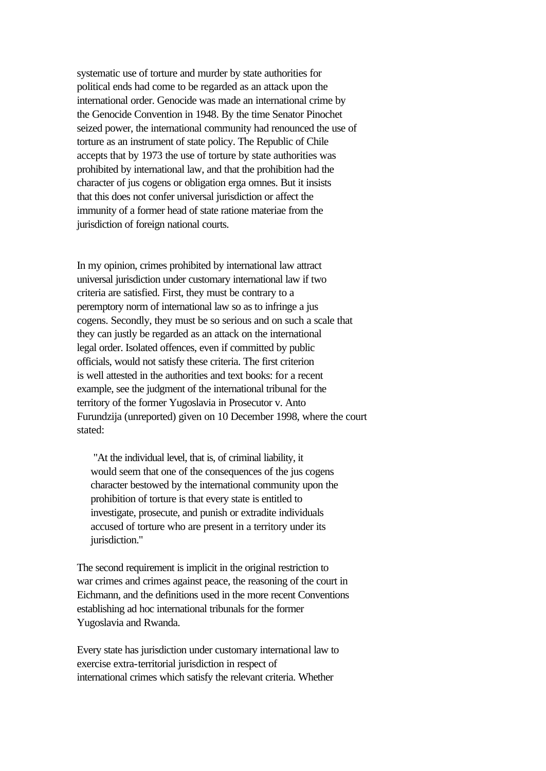systematic use of torture and murder by state authorities for political ends had come to be regarded as an attack upon the international order. Genocide was made an international crime by the Genocide Convention in 1948. By the time Senator Pinochet seized power, the international community had renounced the use of torture as an instrument of state policy. The Republic of Chile accepts that by 1973 the use of torture by state authorities was prohibited by international law, and that the prohibition had the character of jus cogens or obligation erga omnes. But it insists that this does not confer universal jurisdiction or affect the immunity of a former head of state ratione materiae from the jurisdiction of foreign national courts.

 In my opinion, crimes prohibited by international law attract universal jurisdiction under customary international law if two criteria are satisfied. First, they must be contrary to a peremptory norm of international law so as to infringe a jus cogens. Secondly, they must be so serious and on such a scale that they can justly be regarded as an attack on the international legal order. Isolated offences, even if committed by public officials, would not satisfy these criteria. The first criterion is well attested in the authorities and text books: for a recent example, see the judgment of the international tribunal for the territory of the former Yugoslavia in Prosecutor v. Anto Furundzija (unreported) given on 10 December 1998, where the court stated:

 "At the individual level, that is, of criminal liability, it would seem that one of the consequences of the jus cogens character bestowed by the international community upon the prohibition of torture is that every state is entitled to investigate, prosecute, and punish or extradite individuals accused of torture who are present in a territory under its jurisdiction."

 The second requirement is implicit in the original restriction to war crimes and crimes against peace, the reasoning of the court in Eichmann, and the definitions used in the more recent Conventions establishing ad hoc international tribunals for the former Yugoslavia and Rwanda.

 Every state has jurisdiction under customary international law to exercise extra-territorial jurisdiction in respect of international crimes which satisfy the relevant criteria. Whether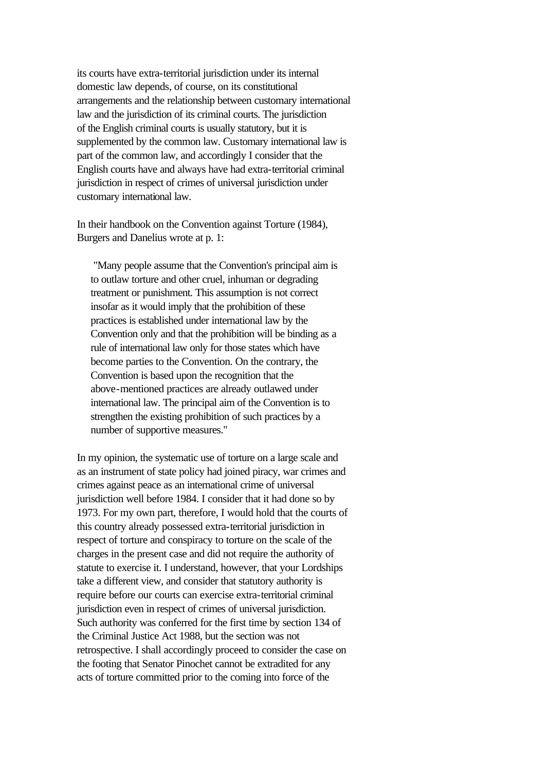its courts have extra-territorial jurisdiction under its internal domestic law depends, of course, on its constitutional arrangements and the relationship between customary international law and the jurisdiction of its criminal courts. The jurisdiction of the English criminal courts is usually statutory, but it is supplemented by the common law. Customary international law is part of the common law, and accordingly I consider that the English courts have and always have had extra-territorial criminal jurisdiction in respect of crimes of universal jurisdiction under customary international law.

 In their handbook on the Convention against Torture (1984), Burgers and Danelius wrote at p. 1:

 "Many people assume that the Convention's principal aim is to outlaw torture and other cruel, inhuman or degrading treatment or punishment. This assumption is not correct insofar as it would imply that the prohibition of these practices is established under international law by the Convention only and that the prohibition will be binding as a rule of international law only for those states which have become parties to the Convention. On the contrary, the Convention is based upon the recognition that the above-mentioned practices are already outlawed under international law. The principal aim of the Convention is to strengthen the existing prohibition of such practices by a number of supportive measures."

 In my opinion, the systematic use of torture on a large scale and as an instrument of state policy had joined piracy, war crimes and crimes against peace as an international crime of universal jurisdiction well before 1984. I consider that it had done so by 1973. For my own part, therefore, I would hold that the courts of this country already possessed extra-territorial jurisdiction in respect of torture and conspiracy to torture on the scale of the charges in the present case and did not require the authority of statute to exercise it. I understand, however, that your Lordships take a different view, and consider that statutory authority is require before our courts can exercise extra-territorial criminal jurisdiction even in respect of crimes of universal jurisdiction. Such authority was conferred for the first time by section 134 of the Criminal Justice Act 1988, but the section was not retrospective. I shall accordingly proceed to consider the case on the footing that Senator Pinochet cannot be extradited for any acts of torture committed prior to the coming into force of the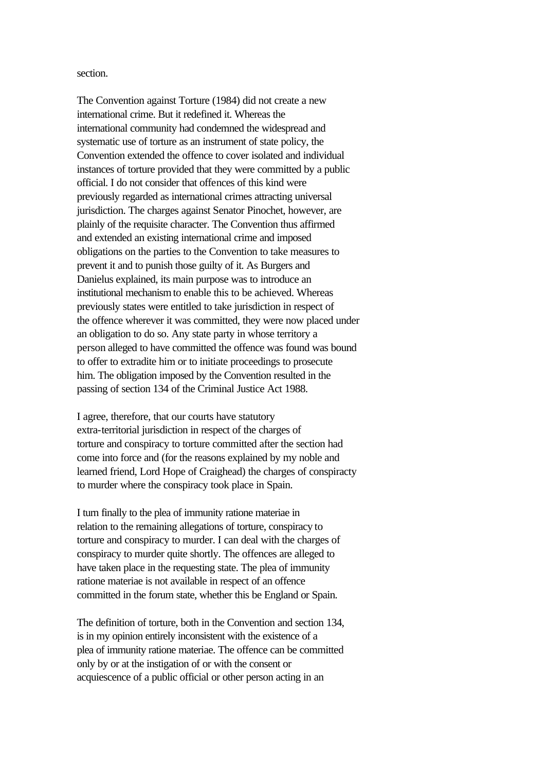section.

 The Convention against Torture (1984) did not create a new international crime. But it redefined it. Whereas the international community had condemned the widespread and systematic use of torture as an instrument of state policy, the Convention extended the offence to cover isolated and individual instances of torture provided that they were committed by a public official. I do not consider that offences of this kind were previously regarded as international crimes attracting universal jurisdiction. The charges against Senator Pinochet, however, are plainly of the requisite character. The Convention thus affirmed and extended an existing international crime and imposed obligations on the parties to the Convention to take measures to prevent it and to punish those guilty of it. As Burgers and Danielus explained, its main purpose was to introduce an institutional mechanism to enable this to be achieved. Whereas previously states were entitled to take jurisdiction in respect of the offence wherever it was committed, they were now placed under an obligation to do so. Any state party in whose territory a person alleged to have committed the offence was found was bound to offer to extradite him or to initiate proceedings to prosecute him. The obligation imposed by the Convention resulted in the passing of section 134 of the Criminal Justice Act 1988.

 I agree, therefore, that our courts have statutory extra-territorial jurisdiction in respect of the charges of torture and conspiracy to torture committed after the section had come into force and (for the reasons explained by my noble and learned friend, Lord Hope of Craighead) the charges of conspiracty to murder where the conspiracy took place in Spain.

 I turn finally to the plea of immunity ratione materiae in relation to the remaining allegations of torture, conspiracy to torture and conspiracy to murder. I can deal with the charges of conspiracy to murder quite shortly. The offences are alleged to have taken place in the requesting state. The plea of immunity ratione materiae is not available in respect of an offence committed in the forum state, whether this be England or Spain.

 The definition of torture, both in the Convention and section 134, is in my opinion entirely inconsistent with the existence of a plea of immunity ratione materiae. The offence can be committed only by or at the instigation of or with the consent or acquiescence of a public official or other person acting in an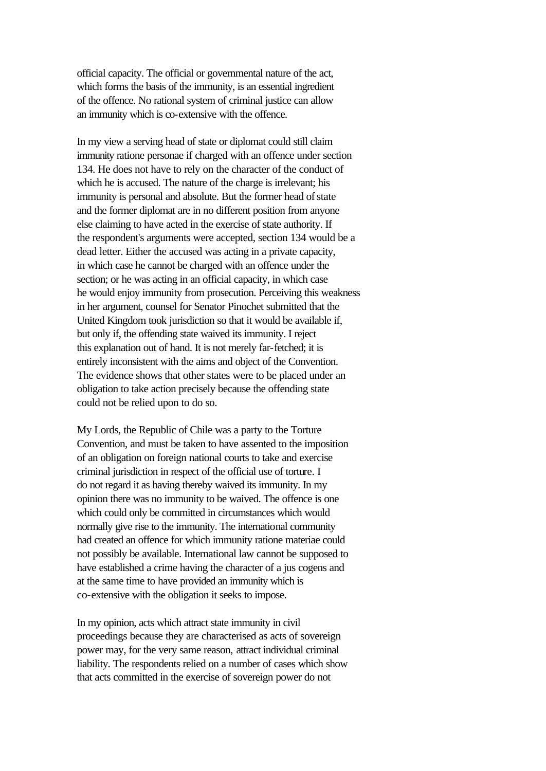official capacity. The official or governmental nature of the act, which forms the basis of the immunity, is an essential ingredient of the offence. No rational system of criminal justice can allow an immunity which is co-extensive with the offence.

 In my view a serving head of state or diplomat could still claim immunity ratione personae if charged with an offence under section 134. He does not have to rely on the character of the conduct of which he is accused. The nature of the charge is irrelevant; his immunity is personal and absolute. But the former head of state and the former diplomat are in no different position from anyone else claiming to have acted in the exercise of state authority. If the respondent's arguments were accepted, section 134 would be a dead letter. Either the accused was acting in a private capacity, in which case he cannot be charged with an offence under the section; or he was acting in an official capacity, in which case he would enjoy immunity from prosecution. Perceiving this weakness in her argument, counsel for Senator Pinochet submitted that the United Kingdom took jurisdiction so that it would be available if, but only if, the offending state waived its immunity. I reject this explanation out of hand. It is not merely far-fetched; it is entirely inconsistent with the aims and object of the Convention. The evidence shows that other states were to be placed under an obligation to take action precisely because the offending state could not be relied upon to do so.

 My Lords, the Republic of Chile was a party to the Torture Convention, and must be taken to have assented to the imposition of an obligation on foreign national courts to take and exercise criminal jurisdiction in respect of the official use of torture. I do not regard it as having thereby waived its immunity. In my opinion there was no immunity to be waived. The offence is one which could only be committed in circumstances which would normally give rise to the immunity. The international community had created an offence for which immunity ratione materiae could not possibly be available. International law cannot be supposed to have established a crime having the character of a jus cogens and at the same time to have provided an immunity which is co-extensive with the obligation it seeks to impose.

 In my opinion, acts which attract state immunity in civil proceedings because they are characterised as acts of sovereign power may, for the very same reason, attract individual criminal liability. The respondents relied on a number of cases which show that acts committed in the exercise of sovereign power do not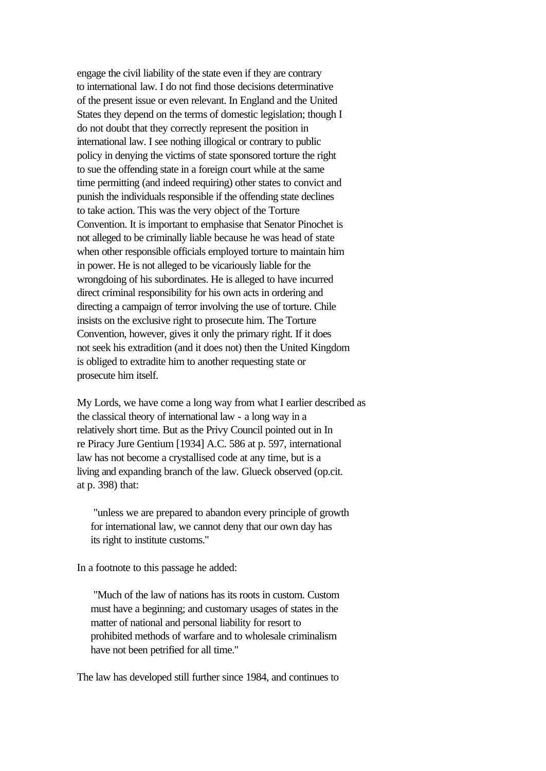engage the civil liability of the state even if they are contrary to international law. I do not find those decisions determinative of the present issue or even relevant. In England and the United States they depend on the terms of domestic legislation; though I do not doubt that they correctly represent the position in international law. I see nothing illogical or contrary to public policy in denying the victims of state sponsored torture the right to sue the offending state in a foreign court while at the same time permitting (and indeed requiring) other states to convict and punish the individuals responsible if the offending state declines to take action. This was the very object of the Torture Convention. It is important to emphasise that Senator Pinochet is not alleged to be criminally liable because he was head of state when other responsible officials employed torture to maintain him in power. He is not alleged to be vicariously liable for the wrongdoing of his subordinates. He is alleged to have incurred direct criminal responsibility for his own acts in ordering and directing a campaign of terror involving the use of torture. Chile insists on the exclusive right to prosecute him. The Torture Convention, however, gives it only the primary right. If it does not seek his extradition (and it does not) then the United Kingdom is obliged to extradite him to another requesting state or prosecute him itself.

 My Lords, we have come a long way from what I earlier described as the classical theory of international law - a long way in a relatively short time. But as the Privy Council pointed out in In re Piracy Jure Gentium [1934] A.C. 586 at p. 597, international law has not become a crystallised code at any time, but is a living and expanding branch of the law. Glueck observed (op.cit. at p. 398) that:

 "unless we are prepared to abandon every principle of growth for international law, we cannot deny that our own day has its right to institute customs."

In a footnote to this passage he added:

 "Much of the law of nations has its roots in custom. Custom must have a beginning; and customary usages of states in the matter of national and personal liability for resort to prohibited methods of warfare and to wholesale criminalism have not been petrified for all time."

The law has developed still further since 1984, and continues to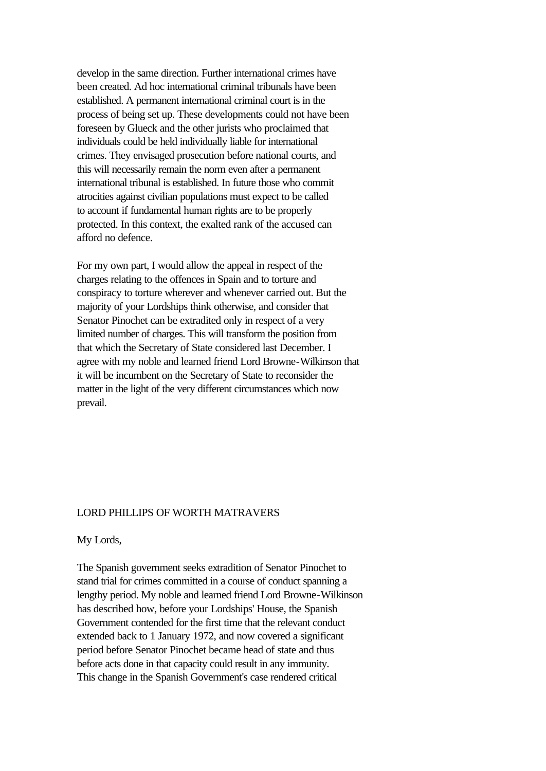develop in the same direction. Further international crimes have been created. Ad hoc international criminal tribunals have been established. A permanent international criminal court is in the process of being set up. These developments could not have been foreseen by Glueck and the other jurists who proclaimed that individuals could be held individually liable for international crimes. They envisaged prosecution before national courts, and this will necessarily remain the norm even after a permanent international tribunal is established. In future those who commit atrocities against civilian populations must expect to be called to account if fundamental human rights are to be properly protected. In this context, the exalted rank of the accused can afford no defence.

 For my own part, I would allow the appeal in respect of the charges relating to the offences in Spain and to torture and conspiracy to torture wherever and whenever carried out. But the majority of your Lordships think otherwise, and consider that Senator Pinochet can be extradited only in respect of a very limited number of charges. This will transform the position from that which the Secretary of State considered last December. I agree with my noble and learned friend Lord Browne-Wilkinson that it will be incumbent on the Secretary of State to reconsider the matter in the light of the very different circumstances which now prevail.

#### LORD PHILLIPS OF WORTH MATRAVERS

### My Lords,

 The Spanish government seeks extradition of Senator Pinochet to stand trial for crimes committed in a course of conduct spanning a lengthy period. My noble and learned friend Lord Browne-Wilkinson has described how, before your Lordships' House, the Spanish Government contended for the first time that the relevant conduct extended back to 1 January 1972, and now covered a significant period before Senator Pinochet became head of state and thus before acts done in that capacity could result in any immunity. This change in the Spanish Government's case rendered critical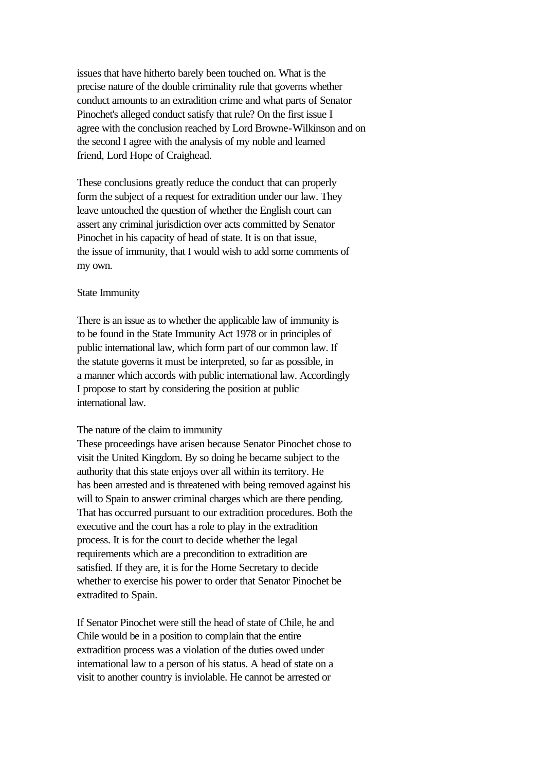issues that have hitherto barely been touched on. What is the precise nature of the double criminality rule that governs whether conduct amounts to an extradition crime and what parts of Senator Pinochet's alleged conduct satisfy that rule? On the first issue I agree with the conclusion reached by Lord Browne-Wilkinson and on the second I agree with the analysis of my noble and learned friend, Lord Hope of Craighead.

 These conclusions greatly reduce the conduct that can properly form the subject of a request for extradition under our law. They leave untouched the question of whether the English court can assert any criminal jurisdiction over acts committed by Senator Pinochet in his capacity of head of state. It is on that issue, the issue of immunity, that I would wish to add some comments of my own.

## State Immunity

 There is an issue as to whether the applicable law of immunity is to be found in the State Immunity Act 1978 or in principles of public international law, which form part of our common law. If the statute governs it must be interpreted, so far as possible, in a manner which accords with public international law. Accordingly I propose to start by considering the position at public international law.

#### The nature of the claim to immunity

 These proceedings have arisen because Senator Pinochet chose to visit the United Kingdom. By so doing he became subject to the authority that this state enjoys over all within its territory. He has been arrested and is threatened with being removed against his will to Spain to answer criminal charges which are there pending. That has occurred pursuant to our extradition procedures. Both the executive and the court has a role to play in the extradition process. It is for the court to decide whether the legal requirements which are a precondition to extradition are satisfied. If they are, it is for the Home Secretary to decide whether to exercise his power to order that Senator Pinochet be extradited to Spain.

 If Senator Pinochet were still the head of state of Chile, he and Chile would be in a position to complain that the entire extradition process was a violation of the duties owed under international law to a person of his status. A head of state on a visit to another country is inviolable. He cannot be arrested or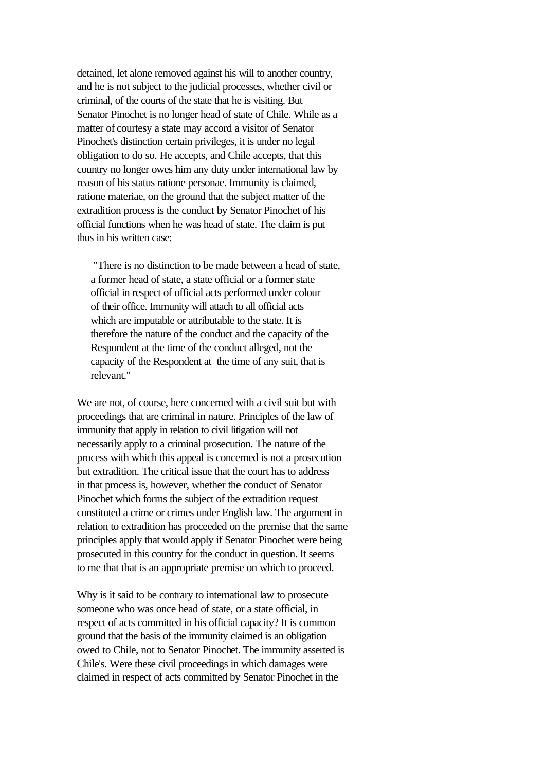detained, let alone removed against his will to another country, and he is not subject to the judicial processes, whether civil or criminal, of the courts of the state that he is visiting. But Senator Pinochet is no longer head of state of Chile. While as a matter of courtesy a state may accord a visitor of Senator Pinochet's distinction certain privileges, it is under no legal obligation to do so. He accepts, and Chile accepts, that this country no longer owes him any duty under international law by reason of his status ratione personae. Immunity is claimed, ratione materiae, on the ground that the subject matter of the extradition process is the conduct by Senator Pinochet of his official functions when he was head of state. The claim is put thus in his written case:

 "There is no distinction to be made between a head of state, a former head of state, a state official or a former state official in respect of official acts performed under colour of their office. Immunity will attach to all official acts which are imputable or attributable to the state. It is therefore the nature of the conduct and the capacity of the Respondent at the time of the conduct alleged, not the capacity of the Respondent at the time of any suit, that is relevant."

 We are not, of course, here concerned with a civil suit but with proceedings that are criminal in nature. Principles of the law of immunity that apply in relation to civil litigation will not necessarily apply to a criminal prosecution. The nature of the process with which this appeal is concerned is not a prosecution but extradition. The critical issue that the court has to address in that process is, however, whether the conduct of Senator Pinochet which forms the subject of the extradition request constituted a crime or crimes under English law. The argument in relation to extradition has proceeded on the premise that the same principles apply that would apply if Senator Pinochet were being prosecuted in this country for the conduct in question. It seems to me that that is an appropriate premise on which to proceed.

 Why is it said to be contrary to international law to prosecute someone who was once head of state, or a state official, in respect of acts committed in his official capacity? It is common ground that the basis of the immunity claimed is an obligation owed to Chile, not to Senator Pinochet. The immunity asserted is Chile's. Were these civil proceedings in which damages were claimed in respect of acts committed by Senator Pinochet in the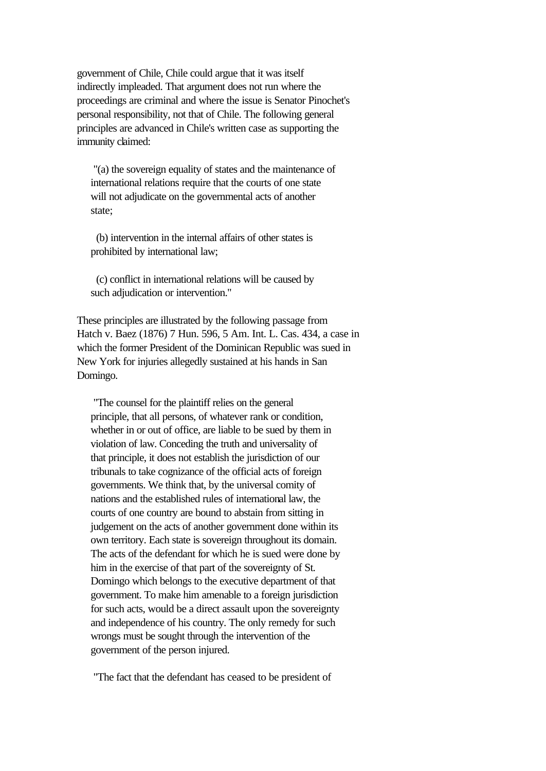government of Chile, Chile could argue that it was itself indirectly impleaded. That argument does not run where the proceedings are criminal and where the issue is Senator Pinochet's personal responsibility, not that of Chile. The following general principles are advanced in Chile's written case as supporting the immunity claimed:

 "(a) the sovereign equality of states and the maintenance of international relations require that the courts of one state will not adjudicate on the governmental acts of another state;

 (b) intervention in the internal affairs of other states is prohibited by international law;

 (c) conflict in international relations will be caused by such adjudication or intervention."

 These principles are illustrated by the following passage from Hatch v. Baez (1876) 7 Hun. 596, 5 Am. Int. L. Cas. 434, a case in which the former President of the Dominican Republic was sued in New York for injuries allegedly sustained at his hands in San Domingo.

 "The counsel for the plaintiff relies on the general principle, that all persons, of whatever rank or condition, whether in or out of office, are liable to be sued by them in violation of law. Conceding the truth and universality of that principle, it does not establish the jurisdiction of our tribunals to take cognizance of the official acts of foreign governments. We think that, by the universal comity of nations and the established rules of international law, the courts of one country are bound to abstain from sitting in judgement on the acts of another government done within its own territory. Each state is sovereign throughout its domain. The acts of the defendant for which he is sued were done by him in the exercise of that part of the sovereignty of St. Domingo which belongs to the executive department of that government. To make him amenable to a foreign jurisdiction for such acts, would be a direct assault upon the sovereignty and independence of his country. The only remedy for such wrongs must be sought through the intervention of the government of the person injured.

"The fact that the defendant has ceased to be president of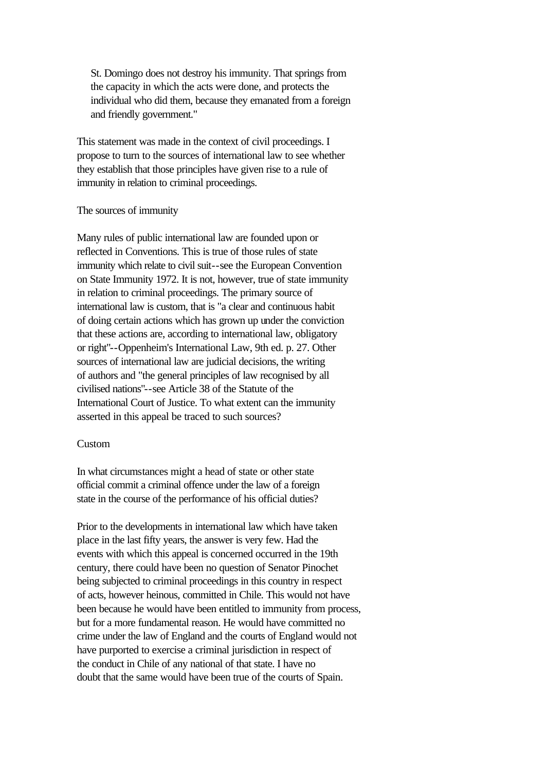St. Domingo does not destroy his immunity. That springs from the capacity in which the acts were done, and protects the individual who did them, because they emanated from a foreign and friendly government."

 This statement was made in the context of civil proceedings. I propose to turn to the sources of international law to see whether they establish that those principles have given rise to a rule of immunity in relation to criminal proceedings.

#### The sources of immunity

 Many rules of public international law are founded upon or reflected in Conventions. This is true of those rules of state immunity which relate to civil suit--see the European Convention on State Immunity 1972. It is not, however, true of state immunity in relation to criminal proceedings. The primary source of international law is custom, that is "a clear and continuous habit of doing certain actions which has grown up under the conviction that these actions are, according to international law, obligatory or right"--Oppenheim's International Law, 9th ed. p. 27. Other sources of international law are judicial decisions, the writing of authors and "the general principles of law recognised by all civilised nations"--see Article 38 of the Statute of the International Court of Justice. To what extent can the immunity asserted in this appeal be traced to such sources?

### Custom

 In what circumstances might a head of state or other state official commit a criminal offence under the law of a foreign state in the course of the performance of his official duties?

 Prior to the developments in international law which have taken place in the last fifty years, the answer is very few. Had the events with which this appeal is concerned occurred in the 19th century, there could have been no question of Senator Pinochet being subjected to criminal proceedings in this country in respect of acts, however heinous, committed in Chile. This would not have been because he would have been entitled to immunity from process, but for a more fundamental reason. He would have committed no crime under the law of England and the courts of England would not have purported to exercise a criminal jurisdiction in respect of the conduct in Chile of any national of that state. I have no doubt that the same would have been true of the courts of Spain.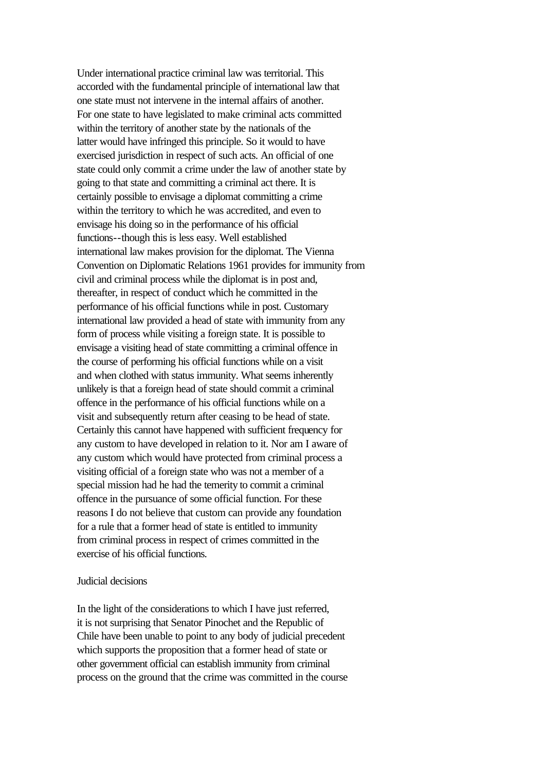Under international practice criminal law was territorial. This accorded with the fundamental principle of international law that one state must not intervene in the internal affairs of another. For one state to have legislated to make criminal acts committed within the territory of another state by the nationals of the latter would have infringed this principle. So it would to have exercised jurisdiction in respect of such acts. An official of one state could only commit a crime under the law of another state by going to that state and committing a criminal act there. It is certainly possible to envisage a diplomat committing a crime within the territory to which he was accredited, and even to envisage his doing so in the performance of his official functions--though this is less easy. Well established international law makes provision for the diplomat. The Vienna Convention on Diplomatic Relations 1961 provides for immunity from civil and criminal process while the diplomat is in post and, thereafter, in respect of conduct which he committed in the performance of his official functions while in post. Customary international law provided a head of state with immunity from any form of process while visiting a foreign state. It is possible to envisage a visiting head of state committing a criminal offence in the course of performing his official functions while on a visit and when clothed with status immunity. What seems inherently unlikely is that a foreign head of state should commit a criminal offence in the performance of his official functions while on a visit and subsequently return after ceasing to be head of state. Certainly this cannot have happened with sufficient frequency for any custom to have developed in relation to it. Nor am I aware of any custom which would have protected from criminal process a visiting official of a foreign state who was not a member of a special mission had he had the temerity to commit a criminal offence in the pursuance of some official function. For these reasons I do not believe that custom can provide any foundation for a rule that a former head of state is entitled to immunity from criminal process in respect of crimes committed in the exercise of his official functions.

#### Judicial decisions

 In the light of the considerations to which I have just referred, it is not surprising that Senator Pinochet and the Republic of Chile have been unable to point to any body of judicial precedent which supports the proposition that a former head of state or other government official can establish immunity from criminal process on the ground that the crime was committed in the course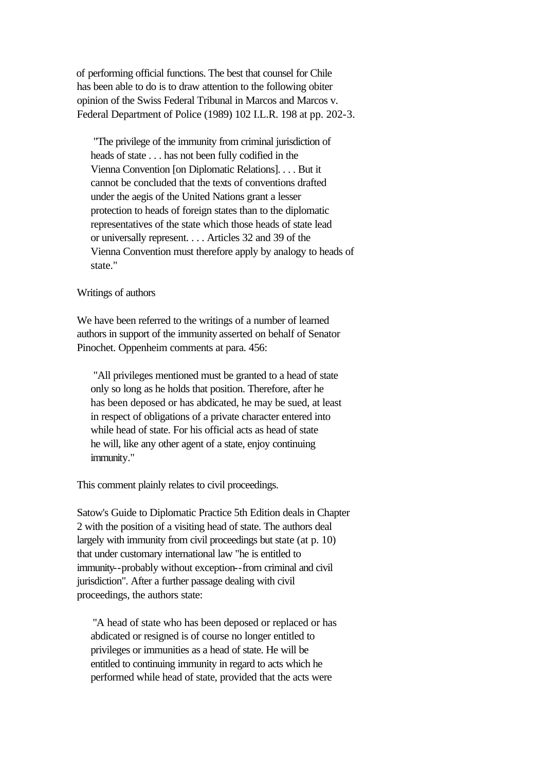of performing official functions. The best that counsel for Chile has been able to do is to draw attention to the following obiter opinion of the Swiss Federal Tribunal in Marcos and Marcos v. Federal Department of Police (1989) 102 I.L.R. 198 at pp. 202-3.

 "The privilege of the immunity from criminal jurisdiction of heads of state . . . has not been fully codified in the Vienna Convention [on Diplomatic Relations]. . . . But it cannot be concluded that the texts of conventions drafted under the aegis of the United Nations grant a lesser protection to heads of foreign states than to the diplomatic representatives of the state which those heads of state lead or universally represent. . . . Articles 32 and 39 of the Vienna Convention must therefore apply by analogy to heads of state."

#### Writings of authors

 We have been referred to the writings of a number of learned authors in support of the immunity asserted on behalf of Senator Pinochet. Oppenheim comments at para. 456:

 "All privileges mentioned must be granted to a head of state only so long as he holds that position. Therefore, after he has been deposed or has abdicated, he may be sued, at least in respect of obligations of a private character entered into while head of state. For his official acts as head of state he will, like any other agent of a state, enjoy continuing immunity."

This comment plainly relates to civil proceedings.

 Satow's Guide to Diplomatic Practice 5th Edition deals in Chapter 2 with the position of a visiting head of state. The authors deal largely with immunity from civil proceedings but state (at p. 10) that under customary international law "he is entitled to immunity--probably without exception--from criminal and civil jurisdiction". After a further passage dealing with civil proceedings, the authors state:

 "A head of state who has been deposed or replaced or has abdicated or resigned is of course no longer entitled to privileges or immunities as a head of state. He will be entitled to continuing immunity in regard to acts which he performed while head of state, provided that the acts were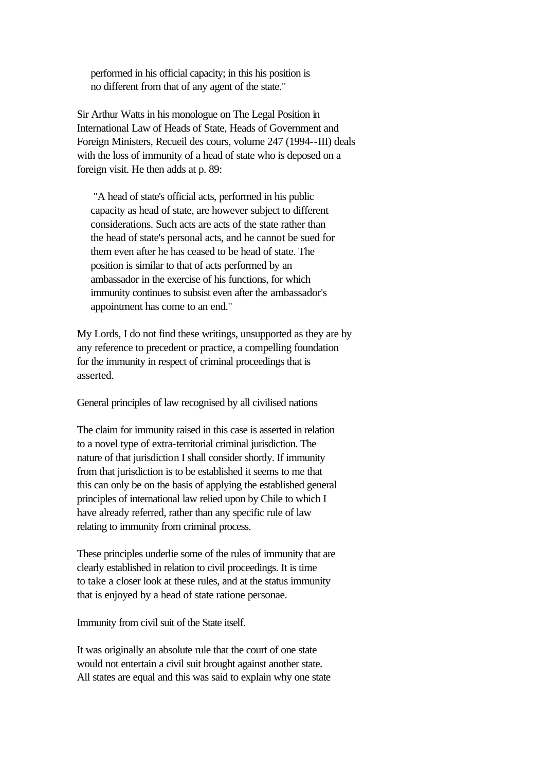performed in his official capacity; in this his position is no different from that of any agent of the state."

 Sir Arthur Watts in his monologue on The Legal Position in International Law of Heads of State, Heads of Government and Foreign Ministers, Recueil des cours, volume 247 (1994--III) deals with the loss of immunity of a head of state who is deposed on a foreign visit. He then adds at p. 89:

 "A head of state's official acts, performed in his public capacity as head of state, are however subject to different considerations. Such acts are acts of the state rather than the head of state's personal acts, and he cannot be sued for them even after he has ceased to be head of state. The position is similar to that of acts performed by an ambassador in the exercise of his functions, for which immunity continues to subsist even after the ambassador's appointment has come to an end."

 My Lords, I do not find these writings, unsupported as they are by any reference to precedent or practice, a compelling foundation for the immunity in respect of criminal proceedings that is asserted.

General principles of law recognised by all civilised nations

 The claim for immunity raised in this case is asserted in relation to a novel type of extra-territorial criminal jurisdiction. The nature of that jurisdiction I shall consider shortly. If immunity from that jurisdiction is to be established it seems to me that this can only be on the basis of applying the established general principles of international law relied upon by Chile to which I have already referred, rather than any specific rule of law relating to immunity from criminal process.

 These principles underlie some of the rules of immunity that are clearly established in relation to civil proceedings. It is time to take a closer look at these rules, and at the status immunity that is enjoyed by a head of state ratione personae.

Immunity from civil suit of the State itself.

 It was originally an absolute rule that the court of one state would not entertain a civil suit brought against another state. All states are equal and this was said to explain why one state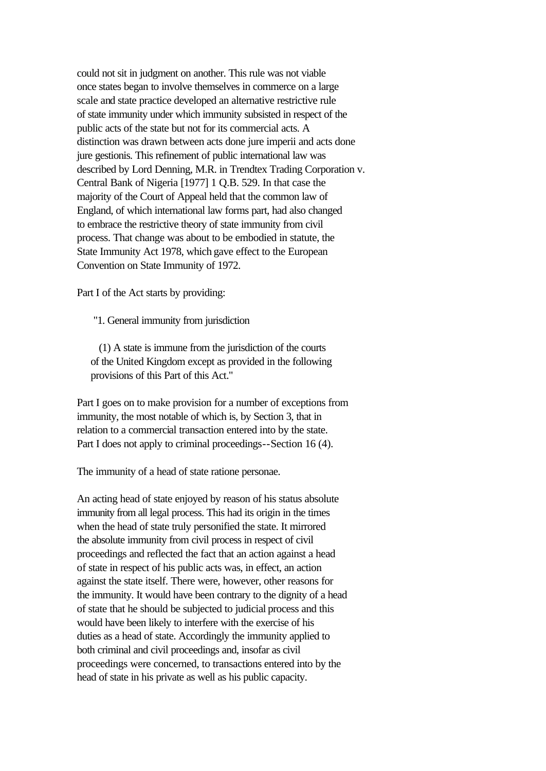could not sit in judgment on another. This rule was not viable once states began to involve themselves in commerce on a large scale and state practice developed an alternative restrictive rule of state immunity under which immunity subsisted in respect of the public acts of the state but not for its commercial acts. A distinction was drawn between acts done jure imperii and acts done jure gestionis. This refinement of public international law was described by Lord Denning, M.R. in Trendtex Trading Corporation v. Central Bank of Nigeria [1977] 1 Q.B. 529. In that case the majority of the Court of Appeal held that the common law of England, of which international law forms part, had also changed to embrace the restrictive theory of state immunity from civil process. That change was about to be embodied in statute, the State Immunity Act 1978, which gave effect to the European Convention on State Immunity of 1972.

Part I of the Act starts by providing:

"1. General immunity from jurisdiction

 (1) A state is immune from the jurisdiction of the courts of the United Kingdom except as provided in the following provisions of this Part of this Act."

 Part I goes on to make provision for a number of exceptions from immunity, the most notable of which is, by Section 3, that in relation to a commercial transaction entered into by the state. Part I does not apply to criminal proceedings--Section 16 (4).

The immunity of a head of state ratione personae.

 An acting head of state enjoyed by reason of his status absolute immunity from all legal process. This had its origin in the times when the head of state truly personified the state. It mirrored the absolute immunity from civil process in respect of civil proceedings and reflected the fact that an action against a head of state in respect of his public acts was, in effect, an action against the state itself. There were, however, other reasons for the immunity. It would have been contrary to the dignity of a head of state that he should be subjected to judicial process and this would have been likely to interfere with the exercise of his duties as a head of state. Accordingly the immunity applied to both criminal and civil proceedings and, insofar as civil proceedings were concerned, to transactions entered into by the head of state in his private as well as his public capacity.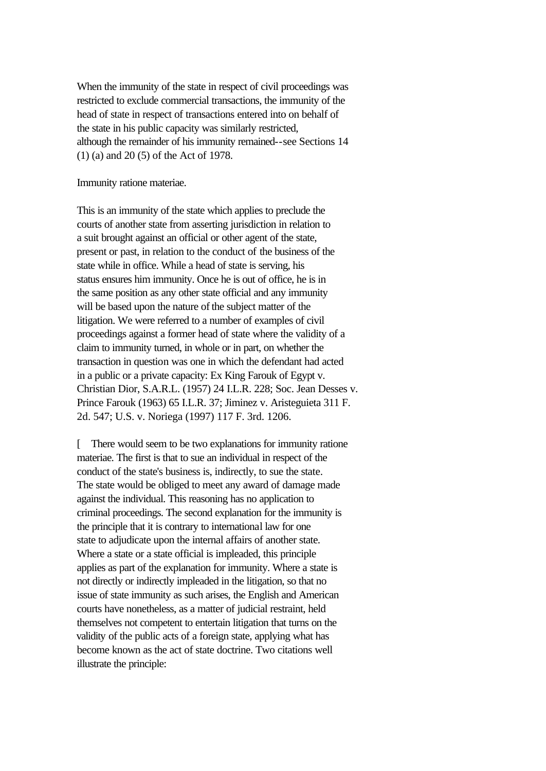When the immunity of the state in respect of civil proceedings was restricted to exclude commercial transactions, the immunity of the head of state in respect of transactions entered into on behalf of the state in his public capacity was similarly restricted, although the remainder of his immunity remained--see Sections 14 (1) (a) and 20 (5) of the Act of 1978.

Immunity ratione materiae.

 This is an immunity of the state which applies to preclude the courts of another state from asserting jurisdiction in relation to a suit brought against an official or other agent of the state, present or past, in relation to the conduct of the business of the state while in office. While a head of state is serving, his status ensures him immunity. Once he is out of office, he is in the same position as any other state official and any immunity will be based upon the nature of the subject matter of the litigation. We were referred to a number of examples of civil proceedings against a former head of state where the validity of a claim to immunity turned, in whole or in part, on whether the transaction in question was one in which the defendant had acted in a public or a private capacity: Ex King Farouk of Egypt v. Christian Dior, S.A.R.L. (1957) 24 I.L.R. 228; Soc. Jean Desses v. Prince Farouk (1963) 65 I.L.R. 37; Jiminez v. Aristeguieta 311 F. 2d. 547; U.S. v. Noriega (1997) 117 F. 3rd. 1206.

 [ There would seem to be two explanations for immunity ratione materiae. The first is that to sue an individual in respect of the conduct of the state's business is, indirectly, to sue the state. The state would be obliged to meet any award of damage made against the individual. This reasoning has no application to criminal proceedings. The second explanation for the immunity is the principle that it is contrary to international law for one state to adjudicate upon the internal affairs of another state. Where a state or a state official is impleaded, this principle applies as part of the explanation for immunity. Where a state is not directly or indirectly impleaded in the litigation, so that no issue of state immunity as such arises, the English and American courts have nonetheless, as a matter of judicial restraint, held themselves not competent to entertain litigation that turns on the validity of the public acts of a foreign state, applying what has become known as the act of state doctrine. Two citations well illustrate the principle: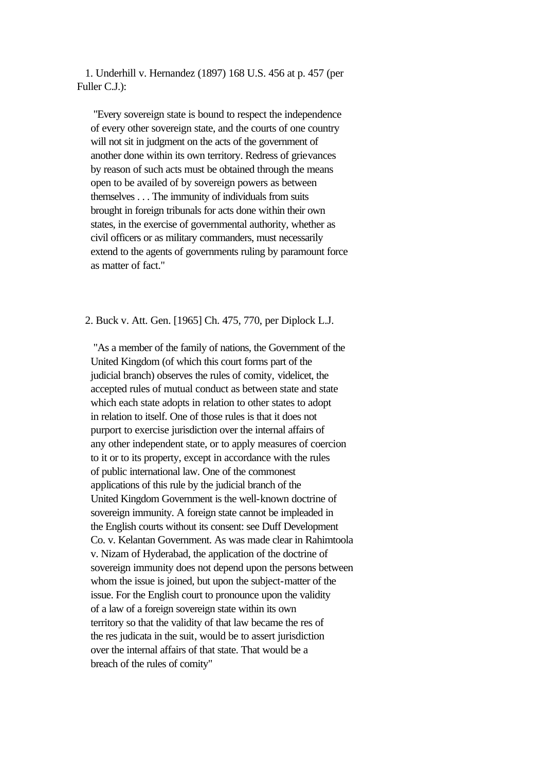1. Underhill v. Hernandez (1897) 168 U.S. 456 at p. 457 (per Fuller C.J.):

 "Every sovereign state is bound to respect the independence of every other sovereign state, and the courts of one country will not sit in judgment on the acts of the government of another done within its own territory. Redress of grievances by reason of such acts must be obtained through the means open to be availed of by sovereign powers as between themselves . . . The immunity of individuals from suits brought in foreign tribunals for acts done within their own states, in the exercise of governmental authority, whether as civil officers or as military commanders, must necessarily extend to the agents of governments ruling by paramount force as matter of fact."

2. Buck v. Att. Gen. [1965] Ch. 475, 770, per Diplock L.J.

 "As a member of the family of nations, the Government of the United Kingdom (of which this court forms part of the judicial branch) observes the rules of comity, videlicet, the accepted rules of mutual conduct as between state and state which each state adopts in relation to other states to adopt in relation to itself. One of those rules is that it does not purport to exercise jurisdiction over the internal affairs of any other independent state, or to apply measures of coercion to it or to its property, except in accordance with the rules of public international law. One of the commonest applications of this rule by the judicial branch of the United Kingdom Government is the well-known doctrine of sovereign immunity. A foreign state cannot be impleaded in the English courts without its consent: see Duff Development Co. v. Kelantan Government. As was made clear in Rahimtoola v. Nizam of Hyderabad, the application of the doctrine of sovereign immunity does not depend upon the persons between whom the issue is joined, but upon the subject-matter of the issue. For the English court to pronounce upon the validity of a law of a foreign sovereign state within its own territory so that the validity of that law became the res of the res judicata in the suit, would be to assert jurisdiction over the internal affairs of that state. That would be a breach of the rules of comity"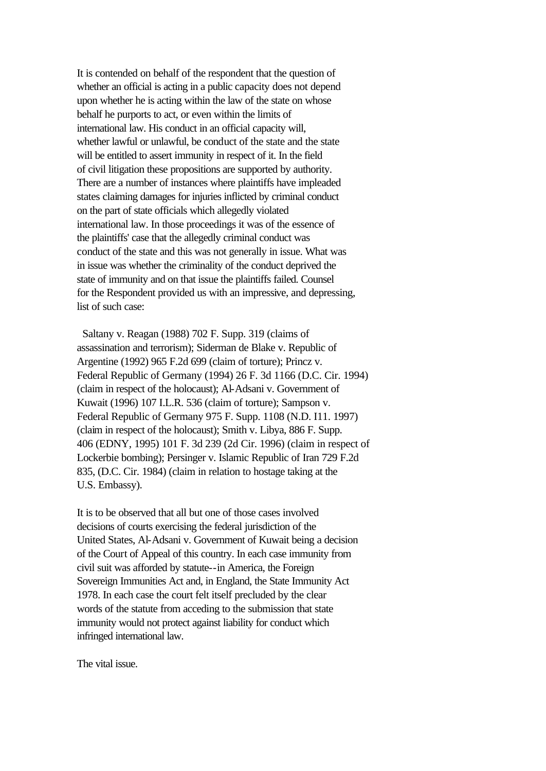It is contended on behalf of the respondent that the question of whether an official is acting in a public capacity does not depend upon whether he is acting within the law of the state on whose behalf he purports to act, or even within the limits of international law. His conduct in an official capacity will, whether lawful or unlawful, be conduct of the state and the state will be entitled to assert immunity in respect of it. In the field of civil litigation these propositions are supported by authority. There are a number of instances where plaintiffs have impleaded states claiming damages for injuries inflicted by criminal conduct on the part of state officials which allegedly violated international law. In those proceedings it was of the essence of the plaintiffs' case that the allegedly criminal conduct was conduct of the state and this was not generally in issue. What was in issue was whether the criminality of the conduct deprived the state of immunity and on that issue the plaintiffs failed. Counsel for the Respondent provided us with an impressive, and depressing, list of such case:

 Saltany v. Reagan (1988) 702 F. Supp. 319 (claims of assassination and terrorism); Siderman de Blake v. Republic of Argentine (1992) 965 F.2d 699 (claim of torture); Princz v. Federal Republic of Germany (1994) 26 F. 3d 1166 (D.C. Cir. 1994) (claim in respect of the holocaust); Al-Adsani v. Government of Kuwait (1996) 107 I.L.R. 536 (claim of torture); Sampson v. Federal Republic of Germany 975 F. Supp. 1108 (N.D. I11. 1997) (claim in respect of the holocaust); Smith v. Libya, 886 F. Supp. 406 (EDNY, 1995) 101 F. 3d 239 (2d Cir. 1996) (claim in respect of Lockerbie bombing); Persinger v. Islamic Republic of Iran 729 F.2d 835, (D.C. Cir. 1984) (claim in relation to hostage taking at the U.S. Embassy).

 It is to be observed that all but one of those cases involved decisions of courts exercising the federal jurisdiction of the United States, Al-Adsani v. Government of Kuwait being a decision of the Court of Appeal of this country. In each case immunity from civil suit was afforded by statute--in America, the Foreign Sovereign Immunities Act and, in England, the State Immunity Act 1978. In each case the court felt itself precluded by the clear words of the statute from acceding to the submission that state immunity would not protect against liability for conduct which infringed international law.

The vital issue.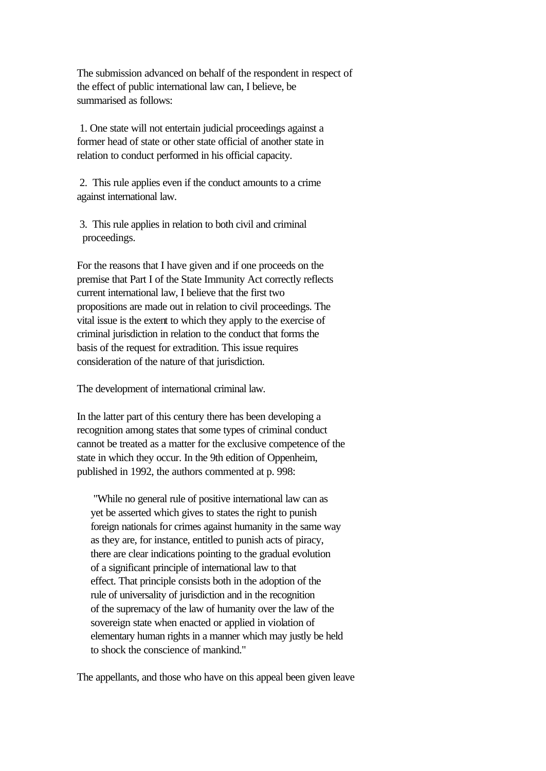The submission advanced on behalf of the respondent in respect of the effect of public international law can, I believe, be summarised as follows:

 1. One state will not entertain judicial proceedings against a former head of state or other state official of another state in relation to conduct performed in his official capacity.

 2. This rule applies even if the conduct amounts to a crime against international law.

 3. This rule applies in relation to both civil and criminal proceedings.

 For the reasons that I have given and if one proceeds on the premise that Part I of the State Immunity Act correctly reflects current international law, I believe that the first two propositions are made out in relation to civil proceedings. The vital issue is the extent to which they apply to the exercise of criminal jurisdiction in relation to the conduct that forms the basis of the request for extradition. This issue requires consideration of the nature of that jurisdiction.

The development of international criminal law.

 In the latter part of this century there has been developing a recognition among states that some types of criminal conduct cannot be treated as a matter for the exclusive competence of the state in which they occur. In the 9th edition of Oppenheim, published in 1992, the authors commented at p. 998:

 "While no general rule of positive international law can as yet be asserted which gives to states the right to punish foreign nationals for crimes against humanity in the same way as they are, for instance, entitled to punish acts of piracy, there are clear indications pointing to the gradual evolution of a significant principle of international law to that effect. That principle consists both in the adoption of the rule of universality of jurisdiction and in the recognition of the supremacy of the law of humanity over the law of the sovereign state when enacted or applied in violation of elementary human rights in a manner which may justly be held to shock the conscience of mankind."

The appellants, and those who have on this appeal been given leave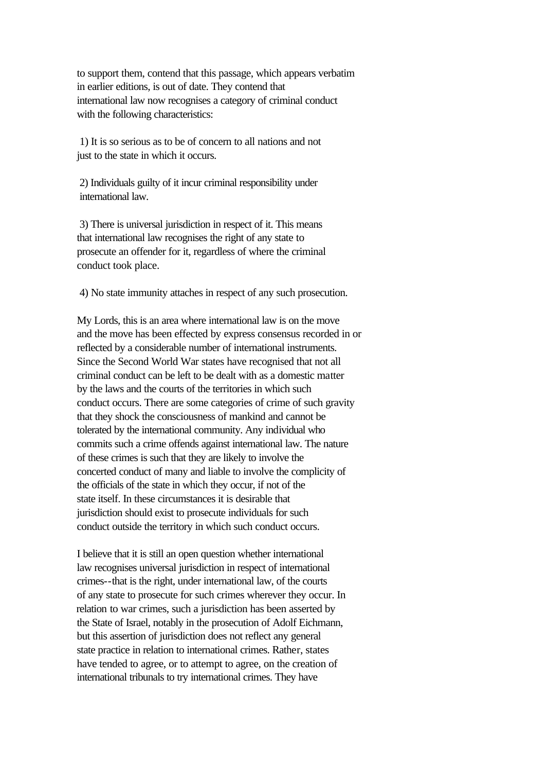to support them, contend that this passage, which appears verbatim in earlier editions, is out of date. They contend that international law now recognises a category of criminal conduct with the following characteristics:

 1) It is so serious as to be of concern to all nations and not just to the state in which it occurs.

 2) Individuals guilty of it incur criminal responsibility under international law.

 3) There is universal jurisdiction in respect of it. This means that international law recognises the right of any state to prosecute an offender for it, regardless of where the criminal conduct took place.

4) No state immunity attaches in respect of any such prosecution.

 My Lords, this is an area where international law is on the move and the move has been effected by express consensus recorded in or reflected by a considerable number of international instruments. Since the Second World War states have recognised that not all criminal conduct can be left to be dealt with as a domestic matter by the laws and the courts of the territories in which such conduct occurs. There are some categories of crime of such gravity that they shock the consciousness of mankind and cannot be tolerated by the international community. Any individual who commits such a crime offends against international law. The nature of these crimes is such that they are likely to involve the concerted conduct of many and liable to involve the complicity of the officials of the state in which they occur, if not of the state itself. In these circumstances it is desirable that jurisdiction should exist to prosecute individuals for such conduct outside the territory in which such conduct occurs.

 I believe that it is still an open question whether international law recognises universal jurisdiction in respect of international crimes--that is the right, under international law, of the courts of any state to prosecute for such crimes wherever they occur. In relation to war crimes, such a jurisdiction has been asserted by the State of Israel, notably in the prosecution of Adolf Eichmann, but this assertion of jurisdiction does not reflect any general state practice in relation to international crimes. Rather, states have tended to agree, or to attempt to agree, on the creation of international tribunals to try international crimes. They have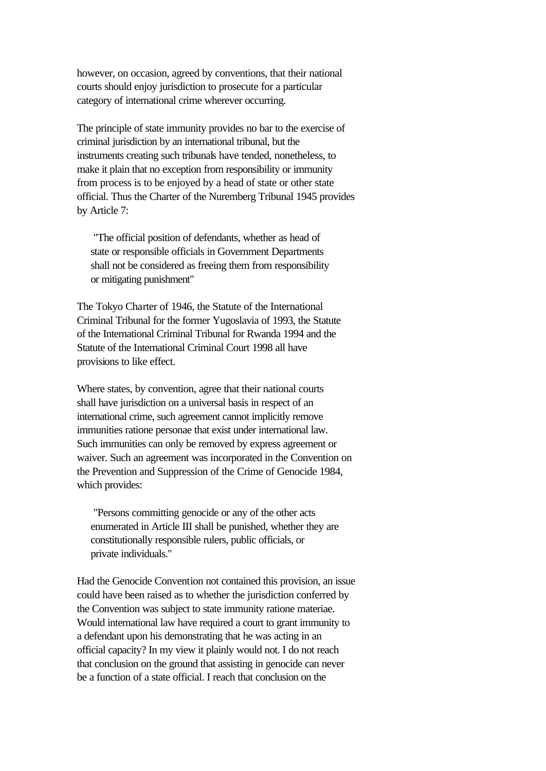however, on occasion, agreed by conventions, that their national courts should enjoy jurisdiction to prosecute for a particular category of international crime wherever occurring.

 The principle of state immunity provides no bar to the exercise of criminal jurisdiction by an international tribunal, but the instruments creating such tribunals have tended, nonetheless, to make it plain that no exception from responsibility or immunity from process is to be enjoyed by a head of state or other state official. Thus the Charter of the Nuremberg Tribunal 1945 provides by Article 7:

 "The official position of defendants, whether as head of state or responsible officials in Government Departments shall not be considered as freeing them from responsibility or mitigating punishment"

 The Tokyo Charter of 1946, the Statute of the International Criminal Tribunal for the former Yugoslavia of 1993, the Statute of the International Criminal Tribunal for Rwanda 1994 and the Statute of the International Criminal Court 1998 all have provisions to like effect.

 Where states, by convention, agree that their national courts shall have jurisdiction on a universal basis in respect of an international crime, such agreement cannot implicitly remove immunities ratione personae that exist under international law. Such immunities can only be removed by express agreement or waiver. Such an agreement was incorporated in the Convention on the Prevention and Suppression of the Crime of Genocide 1984, which provides:

 "Persons committing genocide or any of the other acts enumerated in Article III shall be punished, whether they are constitutionally responsible rulers, public officials, or private individuals."

 Had the Genocide Convention not contained this provision, an issue could have been raised as to whether the jurisdiction conferred by the Convention was subject to state immunity ratione materiae. Would international law have required a court to grant immunity to a defendant upon his demonstrating that he was acting in an official capacity? In my view it plainly would not. I do not reach that conclusion on the ground that assisting in genocide can never be a function of a state official. I reach that conclusion on the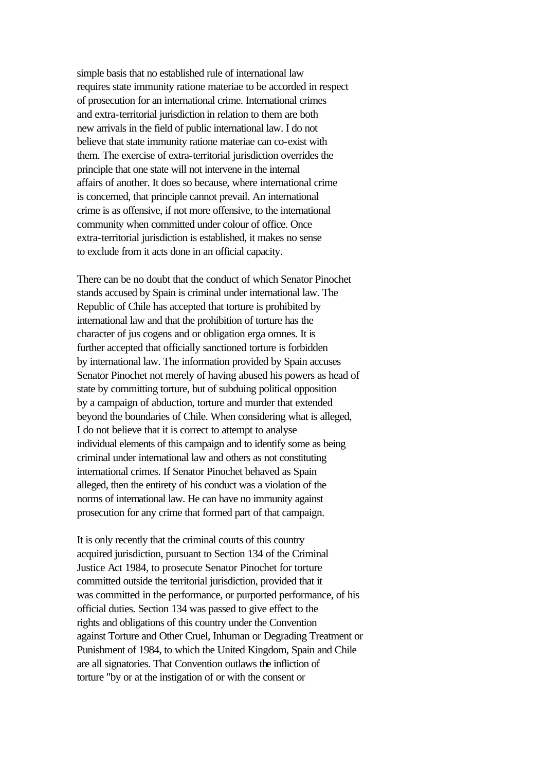simple basis that no established rule of international law requires state immunity ratione materiae to be accorded in respect of prosecution for an international crime. International crimes and extra-territorial jurisdiction in relation to them are both new arrivals in the field of public international law. I do not believe that state immunity ratione materiae can co-exist with them. The exercise of extra-territorial jurisdiction overrides the principle that one state will not intervene in the internal affairs of another. It does so because, where international crime is concerned, that principle cannot prevail. An international crime is as offensive, if not more offensive, to the international community when committed under colour of office. Once extra-territorial jurisdiction is established, it makes no sense to exclude from it acts done in an official capacity.

 There can be no doubt that the conduct of which Senator Pinochet stands accused by Spain is criminal under international law. The Republic of Chile has accepted that torture is prohibited by international law and that the prohibition of torture has the character of jus cogens and or obligation erga omnes. It is further accepted that officially sanctioned torture is forbidden by international law. The information provided by Spain accuses Senator Pinochet not merely of having abused his powers as head of state by committing torture, but of subduing political opposition by a campaign of abduction, torture and murder that extended beyond the boundaries of Chile. When considering what is alleged, I do not believe that it is correct to attempt to analyse individual elements of this campaign and to identify some as being criminal under international law and others as not constituting international crimes. If Senator Pinochet behaved as Spain alleged, then the entirety of his conduct was a violation of the norms of international law. He can have no immunity against prosecution for any crime that formed part of that campaign.

 It is only recently that the criminal courts of this country acquired jurisdiction, pursuant to Section 134 of the Criminal Justice Act 1984, to prosecute Senator Pinochet for torture committed outside the territorial jurisdiction, provided that it was committed in the performance, or purported performance, of his official duties. Section 134 was passed to give effect to the rights and obligations of this country under the Convention against Torture and Other Cruel, Inhuman or Degrading Treatment or Punishment of 1984, to which the United Kingdom, Spain and Chile are all signatories. That Convention outlaws the infliction of torture "by or at the instigation of or with the consent or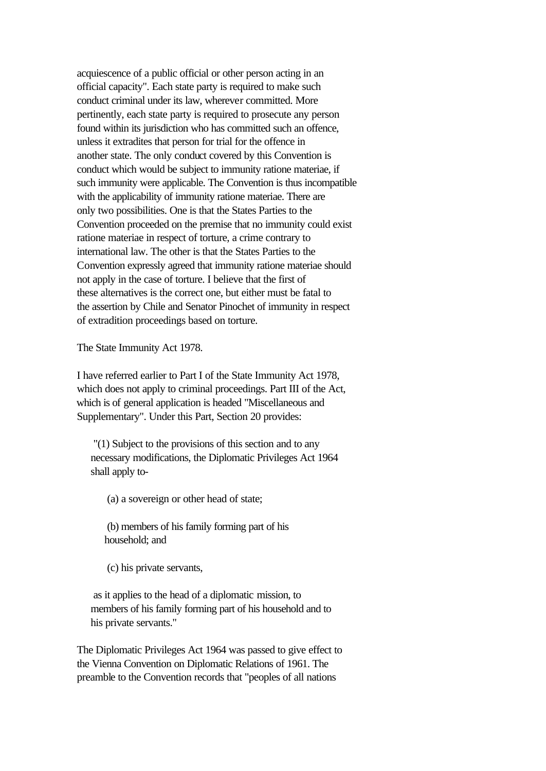acquiescence of a public official or other person acting in an official capacity". Each state party is required to make such conduct criminal under its law, wherever committed. More pertinently, each state party is required to prosecute any person found within its jurisdiction who has committed such an offence, unless it extradites that person for trial for the offence in another state. The only conduct covered by this Convention is conduct which would be subject to immunity ratione materiae, if such immunity were applicable. The Convention is thus incompatible with the applicability of immunity ratione materiae. There are only two possibilities. One is that the States Parties to the Convention proceeded on the premise that no immunity could exist ratione materiae in respect of torture, a crime contrary to international law. The other is that the States Parties to the Convention expressly agreed that immunity ratione materiae should not apply in the case of torture. I believe that the first of these alternatives is the correct one, but either must be fatal to the assertion by Chile and Senator Pinochet of immunity in respect of extradition proceedings based on torture.

The State Immunity Act 1978.

 I have referred earlier to Part I of the State Immunity Act 1978, which does not apply to criminal proceedings. Part III of the Act, which is of general application is headed "Miscellaneous and Supplementary". Under this Part, Section 20 provides:

 "(1) Subject to the provisions of this section and to any necessary modifications, the Diplomatic Privileges Act 1964 shall apply to-

(a) a sovereign or other head of state;

 (b) members of his family forming part of his household; and

(c) his private servants,

 as it applies to the head of a diplomatic mission, to members of his family forming part of his household and to his private servants."

 The Diplomatic Privileges Act 1964 was passed to give effect to the Vienna Convention on Diplomatic Relations of 1961. The preamble to the Convention records that "peoples of all nations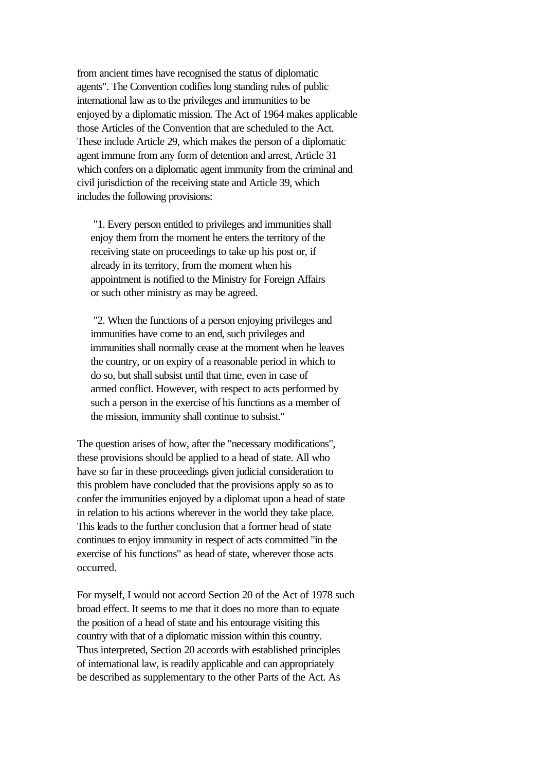from ancient times have recognised the status of diplomatic agents". The Convention codifies long standing rules of public international law as to the privileges and immunities to be enjoyed by a diplomatic mission. The Act of 1964 makes applicable those Articles of the Convention that are scheduled to the Act. These include Article 29, which makes the person of a diplomatic agent immune from any form of detention and arrest, Article 31 which confers on a diplomatic agent immunity from the criminal and civil jurisdiction of the receiving state and Article 39, which includes the following provisions:

 "1. Every person entitled to privileges and immunities shall enjoy them from the moment he enters the territory of the receiving state on proceedings to take up his post or, if already in its territory, from the moment when his appointment is notified to the Ministry for Foreign Affairs or such other ministry as may be agreed.

 "2. When the functions of a person enjoying privileges and immunities have come to an end, such privileges and immunities shall normally cease at the moment when he leaves the country, or on expiry of a reasonable period in which to do so, but shall subsist until that time, even in case of armed conflict. However, with respect to acts performed by such a person in the exercise of his functions as a member of the mission, immunity shall continue to subsist."

 The question arises of how, after the "necessary modifications", these provisions should be applied to a head of state. All who have so far in these proceedings given judicial consideration to this problem have concluded that the provisions apply so as to confer the immunities enjoyed by a diplomat upon a head of state in relation to his actions wherever in the world they take place. This leads to the further conclusion that a former head of state continues to enjoy immunity in respect of acts committed "in the exercise of his functions" as head of state, wherever those acts occurred.

 For myself, I would not accord Section 20 of the Act of 1978 such broad effect. It seems to me that it does no more than to equate the position of a head of state and his entourage visiting this country with that of a diplomatic mission within this country. Thus interpreted, Section 20 accords with established principles of international law, is readily applicable and can appropriately be described as supplementary to the other Parts of the Act. As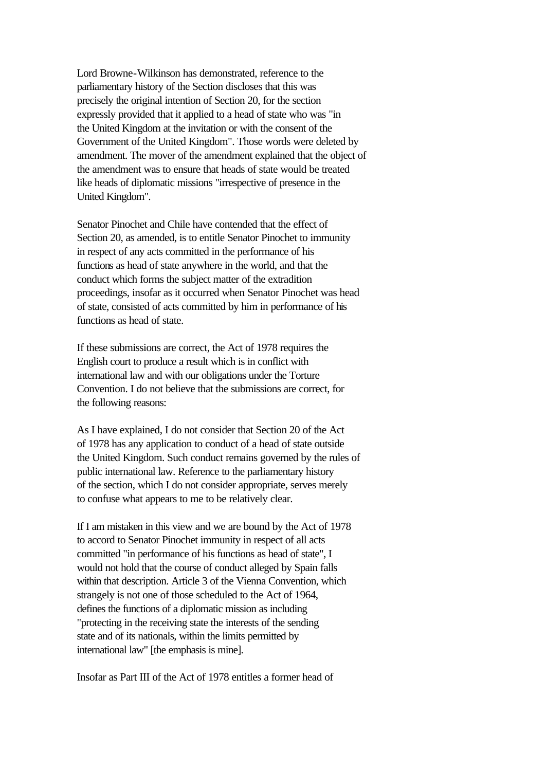Lord Browne-Wilkinson has demonstrated, reference to the parliamentary history of the Section discloses that this was precisely the original intention of Section 20, for the section expressly provided that it applied to a head of state who was "in the United Kingdom at the invitation or with the consent of the Government of the United Kingdom". Those words were deleted by amendment. The mover of the amendment explained that the object of the amendment was to ensure that heads of state would be treated like heads of diplomatic missions "irrespective of presence in the United Kingdom".

 Senator Pinochet and Chile have contended that the effect of Section 20, as amended, is to entitle Senator Pinochet to immunity in respect of any acts committed in the performance of his functions as head of state anywhere in the world, and that the conduct which forms the subject matter of the extradition proceedings, insofar as it occurred when Senator Pinochet was head of state, consisted of acts committed by him in performance of his functions as head of state.

 If these submissions are correct, the Act of 1978 requires the English court to produce a result which is in conflict with international law and with our obligations under the Torture Convention. I do not believe that the submissions are correct, for the following reasons:

 As I have explained, I do not consider that Section 20 of the Act of 1978 has any application to conduct of a head of state outside the United Kingdom. Such conduct remains governed by the rules of public international law. Reference to the parliamentary history of the section, which I do not consider appropriate, serves merely to confuse what appears to me to be relatively clear.

 If I am mistaken in this view and we are bound by the Act of 1978 to accord to Senator Pinochet immunity in respect of all acts committed "in performance of his functions as head of state", I would not hold that the course of conduct alleged by Spain falls within that description. Article 3 of the Vienna Convention, which strangely is not one of those scheduled to the Act of 1964, defines the functions of a diplomatic mission as including "protecting in the receiving state the interests of the sending state and of its nationals, within the limits permitted by international law" [the emphasis is mine].

Insofar as Part III of the Act of 1978 entitles a former head of